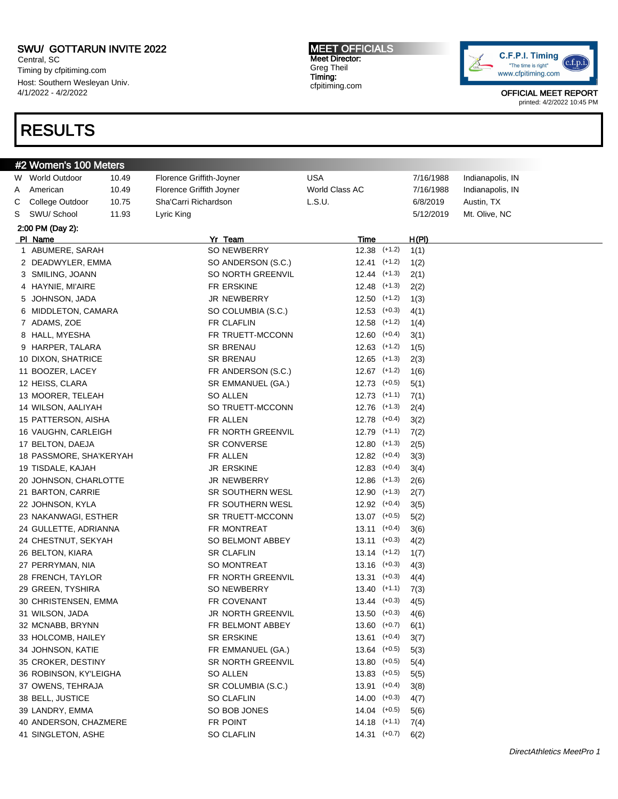Central, SC Timing by cfpitiming.com Host: Southern Wesleyan Univ. 4/1/2022 - 4/2/2022

## RESULTS

MEET OFFICIALS Meet Director: Greg Theil Timing: cfpitiming.com



|   | #2 Women's 100 Meters   |       |                          |                       |                  |           |                  |
|---|-------------------------|-------|--------------------------|-----------------------|------------------|-----------|------------------|
|   | W World Outdoor         | 10.49 | Florence Griffith-Joyner | <b>USA</b>            |                  | 7/16/1988 | Indianapolis, IN |
| A | American                | 10.49 | Florence Griffith Joyner | <b>World Class AC</b> |                  | 7/16/1988 | Indianapolis, IN |
| C | College Outdoor         | 10.75 | Sha'Carri Richardson     | L.S.U.                |                  | 6/8/2019  | Austin, TX       |
| S | SWU/ School             | 11.93 | Lyric King               |                       |                  | 5/12/2019 | Mt. Olive, NC    |
|   | 2:00 PM (Day 2):        |       |                          |                       |                  |           |                  |
|   | PI Name                 |       | Yr Team                  | Time                  |                  | H(PI)     |                  |
|   | 1 ABUMERE, SARAH        |       | SO NEWBERRY              | $12.38$ $(+1.2)$      |                  | 1(1)      |                  |
|   | 2 DEADWYLER, EMMA       |       | SO ANDERSON (S.C.)       | $12.41$ $(+1.2)$      |                  | 1(2)      |                  |
|   | 3 SMILING, JOANN        |       | SO NORTH GREENVIL        | $12.44$ $(+1.3)$      |                  | 2(1)      |                  |
|   | 4 HAYNIE, MI'AIRE       |       | FR ERSKINE               | $12.48$ $(+1.3)$      |                  | 2(2)      |                  |
|   | 5 JOHNSON, JADA         |       | JR NEWBERRY              | $12.50$ $(+1.2)$      |                  | 1(3)      |                  |
|   | 6 MIDDLETON, CAMARA     |       | SO COLUMBIA (S.C.)       | $12.53$ $(+0.3)$      |                  | 4(1)      |                  |
|   | 7 ADAMS, ZOE            |       | FR CLAFLIN               | $12.58$ $(+1.2)$      |                  | 1(4)      |                  |
|   | 8 HALL, MYESHA          |       | FR TRUETT-MCCONN         | $12.60$ $(+0.4)$      |                  | 3(1)      |                  |
|   | 9 HARPER, TALARA        |       | <b>SR BRENAU</b>         | $12.63$ $(+1.2)$      |                  | 1(5)      |                  |
|   | 10 DIXON, SHATRICE      |       | <b>SR BRENAU</b>         | $12.65$ $(+1.3)$      |                  | 2(3)      |                  |
|   | 11 BOOZER, LACEY        |       | FR ANDERSON (S.C.)       | $12.67$ $(+1.2)$      |                  | 1(6)      |                  |
|   | 12 HEISS, CLARA         |       | SR EMMANUEL (GA.)        | $12.73$ $(+0.5)$      |                  | 5(1)      |                  |
|   | 13 MOORER, TELEAH       |       | <b>SO ALLEN</b>          | $12.73$ $(+1.1)$      |                  | 7(1)      |                  |
|   | 14 WILSON, AALIYAH      |       | SO TRUETT-MCCONN         | $12.76$ $(+1.3)$      |                  | 2(4)      |                  |
|   | 15 PATTERSON, AISHA     |       | FR ALLEN                 | $12.78$ $(+0.4)$      |                  | 3(2)      |                  |
|   | 16 VAUGHN, CARLEIGH     |       | FR NORTH GREENVIL        | $12.79$ $(+1.1)$      |                  | 7(2)      |                  |
|   | 17 BELTON, DAEJA        |       | SR CONVERSE              | $12.80$ $(+1.3)$      |                  | 2(5)      |                  |
|   | 18 PASSMORE, SHA'KERYAH |       | FR ALLEN                 | $12.82$ $(+0.4)$      |                  | 3(3)      |                  |
|   | 19 TISDALE, KAJAH       |       | <b>JR ERSKINE</b>        | $12.83$ $(+0.4)$      |                  | 3(4)      |                  |
|   | 20 JOHNSON, CHARLOTTE   |       | JR NEWBERRY              | $12.86$ $(+1.3)$      |                  | 2(6)      |                  |
|   | 21 BARTON, CARRIE       |       | SR SOUTHERN WESL         | $12.90$ $(+1.3)$      |                  | 2(7)      |                  |
|   | 22 JOHNSON, KYLA        |       | FR SOUTHERN WESL         | $12.92$ $(+0.4)$      |                  | 3(5)      |                  |
|   | 23 NAKANWAGI, ESTHER    |       | SR TRUETT-MCCONN         | $13.07$ $(+0.5)$      |                  | 5(2)      |                  |
|   | 24 GULLETTE, ADRIANNA   |       | FR MONTREAT              | $13.11$ $(+0.4)$      |                  | 3(6)      |                  |
|   | 24 CHESTNUT, SEKYAH     |       | SO BELMONT ABBEY         | $13.11$ $(+0.3)$      |                  | 4(2)      |                  |
|   | 26 BELTON, KIARA        |       | <b>SR CLAFLIN</b>        | $13.14$ $(+1.2)$      |                  | 1(7)      |                  |
|   | 27 PERRYMAN, NIA        |       | SO MONTREAT              | $13.16$ $(+0.3)$      |                  | 4(3)      |                  |
|   | 28 FRENCH, TAYLOR       |       | FR NORTH GREENVIL        | $13.31$ $(+0.3)$      |                  | 4(4)      |                  |
|   | 29 GREEN, TYSHIRA       |       | SO NEWBERRY              | $13.40$ (+1.1)        |                  | 7(3)      |                  |
|   | 30 CHRISTENSEN, EMMA    |       | FR COVENANT              |                       | $13.44$ $(+0.3)$ | 4(5)      |                  |
|   | 31 WILSON, JADA         |       | JR NORTH GREENVIL        | $13.50$ $(+0.3)$      |                  | 4(6)      |                  |
|   | 32 MCNABB, BRYNN        |       | FR BELMONT ABBEY         | $13.60$ $(+0.7)$      |                  | 6(1)      |                  |
|   | 33 HOLCOMB, HAILEY      |       | SR ERSKINE               | $13.61$ (+0.4)        |                  | 3(7)      |                  |
|   | 34 JOHNSON, KATIE       |       | FR EMMANUEL (GA.)        | $13.64$ $(+0.5)$      |                  | 5(3)      |                  |
|   | 35 CROKER, DESTINY      |       | SR NORTH GREENVIL        | $13.80$ $(+0.5)$      |                  | 5(4)      |                  |
|   | 36 ROBINSON, KY'LEIGHA  |       | SO ALLEN                 | $13.83$ $(+0.5)$      |                  | 5(5)      |                  |
|   | 37 OWENS, TEHRAJA       |       | SR COLUMBIA (S.C.)       | $13.91$ (+0.4)        |                  | 3(8)      |                  |
|   | 38 BELL, JUSTICE        |       | SO CLAFLIN               | $14.00$ $(+0.3)$      |                  | 4(7)      |                  |
|   | 39 LANDRY, EMMA         |       | SO BOB JONES             | $14.04$ $(+0.5)$      |                  | 5(6)      |                  |
|   | 40 ANDERSON, CHAZMERE   |       | FR POINT                 | $14.18$ $(+1.1)$      |                  | 7(4)      |                  |
|   | 41 SINGLETON, ASHE      |       | SO CLAFLIN               | $14.31$ $(+0.7)$      |                  | 6(2)      |                  |
|   |                         |       |                          |                       |                  |           |                  |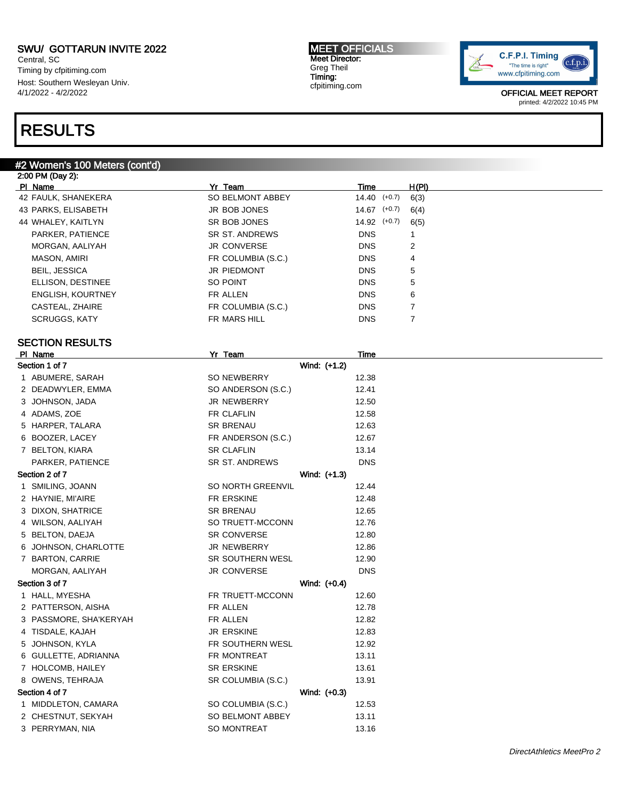Central, SC Timing by cfpitiming.com Host: Southern Wesleyan Univ. 4/1/2022 - 4/2/2022

### RESULTS

2:00 PM (Day 2):

#### #2 Women's 100 Meters (cont'd)

Pl Name Yr Team Time H(Pl) 42 FAULK, SHANEKERA SO BELMONT ABBEY 14.40 (+0.7) 6(3) 43 PARKS, ELISABETH JR BOB JONES 14.67 (+0.7) 6(4) 44 WHALEY, KAITLYN SR BOB JONES 14.92 (+0.7) 6(5) PARKER, PATIENCE SR ST. ANDREWS DNS 1 MORGAN, AALIYAH JR CONVERSE DNS 2 MASON, AMIRI FR COLUMBIA (S.C.) DNS 4 BEIL, JESSICA JR PIEDMONT DNS 5 ELLISON, DESTINEE SO POINT DNS 5 ENGLISH, KOURTNEY FR ALLEN FR ALLEN DNS 6 CASTEAL, ZHAIRE **FR COLUMBIA (S.C.)** DNS 7 SCRUGGS, KATY **FR MARS HILL SCRUGGS, KATY FR MARS HILL** SECTION RESULTS Pl Name Yr Team Time Section 1 of 7 Wind: (+1.2) 1 ABUMERE, SARAH SO NEWBERRY 12.38 2 DEADWYLER, EMMA SO ANDERSON (S.C.) 12.41 3 JOHNSON, JADA JR NEWBERRY 12.50 4 ADAMS, ZOE **FR CLAFLIN** 12.58 5 HARPER, TALARA SR BRENAU 12.63 6 BOOZER, LACEY **FR** ANDERSON (S.C.) 12.67 7 BELTON, KIARA SR CLAFLIN SR CLAFLIN 13.14 PARKER, PATIENCE SR ST. ANDREWS DNS Section 2 of 7 Wind: (+1.3) 1 SMILING, JOANN SO NORTH GREENVIL 12.44 2 HAYNIE, MI'AIRE **FR ERSKINE** 12.48 3 DIXON, SHATRICE SR BRENAU SR BRENAU 12.65 4 WILSON, AALIYAH SO TRUETT-MCCONN 12.76 5 BELTON, DAEJA SR CONVERSE 12.80 6 JOHNSON, CHARLOTTE JR NEWBERRY 12.86 7 BARTON, CARRIE SR SOUTHERN WESL 12.90 MORGAN, AALIYAH DIS DASHI JR CONVERSE DIS Section 3 of 7 Wind: (+0.4) 1 HALL, MYESHA **FR TRUETT-MCCONN** 12.60 2 PATTERSON, AISHA FR ALLEN FR ALLEN 12.78 3 PASSMORE, SHA'KERYAH FR ALLEN FR ALLEN 12.82 4 TISDALE, KAJAH 12.83 5 JOHNSON, KYLA FR SOUTHERN WESL 12.92 6 GULLETTE, ADRIANNA FR MONTREAT 13.11 7 HOLCOMB, HAILEY SR ERSKINE 13.61 8 OWENS, TEHRAJA SR COLUMBIA (S.C.) 13.91 Section 4 of 7 Wind: (+0.3) 1 MIDDLETON, CAMARA SO COLUMBIA (S.C.) 12.53 2 CHESTNUT, SEKYAH SO BELMONT ABBEY 13.11 3 PERRYMAN, NIA 13.16

MEET OFFICIALS Meet Director: Greg Theil Timing: cfpitiming.com

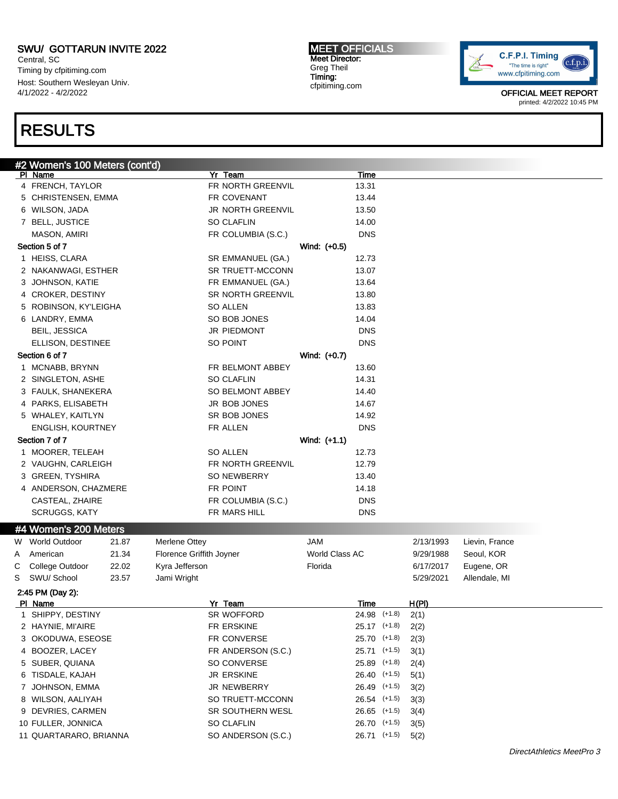Central, SC Timing by cfpitiming.com Host: Southern Wesleyan Univ. 4/1/2022 - 4/2/2022

### RESULTS

#2 Women's 100 Meters (cont'd) Pl Name Yr Team Time 4 FRENCH, TAYLOR **FR NORTH GREENVIL** 13.31 5 CHRISTENSEN, EMMA FR COVENANT 13.44 6 WILSON, JADA JR NORTH GREENVIL 13.50 7 BELL, JUSTICE SO CLAFLIN 14.00 MASON, AMIRI FR COLUMBIA (S.C.) DNS Section 5 of 7 Wind: (+0.5) 1 HEISS, CLARA SR EMMANUEL (GA.) 12.73 2 NAKANWAGI, ESTHER SR TRUETT-MCCONN 13.07 3 JOHNSON, KATIE **FR EMMANUEL (GA.)** 13.64 4 CROKER, DESTINY SR NORTH GREENVIL 13.80 5 ROBINSON, KY'LEIGHA SO ALLEN 13.83 6 LANDRY, EMMA SO BOB JONES 14.04 BEIL, JESSICA JR PIEDMONT DNS ELLISON, DESTINEE SO POINT DNS Section 6 of 7 Wind: (+0.7) 1 MCNABB, BRYNN **FR BELMONT ABBEY** 13.60 2 SINGLETON, ASHE SO CLAFLIN 14.31 3 FAULK, SHANEKERA SO BELMONT ABBEY 14.40 4 PARKS, ELISABETH JR BOB JONES 14.67 5 WHALEY, KAITLYN SR BOB JONES 14.92 ENGLISH, KOURTNEY FR ALLEN DNS Section 7 of 7 Wind: (+1.1) 1 MOORER, TELEAH SO ALLEN SO ALLEN 12.73 2 VAUGHN, CARLEIGH FR NORTH GREENVIL 12.79 3 GREEN, TYSHIRA SO NEWBERRY 13.40 4 ANDERSON, CHAZMERE FR POINT 14.18 CASTEAL, ZHAIRE **FR COLUMBIA (S.C.)** DNS SCRUGGS, KATY FR MARS HILL BOOS AND SCRUGGS, KATY #4 Women's 200 Meters W World Outdoor 21.87 Merlene Ottey **JAM** JAM 2/13/1993 Lievin, France A American 21.34 Florence Griffith Joyner World Class AC 9/29/1988 Seoul, KOR C College Outdoor 22.02 Kyra Jefferson **Filtima College College OR Strategier College College College College A** S SWU/ School 23.57 Jami Wright 5/29/2021 Allendale, MI 2:45 PM (Day 2): Pl Name Yr Team Time H(Pl) 1 SHIPPY, DESTINY SR WOFFORD 24.98 (+1.8) 2(1) 2 HAYNIE, MI'AIRE FR ERSKINE 25.17 (+1.8) 2(2) 3 OKODUWA, ESEOSE FR CONVERSE 25.70 (+1.8) 2(3) 4 BOOZER, LACEY FR ANDERSON (S.C.) 25.71 (+1.5) 3(1) 5 SUBER, QUIANA SO CONVERSE 25.89 (+1.8) 2(4) 6 TISDALE, KAJAH JR ERSKINE 26.40 (+1.5) 5(1) 7 JOHNSON, EMMA JR NEWBERRY 26.49 (+1.5) 3(2) 8 WILSON, AALIYAH SO TRUETT-MCCONN 26.54 (+1.5) 3(3) 9 DEVRIES, CARMEN SR SOUTHERN WESL 26.65 (+1.5) 3(4) 10 FULLER, JONNICA SO CLAFLIN 26.70 (+1.5) 3(5) 11 QUARTARARO, BRIANNA SO ANDERSON (S.C.) 26.71 (+1.5) 5(2)

DirectAthletics MeetPro 3



OFFICIAL MEET REPORT printed: 4/2/2022 10:45 PM

#### MEET OFFICIALS Meet Director: Greg Theil Timing: cfpitiming.com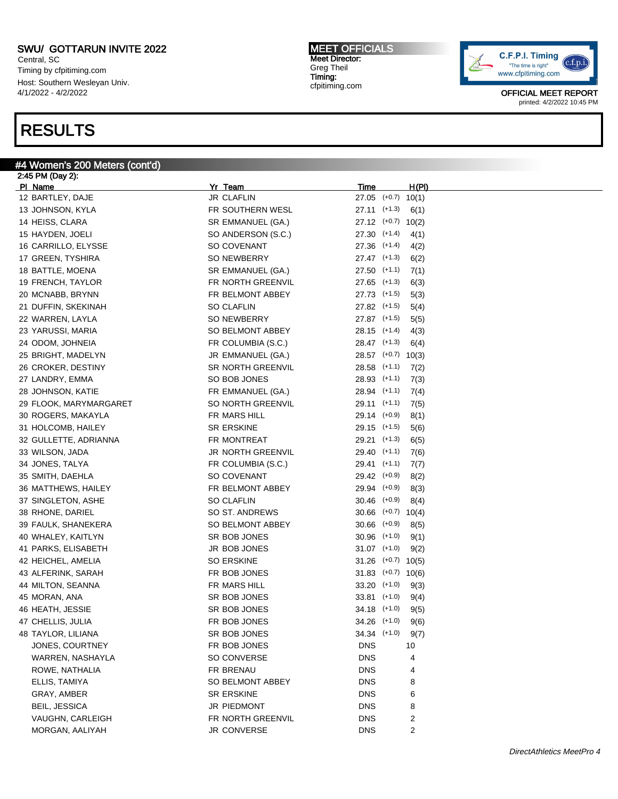Central, SC Timing by cfpitiming.com Host: Southern Wesleyan Univ. 4/1/2022 - 4/2/2022

### RESULTS

#### #4 Women's 200 Meters (cont'd)

2:45 PM (Day 2): Pl Name Yr Team Time H(Pl) 12 BARTLEY, DAJE JR CLAFLIN 27.05 (+0.7) 10(1) 13 JOHNSON, KYLA FR SOUTHERN WESL 27.11 (+1.3) 6(1) 14 HEISS, CLARA SR EMMANUEL (GA.) 27.12 (+0.7) 10(2) 15 HAYDEN, JOELI SO ANDERSON (S.C.) 27.30 (+1.4) 4(1) 16 CARRILLO, ELYSSE SO COVENANT 27.36 (+1.4) 4(2) 17 GREEN, TYSHIRA SO NEWBERRY 27.47 (+1.3) 6(2) 18 BATTLE, MOENA SR EMMANUEL (GA.) 27.50 (+1.1) 7(1) 19 FRENCH, TAYLOR FR NORTH GREENVIL 27.65 (+1.3) 6(3) 20 MCNABB, BRYNN FR BELMONT ABBEY 27.73 (+1.5) 5(3) 21 DUFFIN, SKEKINAH SO CLAFLIN SO CLAFLIN 27.82 (+1.5) 5(4) 22 WARREN, LAYLA SO NEWBERRY 27.87 (+1.5) 5(5) 23 YARUSSI, MARIA 28.15 (+1.4) 4(3) SO BELMONT ABBEY 28.15 (+1.4) 4(3) 24 ODOM, JOHNEIA FR COLUMBIA (S.C.) 28.47 (+1.3) 6(4) 25 BRIGHT, MADELYN JR EMMANUEL (GA.) 28.57 (+0.7) 10(3) 26 CROKER, DESTINY SR NORTH GREENVIL 28.58 (+1.1) 7(2) 27 LANDRY, EMMA SO BOB JONES 28.93 (+1.1) 7(3) 28 JOHNSON, KATIE **FR EMMANUEL (GA.)** 28.94 (+1.1) 7(4) 29 FLOOK, MARYMARGARET SO NORTH GREENVIL 29.11 (+1.1) 7(5) 30 ROGERS, MAKAYLA FR MARS HILL 29.14 (+0.9) 8(1) 31 HOLCOMB, HAILEY SR ERSKINE 29.15 (+1.5) 5(6) 32 GULLETTE, ADRIANNA FR MONTREAT 29.21 (+1.3) 6(5) 33 WILSON, JADA JR NORTH GREENVIL 29.40 (+1.1) 7(6) 34 JONES, TALYA FR COLUMBIA (S.C.) 29.41 (+1.1) 7(7) 35 SMITH, DAEHLA SO COVENANT 29.42 (+0.9) 8(2) 36 MATTHEWS, HAILEY FR BELMONT ABBEY 29.94 (+0.9) 8(3) 37 SINGLETON, ASHE SO CLAFLIN 30.46 (+0.9) 8(4) 38 RHONE, DARIEL SO ST. ANDREWS 30.66 (+0.7) 10(4) 39 FAULK, SHANEKERA SO BELMONT ABBEY 30.66 (+0.9) 8(5) 40 WHALEY, KAITLYN SR BOB JONES 30.96 (+1.0) 9(1) 41 PARKS, ELISABETH JR BOB JONES 31.07 (+1.0) 9(2) 42 HEICHEL, AMELIA SO ERSKINE 31.26 (+0.7) 10(5) 43 ALFERINK, SARAH FR BOB JONES 31.83 (+0.7) 10(6) 44 MILTON, SEANNA **FR MARS HILL 33.20** (+1.0) 9(3) 45 MORAN, ANA SR BOB JONES 33.81 (+1.0) 9(4) 46 HEATH, JESSIE SALL SAN SAN SAN SAN SAN SAN SALE SAN SALE (+1.0) 9(5) 47 CHELLIS, JULIA FR BOB JONES 34.26 (+1.0) 9(6) 48 TAYLOR, LILIANA SR BOB JONES 34.34 (+1.0) 9(7) JONES, COURTNEY **FR BOB JONES** DNS 10 WARREN, NASHAYLA SO CONVERSE DNS 4 ROWE, NATHALIA FR BRENAU ROWE, NATHALIA AND ROWE, NATHALIA ELLIS, TAMIYA SO BELMONT ABBEY DNS 8 GRAY, AMBER GRAY, AMBER SR ERSKINE SR ERSKINE BEIL, JESSICA JR PIEDMONT DNS 8 VAUGHN, CARLEIGH FR NORTH GREENVIL DNS 2 MORGAN, AALIYAH JR CONVERSE DINS 2

MEET OFFICIALS Meet Director: Greg Theil Timing: cfpitiming.com

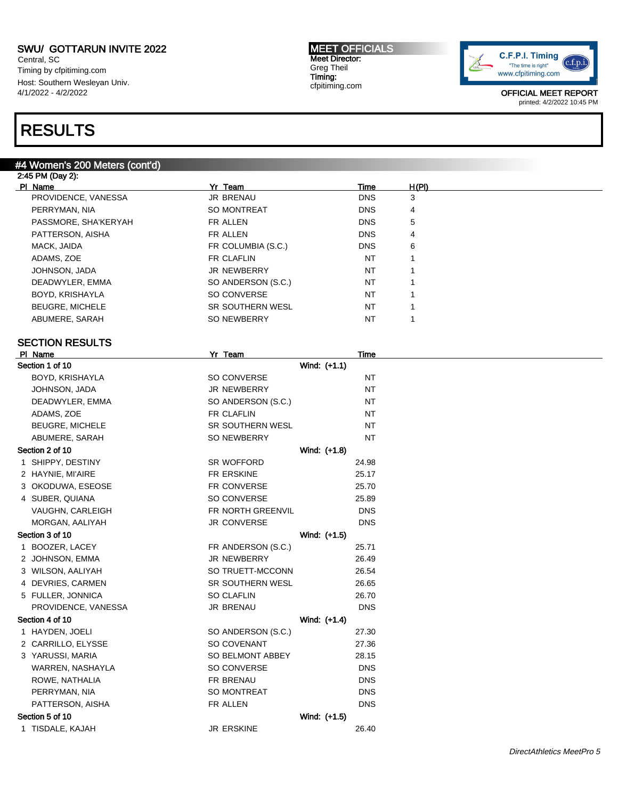Central, SC Timing by cfpitiming.com Host: Southern Wesleyan Univ. 4/1/2022 - 4/2/2022

### RESULTS

#### #4 Women's 200 Meters (cont'd)

| 2:45 PM (Day 2):       |                         |            |       |  |  |  |
|------------------------|-------------------------|------------|-------|--|--|--|
| PI Name                | Yr Team                 | Time       | H(PI) |  |  |  |
| PROVIDENCE, VANESSA    | <b>JR BRENAU</b>        | <b>DNS</b> | 3     |  |  |  |
| PERRYMAN, NIA          | <b>SO MONTREAT</b>      | <b>DNS</b> | 4     |  |  |  |
| PASSMORE, SHA'KERYAH   | FR ALLEN                | <b>DNS</b> | 5     |  |  |  |
| PATTERSON, AISHA       | FR ALLEN                | <b>DNS</b> | 4     |  |  |  |
| MACK, JAIDA            | FR COLUMBIA (S.C.)      | <b>DNS</b> | 6     |  |  |  |
| ADAMS, ZOE             | FR CLAFLIN              | <b>NT</b>  |       |  |  |  |
| JOHNSON, JADA          | <b>JR NEWBERRY</b>      | <b>NT</b>  |       |  |  |  |
| DEADWYLER, EMMA        | SO ANDERSON (S.C.)      | <b>NT</b>  |       |  |  |  |
| BOYD, KRISHAYLA        | SO CONVERSE             | <b>NT</b>  |       |  |  |  |
| <b>BEUGRE, MICHELE</b> | <b>SR SOUTHERN WESL</b> | <b>NT</b>  |       |  |  |  |
| ABUMERE, SARAH         | <b>SO NEWBERRY</b>      | <b>NT</b>  |       |  |  |  |
|                        |                         |            |       |  |  |  |

MEET OFFICIALS Meet Director: Greg Theil Timing: cfpitiming.com

### SECTION RESULTS

|    | PI Name                 | Yr Team                 |              | Time       |  |
|----|-------------------------|-------------------------|--------------|------------|--|
|    | Section 1 of 10         |                         | Wind: (+1.1) |            |  |
|    | BOYD, KRISHAYLA         | SO CONVERSE             |              | <b>NT</b>  |  |
|    | JOHNSON, JADA           | <b>JR NEWBERRY</b>      |              | NT         |  |
|    | DEADWYLER, EMMA         | SO ANDERSON (S.C.)      |              | <b>NT</b>  |  |
|    | ADAMS, ZOE              | FR CLAFLIN              |              | NT         |  |
|    | <b>BEUGRE, MICHELE</b>  | SR SOUTHERN WESL        |              | <b>NT</b>  |  |
|    | ABUMERE, SARAH          | SO NEWBERRY             |              | <b>NT</b>  |  |
|    | Section 2 of 10         |                         | Wind: (+1.8) |            |  |
|    | 1 SHIPPY, DESTINY       | SR WOFFORD              |              | 24.98      |  |
|    | 2 HAYNIE, MI'AIRE       | FR ERSKINE              |              | 25.17      |  |
|    | 3 OKODUWA, ESEOSE       | FR CONVERSE             |              | 25.70      |  |
|    | 4 SUBER, QUIANA         | SO CONVERSE             |              | 25.89      |  |
|    | <b>VAUGHN, CARLEIGH</b> | FR NORTH GREENVIL       |              | <b>DNS</b> |  |
|    | MORGAN, AALIYAH         | <b>JR CONVERSE</b>      |              | <b>DNS</b> |  |
|    | Section 3 of 10         |                         | Wind: (+1.5) |            |  |
| 1. | BOOZER, LACEY           | FR ANDERSON (S.C.)      |              | 25.71      |  |
|    | 2 JOHNSON, EMMA         | JR NEWBERRY             |              | 26.49      |  |
|    | 3 WILSON, AALIYAH       | SO TRUETT-MCCONN        |              | 26.54      |  |
|    | 4 DEVRIES, CARMEN       | <b>SR SOUTHERN WESL</b> |              | 26.65      |  |
|    | 5 FULLER, JONNICA       | <b>SO CLAFLIN</b>       |              | 26.70      |  |
|    | PROVIDENCE, VANESSA     | JR BRENAU               |              | <b>DNS</b> |  |
|    | Section 4 of 10         |                         | Wind: (+1.4) |            |  |
|    | 1 HAYDEN, JOELI         | SO ANDERSON (S.C.)      |              | 27.30      |  |
|    | 2 CARRILLO, ELYSSE      | SO COVENANT             |              | 27.36      |  |
|    | 3 YARUSSI, MARIA        | SO BELMONT ABBEY        |              | 28.15      |  |
|    | WARREN, NASHAYLA        | SO CONVERSE             |              | <b>DNS</b> |  |
|    | ROWE, NATHALIA          | FR BRENAU               |              | <b>DNS</b> |  |
|    | PERRYMAN, NIA           | <b>SO MONTREAT</b>      |              | <b>DNS</b> |  |
|    | PATTERSON, AISHA        | FR ALLEN                |              | <b>DNS</b> |  |
|    | Section 5 of 10         |                         | Wind: (+1.5) |            |  |
|    | 1 TISDALE, KAJAH        | <b>JR ERSKINE</b>       |              | 26.40      |  |
|    |                         |                         |              |            |  |

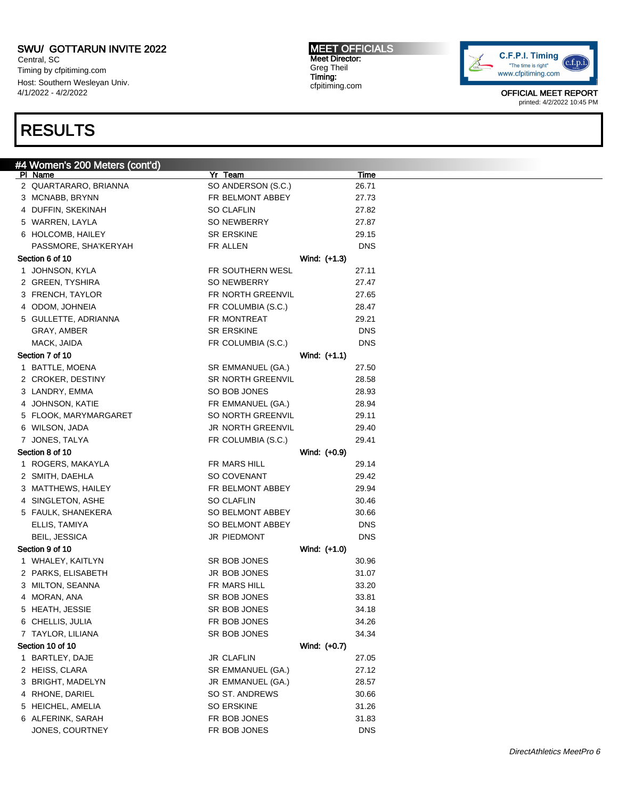Central, SC Timing by cfpitiming.com Host: Southern Wesleyan Univ. 4/1/2022 - 4/2/2022

### RESULTS

#### #4 Women's 200 Meters (cont'd) Pl Name Yr Team Time 2 QUARTARARO, BRIANNA SO ANDERSON (S.C.) 26.71 3 MCNABB, BRYNN FR BELMONT ABBEY 27.73 4 DUFFIN, SKEKINAH SO CLAFLIN 27.82 5 WARREN, LAYLA SO NEWBERRY 27.87 6 HOLCOMB, HAILEY SR ERSKINE 29.15 PASSMORE, SHA'KERYAH FR ALLEN FR ALLEN DNS Section 6 of 10 Nind: (+1.3) 1 JOHNSON, KYLA FR SOUTHERN WESL 27.11 2 GREEN, TYSHIRA SO NEWBERRY 27.47 3 FRENCH, TAYLOR **FR NORTH GREENVIL** 27.65 4 ODOM, JOHNEIA FR COLUMBIA (S.C.) 28.47 5 GULLETTE, ADRIANNA FR MONTREAT 29.21 GRAY, AMBER SR ERSKINE DNS MACK, JAIDA FR COLUMBIA (S.C.) DNS Section 7 of 10 Wind: (+1.1) 1 BATTLE, MOENA SR EMMANUEL (GA.) 27.50 2 CROKER, DESTINY SR NORTH GREENVIL 28.58 3 LANDRY, EMMA 28.93 4 JOHNSON, KATIE **FR EMMANUEL (GA.)** 28.94 5 FLOOK, MARYMARGARET SO NORTH GREENVIL 29.11 6 WILSON, JADA JR NORTH GREENVIL 29.40 7 JONES, TALYA FR COLUMBIA (S.C.) 29.41 Section 8 of 10 Nine Section 8 of 10 1 ROGERS, MAKAYLA **FR MARS HILL 29.14** 2 SMITH, DAEHLA SO COVENANT 29.42 3 MATTHEWS, HAILEY **FR BELMONT ABBEY** 29.94 4 SINGLETON, ASHE SO CLAFLIN 30.46 5 FAULK, SHANEKERA SO BELMONT ABBEY 30.66 ELLIS, TAMIYA SO BELMONT ABBEY DNS BEIL, JESSICA DISTRIBUTION DISTRIBUTION DUEL DES DISTRIBUTIONS ON A LIMITATION DUEL DUEL DISTRIBUTION DUEL DUEL Section 9 of 10 Wind: (+1.0) 1 WHALEY, KAITLYN SR BOB JONES 30.96 2 PARKS, ELISABETH JR BOB JONES 31.07 3 MILTON, SEANNA FR MARS HILL 33.20 4 MORAN, ANA SR BOB JONES 33.81 5 HEATH, JESSIE SAND SR BOB JONES 34.18 6 CHELLIS, JULIA FR BOB JONES 34.26 7 TAYLOR, LILIANA SR BOB JONES 34.34 Section 10 of 10 Wind: (+0.7) 1 BARTLEY, DAJE JR CLAFLIN 27.05 2 HEISS, CLARA SR EMMANUEL (GA.) 27.12 3 BRIGHT, MADELYN JR EMMANUEL (GA.) 28.57 4 RHONE, DARIEL SO ST. ANDREWS 30.66 5 HEICHEL, AMELIA SO ERSKINE 31.26 6 ALFERINK, SARAH FR BOB JONES 31.83 JONES, COURTNEY **EXECUTES EXAMPLE FR** BOB JONES DNS

MEET OFFICIALS Meet Director: Greg Theil Timing: cfpitiming.com

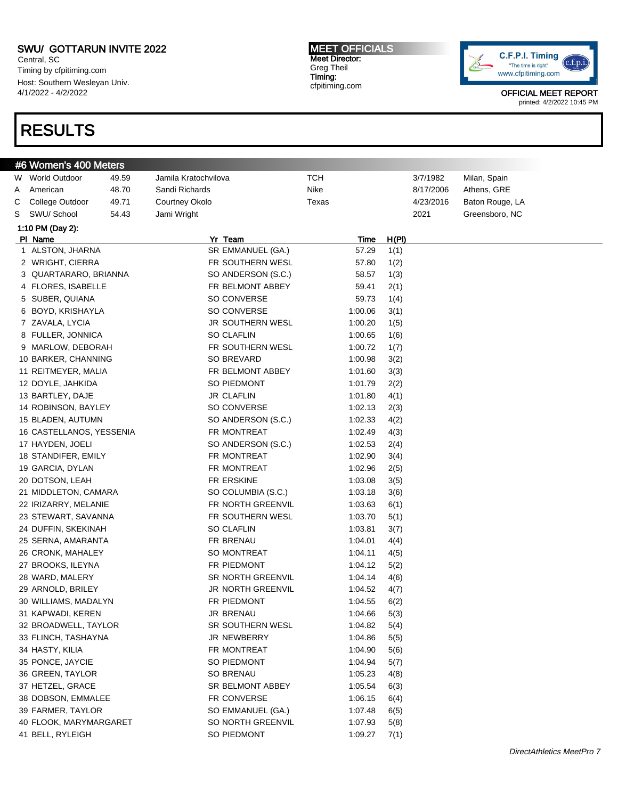Central, SC Timing by cfpitiming.com Host: Southern Wesleyan Univ. 4/1/2022 - 4/2/2022

## RESULTS

MEET OFFICIALS Meet Director: Greg Theil Timing: cfpitiming.com



|   | #6 Women's 400 Meters    |       |                      |            |             |       |           |                 |
|---|--------------------------|-------|----------------------|------------|-------------|-------|-----------|-----------------|
|   | W World Outdoor          | 49.59 | Jamila Kratochvilova | <b>TCH</b> |             |       | 3/7/1982  | Milan, Spain    |
| A | American                 | 48.70 | Sandi Richards       | Nike       |             |       | 8/17/2006 | Athens, GRE     |
| С | College Outdoor          | 49.71 | Courtney Okolo       | Texas      |             |       | 4/23/2016 | Baton Rouge, LA |
| S | SWU/ School              | 54.43 | Jami Wright          |            |             |       | 2021      | Greensboro, NC  |
|   | 1:10 PM (Day 2):         |       |                      |            |             |       |           |                 |
|   | PI Name                  |       | Yr Team              |            | <u>Time</u> | H(PI) |           |                 |
|   | 1 ALSTON, JHARNA         |       | SR EMMANUEL (GA.)    |            | 57.29       | 1(1)  |           |                 |
|   | 2 WRIGHT, CIERRA         |       | FR SOUTHERN WESL     |            | 57.80       | 1(2)  |           |                 |
|   | 3 QUARTARARO, BRIANNA    |       | SO ANDERSON (S.C.)   |            | 58.57       | 1(3)  |           |                 |
|   | 4 FLORES, ISABELLE       |       | FR BELMONT ABBEY     |            | 59.41       | 2(1)  |           |                 |
|   | 5 SUBER, QUIANA          |       | SO CONVERSE          |            | 59.73       | 1(4)  |           |                 |
|   | 6 BOYD, KRISHAYLA        |       | SO CONVERSE          |            | 1:00.06     | 3(1)  |           |                 |
|   | 7 ZAVALA, LYCIA          |       | JR SOUTHERN WESL     |            | 1:00.20     | 1(5)  |           |                 |
|   | 8 FULLER, JONNICA        |       | <b>SO CLAFLIN</b>    |            | 1:00.65     | 1(6)  |           |                 |
|   | 9 MARLOW, DEBORAH        |       | FR SOUTHERN WESL     |            | 1:00.72     | 1(7)  |           |                 |
|   | 10 BARKER, CHANNING      |       | SO BREVARD           |            | 1:00.98     | 3(2)  |           |                 |
|   | 11 REITMEYER, MALIA      |       | FR BELMONT ABBEY     |            | 1:01.60     | 3(3)  |           |                 |
|   | 12 DOYLE, JAHKIDA        |       | SO PIEDMONT          |            | 1:01.79     | 2(2)  |           |                 |
|   | 13 BARTLEY, DAJE         |       | JR CLAFLIN           |            | 1:01.80     | 4(1)  |           |                 |
|   | 14 ROBINSON, BAYLEY      |       | SO CONVERSE          |            | 1:02.13     | 2(3)  |           |                 |
|   | 15 BLADEN, AUTUMN        |       | SO ANDERSON (S.C.)   |            | 1:02.33     | 4(2)  |           |                 |
|   | 16 CASTELLANOS, YESSENIA |       | FR MONTREAT          |            | 1:02.49     | 4(3)  |           |                 |
|   | 17 HAYDEN, JOELI         |       | SO ANDERSON (S.C.)   |            | 1:02.53     | 2(4)  |           |                 |
|   | 18 STANDIFER, EMILY      |       | FR MONTREAT          |            | 1:02.90     | 3(4)  |           |                 |
|   | 19 GARCIA, DYLAN         |       | FR MONTREAT          |            | 1:02.96     | 2(5)  |           |                 |
|   | 20 DOTSON, LEAH          |       | FR ERSKINE           |            | 1:03.08     | 3(5)  |           |                 |
|   | 21 MIDDLETON, CAMARA     |       | SO COLUMBIA (S.C.)   |            | 1:03.18     | 3(6)  |           |                 |
|   | 22 IRIZARRY, MELANIE     |       | FR NORTH GREENVIL    |            | 1:03.63     | 6(1)  |           |                 |
|   | 23 STEWART, SAVANNA      |       | FR SOUTHERN WESL     |            | 1:03.70     | 5(1)  |           |                 |
|   | 24 DUFFIN, SKEKINAH      |       | SO CLAFLIN           |            | 1:03.81     | 3(7)  |           |                 |
|   | 25 SERNA, AMARANTA       |       | FR BRENAU            |            | 1:04.01     | 4(4)  |           |                 |
|   | 26 CRONK, MAHALEY        |       | SO MONTREAT          |            | 1:04.11     | 4(5)  |           |                 |
|   | 27 BROOKS, ILEYNA        |       | FR PIEDMONT          |            | 1:04.12     | 5(2)  |           |                 |
|   | 28 WARD, MALERY          |       | SR NORTH GREENVIL    |            | 1:04.14     | 4(6)  |           |                 |
|   | 29 ARNOLD, BRILEY        |       | JR NORTH GREENVIL    |            | 1:04.52     | 4(7)  |           |                 |
|   | 30 WILLIAMS, MADALYN     |       | FR PIEDMONT          |            | 1:04.55     | 6(2)  |           |                 |
|   | 31 KAPWADI, KEREN        |       | JR BRENAU            |            | 1:04.66     | 5(3)  |           |                 |
|   | 32 BROADWELL, TAYLOR     |       | SR SOUTHERN WESL     |            | 1:04.82     | 5(4)  |           |                 |
|   | 33 FLINCH, TASHAYNA      |       | JR NEWBERRY          |            | 1:04.86     | 5(5)  |           |                 |
|   | 34 HASTY, KILIA          |       | FR MONTREAT          |            | 1:04.90     | 5(6)  |           |                 |
|   | 35 PONCE, JAYCIE         |       | SO PIEDMONT          |            | 1:04.94     | 5(7)  |           |                 |
|   | 36 GREEN, TAYLOR         |       | SO BRENAU            |            | 1:05.23     | 4(8)  |           |                 |
|   | 37 HETZEL, GRACE         |       | SR BELMONT ABBEY     |            | 1:05.54     | 6(3)  |           |                 |
|   | 38 DOBSON, EMMALEE       |       | FR CONVERSE          |            | 1:06.15     | 6(4)  |           |                 |
|   | 39 FARMER, TAYLOR        |       | SO EMMANUEL (GA.)    |            | 1:07.48     | 6(5)  |           |                 |
|   | 40 FLOOK, MARYMARGARET   |       | SO NORTH GREENVIL    |            | 1:07.93     | 5(8)  |           |                 |
|   | 41 BELL, RYLEIGH         |       | SO PIEDMONT          |            | 1:09.27     | 7(1)  |           |                 |
|   |                          |       |                      |            |             |       |           |                 |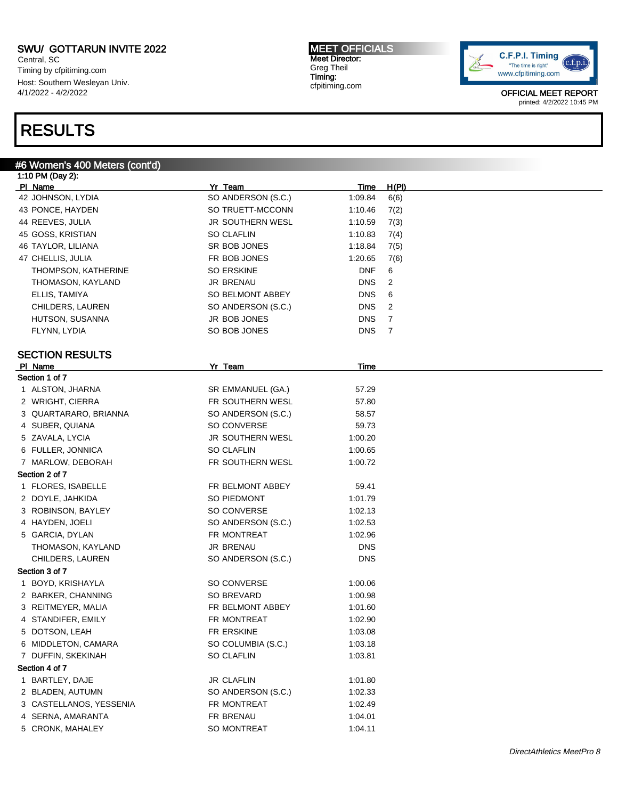#6 Women's 400 Meters (cont'd)

Central, SC Timing by cfpitiming.com Host: Southern Wesleyan Univ. 4/1/2022 - 4/2/2022

## RESULTS

#### MEET OFFICIALS Meet Director: Greg Theil Timing: cfpitiming.com



| 1:10 PM (Day 2):           |                         |             |       |
|----------------------------|-------------------------|-------------|-------|
| PI Name                    | Yr Team                 | Time        | H(PI) |
| 42 JOHNSON, LYDIA          | SO ANDERSON (S.C.)      | 1:09.84     | 6(6)  |
| 43 PONCE, HAYDEN           | SO TRUETT-MCCONN        | 1:10.46     | 7(2)  |
| 44 REEVES, JULIA           | <b>JR SOUTHERN WESL</b> | 1:10.59     | 7(3)  |
| 45 GOSS, KRISTIAN          | <b>SO CLAFLIN</b>       | 1:10.83     | 7(4)  |
| 46 TAYLOR, LILIANA         | SR BOB JONES            | 1:18.84     | 7(5)  |
| 47 CHELLIS, JULIA          | FR BOB JONES            | 1:20.65     | 7(6)  |
| <b>THOMPSON, KATHERINE</b> | SO ERSKINE              | <b>DNF</b>  | 6     |
| THOMASON, KAYLAND          | JR BRENAU               | <b>DNS</b>  | 2     |
| ELLIS, TAMIYA              | SO BELMONT ABBEY        | <b>DNS</b>  | 6     |
| CHILDERS, LAUREN           | SO ANDERSON (S.C.)      | <b>DNS</b>  | 2     |
| HUTSON, SUSANNA            | JR BOB JONES            | <b>DNS</b>  | 7     |
| FLYNN, LYDIA               | SO BOB JONES            | <b>DNS</b>  | 7     |
| <b>SECTION RESULTS</b>     |                         |             |       |
| PI Name                    | Yr Team                 | <u>Time</u> |       |
| Section 1 of 7             |                         |             |       |
| 1 ALSTON, JHARNA           | SR EMMANUEL (GA.)       | 57.29       |       |
| 2 WRIGHT, CIERRA           | FR SOUTHERN WESL        | 57.80       |       |
| 3 QUARTARARO, BRIANNA      | SO ANDERSON (S.C.)      | 58.57       |       |
| 4 SUBER, QUIANA            | SO CONVERSE             | 59.73       |       |
| 5 ZAVALA, LYCIA            | JR SOUTHERN WESL        | 1:00.20     |       |
| 6 FULLER, JONNICA          | <b>SO CLAFLIN</b>       | 1:00.65     |       |
| 7 MARLOW, DEBORAH          | FR SOUTHERN WESL        | 1:00.72     |       |
| Section 2 of 7             |                         |             |       |
| 1 FLORES, ISABELLE         | FR BELMONT ABBEY        | 59.41       |       |
| 2 DOYLE, JAHKIDA           | SO PIEDMONT             | 1:01.79     |       |
| 3 ROBINSON, BAYLEY         | SO CONVERSE             | 1:02.13     |       |
| 4 HAYDEN, JOELI            | SO ANDERSON (S.C.)      | 1:02.53     |       |
| 5 GARCIA, DYLAN            | FR MONTREAT             | 1:02.96     |       |
| THOMASON, KAYLAND          | <b>JR BRENAU</b>        | <b>DNS</b>  |       |
| CHILDERS, LAUREN           | SO ANDERSON (S.C.)      | <b>DNS</b>  |       |
| Section 3 of 7             |                         |             |       |
| 1 BOYD, KRISHAYLA          | SO CONVERSE             | 1:00.06     |       |
| 2 BARKER, CHANNING         | SO BREVARD              | 1:00.98     |       |
| 3 REITMEYER, MALIA         | FR BELMONT ABBEY        | 1:01.60     |       |
| 4 STANDIFER, EMILY         | FR MONTREAT             | 1:02.90     |       |
| 5 DOTSON, LEAH             | FR ERSKINE              | 1:03.08     |       |
| 6 MIDDLETON, CAMARA        | SO COLUMBIA (S.C.)      | 1:03.18     |       |
| 7 DUFFIN, SKEKINAH         | <b>SO CLAFLIN</b>       | 1:03.81     |       |
| Section 4 of 7             |                         |             |       |
| 1 BARTLEY, DAJE            | JR CLAFLIN              | 1:01.80     |       |
| 2 BLADEN, AUTUMN           | SO ANDERSON (S.C.)      | 1:02.33     |       |
| 3 CASTELLANOS, YESSENIA    | FR MONTREAT             | 1:02.49     |       |
| 4 SERNA, AMARANTA          | FR BRENAU               | 1:04.01     |       |
| 5 CRONK, MAHALEY           | SO MONTREAT             | 1:04.11     |       |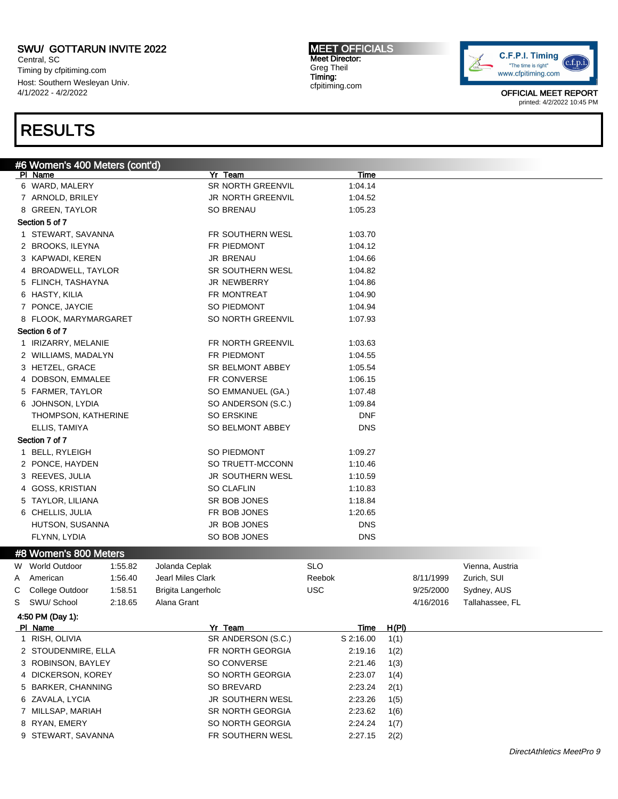Central, SC Timing by cfpitiming.com Host: Southern Wesleyan Univ. 4/1/2022 - 4/2/2022

### RESULTS

#6 Women's 400 Meters (cont'd) Pl Name Yr Team Time 6 WARD, MALERY SR NORTH GREENVIL 1:04.14 7 ARNOLD, BRILEY **1:04.52** JR NORTH GREENVIL 1:04.52 8 GREEN, TAYLOR SO BRENAU SO BRENAU 1:05.23 Section 5 of 7 1 STEWART, SAVANNA FR SOUTHERN WESL 1:03.70 2 BROOKS, ILEYNA **FR PIEDMONT** 1:04.12 3 KAPWADI, KEREN JR BRENAU 1:04.66 4 BROADWELL, TAYLOR SR SOUTHERN WESL 1:04.82 5 FLINCH, TASHAYNA **JR NEWBERRY 1:04.86** 6 HASTY, KILIA **FR MONTREAT** 1:04.90 7 PONCE, JAYCIE SO PIEDMONT 1:04.94 8 FLOOK, MARYMARGARET SO NORTH GREENVIL 1:07.93 Section 6 of 7 1 IRIZARRY, MELANIE FR NORTH GREENVIL 1:03.63 2 WILLIAMS, MADALYN **FR PIEDMONT** 1:04.55 3 HETZEL, GRACE SR BELMONT ABBEY 1:05.54 4 DOBSON, EMMALEE FR CONVERSE 1:06.15 5 FARMER, TAYLOR SO EMMANUEL (GA.) 1:07.48 6 JOHNSON, LYDIA SO ANDERSON (S.C.) 1:09.84 THOMPSON, KATHERINE SO ERSKINE SO ERSKINE ELLIS, TAMIYA SO BELMONT ABBEY DNS Section 7 of 7 1 BELL, RYLEIGH SO PIEDMONT 1:09.27 2 PONCE, HAYDEN SO TRUETT-MCCONN 1:10.46 3 REEVES, JULIA 1:10.59 4 GOSS, KRISTIAN SO CLAFLIN 1:10.83 5 TAYLOR, LILIANA SR BOB JONES 1:18.84 6 CHELLIS, JULIA FR BOB JONES 1:20.65 HUTSON, SUSANNA JR BOB JONES DNS FLYNN, LYDIA DISCOLLECTION SO BOB JONES DISCOLLECT DISCOLLECT DISCOLLECT AND DISCOLLECT DISCOLLECT DISCOLLECT O #8 Women's 800 Meters W World Outdoor at 1:55.82 and Jolanda Ceplak SLO SLO SCO Studies and SLO Vienna, Austria A American 1:56.40 Jearl Miles Clark **Reebok** Reebok 8/11/1999 Zurich, SUI C College Outdoor 1:58.51 Brigita Langerholc USC 9/25/2000 Sydney, AUS S SWU/ School 2:18.65 Alana Grant 4/16/2016 Tallahassee, FL 4:50 PM (Day 1): Pl Name Yr Team Time H(Pl) 1 RISH, OLIVIA SR ANDERSON (S.C.) S 2:16.00 1(1) 2 STOUDENMIRE, ELLA FR NORTH GEORGIA 2:19.16 1(2) 3 ROBINSON, BAYLEY SO CONVERSE 2:21.46 1(3) 4 DICKERSON, KOREY SO NORTH GEORGIA 2:23.07 1(4) 5 BARKER, CHANNING SO BREVARD 2:23.24 2(1) 6 ZAVALA, LYCIA JR SOUTHERN WESL 2:23.26 1(5) 7 MILLSAP, MARIAH SR NORTH GEORGIA 2:23.62 1(6) 8 RYAN, EMERY SO NORTH GEORGIA 2:24.24 1(7)

9 STEWART, SAVANNA FR SOUTHERN WESL 2:27.15 2(2)

MEET OFFICIALS Meet Director: Greg Theil Timing: cfpitiming.com

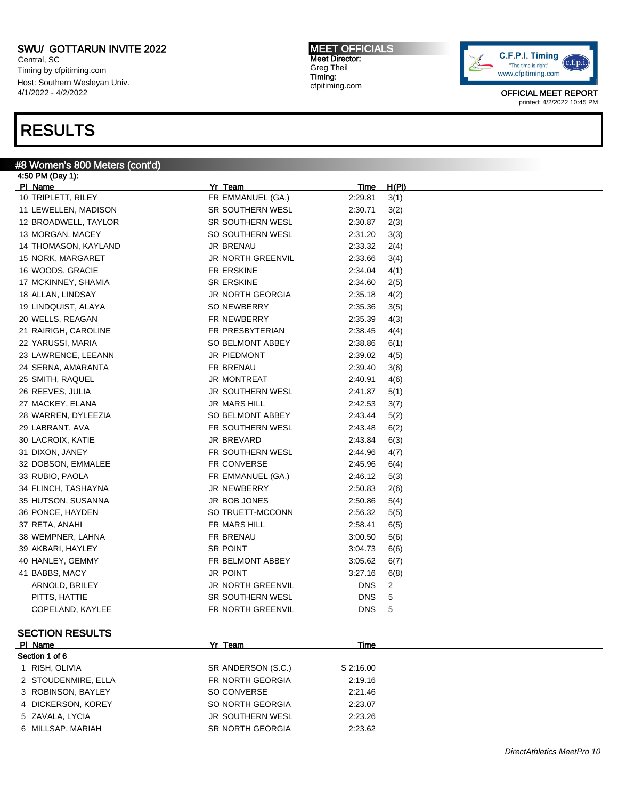Central, SC Timing by cfpitiming.com Host: Southern Wesleyan Univ. 4/1/2022 - 4/2/2022

### RESULTS

#### #8 Women's 800 Meters (cont'd) 4:50 PM (Day 1):

Pl Name Yr Team Time H(Pl) 10 TRIPLETT, RILEY FR EMMANUEL (GA.) 2:29.81 3(1) 11 LEWELLEN, MADISON SR SOUTHERN WESL 2:30.71 3(2) 12 BROADWELL, TAYLOR SR SOUTHERN WESL 2:30.87 2(3) 13 MORGAN, MACEY SO SOUTHERN WESL 2:31.20 3(3) 14 THOMASON, KAYLAND JR BRENAU 2:33.32 2(4) 15 NORK, MARGARET **15 NORTH GREENVIL** 2:33.66 3(4) 16 WOODS, GRACIE FR ERSKINE 2:34.04 4(1) 17 MCKINNEY, SHAMIA SR ERSKINE 2:34.60 2(5) 18 ALLAN, LINDSAY JR NORTH GEORGIA 2:35.18 4(2) 19 LINDQUIST, ALAYA SO NEWBERRY 2:35.36 3(5) 20 WELLS, REAGAN FR NEWBERRY 2:35.39 4(3) 21 RAIRIGH, CAROLINE FR PRESBYTERIAN 2:38.45 4(4) 22 YARUSSI, MARIA SO BELMONT ABBEY 2:38.86 6(1) 23 LAWRENCE, LEEANN JR PIEDMONT 2:39.02 4(5) 24 SERNA, AMARANTA FR BRENAU 2:39.40 3(6) 25 SMITH, RAQUEL 2:40.91 16 JR MONTREAT 2:40.91 4(6) 26 REEVES, JULIA JR SOUTHERN WESL 2:41.87 5(1) 27 MACKEY, ELANA 2:42.53 3(7) 28 WARREN, DYLEEZIA SO BELMONT ABBEY 2:43.44 5(2) 29 LABRANT, AVA FR SOUTHERN WESL 2:43.48 6(2) 30 LACROIX, KATIE JR BREVARD 2:43.84 6(3) 31 DIXON, JANEY FR SOUTHERN WESL 2:44.96 4(7) 32 DOBSON, EMMALEE FR CONVERSE 2:45.96 6(4) 33 RUBIO, PAOLA FR EMMANUEL (GA.) 2:46.12 5(3) 34 FLINCH, TASHAYNA JR NEWBERRY 2:50.83 2(6) 35 HUTSON, SUSANNA JR BOB JONES 2:50.86 5(4) 36 PONCE, HAYDEN SO TRUETT-MCCONN 2:56.32 5(5) 37 RETA, ANAHI FR MARS HILL 2:58.41 6(5) 38 WEMPNER, LAHNA FR BRENAU 3:00.50 5(6) 39 AKBARI, HAYLEY **SR POINT** SR POINT 3:04.73 6(6) 40 HANLEY, GEMMY FR BELMONT ABBEY 3:05.62 6(7) 41 BABBS, MACY JR POINT 3:27.16 6(8) ARNOLD, BRILEY GREENVIL BRILEY ARROR OF STATE SERVICE ARROR ON STATE SERVICE AND MALL ASSESS TO A LOCAL AND MA PITTS, HATTIE **SR SOUTHERN WESL SALL SALL** PITTS, HATTIE COPELAND, KAYLEE FR NORTH GREENVIL FR NORTH GREENVIL SECTION RESULTS Pl Name Yr Team Time Section 1 of 6 1 RISH, OLIVIA SR ANDERSON (S.C.) S 2:16.00 2 STOUDENMIRE, ELLA FR NORTH GEORGIA 2:19.16

- 3 ROBINSON, BAYLEY SO CONVERSE 2:21.46
- 4 DICKERSON, KOREY SO NORTH GEORGIA 2:23.07
- 5 ZAVALA, LYCIA JR SOUTHERN WESL 2:23.26
- 6 MILLSAP, MARIAH SR NORTH GEORGIA 2:23.62

MEET OFFICIALS Meet Director: Greg Theil Timing: cfpitiming.com

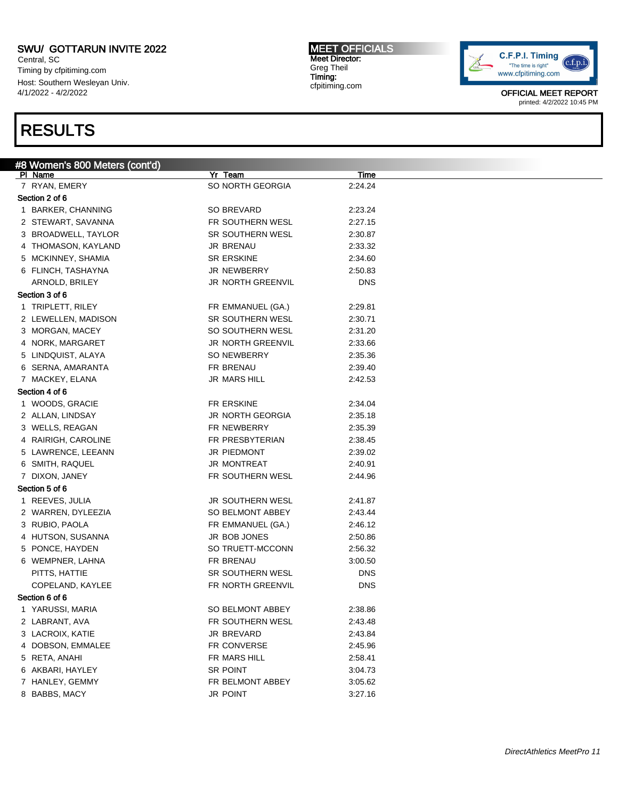Central, SC Timing by cfpitiming.com Host: Southern Wesleyan Univ. 4/1/2022 - 4/2/2022

### RESULTS

#### #8 Women's 800 Meters (cont'd) Pl Name Yr Team Time 7 RYAN, EMERY SO NORTH GEORGIA 2:24.24 Section 2 of 6 1 BARKER, CHANNING SO BREVARD 2:23.24 2 STEWART, SAVANNA FR SOUTHERN WESL 2:27.15 3 BROADWELL, TAYLOR SAND SR SOUTHERN WESL 2:30.87 4 THOMASON, KAYLAND JR BRENAU 2:33.32 5 MCKINNEY, SHAMIA SR ERSKINE 2:34.60 6 FLINCH, TASHAYNA JR NEWBERRY 2:50.83 ARNOLD, BRILEY GREENVIL BRIDGES ARNOLD, BRILEY Section 3 of 6 1 TRIPLETT, RILEY **FR EMMANUEL (GA.)** 2:29.81 2 LEWELLEN, MADISON SR SOUTHERN WESL 2:30.71 3 MORGAN, MACEY SO SOUTHERN WESL 2:31.20 4 NORK, MARGARET **JR NORTH GREENVIL** 2:33.66 5 LINDQUIST, ALAYA SO NEWBERRY 2:35.36 6 SERNA, AMARANTA FR BRENAU 2:39.40 7 MACKEY, ELANA **1988** 32:42.53 Section 4 of 6 1 WOODS, GRACIE FR ERSKINE 2:34.04 2 ALLAN, LINDSAY JR NORTH GEORGIA 2:35.18 3 WELLS, REAGAN FR NEWBERRY 2:35.39 4 RAIRIGH, CAROLINE **FR PRESBYTERIAN** 2:38.45 5 LAWRENCE, LEEANN JR PIEDMONT 2:39.02 6 SMITH, RAQUEL JR MONTREAT 2:40.91 7 DIXON, JANEY FR SOUTHERN WESL 2:44.96 Section 5 of 6 1 REEVES, JULIA **1 RIGHT CONTRACT SOUTHERN WESL** 2:41.87 2 WARREN, DYLEEZIA SO BELMONT ABBEY 2:43.44 3 RUBIO, PAOLA **FR EMMANUEL (GA.)** 2:46.12 4 HUTSON, SUSANNA  $\overline{AB}$  and  $\overline{AB}$  are bob JONES 2:50.86 5 PONCE, HAYDEN SO TRUETT-MCCONN 2:56.32 6 WEMPNER, LAHNA FR BRENAU 3:00.50 PITTS, HATTIE **SR SOUTHERN WESL** DNS COPELAND, KAYLEE FR NORTH GREENVIL DNS Section 6 of 6 1 YARUSSI, MARIA SO BELMONT ABBEY 2:38.86 2 LABRANT, AVA **FR SOUTHERN WESL** 2:43.48 3 LACROIX, KATIE **12.43.84** JR BREVARD 2:43.84 4 DOBSON, EMMALEE FR CONVERSE 2:45.96 5 RETA, ANAHI FR MARS HILL 2:58.41 6 AKBARI, HAYLEY SR POINT 3:04.73 7 HANLEY, GEMMY FR BELMONT ABBEY 3:05.62 8 BABBS, MACY JR POINT 3:27.16

MEET OFFICIALS Meet Director: Greg Theil Timing: cfpitiming.com

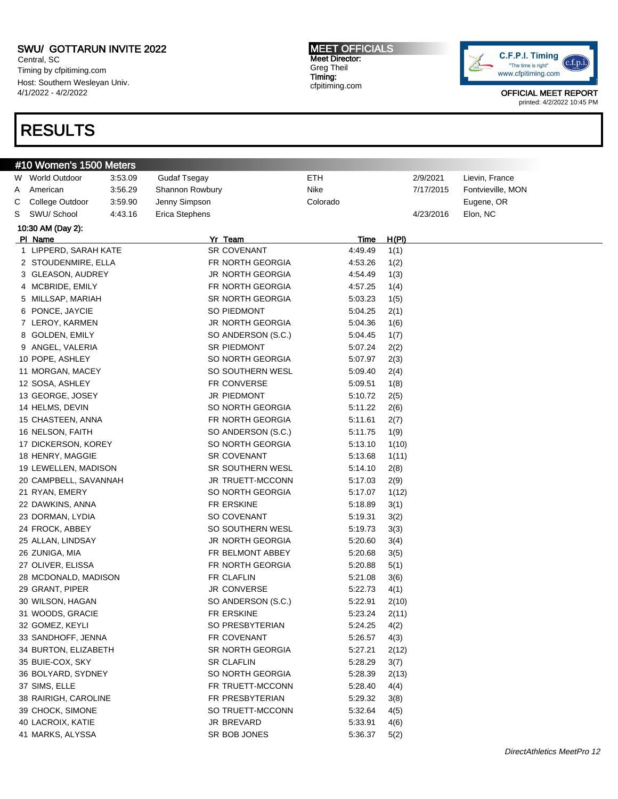Central, SC Timing by cfpitiming.com Host: Southern Wesleyan Univ. 4/1/2022 - 4/2/2022

#10 Women's 1500 Meters

## RESULTS

#### MEET OFFICIALS Meet Director: Greg Theil Timing: cfpitiming.com



| W | <b>World Outdoor</b>  | 3:53.09 | <b>Gudaf Tsegay</b> | ETH      |         |       | 2/9/2021  | Lievin, France    |                            |
|---|-----------------------|---------|---------------------|----------|---------|-------|-----------|-------------------|----------------------------|
| A | American              | 3:56.29 | Shannon Rowbury     | Nike     |         |       | 7/17/2015 | Fontvieville, MON |                            |
| С | College Outdoor       | 3:59.90 | Jenny Simpson       | Colorado |         |       |           | Eugene, OR        |                            |
| S | SWU/ School           | 4:43.16 | Erica Stephens      |          |         |       | 4/23/2016 | Elon, NC          |                            |
|   | 10:30 AM (Day 2):     |         |                     |          |         |       |           |                   |                            |
|   | PI Name               |         | Yr Team             |          | Time    | H(PI) |           |                   |                            |
|   | 1 LIPPERD, SARAH KATE |         | <b>SR COVENANT</b>  |          | 4:49.49 | 1(1)  |           |                   |                            |
|   | 2 STOUDENMIRE, ELLA   |         | FR NORTH GEORGIA    |          | 4:53.26 | 1(2)  |           |                   |                            |
|   | 3 GLEASON, AUDREY     |         | JR NORTH GEORGIA    |          | 4:54.49 | 1(3)  |           |                   |                            |
|   | 4 MCBRIDE, EMILY      |         | FR NORTH GEORGIA    |          | 4:57.25 | 1(4)  |           |                   |                            |
|   | 5 MILLSAP, MARIAH     |         | SR NORTH GEORGIA    |          | 5:03.23 | 1(5)  |           |                   |                            |
|   | 6 PONCE, JAYCIE       |         | SO PIEDMONT         |          | 5:04.25 | 2(1)  |           |                   |                            |
|   | 7 LEROY, KARMEN       |         | JR NORTH GEORGIA    |          | 5:04.36 | 1(6)  |           |                   |                            |
|   | 8 GOLDEN, EMILY       |         | SO ANDERSON (S.C.)  |          | 5:04.45 | 1(7)  |           |                   |                            |
|   | 9 ANGEL, VALERIA      |         | <b>SR PIEDMONT</b>  |          | 5:07.24 | 2(2)  |           |                   |                            |
|   | 10 POPE, ASHLEY       |         | SO NORTH GEORGIA    |          | 5:07.97 | 2(3)  |           |                   |                            |
|   | 11 MORGAN, MACEY      |         | SO SOUTHERN WESL    |          | 5:09.40 | 2(4)  |           |                   |                            |
|   | 12 SOSA, ASHLEY       |         | FR CONVERSE         |          | 5:09.51 | 1(8)  |           |                   |                            |
|   | 13 GEORGE, JOSEY      |         | JR PIEDMONT         |          | 5:10.72 | 2(5)  |           |                   |                            |
|   | 14 HELMS, DEVIN       |         | SO NORTH GEORGIA    |          | 5:11.22 | 2(6)  |           |                   |                            |
|   | 15 CHASTEEN, ANNA     |         | FR NORTH GEORGIA    |          | 5:11.61 | 2(7)  |           |                   |                            |
|   | 16 NELSON, FAITH      |         | SO ANDERSON (S.C.)  |          | 5:11.75 | 1(9)  |           |                   |                            |
|   | 17 DICKERSON, KOREY   |         | SO NORTH GEORGIA    |          | 5:13.10 | 1(10) |           |                   |                            |
|   | 18 HENRY, MAGGIE      |         | <b>SR COVENANT</b>  |          | 5:13.68 | 1(11) |           |                   |                            |
|   | 19 LEWELLEN, MADISON  |         | SR SOUTHERN WESL    |          | 5:14.10 | 2(8)  |           |                   |                            |
|   | 20 CAMPBELL, SAVANNAH |         | JR TRUETT-MCCONN    |          | 5:17.03 | 2(9)  |           |                   |                            |
|   | 21 RYAN, EMERY        |         | SO NORTH GEORGIA    |          | 5:17.07 | 1(12) |           |                   |                            |
|   | 22 DAWKINS, ANNA      |         | FR ERSKINE          |          | 5:18.89 | 3(1)  |           |                   |                            |
|   | 23 DORMAN, LYDIA      |         | SO COVENANT         |          | 5:19.31 | 3(2)  |           |                   |                            |
|   | 24 FROCK, ABBEY       |         | SO SOUTHERN WESL    |          | 5:19.73 | 3(3)  |           |                   |                            |
|   | 25 ALLAN, LINDSAY     |         | JR NORTH GEORGIA    |          | 5:20.60 | 3(4)  |           |                   |                            |
|   | 26 ZUNIGA, MIA        |         | FR BELMONT ABBEY    |          | 5:20.68 | 3(5)  |           |                   |                            |
|   | 27 OLIVER, ELISSA     |         | FR NORTH GEORGIA    |          | 5:20.88 | 5(1)  |           |                   |                            |
|   | 28 MCDONALD, MADISON  |         | FR CLAFLIN          |          | 5:21.08 | 3(6)  |           |                   |                            |
|   | 29 GRANT, PIPER       |         | <b>JR CONVERSE</b>  |          | 5:22.73 | 4(1)  |           |                   |                            |
|   | 30 WILSON, HAGAN      |         | SO ANDERSON (S.C.)  |          | 5:22.91 | 2(10) |           |                   |                            |
|   | 31 WOODS, GRACIE      |         | FR ERSKINE          |          | 5:23.24 | 2(11) |           |                   |                            |
|   | 32 GOMEZ, KEYLI       |         | SO PRESBYTERIAN     |          | 5:24.25 | 4(2)  |           |                   |                            |
|   | 33 SANDHOFF, JENNA    |         | FR COVENANT         |          | 5.26.57 | 4(3)  |           |                   |                            |
|   | 34 BURTON, ELIZABETH  |         | SR NORTH GEORGIA    |          | 5:27.21 | 2(12) |           |                   |                            |
|   | 35 BUIE-COX, SKY      |         | <b>SR CLAFLIN</b>   |          | 5:28.29 | 3(7)  |           |                   |                            |
|   | 36 BOLYARD, SYDNEY    |         | SO NORTH GEORGIA    |          | 5:28.39 | 2(13) |           |                   |                            |
|   | 37 SIMS, ELLE         |         | FR TRUETT-MCCONN    |          | 5:28.40 | 4(4)  |           |                   |                            |
|   | 38 RAIRIGH, CAROLINE  |         | FR PRESBYTERIAN     |          | 5:29.32 | 3(8)  |           |                   |                            |
|   | 39 CHOCK, SIMONE      |         | SO TRUETT-MCCONN    |          | 5:32.64 | 4(5)  |           |                   |                            |
|   | 40 LACROIX, KATIE     |         | <b>JR BREVARD</b>   |          | 5:33.91 | 4(6)  |           |                   |                            |
|   | 41 MARKS, ALYSSA      |         | SR BOB JONES        |          | 5:36.37 | 5(2)  |           |                   |                            |
|   |                       |         |                     |          |         |       |           |                   | DirectAthletics MeetPro 12 |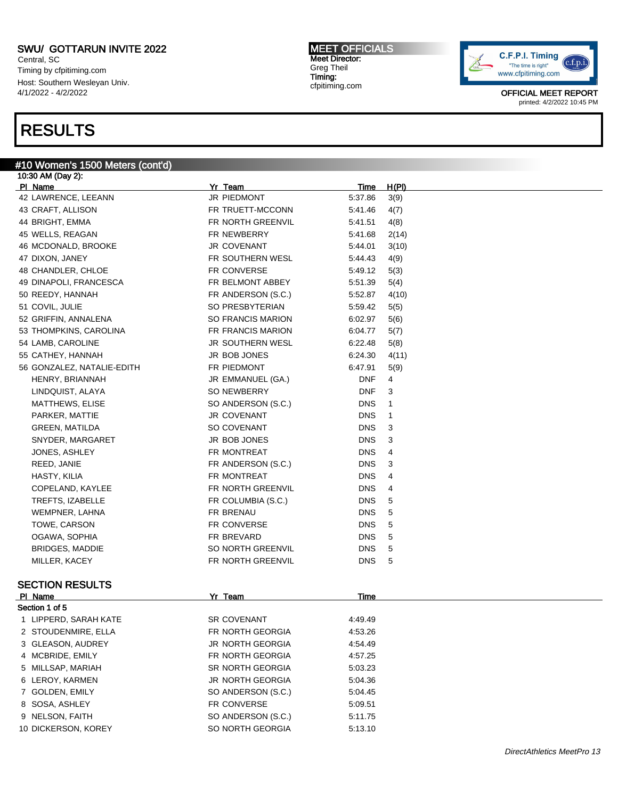Central, SC Timing by cfpitiming.com Host: Southern Wesleyan Univ. 4/1/2022 - 4/2/2022

### RESULTS

#### #10 Women's 1500 Meters (cont'd)

| 10:30 AM (Day 2):          |                          |             |              |
|----------------------------|--------------------------|-------------|--------------|
| PI Name                    | Yr Team                  | <u>Time</u> | <u>H(PI)</u> |
| 42 LAWRENCE, LEEANN        | JR PIEDMONT              | 5:37.86     | 3(9)         |
| 43 CRAFT, ALLISON          | FR TRUETT-MCCONN         | 5:41.46     | 4(7)         |
| 44 BRIGHT, EMMA            | FR NORTH GREENVIL        | 5:41.51     | 4(8)         |
| 45 WELLS, REAGAN           | FR NEWBERRY              | 5:41.68     | 2(14)        |
| 46 MCDONALD, BROOKE        | JR COVENANT              | 5:44.01     | 3(10)        |
| 47 DIXON, JANEY            | FR SOUTHERN WESL         | 5:44.43     | 4(9)         |
| 48 CHANDLER, CHLOE         | FR CONVERSE              | 5:49.12     | 5(3)         |
| 49 DINAPOLI, FRANCESCA     | FR BELMONT ABBEY         | 5:51.39     | 5(4)         |
| 50 REEDY, HANNAH           | FR ANDERSON (S.C.)       | 5:52.87     | 4(10)        |
| 51 COVIL, JULIE            | SO PRESBYTERIAN          | 5:59.42     | 5(5)         |
| 52 GRIFFIN, ANNALENA       | <b>SO FRANCIS MARION</b> | 6:02.97     | 5(6)         |
| 53 THOMPKINS, CAROLINA     | FR FRANCIS MARION        | 6:04.77     | 5(7)         |
| 54 LAMB, CAROLINE          | JR SOUTHERN WESL         | 6:22.48     | 5(8)         |
| 55 CATHEY, HANNAH          | JR BOB JONES             | 6:24.30     | 4(11)        |
| 56 GONZALEZ, NATALIE-EDITH | FR PIEDMONT              | 6:47.91     | 5(9)         |
| HENRY, BRIANNAH            | JR EMMANUEL (GA.)        | <b>DNF</b>  | 4            |
| LINDQUIST, ALAYA           | <b>SO NEWBERRY</b>       | <b>DNF</b>  | 3            |
| <b>MATTHEWS, ELISE</b>     | SO ANDERSON (S.C.)       | <b>DNS</b>  | 1            |
| PARKER, MATTIE             | JR COVENANT              | <b>DNS</b>  | 1            |
| <b>GREEN, MATILDA</b>      | SO COVENANT              | <b>DNS</b>  | 3            |
| SNYDER, MARGARET           | JR BOB JONES             | <b>DNS</b>  | 3            |
| JONES, ASHLEY              | FR MONTREAT              | <b>DNS</b>  | 4            |
| REED, JANIE                | FR ANDERSON (S.C.)       | <b>DNS</b>  | 3            |
| HASTY, KILIA               | FR MONTREAT              | <b>DNS</b>  | 4            |
| COPELAND, KAYLEE           | FR NORTH GREENVIL        | <b>DNS</b>  | 4            |
| <b>TREFTS, IZABELLE</b>    | FR COLUMBIA (S.C.)       | <b>DNS</b>  | 5            |
| WEMPNER, LAHNA             | FR BRENAU                | <b>DNS</b>  | 5            |
| TOWE, CARSON               | FR CONVERSE              | <b>DNS</b>  | 5            |
| OGAWA, SOPHIA              | FR BREVARD               | <b>DNS</b>  | 5            |
| BRIDGES, MADDIE            | SO NORTH GREENVIL        | <b>DNS</b>  | 5            |
| MILLER, KACEY              | FR NORTH GREENVIL        | <b>DNS</b>  | 5            |
| <b>SECTION RESULTS</b>     |                          |             |              |
| PI Name                    | Yr Team                  | Time        |              |
| Section 1 of 5             |                          |             |              |
| 1 LIPPERD, SARAH KATE      | <b>SR COVENANT</b>       | 4:49.49     |              |
| 2 STOUDENMIRE, ELLA        | FR NORTH GEORGIA         | 4:53.26     |              |
| 3 GLEASON, AUDREY          | JR NORTH GEORGIA         | 4:54.49     |              |

4 MCBRIDE, EMILY **FR NORTH GEORGIA** 4:57.25 5 MILLSAP, MARIAH SR NORTH GEORGIA 5:03.23

6 LEROY, KARMEN JR NORTH GEORGIA 5:04.36

7 GOLDEN, EMILY SO ANDERSON (S.C.) 5:04.45

8 SOSA, ASHLEY FR CONVERSE 5:09.51

9 NELSON, FAITH SO ANDERSON (S.C.) 5:11.75

10 DICKERSON, KOREY SO NORTH GEORGIA 5:13.10

MEET OFFICIALS Meet Director: Greg Theil Timing: cfpitiming.com

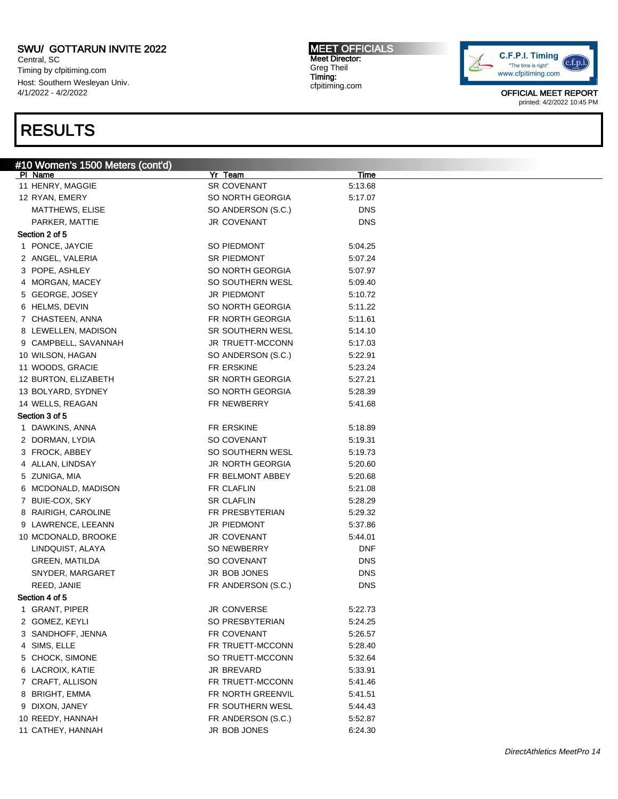Central, SC Timing by cfpitiming.com Host: Southern Wesleyan Univ. 4/1/2022 - 4/2/2022

## RESULTS

MEET OFFICIALS Meet Director: Greg Theil Timing: cfpitiming.com



| #10 Women's 1500 Meters (cont'd) |                    |            |  |
|----------------------------------|--------------------|------------|--|
| PI Name                          | Yr Team            | Time       |  |
| 11 HENRY, MAGGIE                 | SR COVENANT        | 5:13.68    |  |
| 12 RYAN, EMERY                   | SO NORTH GEORGIA   | 5:17.07    |  |
| MATTHEWS, ELISE                  | SO ANDERSON (S.C.) | <b>DNS</b> |  |
| PARKER, MATTIE                   | JR COVENANT        | <b>DNS</b> |  |
| Section 2 of 5                   |                    |            |  |
| 1 PONCE, JAYCIE                  | SO PIEDMONT        | 5:04.25    |  |
| 2 ANGEL, VALERIA                 | SR PIEDMONT        | 5:07.24    |  |
| 3 POPE, ASHLEY                   | SO NORTH GEORGIA   | 5:07.97    |  |
| 4 MORGAN, MACEY                  | SO SOUTHERN WESL   | 5:09.40    |  |
| 5 GEORGE, JOSEY                  | JR PIEDMONT        | 5:10.72    |  |
| 6 HELMS, DEVIN                   | SO NORTH GEORGIA   | 5:11.22    |  |
| 7 CHASTEEN, ANNA                 | FR NORTH GEORGIA   | 5:11.61    |  |
| 8 LEWELLEN, MADISON              | SR SOUTHERN WESL   | 5:14.10    |  |
| 9 CAMPBELL, SAVANNAH             | JR TRUETT-MCCONN   | 5:17.03    |  |
| 10 WILSON, HAGAN                 | SO ANDERSON (S.C.) | 5:22.91    |  |
| 11 WOODS, GRACIE                 | FR ERSKINE         | 5:23.24    |  |
| 12 BURTON, ELIZABETH             | SR NORTH GEORGIA   | 5:27.21    |  |
| 13 BOLYARD, SYDNEY               | SO NORTH GEORGIA   | 5:28.39    |  |
| 14 WELLS, REAGAN                 | FR NEWBERRY        | 5:41.68    |  |
| Section 3 of 5                   |                    |            |  |
| 1 DAWKINS, ANNA                  | FR ERSKINE         | 5:18.89    |  |
| 2 DORMAN, LYDIA                  | SO COVENANT        | 5:19.31    |  |
| 3 FROCK, ABBEY                   | SO SOUTHERN WESL   | 5:19.73    |  |
| 4 ALLAN, LINDSAY                 | JR NORTH GEORGIA   | 5:20.60    |  |
| 5 ZUNIGA, MIA                    | FR BELMONT ABBEY   | 5:20.68    |  |
| 6 MCDONALD, MADISON              | FR CLAFLIN         | 5:21.08    |  |
| 7 BUIE-COX, SKY                  | <b>SR CLAFLIN</b>  | 5:28.29    |  |
| 8 RAIRIGH, CAROLINE              | FR PRESBYTERIAN    | 5:29.32    |  |
| 9 LAWRENCE, LEEANN               | JR PIEDMONT        | 5:37.86    |  |
|                                  |                    |            |  |
| 10 MCDONALD, BROOKE              | JR COVENANT        | 5:44.01    |  |
| LINDQUIST, ALAYA                 | SO NEWBERRY        | <b>DNF</b> |  |
| <b>GREEN, MATILDA</b>            | SO COVENANT        | <b>DNS</b> |  |
| SNYDER, MARGARET                 | JR BOB JONES       | <b>DNS</b> |  |
| REED, JANIE                      | FR ANDERSON (S.C.) | <b>DNS</b> |  |
| Section 4 of 5                   |                    |            |  |
| 1 GRANT, PIPER                   | JR CONVERSE        | 5:22.73    |  |
| 2 GOMEZ, KEYLI                   | SO PRESBYTERIAN    | 5:24.25    |  |
| 3 SANDHOFF, JENNA                | FR COVENANT        | 5:26.57    |  |
| 4 SIMS, ELLE                     | FR TRUETT-MCCONN   | 5:28.40    |  |
| 5 CHOCK, SIMONE                  | SO TRUETT-MCCONN   | 5:32.64    |  |
| 6 LACROIX, KATIE                 | JR BREVARD         | 5:33.91    |  |
| 7 CRAFT, ALLISON                 | FR TRUETT-MCCONN   | 5:41.46    |  |
| 8 BRIGHT, EMMA                   | FR NORTH GREENVIL  | 5:41.51    |  |
| 9 DIXON, JANEY                   | FR SOUTHERN WESL   | 5:44.43    |  |
| 10 REEDY, HANNAH                 | FR ANDERSON (S.C.) | 5:52.87    |  |
| 11 CATHEY, HANNAH                | JR BOB JONES       | 6:24.30    |  |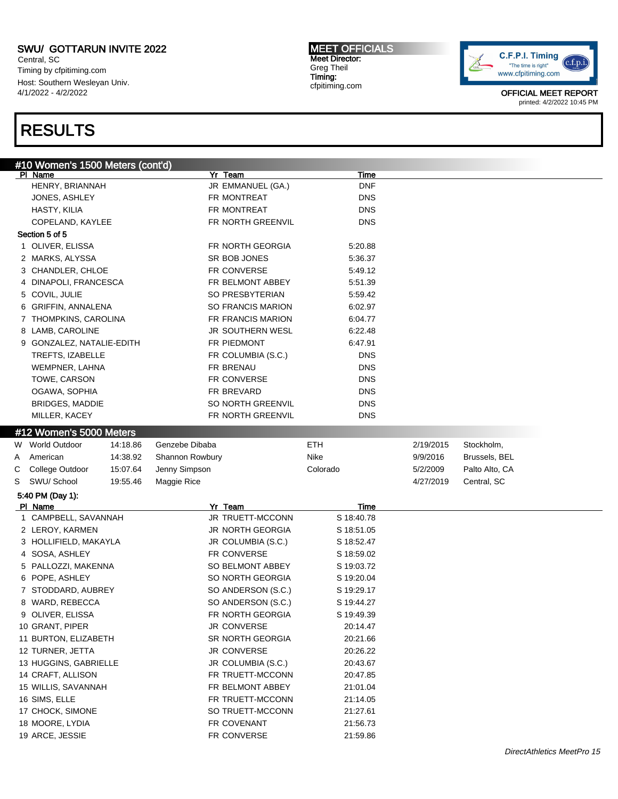Central, SC Timing by cfpitiming.com Host: Southern Wesleyan Univ. 4/1/2022 - 4/2/2022

# RESULTS

MEET OFFICIALS Meet Director: Greg Theil Timing: cfpitiming.com



|   | #10 Women's 1500 Meters (cont'd) |          |                          |             |           |                |
|---|----------------------------------|----------|--------------------------|-------------|-----------|----------------|
|   | PI Name                          |          | Yr Team                  | <u>Time</u> |           |                |
|   | HENRY, BRIANNAH                  |          | JR EMMANUEL (GA.)        | <b>DNF</b>  |           |                |
|   | JONES, ASHLEY                    |          | FR MONTREAT              | <b>DNS</b>  |           |                |
|   | HASTY, KILIA                     |          | FR MONTREAT              | <b>DNS</b>  |           |                |
|   | COPELAND, KAYLEE                 |          | FR NORTH GREENVIL        | <b>DNS</b>  |           |                |
|   | Section 5 of 5                   |          |                          |             |           |                |
|   | 1 OLIVER, ELISSA                 |          | FR NORTH GEORGIA         | 5:20.88     |           |                |
|   | 2 MARKS, ALYSSA                  |          | SR BOB JONES             | 5:36.37     |           |                |
|   | 3 CHANDLER, CHLOE                |          | FR CONVERSE              | 5:49.12     |           |                |
|   | 4 DINAPOLI, FRANCESCA            |          | FR BELMONT ABBEY         | 5:51.39     |           |                |
|   | 5 COVIL, JULIE                   |          | SO PRESBYTERIAN          | 5:59.42     |           |                |
|   | 6 GRIFFIN, ANNALENA              |          | <b>SO FRANCIS MARION</b> | 6:02.97     |           |                |
|   | 7 THOMPKINS, CAROLINA            |          | FR FRANCIS MARION        | 6:04.77     |           |                |
|   | 8 LAMB, CAROLINE                 |          | JR SOUTHERN WESL         | 6:22.48     |           |                |
|   | 9 GONZALEZ, NATALIE-EDITH        |          | FR PIEDMONT              | 6:47.91     |           |                |
|   | TREFTS, IZABELLE                 |          | FR COLUMBIA (S.C.)       | DNS         |           |                |
|   | WEMPNER, LAHNA                   |          | FR BRENAU                | <b>DNS</b>  |           |                |
|   | TOWE, CARSON                     |          | FR CONVERSE              | <b>DNS</b>  |           |                |
|   | OGAWA, SOPHIA                    |          | FR BREVARD               | <b>DNS</b>  |           |                |
|   | <b>BRIDGES, MADDIE</b>           |          | SO NORTH GREENVIL        | <b>DNS</b>  |           |                |
|   | MILLER, KACEY                    |          | FR NORTH GREENVIL        | <b>DNS</b>  |           |                |
|   | #12 Women's 5000 Meters          |          |                          |             |           |                |
|   |                                  |          |                          |             |           |                |
|   | W World Outdoor                  | 14:18.86 | Genzebe Dibaba           | <b>ETH</b>  | 2/19/2015 | Stockholm,     |
| A | American                         | 14:38.92 | Shannon Rowbury          | Nike        | 9/9/2016  | Brussels, BEL  |
| С | College Outdoor                  | 15:07.64 | Jenny Simpson            | Colorado    | 5/2/2009  | Palto Alto, CA |
| S | SWU/ School                      | 19:55.46 | Maggie Rice              |             | 4/27/2019 | Central, SC    |
|   | 5:40 PM (Day 1):                 |          |                          |             |           |                |
|   | PI Name                          |          | Yr Team                  | Time        |           |                |
|   | 1 CAMPBELL, SAVANNAH             |          | JR TRUETT-MCCONN         | S 18:40.78  |           |                |
|   | 2 LEROY, KARMEN                  |          | JR NORTH GEORGIA         | S 18:51.05  |           |                |
|   | 3 HOLLIFIELD, MAKAYLA            |          | JR COLUMBIA (S.C.)       | S 18:52.47  |           |                |
|   | 4 SOSA, ASHLEY                   |          | FR CONVERSE              | S 18:59.02  |           |                |
|   | 5 PALLOZZI, MAKENNA              |          | SO BELMONT ABBEY         | S 19:03.72  |           |                |
|   | 6 POPE, ASHLEY                   |          | SO NORTH GEORGIA         | S 19:20.04  |           |                |
|   | 7 STODDARD, AUBREY               |          | SO ANDERSON (S.C.)       | S 19:29.17  |           |                |
|   | 8 WARD, REBECCA                  |          | SO ANDERSON (S.C.)       | S 19:44.27  |           |                |
|   | 9 OLIVER, ELISSA                 |          | FR NORTH GEORGIA         | S 19:49.39  |           |                |
|   | 10 GRANT, PIPER                  |          | JR CONVERSE              | 20:14.47    |           |                |
|   | 11 BURTON, ELIZABETH             |          | SR NORTH GEORGIA         | 20:21.66    |           |                |
|   | 12 TURNER, JETTA                 |          | <b>JR CONVERSE</b>       | 20:26.22    |           |                |
|   | 13 HUGGINS, GABRIELLE            |          | JR COLUMBIA (S.C.)       | 20:43.67    |           |                |
|   | 14 CRAFT, ALLISON                |          | FR TRUETT-MCCONN         | 20:47.85    |           |                |
|   | 15 WILLIS, SAVANNAH              |          | FR BELMONT ABBEY         | 21:01.04    |           |                |
|   | 16 SIMS, ELLE                    |          | FR TRUETT-MCCONN         | 21:14.05    |           |                |
|   | 17 CHOCK, SIMONE                 |          | SO TRUETT-MCCONN         | 21:27.61    |           |                |
|   | 18 MOORE, LYDIA                  |          | FR COVENANT              | 21:56.73    |           |                |
|   | 19 ARCE, JESSIE                  |          | FR CONVERSE              | 21:59.86    |           |                |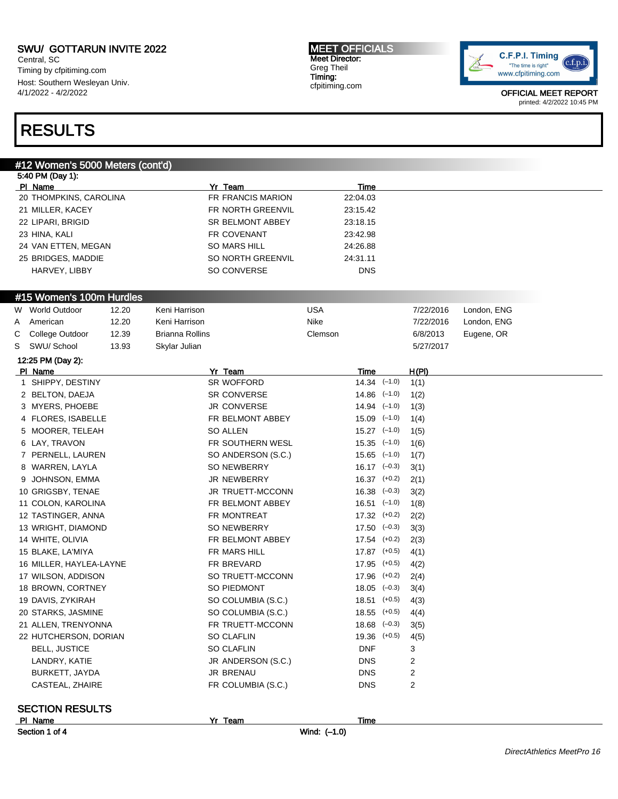Central, SC Timing by cfpitiming.com Host: Southern Wesleyan Univ. 4/1/2022 - 4/2/2022

#### MEET OFFICIALS Meet Director: Greg Theil Timing: cfpitiming.com



OFFICIAL MEET REPORT printed: 4/2/2022 10:45 PM

## RESULTS

#### #12 Women's 5000 Meters (cont'd)

|   | 5:40 PM (Day 1):                  |       |                        |                    |              |                  |              |             |                            |
|---|-----------------------------------|-------|------------------------|--------------------|--------------|------------------|--------------|-------------|----------------------------|
|   | PI Name                           |       |                        | Yr Team            |              | Time             |              |             |                            |
|   | 20 THOMPKINS, CAROLINA            |       |                        | FR FRANCIS MARION  |              | 22:04.03         |              |             |                            |
|   | 21 MILLER, KACEY                  |       |                        | FR NORTH GREENVIL  |              | 23:15.42         |              |             |                            |
|   | 22 LIPARI, BRIGID                 |       |                        | SR BELMONT ABBEY   |              | 23:18.15         |              |             |                            |
|   | 23 HINA, KALI                     |       |                        | FR COVENANT        |              | 23:42.98         |              |             |                            |
|   | 24 VAN ETTEN, MEGAN               |       |                        | SO MARS HILL       |              | 24:26.88         |              |             |                            |
|   | 25 BRIDGES, MADDIE                |       |                        | SO NORTH GREENVIL  |              | 24:31.11         |              |             |                            |
|   | HARVEY, LIBBY                     |       |                        | SO CONVERSE        |              | <b>DNS</b>       |              |             |                            |
|   |                                   |       |                        |                    |              |                  |              |             |                            |
|   | #15 Women's 100m Hurdles          |       |                        |                    |              |                  |              |             |                            |
|   | W World Outdoor                   | 12.20 | Keni Harrison          |                    | <b>USA</b>   |                  | 7/22/2016    | London, ENG |                            |
| A | American                          | 12.20 | Keni Harrison          |                    | Nike         |                  | 7/22/2016    | London, ENG |                            |
| С | College Outdoor                   | 12.39 | <b>Brianna Rollins</b> |                    | Clemson      |                  | 6/8/2013     | Eugene, OR  |                            |
| S | SWU/ School                       | 13.93 | Skylar Julian          |                    |              |                  | 5/27/2017    |             |                            |
|   | 12:25 PM (Day 2):                 |       |                        |                    |              |                  |              |             |                            |
|   | PI Name                           |       |                        | Yr Team            |              | Time             | <u>H(PI)</u> |             |                            |
|   | 1 SHIPPY, DESTINY                 |       |                        | SR WOFFORD         |              | $14.34$ $(-1.0)$ | 1(1)         |             |                            |
|   | 2 BELTON, DAEJA                   |       |                        | SR CONVERSE        |              | $14.86$ $(-1.0)$ | 1(2)         |             |                            |
|   | 3 MYERS, PHOEBE                   |       |                        | <b>JR CONVERSE</b> |              | $14.94$ $(-1.0)$ | 1(3)         |             |                            |
|   | 4 FLORES, ISABELLE                |       |                        | FR BELMONT ABBEY   |              | $15.09$ $(-1.0)$ | 1(4)         |             |                            |
|   | 5 MOORER, TELEAH                  |       |                        | <b>SO ALLEN</b>    |              | $15.27$ $(-1.0)$ | 1(5)         |             |                            |
|   | 6 LAY, TRAVON                     |       |                        | FR SOUTHERN WESL   |              | $15.35$ $(-1.0)$ | 1(6)         |             |                            |
|   | 7 PERNELL, LAUREN                 |       |                        | SO ANDERSON (S.C.) |              | $15.65$ $(-1.0)$ | 1(7)         |             |                            |
|   | 8 WARREN, LAYLA                   |       |                        | SO NEWBERRY        |              | $16.17$ $(-0.3)$ | 3(1)         |             |                            |
| 9 | JOHNSON, EMMA                     |       |                        | JR NEWBERRY        |              | $16.37$ $(+0.2)$ | 2(1)         |             |                            |
|   | 10 GRIGSBY, TENAE                 |       |                        | JR TRUETT-MCCONN   |              | $16.38$ $(-0.3)$ | 3(2)         |             |                            |
|   | 11 COLON, KAROLINA                |       |                        | FR BELMONT ABBEY   |              | $16.51$ $(-1.0)$ | 1(8)         |             |                            |
|   | 12 TASTINGER, ANNA                |       |                        | FR MONTREAT        |              | $17.32$ $(+0.2)$ | 2(2)         |             |                            |
|   | 13 WRIGHT, DIAMOND                |       |                        | <b>SO NEWBERRY</b> |              | $17.50 (-0.3)$   | 3(3)         |             |                            |
|   | 14 WHITE, OLIVIA                  |       |                        | FR BELMONT ABBEY   |              | $17.54$ $(+0.2)$ | 2(3)         |             |                            |
|   | 15 BLAKE, LA'MIYA                 |       |                        | FR MARS HILL       |              | $17.87$ (+0.5)   | 4(1)         |             |                            |
|   | 16 MILLER, HAYLEA-LAYNE           |       |                        | FR BREVARD         |              | $17.95$ $(+0.5)$ | 4(2)         |             |                            |
|   | 17 WILSON, ADDISON                |       |                        | SO TRUETT-MCCONN   |              | $17.96$ $(+0.2)$ | 2(4)         |             |                            |
|   | 18 BROWN, CORTNEY                 |       |                        | SO PIEDMONT        |              | $18.05$ $(-0.3)$ | 3(4)         |             |                            |
|   | 19 DAVIS, ZYKIRAH                 |       |                        | SO COLUMBIA (S.C.) |              | $18.51$ (+0.5)   | 4(3)         |             |                            |
|   | 20 STARKS, JASMINE                |       |                        | SO COLUMBIA (S.C.) |              | $18.55$ (+0.5)   | 4(4)         |             |                            |
|   | 21 ALLEN, TRENYONNA               |       |                        | FR TRUETT-MCCONN   |              | $18.68$ $(-0.3)$ | 3(5)         |             |                            |
|   | 22 HUTCHERSON, DORIAN             |       |                        | <b>SO CLAFLIN</b>  |              | $19.36$ $(+0.5)$ | 4(5)         |             |                            |
|   | <b>BELL, JUSTICE</b>              |       |                        | SO CLAFLIN         |              | <b>DNF</b>       | 3            |             |                            |
|   | LANDRY, KATIE                     |       |                        | JR ANDERSON (S.C.) |              | <b>DNS</b>       | 2            |             |                            |
|   | BURKETT, JAYDA                    |       |                        | JR BRENAU          |              | <b>DNS</b>       | 2            |             |                            |
|   | CASTEAL, ZHAIRE                   |       |                        | FR COLUMBIA (S.C.) |              | <b>DNS</b>       | 2            |             |                            |
|   |                                   |       |                        |                    |              |                  |              |             |                            |
|   | <b>SECTION RESULTS</b><br>PI Name |       |                        | Yr Team            |              | Time             |              |             |                            |
|   | Section 1 of 4                    |       |                        |                    | Wind: (-1.0) |                  |              |             |                            |
|   |                                   |       |                        |                    |              |                  |              |             |                            |
|   |                                   |       |                        |                    |              |                  |              |             | DirectAthletics MeetPro 16 |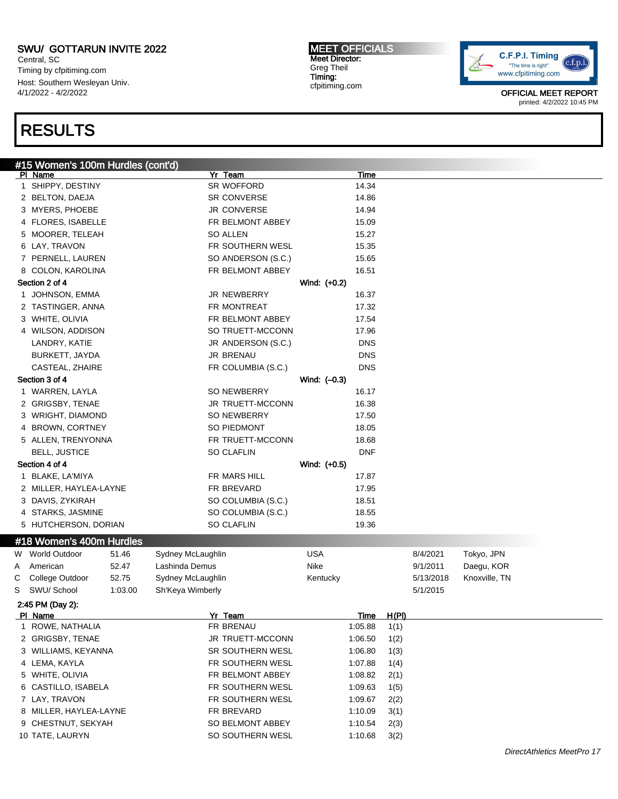Central, SC Timing by cfpitiming.com Host: Southern Wesleyan Univ. 4/1/2022 - 4/2/2022

### RESULTS

#### #15 Women's 100m Hurdles (cont'd)<br>| PI\_Name Pl Name Yr Team Time 1 SHIPPY, DESTINY SR WOFFORD 14.34 2 BELTON, DAEJA SR CONVERSE 14.86 3 MYERS, PHOEBE **JR CONVERSE** 14.94 4 FLORES, ISABELLE **FR BELMONT ABBEY** 15.09 5 MOORER, TELEAH SO ALLEN SO ALLEN 15.27 6 LAY, TRAVON FR SOUTHERN WESL 15.35 7 PERNELL, LAUREN SO ANDERSON (S.C.) 15.65 8 COLON, KAROLINA **FR BELMONT ABBEY** 16.51 Section 2 of 4 Wind: (+0.2) 1 JOHNSON, EMMA 16.37 2 TASTINGER, ANNA 17.32 3 WHITE, OLIVIA **FR BELMONT ABBEY** 17.54 4 WILSON, ADDISON SO TRUETT-MCCONN 17.96 LANDRY, KATIE JR ANDERSON (S.C.) DNS BURKETT, JAYDA JR BRENAU DNS CASTEAL, ZHAIRE **FR COLUMBIA (S.C.)** DNS Section 3 of 4 Wind: (–0.3) 1 WARREN, LAYLA SO NEWBERRY 16.17 2 GRIGSBY, TENAE JR TRUETT-MCCONN 16.38 3 WRIGHT, DIAMOND SO NEWBERRY 17.50 4 BROWN, CORTNEY SO PIEDMONT 18.05 5 ALLEN, TRENYONNA FR TRUETT-MCCONN 18.68 BELL, JUSTICE SO CLAFLIN DNF Section 4 of 4 Wind: (+0.5) 1 BLAKE, LA'MIYA **FR MARS HILL 17.87** 2 MILLER, HAYLEA-LAYNE **FR BREVARD** 17.95 3 DAVIS, ZYKIRAH SO COLUMBIA (S.C.) 18.51 4 STARKS, JASMINE SO COLUMBIA (S.C.) 18.55 5 HUTCHERSON, DORIAN SO CLAFLIN 5 19.36 #18 Women's 400m Hurdles W World Outdoor 51.46 Sydney McLaughlin CUSA USA 8/4/2021 Tokyo, JPN A American 652.47 Lashinda Demus Nike Nike 9/1/2011 Daegu, KOR C College Outdoor 52.75 Sydney McLaughlin Kentucky Kentucky 5/13/2018 Knoxville, TN S SWU/ School 1:03.00 Sh'Keya Wimberly 5/1/2015 2:45 PM (Day 2): Pl Name Yr Team Time H(Pl) 1 ROWE, NATHALIA **1:05.88** 1(1) 2 GRIGSBY, TENAE JR TRUETT-MCCONN 1:06.50 1(2) 3 WILLIAMS, KEYANNA SR SOUTHERN WESL 1:06.80 1(3) 4 LEMA, KAYLA **FR SOUTHERN WESL** 1:07.88 1(4) 5 WHITE, OLIVIA FR BELMONT ABBEY 1:08.82 2(1) 6 CASTILLO, ISABELA FR SOUTHERN WESL 1:09.63 1(5) 7 LAY, TRAVON **FR SOUTHERN WESL** 1:09.67 2(2) 8 MILLER, HAYLEA-LAYNE FR BREVARD FR BREVARD 1:10.09 3(1) 9 CHESTNUT, SEKYAH SO BELMONT ABBEY 1:10.54 2(3)

10 TATE, LAURYN SO SOUTHERN WESL 1:10.68 3(2)



OFFICIAL MEET REPORT printed: 4/2/2022 10:45 PM

MEET OFFICIALS Meet Director: Greg Theil Timing: cfpitiming.com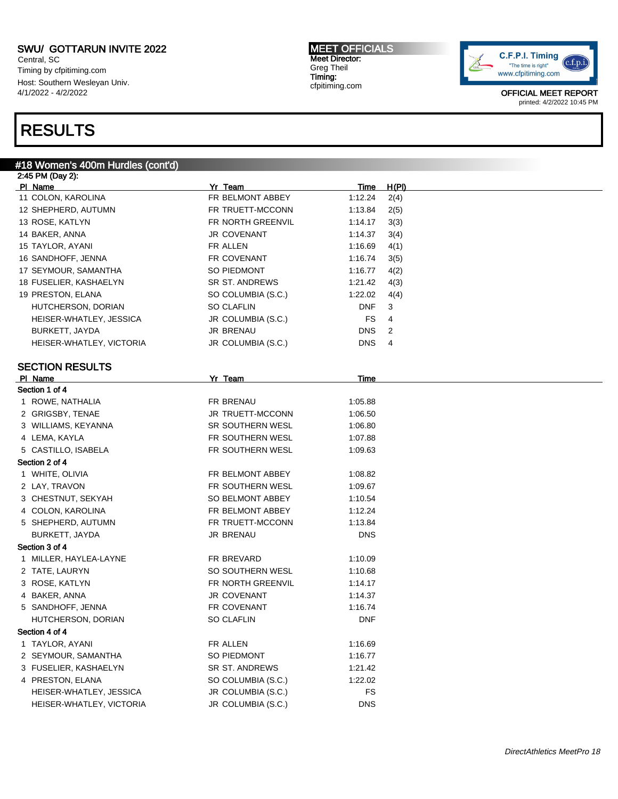Central, SC Timing by cfpitiming.com Host: Southern Wesleyan Univ. 4/1/2022 - 4/2/2022

## RESULTS

### #18 Women's 400m Hurdles (cont'd)

| 2:45 PM (Day 2):          |                    |             |       |
|---------------------------|--------------------|-------------|-------|
| PI Name                   | Yr_Team            | <b>Time</b> | H(PI) |
| 11 COLON, KAROLINA        | FR BELMONT ABBEY   | 1:12.24     | 2(4)  |
| 12 SHEPHERD, AUTUMN       | FR TRUETT-MCCONN   | 1:13.84     | 2(5)  |
| 13 ROSE, KATLYN           | FR NORTH GREENVIL  | 1:14.17     | 3(3)  |
| 14 BAKER, ANNA            | <b>JR COVENANT</b> | 1:14.37     | 3(4)  |
| 15 TAYLOR, AYANI          | FR ALLEN           | 1:16.69     | 4(1)  |
| 16 SANDHOFF, JENNA        | FR COVENANT        | 1:16.74     | 3(5)  |
| 17 SEYMOUR, SAMANTHA      | SO PIEDMONT        | 1:16.77     | 4(2)  |
| 18 FUSELIER, KASHAELYN    | SR ST. ANDREWS     | 1:21.42     | 4(3)  |
| 19 PRESTON, ELANA         | SO COLUMBIA (S.C.) | 1:22.02     | 4(4)  |
| HUTCHERSON, DORIAN        | SO CLAFLIN         | <b>DNF</b>  | 3     |
| HEISER-WHATLEY, JESSICA   | JR COLUMBIA (S.C.) | <b>FS</b>   | 4     |
| BURKETT, JAYDA            | JR BRENAU          | <b>DNS</b>  | 2     |
| HEISER-WHATLEY, VICTORIA  | JR COLUMBIA (S.C.) | <b>DNS</b>  | 4     |
|                           |                    |             |       |
| <b>SECTION RESULTS</b>    | Yr Team            | Time        |       |
| PI Name<br>Section 1 of 4 |                    |             |       |
| 1 ROWE, NATHALIA          | FR BRENAU          | 1:05.88     |       |
| 2 GRIGSBY, TENAE          | JR TRUETT-MCCONN   | 1:06.50     |       |
| 3 WILLIAMS, KEYANNA       | SR SOUTHERN WESL   | 1:06.80     |       |
| 4 LEMA, KAYLA             | FR SOUTHERN WESL   | 1:07.88     |       |
| 5 CASTILLO, ISABELA       | FR SOUTHERN WESL   | 1:09.63     |       |
| Section 2 of 4            |                    |             |       |
| 1 WHITE, OLIVIA           | FR BELMONT ABBEY   | 1:08.82     |       |
| 2 LAY, TRAVON             | FR SOUTHERN WESL   | 1:09.67     |       |
| 3 CHESTNUT, SEKYAH        | SO BELMONT ABBEY   | 1:10.54     |       |
| 4 COLON, KAROLINA         | FR BELMONT ABBEY   | 1:12.24     |       |
| 5 SHEPHERD, AUTUMN        | FR TRUETT-MCCONN   | 1:13.84     |       |
| BURKETT, JAYDA            | JR BRENAU          | <b>DNS</b>  |       |
| Section 3 of 4            |                    |             |       |
| 1 MILLER, HAYLEA-LAYNE    | FR BREVARD         | 1:10.09     |       |
| 2 TATE, LAURYN            | SO SOUTHERN WESL   | 1:10.68     |       |
| 3 ROSE, KATLYN            | FR NORTH GREENVIL  | 1:14.17     |       |
| 4 BAKER, ANNA             | JR COVENANT        | 1:14.37     |       |
| 5 SANDHOFF, JENNA         | FR COVENANT        | 1:16.74     |       |
| HUTCHERSON, DORIAN        | <b>SO CLAFLIN</b>  | <b>DNF</b>  |       |
| Section 4 of 4            |                    |             |       |
| 1 TAYLOR, AYANI           | FR ALLEN           | 1:16.69     |       |
| 2 SEYMOUR, SAMANTHA       | SO PIEDMONT        | 1:16.77     |       |
| 3 FUSELIER, KASHAELYN     | SR ST. ANDREWS     | 1:21.42     |       |
| 4 PRESTON, ELANA          | SO COLUMBIA (S.C.) | 1:22.02     |       |
| HEISER-WHATLEY, JESSICA   | JR COLUMBIA (S.C.) | <b>FS</b>   |       |
| HEISER-WHATLEY, VICTORIA  | JR COLUMBIA (S.C.) | <b>DNS</b>  |       |

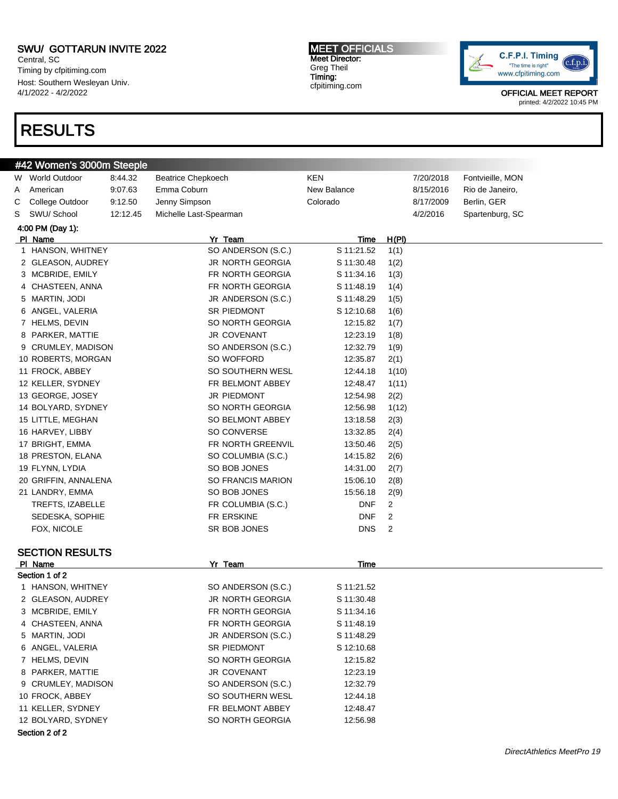Central, SC Timing by cfpitiming.com Host: Southern Wesleyan Univ. 4/1/2022 - 4/2/2022

#42 Women's 3000m Steeple

### RESULTS

MEET OFFICIALS Meet Director: Greg Theil Timing: cfpitiming.com



| Emma Coburn<br>New Balance<br>American<br>9:07.63<br>8/15/2016<br>Rio de Janeiro,<br>Jenny Simpson<br>Colorado<br>Berlin, GER<br>College Outdoor<br>9:12.50<br>8/17/2009<br>Michelle Last-Spearman<br>Spartenburg, SC<br>SWU/ School<br>12:12.45<br>4/2/2016<br>4:00 PM (Day 1):<br>Yr Team<br>PI Name<br>H(PI)<br>Time<br>SO ANDERSON (S.C.)<br>1 HANSON, WHITNEY<br>S 11:21.52<br>1(1)<br>JR NORTH GEORGIA<br>2 GLEASON, AUDREY<br>S 11:30.48<br>1(2)<br>FR NORTH GEORGIA<br>3 MCBRIDE, EMILY<br>S 11:34.16<br>1(3)<br>FR NORTH GEORGIA<br>4 CHASTEEN, ANNA<br>S 11:48.19<br>1(4)<br>5 MARTIN, JODI<br>JR ANDERSON (S.C.)<br>S 11:48.29<br>1(5)<br><b>SR PIEDMONT</b><br>6 ANGEL, VALERIA<br>S 12:10.68<br>1(6)<br>7 HELMS, DEVIN<br>SO NORTH GEORGIA<br>12:15.82<br>1(7)<br><b>JR COVENANT</b><br>8 PARKER, MATTIE<br>12:23.19<br>1(8)<br>9 CRUMLEY, MADISON<br>SO ANDERSON (S.C.)<br>12:32.79<br>1(9)<br>SO WOFFORD<br>10 ROBERTS, MORGAN<br>12:35.87<br>2(1)<br>SO SOUTHERN WESL<br>11 FROCK, ABBEY<br>12:44.18<br>1(10)<br>12 KELLER, SYDNEY<br>FR BELMONT ABBEY<br>12:48.47<br>1(11)<br>13 GEORGE, JOSEY<br>JR PIEDMONT<br>12:54.98<br>2(2)<br>SO NORTH GEORGIA<br>14 BOLYARD, SYDNEY<br>12:56.98<br>1(12)<br>15 LITTLE, MEGHAN<br>SO BELMONT ABBEY<br>13:18.58<br>2(3)<br>SO CONVERSE<br>16 HARVEY, LIBBY<br>13:32.85<br>2(4)<br>FR NORTH GREENVIL<br>17 BRIGHT, EMMA<br>13:50.46<br>2(5)<br>18 PRESTON, ELANA<br>SO COLUMBIA (S.C.)<br>14:15.82<br>2(6)<br>SO BOB JONES<br>19 FLYNN, LYDIA<br>14:31.00<br>2(7)<br><b>SO FRANCIS MARION</b><br>20 GRIFFIN, ANNALENA<br>15:06.10<br>2(8)<br>SO BOB JONES<br>21 LANDRY, EMMA<br>15:56.18<br>2(9)<br><b>DNF</b><br>$\overline{c}$<br>TREFTS, IZABELLE<br>FR COLUMBIA (S.C.)<br>FR ERSKINE<br><b>DNF</b><br>$\overline{c}$<br>SEDESKA, SOPHIE<br><b>DNS</b><br>SR BOB JONES<br>2<br>FOX, NICOLE<br><b>SECTION RESULTS</b><br>PI Name<br>Yr Team<br>Time<br>Section 1 of 2<br>1 HANSON, WHITNEY<br>SO ANDERSON (S.C.)<br>S 11:21.52<br>2 GLEASON, AUDREY<br>JR NORTH GEORGIA<br>S 11:30.48<br>3 MCBRIDE, EMILY<br>FR NORTH GEORGIA<br>S 11:34.16<br>4 CHASTEEN, ANNA<br>FR NORTH GEORGIA<br>S 11:48.19<br>5 MARTIN, JODI<br>JR ANDERSON (S.C.)<br>S 11:48.29<br>6 ANGEL, VALERIA<br>SR PIEDMONT<br>S 12:10.68<br>7 HELMS, DEVIN<br>SO NORTH GEORGIA<br>12:15.82<br>8 PARKER, MATTIE<br>JR COVENANT<br>12:23.19<br>9 CRUMLEY, MADISON<br>SO ANDERSON (S.C.)<br>12:32.79<br>10 FROCK, ABBEY<br>SO SOUTHERN WESL<br>12:44.18<br>11 KELLER, SYDNEY<br>FR BELMONT ABBEY<br>12:48.47<br>SO NORTH GEORGIA<br>12 BOLYARD, SYDNEY<br>12:56.98<br>Section 2 of 2 | W | <b>World Outdoor</b> | 8:44.32 | <b>Beatrice Chepkoech</b> | KEN |  | 7/20/2018 | Fontvieille, MON |  |  |  |
|-----------------------------------------------------------------------------------------------------------------------------------------------------------------------------------------------------------------------------------------------------------------------------------------------------------------------------------------------------------------------------------------------------------------------------------------------------------------------------------------------------------------------------------------------------------------------------------------------------------------------------------------------------------------------------------------------------------------------------------------------------------------------------------------------------------------------------------------------------------------------------------------------------------------------------------------------------------------------------------------------------------------------------------------------------------------------------------------------------------------------------------------------------------------------------------------------------------------------------------------------------------------------------------------------------------------------------------------------------------------------------------------------------------------------------------------------------------------------------------------------------------------------------------------------------------------------------------------------------------------------------------------------------------------------------------------------------------------------------------------------------------------------------------------------------------------------------------------------------------------------------------------------------------------------------------------------------------------------------------------------------------------------------------------------------------------------------------------------------------------------------------------------------------------------------------------------------------------------------------------------------------------------------------------------------------------------------------------------------------------------------------------------------------------------------------------------------------------------------------------------------------------------------------------------------------------------------------------------------------|---|----------------------|---------|---------------------------|-----|--|-----------|------------------|--|--|--|
|                                                                                                                                                                                                                                                                                                                                                                                                                                                                                                                                                                                                                                                                                                                                                                                                                                                                                                                                                                                                                                                                                                                                                                                                                                                                                                                                                                                                                                                                                                                                                                                                                                                                                                                                                                                                                                                                                                                                                                                                                                                                                                                                                                                                                                                                                                                                                                                                                                                                                                                                                                                                           | A |                      |         |                           |     |  |           |                  |  |  |  |
|                                                                                                                                                                                                                                                                                                                                                                                                                                                                                                                                                                                                                                                                                                                                                                                                                                                                                                                                                                                                                                                                                                                                                                                                                                                                                                                                                                                                                                                                                                                                                                                                                                                                                                                                                                                                                                                                                                                                                                                                                                                                                                                                                                                                                                                                                                                                                                                                                                                                                                                                                                                                           | С |                      |         |                           |     |  |           |                  |  |  |  |
|                                                                                                                                                                                                                                                                                                                                                                                                                                                                                                                                                                                                                                                                                                                                                                                                                                                                                                                                                                                                                                                                                                                                                                                                                                                                                                                                                                                                                                                                                                                                                                                                                                                                                                                                                                                                                                                                                                                                                                                                                                                                                                                                                                                                                                                                                                                                                                                                                                                                                                                                                                                                           | S |                      |         |                           |     |  |           |                  |  |  |  |
|                                                                                                                                                                                                                                                                                                                                                                                                                                                                                                                                                                                                                                                                                                                                                                                                                                                                                                                                                                                                                                                                                                                                                                                                                                                                                                                                                                                                                                                                                                                                                                                                                                                                                                                                                                                                                                                                                                                                                                                                                                                                                                                                                                                                                                                                                                                                                                                                                                                                                                                                                                                                           |   |                      |         |                           |     |  |           |                  |  |  |  |
|                                                                                                                                                                                                                                                                                                                                                                                                                                                                                                                                                                                                                                                                                                                                                                                                                                                                                                                                                                                                                                                                                                                                                                                                                                                                                                                                                                                                                                                                                                                                                                                                                                                                                                                                                                                                                                                                                                                                                                                                                                                                                                                                                                                                                                                                                                                                                                                                                                                                                                                                                                                                           |   |                      |         |                           |     |  |           |                  |  |  |  |
|                                                                                                                                                                                                                                                                                                                                                                                                                                                                                                                                                                                                                                                                                                                                                                                                                                                                                                                                                                                                                                                                                                                                                                                                                                                                                                                                                                                                                                                                                                                                                                                                                                                                                                                                                                                                                                                                                                                                                                                                                                                                                                                                                                                                                                                                                                                                                                                                                                                                                                                                                                                                           |   |                      |         |                           |     |  |           |                  |  |  |  |
|                                                                                                                                                                                                                                                                                                                                                                                                                                                                                                                                                                                                                                                                                                                                                                                                                                                                                                                                                                                                                                                                                                                                                                                                                                                                                                                                                                                                                                                                                                                                                                                                                                                                                                                                                                                                                                                                                                                                                                                                                                                                                                                                                                                                                                                                                                                                                                                                                                                                                                                                                                                                           |   |                      |         |                           |     |  |           |                  |  |  |  |
|                                                                                                                                                                                                                                                                                                                                                                                                                                                                                                                                                                                                                                                                                                                                                                                                                                                                                                                                                                                                                                                                                                                                                                                                                                                                                                                                                                                                                                                                                                                                                                                                                                                                                                                                                                                                                                                                                                                                                                                                                                                                                                                                                                                                                                                                                                                                                                                                                                                                                                                                                                                                           |   |                      |         |                           |     |  |           |                  |  |  |  |
|                                                                                                                                                                                                                                                                                                                                                                                                                                                                                                                                                                                                                                                                                                                                                                                                                                                                                                                                                                                                                                                                                                                                                                                                                                                                                                                                                                                                                                                                                                                                                                                                                                                                                                                                                                                                                                                                                                                                                                                                                                                                                                                                                                                                                                                                                                                                                                                                                                                                                                                                                                                                           |   |                      |         |                           |     |  |           |                  |  |  |  |
|                                                                                                                                                                                                                                                                                                                                                                                                                                                                                                                                                                                                                                                                                                                                                                                                                                                                                                                                                                                                                                                                                                                                                                                                                                                                                                                                                                                                                                                                                                                                                                                                                                                                                                                                                                                                                                                                                                                                                                                                                                                                                                                                                                                                                                                                                                                                                                                                                                                                                                                                                                                                           |   |                      |         |                           |     |  |           |                  |  |  |  |
|                                                                                                                                                                                                                                                                                                                                                                                                                                                                                                                                                                                                                                                                                                                                                                                                                                                                                                                                                                                                                                                                                                                                                                                                                                                                                                                                                                                                                                                                                                                                                                                                                                                                                                                                                                                                                                                                                                                                                                                                                                                                                                                                                                                                                                                                                                                                                                                                                                                                                                                                                                                                           |   |                      |         |                           |     |  |           |                  |  |  |  |
|                                                                                                                                                                                                                                                                                                                                                                                                                                                                                                                                                                                                                                                                                                                                                                                                                                                                                                                                                                                                                                                                                                                                                                                                                                                                                                                                                                                                                                                                                                                                                                                                                                                                                                                                                                                                                                                                                                                                                                                                                                                                                                                                                                                                                                                                                                                                                                                                                                                                                                                                                                                                           |   |                      |         |                           |     |  |           |                  |  |  |  |
|                                                                                                                                                                                                                                                                                                                                                                                                                                                                                                                                                                                                                                                                                                                                                                                                                                                                                                                                                                                                                                                                                                                                                                                                                                                                                                                                                                                                                                                                                                                                                                                                                                                                                                                                                                                                                                                                                                                                                                                                                                                                                                                                                                                                                                                                                                                                                                                                                                                                                                                                                                                                           |   |                      |         |                           |     |  |           |                  |  |  |  |
|                                                                                                                                                                                                                                                                                                                                                                                                                                                                                                                                                                                                                                                                                                                                                                                                                                                                                                                                                                                                                                                                                                                                                                                                                                                                                                                                                                                                                                                                                                                                                                                                                                                                                                                                                                                                                                                                                                                                                                                                                                                                                                                                                                                                                                                                                                                                                                                                                                                                                                                                                                                                           |   |                      |         |                           |     |  |           |                  |  |  |  |
|                                                                                                                                                                                                                                                                                                                                                                                                                                                                                                                                                                                                                                                                                                                                                                                                                                                                                                                                                                                                                                                                                                                                                                                                                                                                                                                                                                                                                                                                                                                                                                                                                                                                                                                                                                                                                                                                                                                                                                                                                                                                                                                                                                                                                                                                                                                                                                                                                                                                                                                                                                                                           |   |                      |         |                           |     |  |           |                  |  |  |  |
|                                                                                                                                                                                                                                                                                                                                                                                                                                                                                                                                                                                                                                                                                                                                                                                                                                                                                                                                                                                                                                                                                                                                                                                                                                                                                                                                                                                                                                                                                                                                                                                                                                                                                                                                                                                                                                                                                                                                                                                                                                                                                                                                                                                                                                                                                                                                                                                                                                                                                                                                                                                                           |   |                      |         |                           |     |  |           |                  |  |  |  |
|                                                                                                                                                                                                                                                                                                                                                                                                                                                                                                                                                                                                                                                                                                                                                                                                                                                                                                                                                                                                                                                                                                                                                                                                                                                                                                                                                                                                                                                                                                                                                                                                                                                                                                                                                                                                                                                                                                                                                                                                                                                                                                                                                                                                                                                                                                                                                                                                                                                                                                                                                                                                           |   |                      |         |                           |     |  |           |                  |  |  |  |
|                                                                                                                                                                                                                                                                                                                                                                                                                                                                                                                                                                                                                                                                                                                                                                                                                                                                                                                                                                                                                                                                                                                                                                                                                                                                                                                                                                                                                                                                                                                                                                                                                                                                                                                                                                                                                                                                                                                                                                                                                                                                                                                                                                                                                                                                                                                                                                                                                                                                                                                                                                                                           |   |                      |         |                           |     |  |           |                  |  |  |  |
|                                                                                                                                                                                                                                                                                                                                                                                                                                                                                                                                                                                                                                                                                                                                                                                                                                                                                                                                                                                                                                                                                                                                                                                                                                                                                                                                                                                                                                                                                                                                                                                                                                                                                                                                                                                                                                                                                                                                                                                                                                                                                                                                                                                                                                                                                                                                                                                                                                                                                                                                                                                                           |   |                      |         |                           |     |  |           |                  |  |  |  |
|                                                                                                                                                                                                                                                                                                                                                                                                                                                                                                                                                                                                                                                                                                                                                                                                                                                                                                                                                                                                                                                                                                                                                                                                                                                                                                                                                                                                                                                                                                                                                                                                                                                                                                                                                                                                                                                                                                                                                                                                                                                                                                                                                                                                                                                                                                                                                                                                                                                                                                                                                                                                           |   |                      |         |                           |     |  |           |                  |  |  |  |
|                                                                                                                                                                                                                                                                                                                                                                                                                                                                                                                                                                                                                                                                                                                                                                                                                                                                                                                                                                                                                                                                                                                                                                                                                                                                                                                                                                                                                                                                                                                                                                                                                                                                                                                                                                                                                                                                                                                                                                                                                                                                                                                                                                                                                                                                                                                                                                                                                                                                                                                                                                                                           |   |                      |         |                           |     |  |           |                  |  |  |  |
|                                                                                                                                                                                                                                                                                                                                                                                                                                                                                                                                                                                                                                                                                                                                                                                                                                                                                                                                                                                                                                                                                                                                                                                                                                                                                                                                                                                                                                                                                                                                                                                                                                                                                                                                                                                                                                                                                                                                                                                                                                                                                                                                                                                                                                                                                                                                                                                                                                                                                                                                                                                                           |   |                      |         |                           |     |  |           |                  |  |  |  |
|                                                                                                                                                                                                                                                                                                                                                                                                                                                                                                                                                                                                                                                                                                                                                                                                                                                                                                                                                                                                                                                                                                                                                                                                                                                                                                                                                                                                                                                                                                                                                                                                                                                                                                                                                                                                                                                                                                                                                                                                                                                                                                                                                                                                                                                                                                                                                                                                                                                                                                                                                                                                           |   |                      |         |                           |     |  |           |                  |  |  |  |
|                                                                                                                                                                                                                                                                                                                                                                                                                                                                                                                                                                                                                                                                                                                                                                                                                                                                                                                                                                                                                                                                                                                                                                                                                                                                                                                                                                                                                                                                                                                                                                                                                                                                                                                                                                                                                                                                                                                                                                                                                                                                                                                                                                                                                                                                                                                                                                                                                                                                                                                                                                                                           |   |                      |         |                           |     |  |           |                  |  |  |  |
|                                                                                                                                                                                                                                                                                                                                                                                                                                                                                                                                                                                                                                                                                                                                                                                                                                                                                                                                                                                                                                                                                                                                                                                                                                                                                                                                                                                                                                                                                                                                                                                                                                                                                                                                                                                                                                                                                                                                                                                                                                                                                                                                                                                                                                                                                                                                                                                                                                                                                                                                                                                                           |   |                      |         |                           |     |  |           |                  |  |  |  |
|                                                                                                                                                                                                                                                                                                                                                                                                                                                                                                                                                                                                                                                                                                                                                                                                                                                                                                                                                                                                                                                                                                                                                                                                                                                                                                                                                                                                                                                                                                                                                                                                                                                                                                                                                                                                                                                                                                                                                                                                                                                                                                                                                                                                                                                                                                                                                                                                                                                                                                                                                                                                           |   |                      |         |                           |     |  |           |                  |  |  |  |
|                                                                                                                                                                                                                                                                                                                                                                                                                                                                                                                                                                                                                                                                                                                                                                                                                                                                                                                                                                                                                                                                                                                                                                                                                                                                                                                                                                                                                                                                                                                                                                                                                                                                                                                                                                                                                                                                                                                                                                                                                                                                                                                                                                                                                                                                                                                                                                                                                                                                                                                                                                                                           |   |                      |         |                           |     |  |           |                  |  |  |  |
|                                                                                                                                                                                                                                                                                                                                                                                                                                                                                                                                                                                                                                                                                                                                                                                                                                                                                                                                                                                                                                                                                                                                                                                                                                                                                                                                                                                                                                                                                                                                                                                                                                                                                                                                                                                                                                                                                                                                                                                                                                                                                                                                                                                                                                                                                                                                                                                                                                                                                                                                                                                                           |   |                      |         |                           |     |  |           |                  |  |  |  |
|                                                                                                                                                                                                                                                                                                                                                                                                                                                                                                                                                                                                                                                                                                                                                                                                                                                                                                                                                                                                                                                                                                                                                                                                                                                                                                                                                                                                                                                                                                                                                                                                                                                                                                                                                                                                                                                                                                                                                                                                                                                                                                                                                                                                                                                                                                                                                                                                                                                                                                                                                                                                           |   |                      |         |                           |     |  |           |                  |  |  |  |
|                                                                                                                                                                                                                                                                                                                                                                                                                                                                                                                                                                                                                                                                                                                                                                                                                                                                                                                                                                                                                                                                                                                                                                                                                                                                                                                                                                                                                                                                                                                                                                                                                                                                                                                                                                                                                                                                                                                                                                                                                                                                                                                                                                                                                                                                                                                                                                                                                                                                                                                                                                                                           |   |                      |         |                           |     |  |           |                  |  |  |  |
|                                                                                                                                                                                                                                                                                                                                                                                                                                                                                                                                                                                                                                                                                                                                                                                                                                                                                                                                                                                                                                                                                                                                                                                                                                                                                                                                                                                                                                                                                                                                                                                                                                                                                                                                                                                                                                                                                                                                                                                                                                                                                                                                                                                                                                                                                                                                                                                                                                                                                                                                                                                                           |   |                      |         |                           |     |  |           |                  |  |  |  |
|                                                                                                                                                                                                                                                                                                                                                                                                                                                                                                                                                                                                                                                                                                                                                                                                                                                                                                                                                                                                                                                                                                                                                                                                                                                                                                                                                                                                                                                                                                                                                                                                                                                                                                                                                                                                                                                                                                                                                                                                                                                                                                                                                                                                                                                                                                                                                                                                                                                                                                                                                                                                           |   |                      |         |                           |     |  |           |                  |  |  |  |
|                                                                                                                                                                                                                                                                                                                                                                                                                                                                                                                                                                                                                                                                                                                                                                                                                                                                                                                                                                                                                                                                                                                                                                                                                                                                                                                                                                                                                                                                                                                                                                                                                                                                                                                                                                                                                                                                                                                                                                                                                                                                                                                                                                                                                                                                                                                                                                                                                                                                                                                                                                                                           |   |                      |         |                           |     |  |           |                  |  |  |  |
|                                                                                                                                                                                                                                                                                                                                                                                                                                                                                                                                                                                                                                                                                                                                                                                                                                                                                                                                                                                                                                                                                                                                                                                                                                                                                                                                                                                                                                                                                                                                                                                                                                                                                                                                                                                                                                                                                                                                                                                                                                                                                                                                                                                                                                                                                                                                                                                                                                                                                                                                                                                                           |   |                      |         |                           |     |  |           |                  |  |  |  |
|                                                                                                                                                                                                                                                                                                                                                                                                                                                                                                                                                                                                                                                                                                                                                                                                                                                                                                                                                                                                                                                                                                                                                                                                                                                                                                                                                                                                                                                                                                                                                                                                                                                                                                                                                                                                                                                                                                                                                                                                                                                                                                                                                                                                                                                                                                                                                                                                                                                                                                                                                                                                           |   |                      |         |                           |     |  |           |                  |  |  |  |
|                                                                                                                                                                                                                                                                                                                                                                                                                                                                                                                                                                                                                                                                                                                                                                                                                                                                                                                                                                                                                                                                                                                                                                                                                                                                                                                                                                                                                                                                                                                                                                                                                                                                                                                                                                                                                                                                                                                                                                                                                                                                                                                                                                                                                                                                                                                                                                                                                                                                                                                                                                                                           |   |                      |         |                           |     |  |           |                  |  |  |  |
|                                                                                                                                                                                                                                                                                                                                                                                                                                                                                                                                                                                                                                                                                                                                                                                                                                                                                                                                                                                                                                                                                                                                                                                                                                                                                                                                                                                                                                                                                                                                                                                                                                                                                                                                                                                                                                                                                                                                                                                                                                                                                                                                                                                                                                                                                                                                                                                                                                                                                                                                                                                                           |   |                      |         |                           |     |  |           |                  |  |  |  |
|                                                                                                                                                                                                                                                                                                                                                                                                                                                                                                                                                                                                                                                                                                                                                                                                                                                                                                                                                                                                                                                                                                                                                                                                                                                                                                                                                                                                                                                                                                                                                                                                                                                                                                                                                                                                                                                                                                                                                                                                                                                                                                                                                                                                                                                                                                                                                                                                                                                                                                                                                                                                           |   |                      |         |                           |     |  |           |                  |  |  |  |
|                                                                                                                                                                                                                                                                                                                                                                                                                                                                                                                                                                                                                                                                                                                                                                                                                                                                                                                                                                                                                                                                                                                                                                                                                                                                                                                                                                                                                                                                                                                                                                                                                                                                                                                                                                                                                                                                                                                                                                                                                                                                                                                                                                                                                                                                                                                                                                                                                                                                                                                                                                                                           |   |                      |         |                           |     |  |           |                  |  |  |  |
|                                                                                                                                                                                                                                                                                                                                                                                                                                                                                                                                                                                                                                                                                                                                                                                                                                                                                                                                                                                                                                                                                                                                                                                                                                                                                                                                                                                                                                                                                                                                                                                                                                                                                                                                                                                                                                                                                                                                                                                                                                                                                                                                                                                                                                                                                                                                                                                                                                                                                                                                                                                                           |   |                      |         |                           |     |  |           |                  |  |  |  |
|                                                                                                                                                                                                                                                                                                                                                                                                                                                                                                                                                                                                                                                                                                                                                                                                                                                                                                                                                                                                                                                                                                                                                                                                                                                                                                                                                                                                                                                                                                                                                                                                                                                                                                                                                                                                                                                                                                                                                                                                                                                                                                                                                                                                                                                                                                                                                                                                                                                                                                                                                                                                           |   |                      |         |                           |     |  |           |                  |  |  |  |
|                                                                                                                                                                                                                                                                                                                                                                                                                                                                                                                                                                                                                                                                                                                                                                                                                                                                                                                                                                                                                                                                                                                                                                                                                                                                                                                                                                                                                                                                                                                                                                                                                                                                                                                                                                                                                                                                                                                                                                                                                                                                                                                                                                                                                                                                                                                                                                                                                                                                                                                                                                                                           |   |                      |         |                           |     |  |           |                  |  |  |  |
|                                                                                                                                                                                                                                                                                                                                                                                                                                                                                                                                                                                                                                                                                                                                                                                                                                                                                                                                                                                                                                                                                                                                                                                                                                                                                                                                                                                                                                                                                                                                                                                                                                                                                                                                                                                                                                                                                                                                                                                                                                                                                                                                                                                                                                                                                                                                                                                                                                                                                                                                                                                                           |   |                      |         |                           |     |  |           |                  |  |  |  |
|                                                                                                                                                                                                                                                                                                                                                                                                                                                                                                                                                                                                                                                                                                                                                                                                                                                                                                                                                                                                                                                                                                                                                                                                                                                                                                                                                                                                                                                                                                                                                                                                                                                                                                                                                                                                                                                                                                                                                                                                                                                                                                                                                                                                                                                                                                                                                                                                                                                                                                                                                                                                           |   |                      |         |                           |     |  |           |                  |  |  |  |
|                                                                                                                                                                                                                                                                                                                                                                                                                                                                                                                                                                                                                                                                                                                                                                                                                                                                                                                                                                                                                                                                                                                                                                                                                                                                                                                                                                                                                                                                                                                                                                                                                                                                                                                                                                                                                                                                                                                                                                                                                                                                                                                                                                                                                                                                                                                                                                                                                                                                                                                                                                                                           |   |                      |         |                           |     |  |           |                  |  |  |  |
|                                                                                                                                                                                                                                                                                                                                                                                                                                                                                                                                                                                                                                                                                                                                                                                                                                                                                                                                                                                                                                                                                                                                                                                                                                                                                                                                                                                                                                                                                                                                                                                                                                                                                                                                                                                                                                                                                                                                                                                                                                                                                                                                                                                                                                                                                                                                                                                                                                                                                                                                                                                                           |   |                      |         |                           |     |  |           |                  |  |  |  |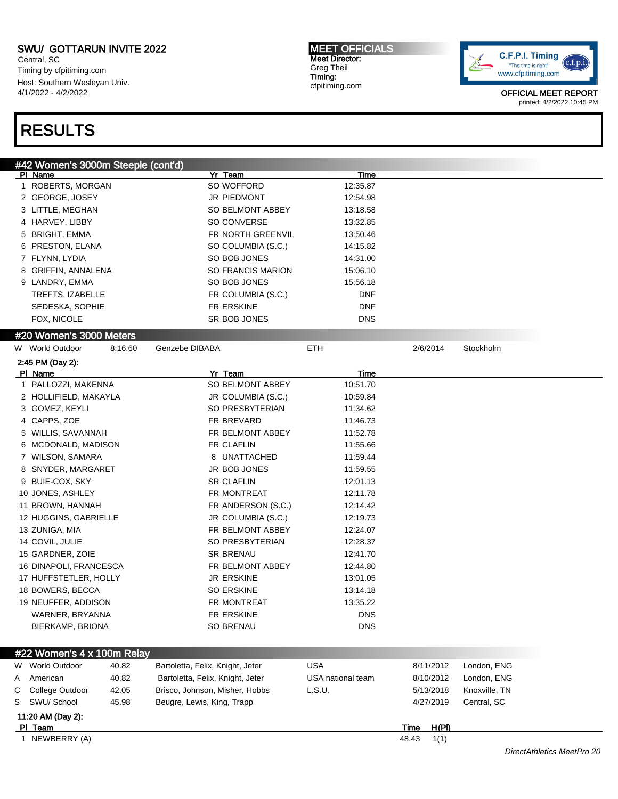Central, SC Timing by cfpitiming.com Host: Southern Wesleyan Univ. 4/1/2022 - 4/2/2022

## RESULTS

MEET OFFICIALS Meet Director: Greg Theil Timing: cfpitiming.com



| #42 Women's 3000m Steeple (cont'd)            |         |                                  |                   |                      |               |                            |
|-----------------------------------------------|---------|----------------------------------|-------------------|----------------------|---------------|----------------------------|
| PI Name                                       |         | Yr Team                          | <u>Time</u>       |                      |               |                            |
| 1 ROBERTS, MORGAN                             |         | SO WOFFORD                       | 12:35.87          |                      |               |                            |
| 2 GEORGE, JOSEY                               |         | JR PIEDMONT                      | 12:54.98          |                      |               |                            |
| 3 LITTLE, MEGHAN                              |         | SO BELMONT ABBEY                 | 13:18.58          |                      |               |                            |
| 4 HARVEY, LIBBY                               |         | SO CONVERSE                      | 13:32.85          |                      |               |                            |
| 5 BRIGHT, EMMA                                |         | FR NORTH GREENVIL                | 13:50.46          |                      |               |                            |
| 6 PRESTON, ELANA                              |         | SO COLUMBIA (S.C.)               | 14:15.82          |                      |               |                            |
| 7 FLYNN, LYDIA                                |         | SO BOB JONES                     | 14:31.00          |                      |               |                            |
| 8 GRIFFIN, ANNALENA                           |         | <b>SO FRANCIS MARION</b>         | 15:06.10          |                      |               |                            |
| 9 LANDRY, EMMA                                |         | SO BOB JONES                     | 15:56.18          |                      |               |                            |
| TREFTS, IZABELLE                              |         | FR COLUMBIA (S.C.)               | DNF               |                      |               |                            |
| SEDESKA, SOPHIE                               |         | FR ERSKINE                       | DNF               |                      |               |                            |
| FOX, NICOLE                                   |         | SR BOB JONES                     | <b>DNS</b>        |                      |               |                            |
| #20 Women's 3000 Meters                       |         |                                  |                   |                      |               |                            |
| W World Outdoor                               | 8:16.60 | Genzebe DIBABA                   | <b>ETH</b>        | 2/6/2014             | Stockholm     |                            |
| 2:45 PM (Day 2):                              |         |                                  |                   |                      |               |                            |
| PI Name                                       |         | Yr Team                          | Time              |                      |               |                            |
| 1 PALLOZZI, MAKENNA                           |         | SO BELMONT ABBEY                 | 10:51.70          |                      |               |                            |
| 2 HOLLIFIELD, MAKAYLA                         |         | JR COLUMBIA (S.C.)               | 10:59.84          |                      |               |                            |
| 3 GOMEZ, KEYLI                                |         | SO PRESBYTERIAN                  | 11:34.62          |                      |               |                            |
| 4 CAPPS, ZOE                                  |         | FR BREVARD                       | 11:46.73          |                      |               |                            |
| 5 WILLIS, SAVANNAH                            |         | FR BELMONT ABBEY                 | 11:52.78          |                      |               |                            |
| 6 MCDONALD, MADISON                           |         | FR CLAFLIN                       | 11:55.66          |                      |               |                            |
| 7 WILSON, SAMARA                              |         | 8 UNATTACHED                     | 11:59.44          |                      |               |                            |
| 8 SNYDER, MARGARET                            |         | JR BOB JONES                     | 11:59.55          |                      |               |                            |
| 9 BUIE-COX, SKY                               |         | <b>SR CLAFLIN</b>                | 12:01.13          |                      |               |                            |
| 10 JONES, ASHLEY                              |         | FR MONTREAT                      | 12:11.78          |                      |               |                            |
| 11 BROWN, HANNAH                              |         | FR ANDERSON (S.C.)               | 12:14.42          |                      |               |                            |
| 12 HUGGINS, GABRIELLE                         |         | JR COLUMBIA (S.C.)               | 12:19.73          |                      |               |                            |
| 13 ZUNIGA, MIA                                |         | FR BELMONT ABBEY                 | 12:24.07          |                      |               |                            |
| 14 COVIL, JULIE                               |         | SO PRESBYTERIAN                  | 12:28.37          |                      |               |                            |
| 15 GARDNER, ZOIE                              |         | <b>SR BRENAU</b>                 | 12:41.70          |                      |               |                            |
| 16 DINAPOLI, FRANCESCA                        |         | FR BELMONT ABBEY                 | 12:44.80          |                      |               |                            |
| 17 HUFFSTETLER, HOLLY                         |         | JR ERSKINE                       | 13:01.05          |                      |               |                            |
| 18 BOWERS, BECCA                              |         | <b>SO ERSKINE</b>                | 13:14.18          |                      |               |                            |
| 19 NEUFFER, ADDISON                           |         | FR MONTREAT                      | 13:35.22          |                      |               |                            |
| WARNER, BRYANNA                               |         | FR ERSKINE                       | <b>DNS</b>        |                      |               |                            |
| BIERKAMP, BRIONA                              |         | SO BRENAU                        | <b>DNS</b>        |                      |               |                            |
|                                               |         |                                  |                   |                      |               |                            |
| #22 Women's 4 x 100m Relay<br>W World Outdoor | 40.82   | Bartoletta, Felix, Knight, Jeter | <b>USA</b>        | 8/11/2012            | London, ENG   |                            |
| American                                      | 40.82   | Bartoletta, Felix, Knight, Jeter | USA national team | 8/10/2012            | London, ENG   |                            |
| Α                                             | 42.05   |                                  | L.S.U.            | 5/13/2018            |               |                            |
| College Outdoor<br>С                          |         | Brisco, Johnson, Misher, Hobbs   |                   |                      | Knoxville, TN |                            |
| SWU/ School<br>S                              | 45.98   | Beugre, Lewis, King, Trapp       |                   | 4/27/2019            | Central, SC   |                            |
| 11:20 AM (Day 2):<br>PI Team                  |         |                                  |                   | H(PI)<br><b>Time</b> |               |                            |
| 1 NEWBERRY (A)                                |         |                                  |                   | 48.43<br>1(1)        |               |                            |
|                                               |         |                                  |                   |                      |               | DirectAthletics MeetPro 20 |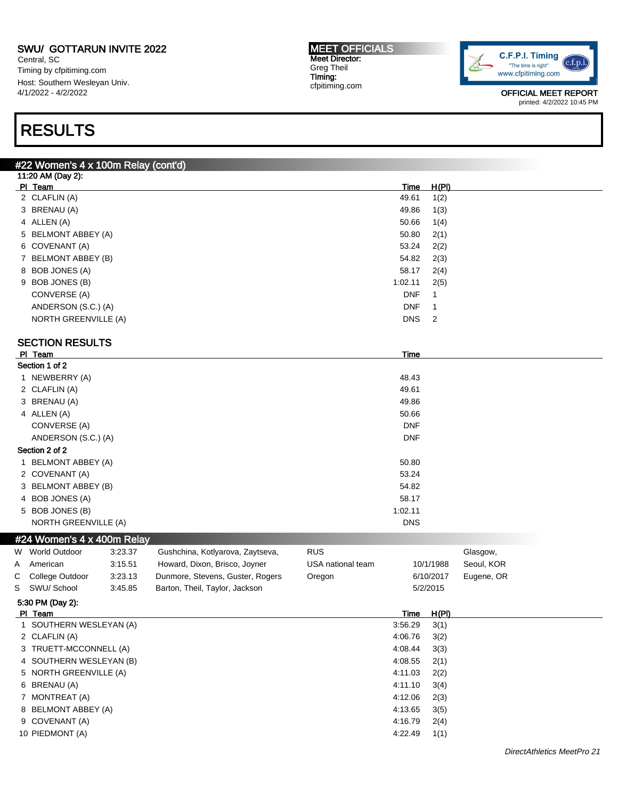#22 Women's 4 x 100m Relay (cont'd)

Central, SC Timing by cfpitiming.com Host: Southern Wesleyan Univ. 4/1/2022 - 4/2/2022

## RESULTS

MEET OFFICIALS Meet Director: Greg Theil Timing: cfpitiming.com



OFFICIAL MEET REPORT printed: 4/2/2022 10:45 PM

|   | 11:20 AM (Day 2):          |         |                                  |                   |             |                |            |  |
|---|----------------------------|---------|----------------------------------|-------------------|-------------|----------------|------------|--|
|   | PI Team                    |         |                                  |                   | <b>Time</b> | H(PI)          |            |  |
|   | 2 CLAFLIN (A)              |         |                                  |                   | 49.61       | 1(2)           |            |  |
|   | 3 BRENAU (A)               |         |                                  |                   | 49.86       | 1(3)           |            |  |
|   | 4 ALLEN (A)                |         |                                  |                   | 50.66       | 1(4)           |            |  |
|   | 5 BELMONT ABBEY (A)        |         |                                  |                   | 50.80       | 2(1)           |            |  |
|   | 6 COVENANT (A)             |         |                                  |                   | 53.24       | 2(2)           |            |  |
|   | 7 BELMONT ABBEY (B)        |         |                                  |                   | 54.82       | 2(3)           |            |  |
|   | 8 BOB JONES (A)            |         |                                  |                   | 58.17       | 2(4)           |            |  |
|   | 9 BOB JONES (B)            |         |                                  |                   | 1:02.11     | 2(5)           |            |  |
|   | CONVERSE (A)               |         |                                  |                   | <b>DNF</b>  | 1              |            |  |
|   | ANDERSON (S.C.) (A)        |         |                                  |                   | <b>DNF</b>  | 1              |            |  |
|   | NORTH GREENVILLE (A)       |         |                                  |                   | <b>DNS</b>  | $\overline{2}$ |            |  |
|   | <b>SECTION RESULTS</b>     |         |                                  |                   |             |                |            |  |
|   | PI Team                    |         |                                  |                   | Time        |                |            |  |
|   | Section 1 of 2             |         |                                  |                   |             |                |            |  |
|   | 1 NEWBERRY (A)             |         |                                  |                   | 48.43       |                |            |  |
|   | 2 CLAFLIN (A)              |         |                                  |                   | 49.61       |                |            |  |
|   | 3 BRENAU (A)               |         |                                  |                   | 49.86       |                |            |  |
|   | 4 ALLEN (A)                |         |                                  |                   | 50.66       |                |            |  |
|   | CONVERSE (A)               |         |                                  |                   | <b>DNF</b>  |                |            |  |
|   | ANDERSON (S.C.) (A)        |         |                                  |                   | <b>DNF</b>  |                |            |  |
|   | Section 2 of 2             |         |                                  |                   |             |                |            |  |
|   | 1 BELMONT ABBEY (A)        |         |                                  |                   | 50.80       |                |            |  |
|   | 2 COVENANT (A)             |         |                                  |                   | 53.24       |                |            |  |
|   | 3 BELMONT ABBEY (B)        |         |                                  |                   | 54.82       |                |            |  |
|   | 4 BOB JONES (A)            |         |                                  |                   | 58.17       |                |            |  |
|   | 5 BOB JONES (B)            |         |                                  |                   | 1:02.11     |                |            |  |
|   | NORTH GREENVILLE (A)       |         |                                  |                   | DNS         |                |            |  |
|   | #24 Women's 4 x 400m Relay |         |                                  |                   |             |                |            |  |
| W | <b>World Outdoor</b>       | 3.23.37 | Gushchina, Kotlyarova, Zaytseva, | <b>RUS</b>        |             |                | Glasgow,   |  |
| A | American                   | 3:15.51 | Howard, Dixon, Brisco, Joyner    | USA national team |             | 10/1/1988      | Seoul, KOR |  |
| С | College Outdoor            | 3:23.13 | Dunmore, Stevens, Guster, Rogers | Oregon            |             | 6/10/2017      | Eugene, OR |  |
| S | SWU/ School                | 3:45.85 | Barton, Theil, Taylor, Jackson   |                   |             | 5/2/2015       |            |  |
|   | 5:30 PM (Day 2):           |         |                                  |                   |             |                |            |  |
|   | PI Team                    |         |                                  |                   | <u>Time</u> | H(PI)          |            |  |
|   | 1 SOUTHERN WESLEYAN (A)    |         |                                  |                   | 3:56.29     | 3(1)           |            |  |
|   | 2 CLAFLIN (A)              |         |                                  |                   | 4:06.76     | 3(2)           |            |  |
|   | 3 TRUETT-MCCONNELL (A)     |         |                                  |                   | 4:08.44     | 3(3)           |            |  |
|   | 4 SOUTHERN WESLEYAN (B)    |         |                                  |                   | 4:08.55     | 2(1)           |            |  |
|   | 5 NORTH GREENVILLE (A)     |         |                                  |                   | 4:11.03     | 2(2)           |            |  |
|   | 6 BRENAU (A)               |         |                                  |                   | 4:11.10     | 3(4)           |            |  |
|   |                            |         |                                  |                   |             |                |            |  |
|   | 8 BELMONT ABBEY (A)        |         |                                  |                   | 4:13.65     | 3(5)           |            |  |
|   | 7 MONTREAT (A)             |         |                                  |                   | 4:12.06     | 2(3)           |            |  |
|   |                            |         |                                  |                   |             |                |            |  |

9 COVENANT (A) 4:16.79 2(4) 10 PIEDMONT (A) 4:22.49 1(1)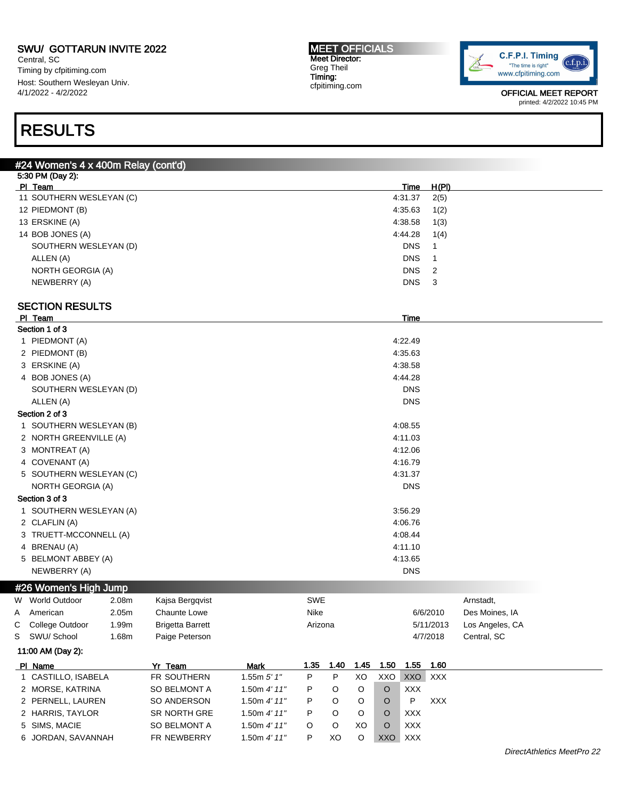Central, SC Timing by cfpitiming.com Host: Southern Wesleyan Univ. 4/1/2022 - 4/2/2022

#### MEET OFFICIALS Meet Director: Greg Theil Timing: cfpitiming.com



OFFICIAL MEET REPORT printed: 4/2/2022 10:45 PM

## RESULTS

|   | #24 Women's 4 x 400m Relay (cont'd) |       |                         |               |            |         |      |      |            |              |                 |
|---|-------------------------------------|-------|-------------------------|---------------|------------|---------|------|------|------------|--------------|-----------------|
|   | 5:30 PM (Day 2):                    |       |                         |               |            |         |      |      |            |              |                 |
|   | PI Team                             |       |                         |               |            |         |      |      | Time       | <u>H(PI)</u> |                 |
|   | 11 SOUTHERN WESLEYAN (C)            |       |                         |               |            |         |      |      | 4:31.37    | 2(5)         |                 |
|   | 12 PIEDMONT (B)                     |       |                         |               |            |         |      |      | 4:35.63    | 1(2)         |                 |
|   | 13 ERSKINE (A)                      |       |                         |               |            |         |      |      | 4:38.58    | 1(3)         |                 |
|   | 14 BOB JONES (A)                    |       |                         |               |            |         |      |      | 4:44.28    | 1(4)         |                 |
|   | SOUTHERN WESLEYAN (D)               |       |                         |               |            |         |      |      | <b>DNS</b> | $\mathbf{1}$ |                 |
|   | ALLEN (A)                           |       |                         |               |            |         |      |      | <b>DNS</b> | 1            |                 |
|   | NORTH GEORGIA (A)                   |       |                         |               |            |         |      |      | <b>DNS</b> | 2            |                 |
|   | NEWBERRY (A)                        |       |                         |               |            |         |      |      | <b>DNS</b> | 3            |                 |
|   | <b>SECTION RESULTS</b>              |       |                         |               |            |         |      |      |            |              |                 |
|   | PI Team                             |       |                         |               |            |         |      |      | Time       |              |                 |
|   | Section 1 of 3                      |       |                         |               |            |         |      |      |            |              |                 |
|   | 1 PIEDMONT (A)                      |       |                         |               |            |         |      |      | 4:22.49    |              |                 |
|   | 2 PIEDMONT (B)                      |       |                         |               |            |         |      |      | 4:35.63    |              |                 |
|   | 3 ERSKINE (A)                       |       |                         |               |            |         |      |      | 4:38.58    |              |                 |
|   | 4 BOB JONES (A)                     |       |                         |               |            |         |      |      | 4:44.28    |              |                 |
|   | SOUTHERN WESLEYAN (D)               |       |                         |               |            |         |      |      | <b>DNS</b> |              |                 |
|   | ALLEN (A)                           |       |                         |               |            |         |      |      | <b>DNS</b> |              |                 |
|   | Section 2 of 3                      |       |                         |               |            |         |      |      |            |              |                 |
|   | 1 SOUTHERN WESLEYAN (B)             |       |                         |               |            |         |      |      | 4:08.55    |              |                 |
|   | 2 NORTH GREENVILLE (A)              |       |                         |               |            |         |      |      | 4:11.03    |              |                 |
|   | 3 MONTREAT (A)                      |       |                         |               |            |         |      |      | 4:12.06    |              |                 |
|   | 4 COVENANT (A)                      |       |                         |               |            |         |      |      | 4:16.79    |              |                 |
|   | 5 SOUTHERN WESLEYAN (C)             |       |                         |               |            |         |      |      | 4:31.37    |              |                 |
|   | <b>NORTH GEORGIA (A)</b>            |       |                         |               |            |         |      |      | <b>DNS</b> |              |                 |
|   | Section 3 of 3                      |       |                         |               |            |         |      |      |            |              |                 |
|   | 1 SOUTHERN WESLEYAN (A)             |       |                         |               |            |         |      |      | 3:56.29    |              |                 |
|   | 2 CLAFLIN (A)                       |       |                         |               |            |         |      |      | 4:06.76    |              |                 |
|   | 3 TRUETT-MCCONNELL (A)              |       |                         |               |            |         |      |      | 4:08.44    |              |                 |
|   | 4 BRENAU (A)                        |       |                         |               |            |         |      |      | 4:11.10    |              |                 |
|   | 5 BELMONT ABBEY (A)                 |       |                         |               |            |         |      |      | 4:13.65    |              |                 |
|   | NEWBERRY (A)                        |       |                         |               |            |         |      |      | <b>DNS</b> |              |                 |
|   |                                     |       |                         |               |            |         |      |      |            |              |                 |
|   | #26 Women's High Jump               |       |                         |               |            |         |      |      |            |              |                 |
|   | W World Outdoor                     | 2.08m | Kajsa Bergqvist         |               | <b>SWE</b> |         |      |      |            |              | Arnstadt,       |
|   | A American                          | 2.05m | Chaunte Lowe            |               | Nike       |         |      |      |            | 6/6/2010     | Des Moines, IA  |
| C | College Outdoor                     | 1.99m | <b>Brigetta Barrett</b> |               | Arizona    |         |      |      |            | 5/11/2013    | Los Angeles, CA |
| S | SWU/ School                         | 1.68m | Paige Peterson          |               |            |         |      |      |            | 4/7/2018     | Central, SC     |
|   | 11:00 AM (Day 2):                   |       |                         |               |            |         |      |      |            |              |                 |
|   | PI Name                             |       | Yr Team                 | Mark          | 1.35       | 1.40    | 1.45 | 1.50 | 1.55       | 1.60         |                 |
|   | 1 CASTILLO, ISABELA                 |       | FR SOUTHERN             | 1.55m $5'$ 1" | P          | P       | XO   | XXO  | XXO        | <b>XXX</b>   |                 |
|   | 2 MORSE, KATRINA                    |       | SO BELMONT A            | 1.50m 4' 11"  | P          | O       | O    | O    | <b>XXX</b> |              |                 |
|   | 2 PERNELL, LAUREN                   |       | SO ANDERSON             | 1.50m 4' 11"  | P          | O       | O    | O    | P          | <b>XXX</b>   |                 |
|   | 2 HARRIS, TAYLOR                    |       | SR NORTH GRE            | 1.50m 4' 11"  | P          | O       | O    | O    | <b>XXX</b> |              |                 |
|   | 5 SIMS, MACIE                       |       | SO BELMONT A            | 1.50m 4' 11"  | O          | $\circ$ | XO   | O    | <b>XXX</b> |              |                 |
|   | 6 JORDAN, SAVANNAH                  |       | FR NEWBERRY             | 1.50m 4' 11"  | P          | XO      | O    | XXO  | XXX        |              |                 |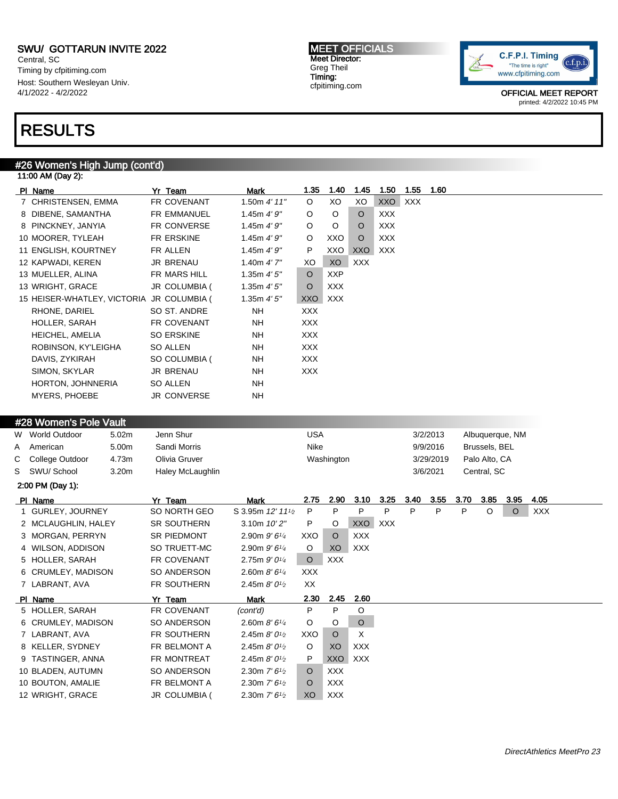Central, SC Timing by cfpitiming.com Host: Southern Wesleyan Univ. 4/1/2022 - 4/2/2022

### RESULTS

### #26 Women's High Jump (cont'd)

|   | 11:00 AM (Day 2):                         |                    |                                          |                |            |            |            |            |           |      |               |                 |            |  |
|---|-------------------------------------------|--------------------|------------------------------------------|----------------|------------|------------|------------|------------|-----------|------|---------------|-----------------|------------|--|
|   | PI Name                                   | Yr Team            | Mark                                     | 1.35           | 1.40       | 1.45       | 1.50       | 1.55       | 1.60      |      |               |                 |            |  |
|   | 7 CHRISTENSEN, EMMA                       | FR COVENANT        | 1.50m 4' 11"                             | O              | XO         | XO         | XXO        | <b>XXX</b> |           |      |               |                 |            |  |
|   | 8 DIBENE, SAMANTHA                        | <b>FR EMMANUEL</b> | 1.45m $4'9''$                            | O              | O          | $\circ$    | <b>XXX</b> |            |           |      |               |                 |            |  |
|   | 8 PINCKNEY, JANYIA                        | FR CONVERSE        | 1.45 $m$ 4' $9"$                         | O              | O          | O          | <b>XXX</b> |            |           |      |               |                 |            |  |
|   | 10 MOORER, TYLEAH                         | FR ERSKINE         | 1.45m $4'9''$                            | O              | XXO        | $\circ$    | <b>XXX</b> |            |           |      |               |                 |            |  |
|   | 11 ENGLISH, KOURTNEY                      | FR ALLEN           | 1.45m 4'9''                              | P              | XXO        | XXO        | XXX        |            |           |      |               |                 |            |  |
|   | 12 KAPWADI, KEREN                         | JR BRENAU          | 1.40m $4'$ 7"                            | XO             | XO         | <b>XXX</b> |            |            |           |      |               |                 |            |  |
|   | 13 MUELLER, ALINA                         | FR MARS HILL       | 1.35m 4'5''                              | O              | <b>XXP</b> |            |            |            |           |      |               |                 |            |  |
|   | 13 WRIGHT, GRACE                          | JR COLUMBIA (      | 1.35m $4'5''$                            | O              | <b>XXX</b> |            |            |            |           |      |               |                 |            |  |
|   | 15 HEISER-WHATLEY, VICTORIA JR COLUMBIA ( |                    | 1.35 $m$ 4' 5"                           | XXO            | <b>XXX</b> |            |            |            |           |      |               |                 |            |  |
|   | RHONE, DARIEL                             | SO ST. ANDRE       | ΝH                                       | <b>XXX</b>     |            |            |            |            |           |      |               |                 |            |  |
|   | HOLLER, SARAH                             | FR COVENANT        | NΗ                                       | <b>XXX</b>     |            |            |            |            |           |      |               |                 |            |  |
|   | HEICHEL, AMELIA                           | <b>SO ERSKINE</b>  | NΗ                                       | <b>XXX</b>     |            |            |            |            |           |      |               |                 |            |  |
|   | ROBINSON, KY'LEIGHA                       | SO ALLEN           | NΗ                                       | <b>XXX</b>     |            |            |            |            |           |      |               |                 |            |  |
|   | DAVIS, ZYKIRAH                            | SO COLUMBIA (      | ΝH                                       | XXX            |            |            |            |            |           |      |               |                 |            |  |
|   | SIMON, SKYLAR                             | JR BRENAU          | NΗ                                       | <b>XXX</b>     |            |            |            |            |           |      |               |                 |            |  |
|   | HORTON, JOHNNERIA                         | SO ALLEN           | NΗ                                       |                |            |            |            |            |           |      |               |                 |            |  |
|   | <b>MYERS, PHOEBE</b>                      | <b>JR CONVERSE</b> | <b>NH</b>                                |                |            |            |            |            |           |      |               |                 |            |  |
|   |                                           |                    |                                          |                |            |            |            |            |           |      |               |                 |            |  |
|   | #28 Women's Pole Vault                    |                    |                                          |                |            |            |            |            |           |      |               |                 |            |  |
|   | W World Outdoor<br>5.02m                  | Jenn Shur          |                                          | <b>USA</b>     |            |            |            |            | 3/2/2013  |      |               | Albuquerque, NM |            |  |
| А | American<br>5.00m                         | Sandi Morris       |                                          | Nike           |            |            |            |            | 9/9/2016  |      | Brussels, BEL |                 |            |  |
| С | 4.73m<br>College Outdoor                  | Olivia Gruver      |                                          |                | Washington |            |            |            | 3/29/2019 |      | Palo Alto, CA |                 |            |  |
| S | SWU/ School<br>3.20m                      | Haley McLaughlin   |                                          |                |            |            |            |            | 3/6/2021  |      | Central, SC   |                 |            |  |
|   | 2:00 PM (Day 1):                          |                    |                                          |                |            |            |            |            |           |      |               |                 |            |  |
|   | PI Name                                   | Yr Team            | Mark                                     | 2.75           | 2.90       | 3.10       | 3.25       | 3.40       | 3.55      | 3.70 | 3.85          | 3.95            | 4.05       |  |
|   | 1 GURLEY, JOURNEY                         | SO NORTH GEO       | S 3.95m 12' 111/2                        | P              | P          | P          | P          | P          | P         | P    | O             | O               | <b>XXX</b> |  |
|   | 2 MCLAUGHLIN, HALEY                       | <b>SR SOUTHERN</b> | 3.10m 10'2"                              | P              | O          | XXO        | XXX        |            |           |      |               |                 |            |  |
|   | 3 MORGAN, PERRYN                          | SR PIEDMONT        | 2.90m $9'6\frac{1}{4}$                   | XXO            | O          | <b>XXX</b> |            |            |           |      |               |                 |            |  |
|   | 4 WILSON, ADDISON                         | SO TRUETT-MC       | 2.90m $9'6\frac{1}{4}$                   | O              | XO         | XXX        |            |            |           |      |               |                 |            |  |
|   | 5 HOLLER, SARAH                           | FR COVENANT        | 2.75m 9' 01/4                            | $\circ$        | <b>XXX</b> |            |            |            |           |      |               |                 |            |  |
|   | 6 CRUMLEY, MADISON                        | SO ANDERSON        | 2.60m $8'6''$                            | <b>XXX</b>     |            |            |            |            |           |      |               |                 |            |  |
|   | 7 LABRANT, AVA                            | FR SOUTHERN        | 2.45m $8'0^{1/2}$                        | XX             |            |            |            |            |           |      |               |                 |            |  |
|   | PI Name                                   | Yr Team            | Mark                                     | 2.30           | 2.45       | 2.60       |            |            |           |      |               |                 |            |  |
|   | 5 HOLLER, SARAH                           | FR COVENANT        | (cont'd)                                 | P              | P          | O          |            |            |           |      |               |                 |            |  |
|   | 6 CRUMLEY, MADISON                        | SO ANDERSON        | 2.60m $8'6''$                            | O              | O          | $\circ$    |            |            |           |      |               |                 |            |  |
|   | 7 LABRANT, AVA                            | FR SOUTHERN        | 2.45m $8'0^{1/2}$                        | XXO            | O          | Х          |            |            |           |      |               |                 |            |  |
|   | 8 KELLER, SYDNEY                          | FR BELMONT A       | 2.45m $8'0\frac{1}{2}$                   | O              | XO         | <b>XXX</b> |            |            |           |      |               |                 |            |  |
|   | 9 TASTINGER, ANNA                         | FR MONTREAT        | 2.45m $8'0^{1/2}$                        | P              | <b>XXO</b> | <b>XXX</b> |            |            |           |      |               |                 |            |  |
|   | 10 BLADEN, AUTUMN                         | SO ANDERSON        | 2.30m $7'$ 6 <sup>1</sup> / <sub>2</sub> | O              | <b>XXX</b> |            |            |            |           |      |               |                 |            |  |
|   | 10 BOUTON, AMALIE                         | FR BELMONT A       | 2.30m $7'$ 6 <sup>1</sup> / <sub>2</sub> | O              | <b>XXX</b> |            |            |            |           |      |               |                 |            |  |
|   | 12 WRIGHT, GRACE                          | JR COLUMBIA (      | 2.30m $7'6\frac{1}{2}$                   | X <sub>O</sub> | <b>XXX</b> |            |            |            |           |      |               |                 |            |  |

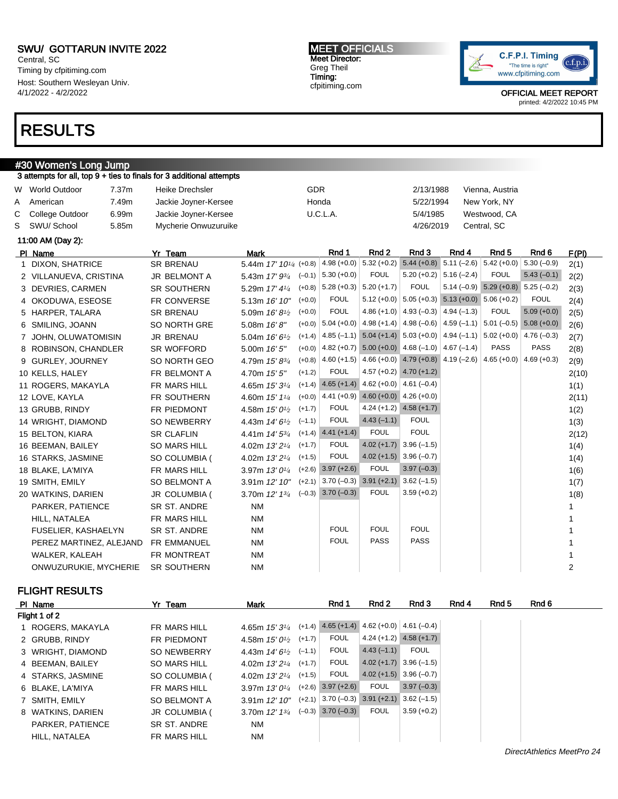Central, SC Timing by cfpitiming.com Host: Southern Wesleyan Univ. 4/1/2022 - 4/2/2022

### RESULTS

#### MEET OFFICIALS Meet Director: Greg Theil Timing: cfpitiming.com



OFFICIAL MEET REPORT printed: 4/2/2022 10:45 PM

| 3 attempts for all, top 9 + ties to finals for 3 additional attempts<br><b>GDR</b><br>W World Outdoor<br>7.37m<br><b>Heike Drechsler</b><br>2/13/1988<br>Vienna, Austria<br>7.49m<br>Honda<br>American<br>Jackie Joyner-Kersee<br>5/22/1994<br>New York, NY<br>College Outdoor<br>U.C.L.A.<br>6.99m<br>Jackie Joyner-Kersee<br>5/4/1985<br>Westwood, CA<br>5.85m<br>SWU/ School<br>Mycherie Onwuzuruike<br>4/26/2019<br>Central, SC<br>11:00 AM (Day 2):<br>Rnd 1<br>Rnd <sub>2</sub><br>Rnd 3<br>Rnd 4<br>Rnd <sub>5</sub><br>Rnd 6<br>Yr Team<br><b>Mark</b><br>PI Name<br>4.98 (+0.0) $\vert 5.32$ (+0.2)<br>$5.44 (+0.8)$<br>$5.11 (-2.6) 5.42 (+0.0)$<br>$5.30(-0.9)$<br><b>SR BRENAU</b><br>5.44m 17' 10 <sup>1/4</sup> (+0.8)<br>1 DIXON, SHATRICE<br><b>FOUL</b><br>$5.30 (+0.0)$<br>$5.20 (+0.2)$ 5.16 (-2.4)<br><b>FOUL</b><br>$5.43(-0.1)$<br>5.43m $17' 9^{3/4}$ (-0.1)<br>2 VILLANUEVA, CRISTINA<br>JR BELMONT A<br><b>FOUL</b><br>$5.14 (-0.9) 5.29 (+0.8) 5.25 (-0.2)$<br>$5.28 (+0.3)$ 5.20 (+1.7)<br>$(+0.8)$<br><b>SR SOUTHERN</b><br>3 DEVRIES, CARMEN<br>5.29m 17' 41/4<br><b>FOUL</b><br>$5.12 (+0.0)$ $5.05 (+0.3)$ $5.13 (+0.0)$ $5.06 (+0.2)$<br><b>FOUL</b><br>$(+0.0)$<br>FR CONVERSE<br>5.13m 16' 10"<br>4 OKODUWA, ESEOSE<br><b>FOUL</b><br>4.86 (+1.0) $ $ 4.93 (-0.3) $ $ 4.94 (-1.3)<br><b>FOUL</b><br>$5.09 (+0.0)$<br>$(+0.0)$<br><b>SR BRENAU</b><br>5 HARPER, TALARA<br>5.09m $16'8'$<br>$5.04 (+0.0)$ 4.98 (+1.4) 4.98 (-0.6) 4.59 (-1.1) 5.01 (-0.5) 5.08 (+0.0)<br>$(+0.0)$<br>SO NORTH GRE<br>6 SMILING, JOANN<br>5.08m 16'8"<br>4.85 (-1.1) $5.04$ (+1.4) $5.03$ (+0.0) $ 4.94$ (-1.1) $ 5.02$ (+0.0) $ 4.76$ (-0.3)<br>$(+1.4)$<br><b>JR BRENAU</b><br>7 JOHN, OLUWATOMISIN<br>5.04m $16'6'$<br><b>PASS</b><br><b>PASS</b><br>4.82 (+0.7) 5.00 (+0.0) 4.68 (-1.0) 4.67 (-1.4)<br>$(+0.0)$<br>8 ROBINSON, CHANDLER<br>SR WOFFORD<br>5.00m 16' 5"<br>4.60 (+1.5) $ 4.66$ (+0.0) 4.79 (+0.8) 4.19 (-2.6) 4.65 (+0.0)<br>$4.69 (+0.3)$<br>$(+0.8)$<br>9 GURLEY, JOURNEY<br>SO NORTH GEO<br>4.79m 15' 83/4<br><b>FOUL</b><br>$4.57 (+0.2)$ $4.70 (+1.2)$<br>$(+1.2)$<br>FR BELMONT A<br>10 KELLS, HALEY<br>4.70m 15' 5"<br>$(+1.4)$ 4.65 $(+1.4)$ 4.62 $(+0.0)$<br>$4.61(-0.4)$<br>11 ROGERS, MAKAYLA<br>FR MARS HILL<br>4.65m 15' 3 <sup>1/4</sup><br>$4.41 (+0.9)$ $4.60 (+0.0)$ $4.26 (+0.0)$<br>$(+0.0)$<br>12 LOVE, KAYLA<br>FR SOUTHERN<br>4.60m 15' 11/4<br><b>FOUL</b><br>$4.24 (+1.2)$ $4.58 (+1.7)$<br>$(+1.7)$<br>FR PIEDMONT<br>13 GRUBB, RINDY<br>4.58m $15'0'^2$<br><b>FOUL</b><br>$4.43(-1.1)$<br><b>FOUL</b><br>$(-1.1)$<br>SO NEWBERRY<br>14 WRIGHT, DIAMOND<br>4.43m $14'6'$<br><b>FOUL</b><br><b>FOUL</b><br>$(+1.4)$ 4.41 $(+1.4)$<br><b>SR CLAFLIN</b><br>4.41m 14' 5 <sup>3/4</sup><br>15 BELTON, KIARA<br><b>FOUL</b><br>$4.02 (+1.7)$ 3.96 (-1.5)<br>$(+1.7)$<br><b>SO MARS HILL</b><br>4.02m 13' 2 <sup>1/4</sup><br>16 BEEMAN, BAILEY<br><b>FOUL</b><br>$4.02 (+1.5)$ 3.96 (-0.7)<br>$(+1.5)$<br>16 STARKS, JASMINE<br>SO COLUMBIA (<br>4.02m 13' 2 <sup>1/4</sup><br>$(+2.6)$ 3.97 $(+2.6)$<br><b>FOUL</b><br>$3.97(-0.3)$<br>FR MARS HILL<br>3.97m 13' 0 <sup>1/4</sup><br>18 BLAKE, LA'MIYA<br>$3.70 (-0.3)$ $3.91 (+2.1)$<br>$3.62(-1.5)$<br>$(+2.1)$<br>SO BELMONT A<br>3.91m 12' 10"<br>19 SMITH, EMILY<br><b>FOUL</b><br>$(-0.3)$ 3.70 $(-0.3)$<br>$3.59 (+0.2)$<br>3.70m $12'$ $1^{3}/_4$<br>20 WATKINS, DARIEN<br>JR COLUMBIA (<br>SR ST. ANDRE<br><b>NM</b><br>PARKER, PATIENCE<br><b>NM</b><br>FR MARS HILL<br>HILL, NATALEA<br><b>FOUL</b><br><b>FOUL</b><br><b>FOUL</b><br>SR ST. ANDRE<br><b>NM</b><br><b>FUSELIER, KASHAELYN</b><br><b>FOUL</b><br><b>PASS</b><br>PASS<br>FR EMMANUEL<br><b>NM</b><br>PEREZ MARTINEZ, ALEJAND<br><b>NM</b><br>WALKER, KALEAH<br>FR MONTREAT<br><b>SR SOUTHERN</b><br><b>NM</b><br>ONWUZURUKIE, MYCHERIE |   | #30 Women's Long Jump |  |  |  |  |       |
|----------------------------------------------------------------------------------------------------------------------------------------------------------------------------------------------------------------------------------------------------------------------------------------------------------------------------------------------------------------------------------------------------------------------------------------------------------------------------------------------------------------------------------------------------------------------------------------------------------------------------------------------------------------------------------------------------------------------------------------------------------------------------------------------------------------------------------------------------------------------------------------------------------------------------------------------------------------------------------------------------------------------------------------------------------------------------------------------------------------------------------------------------------------------------------------------------------------------------------------------------------------------------------------------------------------------------------------------------------------------------------------------------------------------------------------------------------------------------------------------------------------------------------------------------------------------------------------------------------------------------------------------------------------------------------------------------------------------------------------------------------------------------------------------------------------------------------------------------------------------------------------------------------------------------------------------------------------------------------------------------------------------------------------------------------------------------------------------------------------------------------------------------------------------------------------------------------------------------------------------------------------------------------------------------------------------------------------------------------------------------------------------------------------------------------------------------------------------------------------------------------------------------------------------------------------------------------------------------------------------------------------------------------------------------------------------------------------------------------------------------------------------------------------------------------------------------------------------------------------------------------------------------------------------------------------------------------------------------------------------------------------------------------------------------------------------------------------------------------------------------------------------------------------------------------------------------------------------------------------------------------------------------------------------------------------------------------------------------------------------------------------------------------------------------------------------------------------------------------------------------------------------------------------------------------------------------------------------------------------------------------------------------------------------------------------------------------------------------------------------------------------------------------------------------------------------|---|-----------------------|--|--|--|--|-------|
|                                                                                                                                                                                                                                                                                                                                                                                                                                                                                                                                                                                                                                                                                                                                                                                                                                                                                                                                                                                                                                                                                                                                                                                                                                                                                                                                                                                                                                                                                                                                                                                                                                                                                                                                                                                                                                                                                                                                                                                                                                                                                                                                                                                                                                                                                                                                                                                                                                                                                                                                                                                                                                                                                                                                                                                                                                                                                                                                                                                                                                                                                                                                                                                                                                                                                                                                                                                                                                                                                                                                                                                                                                                                                                                                                                                                                      |   |                       |  |  |  |  |       |
|                                                                                                                                                                                                                                                                                                                                                                                                                                                                                                                                                                                                                                                                                                                                                                                                                                                                                                                                                                                                                                                                                                                                                                                                                                                                                                                                                                                                                                                                                                                                                                                                                                                                                                                                                                                                                                                                                                                                                                                                                                                                                                                                                                                                                                                                                                                                                                                                                                                                                                                                                                                                                                                                                                                                                                                                                                                                                                                                                                                                                                                                                                                                                                                                                                                                                                                                                                                                                                                                                                                                                                                                                                                                                                                                                                                                                      |   |                       |  |  |  |  |       |
|                                                                                                                                                                                                                                                                                                                                                                                                                                                                                                                                                                                                                                                                                                                                                                                                                                                                                                                                                                                                                                                                                                                                                                                                                                                                                                                                                                                                                                                                                                                                                                                                                                                                                                                                                                                                                                                                                                                                                                                                                                                                                                                                                                                                                                                                                                                                                                                                                                                                                                                                                                                                                                                                                                                                                                                                                                                                                                                                                                                                                                                                                                                                                                                                                                                                                                                                                                                                                                                                                                                                                                                                                                                                                                                                                                                                                      | Α |                       |  |  |  |  |       |
|                                                                                                                                                                                                                                                                                                                                                                                                                                                                                                                                                                                                                                                                                                                                                                                                                                                                                                                                                                                                                                                                                                                                                                                                                                                                                                                                                                                                                                                                                                                                                                                                                                                                                                                                                                                                                                                                                                                                                                                                                                                                                                                                                                                                                                                                                                                                                                                                                                                                                                                                                                                                                                                                                                                                                                                                                                                                                                                                                                                                                                                                                                                                                                                                                                                                                                                                                                                                                                                                                                                                                                                                                                                                                                                                                                                                                      | С |                       |  |  |  |  |       |
|                                                                                                                                                                                                                                                                                                                                                                                                                                                                                                                                                                                                                                                                                                                                                                                                                                                                                                                                                                                                                                                                                                                                                                                                                                                                                                                                                                                                                                                                                                                                                                                                                                                                                                                                                                                                                                                                                                                                                                                                                                                                                                                                                                                                                                                                                                                                                                                                                                                                                                                                                                                                                                                                                                                                                                                                                                                                                                                                                                                                                                                                                                                                                                                                                                                                                                                                                                                                                                                                                                                                                                                                                                                                                                                                                                                                                      | S |                       |  |  |  |  |       |
|                                                                                                                                                                                                                                                                                                                                                                                                                                                                                                                                                                                                                                                                                                                                                                                                                                                                                                                                                                                                                                                                                                                                                                                                                                                                                                                                                                                                                                                                                                                                                                                                                                                                                                                                                                                                                                                                                                                                                                                                                                                                                                                                                                                                                                                                                                                                                                                                                                                                                                                                                                                                                                                                                                                                                                                                                                                                                                                                                                                                                                                                                                                                                                                                                                                                                                                                                                                                                                                                                                                                                                                                                                                                                                                                                                                                                      |   |                       |  |  |  |  |       |
|                                                                                                                                                                                                                                                                                                                                                                                                                                                                                                                                                                                                                                                                                                                                                                                                                                                                                                                                                                                                                                                                                                                                                                                                                                                                                                                                                                                                                                                                                                                                                                                                                                                                                                                                                                                                                                                                                                                                                                                                                                                                                                                                                                                                                                                                                                                                                                                                                                                                                                                                                                                                                                                                                                                                                                                                                                                                                                                                                                                                                                                                                                                                                                                                                                                                                                                                                                                                                                                                                                                                                                                                                                                                                                                                                                                                                      |   |                       |  |  |  |  | F(PI) |
|                                                                                                                                                                                                                                                                                                                                                                                                                                                                                                                                                                                                                                                                                                                                                                                                                                                                                                                                                                                                                                                                                                                                                                                                                                                                                                                                                                                                                                                                                                                                                                                                                                                                                                                                                                                                                                                                                                                                                                                                                                                                                                                                                                                                                                                                                                                                                                                                                                                                                                                                                                                                                                                                                                                                                                                                                                                                                                                                                                                                                                                                                                                                                                                                                                                                                                                                                                                                                                                                                                                                                                                                                                                                                                                                                                                                                      |   |                       |  |  |  |  | 2(1)  |
|                                                                                                                                                                                                                                                                                                                                                                                                                                                                                                                                                                                                                                                                                                                                                                                                                                                                                                                                                                                                                                                                                                                                                                                                                                                                                                                                                                                                                                                                                                                                                                                                                                                                                                                                                                                                                                                                                                                                                                                                                                                                                                                                                                                                                                                                                                                                                                                                                                                                                                                                                                                                                                                                                                                                                                                                                                                                                                                                                                                                                                                                                                                                                                                                                                                                                                                                                                                                                                                                                                                                                                                                                                                                                                                                                                                                                      |   |                       |  |  |  |  |       |
|                                                                                                                                                                                                                                                                                                                                                                                                                                                                                                                                                                                                                                                                                                                                                                                                                                                                                                                                                                                                                                                                                                                                                                                                                                                                                                                                                                                                                                                                                                                                                                                                                                                                                                                                                                                                                                                                                                                                                                                                                                                                                                                                                                                                                                                                                                                                                                                                                                                                                                                                                                                                                                                                                                                                                                                                                                                                                                                                                                                                                                                                                                                                                                                                                                                                                                                                                                                                                                                                                                                                                                                                                                                                                                                                                                                                                      |   |                       |  |  |  |  | 2(3)  |
|                                                                                                                                                                                                                                                                                                                                                                                                                                                                                                                                                                                                                                                                                                                                                                                                                                                                                                                                                                                                                                                                                                                                                                                                                                                                                                                                                                                                                                                                                                                                                                                                                                                                                                                                                                                                                                                                                                                                                                                                                                                                                                                                                                                                                                                                                                                                                                                                                                                                                                                                                                                                                                                                                                                                                                                                                                                                                                                                                                                                                                                                                                                                                                                                                                                                                                                                                                                                                                                                                                                                                                                                                                                                                                                                                                                                                      |   |                       |  |  |  |  |       |
|                                                                                                                                                                                                                                                                                                                                                                                                                                                                                                                                                                                                                                                                                                                                                                                                                                                                                                                                                                                                                                                                                                                                                                                                                                                                                                                                                                                                                                                                                                                                                                                                                                                                                                                                                                                                                                                                                                                                                                                                                                                                                                                                                                                                                                                                                                                                                                                                                                                                                                                                                                                                                                                                                                                                                                                                                                                                                                                                                                                                                                                                                                                                                                                                                                                                                                                                                                                                                                                                                                                                                                                                                                                                                                                                                                                                                      |   |                       |  |  |  |  |       |
|                                                                                                                                                                                                                                                                                                                                                                                                                                                                                                                                                                                                                                                                                                                                                                                                                                                                                                                                                                                                                                                                                                                                                                                                                                                                                                                                                                                                                                                                                                                                                                                                                                                                                                                                                                                                                                                                                                                                                                                                                                                                                                                                                                                                                                                                                                                                                                                                                                                                                                                                                                                                                                                                                                                                                                                                                                                                                                                                                                                                                                                                                                                                                                                                                                                                                                                                                                                                                                                                                                                                                                                                                                                                                                                                                                                                                      |   |                       |  |  |  |  |       |
|                                                                                                                                                                                                                                                                                                                                                                                                                                                                                                                                                                                                                                                                                                                                                                                                                                                                                                                                                                                                                                                                                                                                                                                                                                                                                                                                                                                                                                                                                                                                                                                                                                                                                                                                                                                                                                                                                                                                                                                                                                                                                                                                                                                                                                                                                                                                                                                                                                                                                                                                                                                                                                                                                                                                                                                                                                                                                                                                                                                                                                                                                                                                                                                                                                                                                                                                                                                                                                                                                                                                                                                                                                                                                                                                                                                                                      |   |                       |  |  |  |  |       |
|                                                                                                                                                                                                                                                                                                                                                                                                                                                                                                                                                                                                                                                                                                                                                                                                                                                                                                                                                                                                                                                                                                                                                                                                                                                                                                                                                                                                                                                                                                                                                                                                                                                                                                                                                                                                                                                                                                                                                                                                                                                                                                                                                                                                                                                                                                                                                                                                                                                                                                                                                                                                                                                                                                                                                                                                                                                                                                                                                                                                                                                                                                                                                                                                                                                                                                                                                                                                                                                                                                                                                                                                                                                                                                                                                                                                                      |   |                       |  |  |  |  |       |
|                                                                                                                                                                                                                                                                                                                                                                                                                                                                                                                                                                                                                                                                                                                                                                                                                                                                                                                                                                                                                                                                                                                                                                                                                                                                                                                                                                                                                                                                                                                                                                                                                                                                                                                                                                                                                                                                                                                                                                                                                                                                                                                                                                                                                                                                                                                                                                                                                                                                                                                                                                                                                                                                                                                                                                                                                                                                                                                                                                                                                                                                                                                                                                                                                                                                                                                                                                                                                                                                                                                                                                                                                                                                                                                                                                                                                      |   |                       |  |  |  |  |       |
|                                                                                                                                                                                                                                                                                                                                                                                                                                                                                                                                                                                                                                                                                                                                                                                                                                                                                                                                                                                                                                                                                                                                                                                                                                                                                                                                                                                                                                                                                                                                                                                                                                                                                                                                                                                                                                                                                                                                                                                                                                                                                                                                                                                                                                                                                                                                                                                                                                                                                                                                                                                                                                                                                                                                                                                                                                                                                                                                                                                                                                                                                                                                                                                                                                                                                                                                                                                                                                                                                                                                                                                                                                                                                                                                                                                                                      |   |                       |  |  |  |  |       |
|                                                                                                                                                                                                                                                                                                                                                                                                                                                                                                                                                                                                                                                                                                                                                                                                                                                                                                                                                                                                                                                                                                                                                                                                                                                                                                                                                                                                                                                                                                                                                                                                                                                                                                                                                                                                                                                                                                                                                                                                                                                                                                                                                                                                                                                                                                                                                                                                                                                                                                                                                                                                                                                                                                                                                                                                                                                                                                                                                                                                                                                                                                                                                                                                                                                                                                                                                                                                                                                                                                                                                                                                                                                                                                                                                                                                                      |   |                       |  |  |  |  |       |
|                                                                                                                                                                                                                                                                                                                                                                                                                                                                                                                                                                                                                                                                                                                                                                                                                                                                                                                                                                                                                                                                                                                                                                                                                                                                                                                                                                                                                                                                                                                                                                                                                                                                                                                                                                                                                                                                                                                                                                                                                                                                                                                                                                                                                                                                                                                                                                                                                                                                                                                                                                                                                                                                                                                                                                                                                                                                                                                                                                                                                                                                                                                                                                                                                                                                                                                                                                                                                                                                                                                                                                                                                                                                                                                                                                                                                      |   |                       |  |  |  |  |       |
|                                                                                                                                                                                                                                                                                                                                                                                                                                                                                                                                                                                                                                                                                                                                                                                                                                                                                                                                                                                                                                                                                                                                                                                                                                                                                                                                                                                                                                                                                                                                                                                                                                                                                                                                                                                                                                                                                                                                                                                                                                                                                                                                                                                                                                                                                                                                                                                                                                                                                                                                                                                                                                                                                                                                                                                                                                                                                                                                                                                                                                                                                                                                                                                                                                                                                                                                                                                                                                                                                                                                                                                                                                                                                                                                                                                                                      |   |                       |  |  |  |  |       |
|                                                                                                                                                                                                                                                                                                                                                                                                                                                                                                                                                                                                                                                                                                                                                                                                                                                                                                                                                                                                                                                                                                                                                                                                                                                                                                                                                                                                                                                                                                                                                                                                                                                                                                                                                                                                                                                                                                                                                                                                                                                                                                                                                                                                                                                                                                                                                                                                                                                                                                                                                                                                                                                                                                                                                                                                                                                                                                                                                                                                                                                                                                                                                                                                                                                                                                                                                                                                                                                                                                                                                                                                                                                                                                                                                                                                                      |   |                       |  |  |  |  |       |
|                                                                                                                                                                                                                                                                                                                                                                                                                                                                                                                                                                                                                                                                                                                                                                                                                                                                                                                                                                                                                                                                                                                                                                                                                                                                                                                                                                                                                                                                                                                                                                                                                                                                                                                                                                                                                                                                                                                                                                                                                                                                                                                                                                                                                                                                                                                                                                                                                                                                                                                                                                                                                                                                                                                                                                                                                                                                                                                                                                                                                                                                                                                                                                                                                                                                                                                                                                                                                                                                                                                                                                                                                                                                                                                                                                                                                      |   |                       |  |  |  |  |       |
|                                                                                                                                                                                                                                                                                                                                                                                                                                                                                                                                                                                                                                                                                                                                                                                                                                                                                                                                                                                                                                                                                                                                                                                                                                                                                                                                                                                                                                                                                                                                                                                                                                                                                                                                                                                                                                                                                                                                                                                                                                                                                                                                                                                                                                                                                                                                                                                                                                                                                                                                                                                                                                                                                                                                                                                                                                                                                                                                                                                                                                                                                                                                                                                                                                                                                                                                                                                                                                                                                                                                                                                                                                                                                                                                                                                                                      |   |                       |  |  |  |  |       |
|                                                                                                                                                                                                                                                                                                                                                                                                                                                                                                                                                                                                                                                                                                                                                                                                                                                                                                                                                                                                                                                                                                                                                                                                                                                                                                                                                                                                                                                                                                                                                                                                                                                                                                                                                                                                                                                                                                                                                                                                                                                                                                                                                                                                                                                                                                                                                                                                                                                                                                                                                                                                                                                                                                                                                                                                                                                                                                                                                                                                                                                                                                                                                                                                                                                                                                                                                                                                                                                                                                                                                                                                                                                                                                                                                                                                                      |   |                       |  |  |  |  |       |
|                                                                                                                                                                                                                                                                                                                                                                                                                                                                                                                                                                                                                                                                                                                                                                                                                                                                                                                                                                                                                                                                                                                                                                                                                                                                                                                                                                                                                                                                                                                                                                                                                                                                                                                                                                                                                                                                                                                                                                                                                                                                                                                                                                                                                                                                                                                                                                                                                                                                                                                                                                                                                                                                                                                                                                                                                                                                                                                                                                                                                                                                                                                                                                                                                                                                                                                                                                                                                                                                                                                                                                                                                                                                                                                                                                                                                      |   |                       |  |  |  |  |       |
|                                                                                                                                                                                                                                                                                                                                                                                                                                                                                                                                                                                                                                                                                                                                                                                                                                                                                                                                                                                                                                                                                                                                                                                                                                                                                                                                                                                                                                                                                                                                                                                                                                                                                                                                                                                                                                                                                                                                                                                                                                                                                                                                                                                                                                                                                                                                                                                                                                                                                                                                                                                                                                                                                                                                                                                                                                                                                                                                                                                                                                                                                                                                                                                                                                                                                                                                                                                                                                                                                                                                                                                                                                                                                                                                                                                                                      |   |                       |  |  |  |  |       |
|                                                                                                                                                                                                                                                                                                                                                                                                                                                                                                                                                                                                                                                                                                                                                                                                                                                                                                                                                                                                                                                                                                                                                                                                                                                                                                                                                                                                                                                                                                                                                                                                                                                                                                                                                                                                                                                                                                                                                                                                                                                                                                                                                                                                                                                                                                                                                                                                                                                                                                                                                                                                                                                                                                                                                                                                                                                                                                                                                                                                                                                                                                                                                                                                                                                                                                                                                                                                                                                                                                                                                                                                                                                                                                                                                                                                                      |   |                       |  |  |  |  |       |
|                                                                                                                                                                                                                                                                                                                                                                                                                                                                                                                                                                                                                                                                                                                                                                                                                                                                                                                                                                                                                                                                                                                                                                                                                                                                                                                                                                                                                                                                                                                                                                                                                                                                                                                                                                                                                                                                                                                                                                                                                                                                                                                                                                                                                                                                                                                                                                                                                                                                                                                                                                                                                                                                                                                                                                                                                                                                                                                                                                                                                                                                                                                                                                                                                                                                                                                                                                                                                                                                                                                                                                                                                                                                                                                                                                                                                      |   |                       |  |  |  |  |       |
|                                                                                                                                                                                                                                                                                                                                                                                                                                                                                                                                                                                                                                                                                                                                                                                                                                                                                                                                                                                                                                                                                                                                                                                                                                                                                                                                                                                                                                                                                                                                                                                                                                                                                                                                                                                                                                                                                                                                                                                                                                                                                                                                                                                                                                                                                                                                                                                                                                                                                                                                                                                                                                                                                                                                                                                                                                                                                                                                                                                                                                                                                                                                                                                                                                                                                                                                                                                                                                                                                                                                                                                                                                                                                                                                                                                                                      |   |                       |  |  |  |  |       |
|                                                                                                                                                                                                                                                                                                                                                                                                                                                                                                                                                                                                                                                                                                                                                                                                                                                                                                                                                                                                                                                                                                                                                                                                                                                                                                                                                                                                                                                                                                                                                                                                                                                                                                                                                                                                                                                                                                                                                                                                                                                                                                                                                                                                                                                                                                                                                                                                                                                                                                                                                                                                                                                                                                                                                                                                                                                                                                                                                                                                                                                                                                                                                                                                                                                                                                                                                                                                                                                                                                                                                                                                                                                                                                                                                                                                                      |   |                       |  |  |  |  |       |
|                                                                                                                                                                                                                                                                                                                                                                                                                                                                                                                                                                                                                                                                                                                                                                                                                                                                                                                                                                                                                                                                                                                                                                                                                                                                                                                                                                                                                                                                                                                                                                                                                                                                                                                                                                                                                                                                                                                                                                                                                                                                                                                                                                                                                                                                                                                                                                                                                                                                                                                                                                                                                                                                                                                                                                                                                                                                                                                                                                                                                                                                                                                                                                                                                                                                                                                                                                                                                                                                                                                                                                                                                                                                                                                                                                                                                      |   |                       |  |  |  |  |       |
|                                                                                                                                                                                                                                                                                                                                                                                                                                                                                                                                                                                                                                                                                                                                                                                                                                                                                                                                                                                                                                                                                                                                                                                                                                                                                                                                                                                                                                                                                                                                                                                                                                                                                                                                                                                                                                                                                                                                                                                                                                                                                                                                                                                                                                                                                                                                                                                                                                                                                                                                                                                                                                                                                                                                                                                                                                                                                                                                                                                                                                                                                                                                                                                                                                                                                                                                                                                                                                                                                                                                                                                                                                                                                                                                                                                                                      |   |                       |  |  |  |  |       |
|                                                                                                                                                                                                                                                                                                                                                                                                                                                                                                                                                                                                                                                                                                                                                                                                                                                                                                                                                                                                                                                                                                                                                                                                                                                                                                                                                                                                                                                                                                                                                                                                                                                                                                                                                                                                                                                                                                                                                                                                                                                                                                                                                                                                                                                                                                                                                                                                                                                                                                                                                                                                                                                                                                                                                                                                                                                                                                                                                                                                                                                                                                                                                                                                                                                                                                                                                                                                                                                                                                                                                                                                                                                                                                                                                                                                                      |   |                       |  |  |  |  | 2     |

### FLIGHT RESULTS

| PI Name           | Yr Team       | Mark                                | Rnd 1                                        | Rnd 2                                  | Rnd 3        | Rnd 4 | Rnd 5 | Rnd 6 |
|-------------------|---------------|-------------------------------------|----------------------------------------------|----------------------------------------|--------------|-------|-------|-------|
| Flight 1 of 2     |               |                                     |                                              |                                        |              |       |       |       |
| 1 ROGERS, MAKAYLA | FR MARS HILL  | 4.65m $15'3\frac{1}{4}$             | $(+1.4)$ 4.65 (+1.4) 4.62 (+0.0) 4.61 (-0.4) |                                        |              |       |       |       |
| 2 GRUBB, RINDY    | FR PIEDMONT   | $(+1.7)$<br>4.58m $15'0\frac{1}{2}$ | FOUL                                         | $4.24 (+1.2)$ $4.58 (+1.7)$            |              |       |       |       |
| 3 WRIGHT, DIAMOND | SO NEWBERRY   | $(-1.1)$<br>4.43m $14'6\frac{1}{2}$ | <b>FOUL</b>                                  | $4.43(-1.1)$                           | FOUL         |       |       |       |
| 4 BEEMAN, BAILEY  | SO MARS HILL  | $(+1.7)$<br>4.02m $13'2\frac{1}{4}$ | <b>FOUL</b>                                  | $4.02 (+1.7)$ 3.96 (-1.5)              |              |       |       |       |
| 4 STARKS, JASMINE | SO COLUMBIA ( | $(+1.5)$<br>4.02m $13'2^{1/4}$      | <b>FOUL</b>                                  | $4.02 (+1.5)$ 3.96 (-0.7)              |              |       |       |       |
| 6 BLAKE, LA'MIYA  | FR MARS HILL  | 3.97m $13'0\frac{1}{4}$             | $(+2.6)$ 3.97 $(+2.6)$                       | <b>FOUL</b>                            | $3.97(-0.3)$ |       |       |       |
| 7 SMITH, EMILY    | SO BELMONT A  | $(+2.1)$<br>$3.91m$ 12' 10"         |                                              | $3.70(-0.3)$ $3.91(+2.1)$ $3.62(-1.5)$ |              |       |       |       |
| 8 WATKINS, DARIEN | JR COLUMBIA ( | $(-0.3)$<br>3.70m $12'$ $1^{3}/_4$  | $3.70(-0.3)$                                 | <b>FOUL</b>                            | $3.59(+0.2)$ |       |       |       |
| PARKER, PATIENCE  | SR ST. ANDRE  | NM                                  |                                              |                                        |              |       |       |       |
| HILL, NATALEA     | FR MARS HILL  | NM                                  |                                              |                                        |              |       |       |       |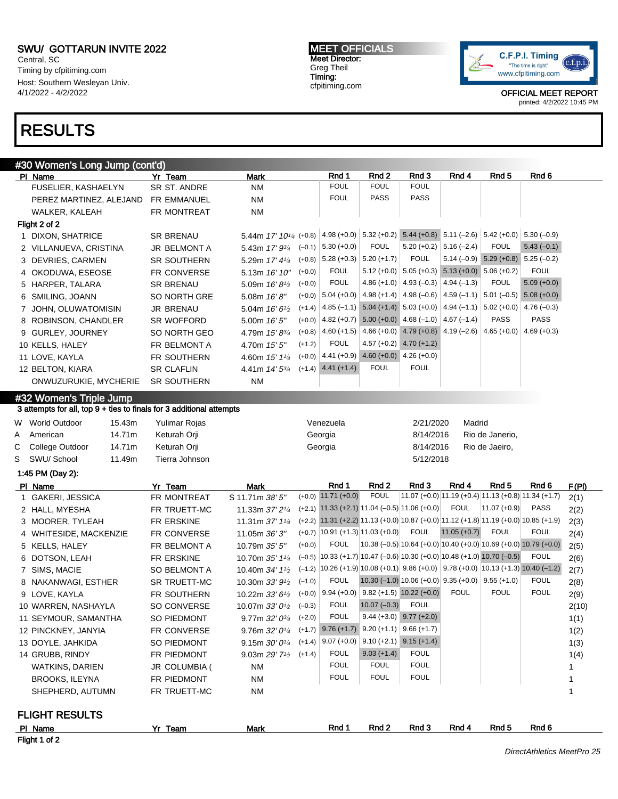Central, SC Timing by cfpitiming.com Host: Southern Wesleyan Univ. 4/1/2022 - 4/2/2022

### RESULTS

Flight 1 of 2

#30 Women's Long Jump (cont'd) PIName 7r Team Mark Rnd 1 Rnd 2 Rnd 3 Rnd 4 Rnd 5 Rnd 6 Rnd 6 Rnd 5 Rnd 6 Rnd 5 Rnd 6 Rnd 6 Rnd 6 Rnd 6 Rnd 6 Rnd 6 Rnd 6 Rnd 6 Rnd 6 Rnd 6 Rnd 6 Rnd 6 Rnd 6 Rnd 6 Rnd 6 Rnd 6 Rnd 6 Rnd 6 Rnd 6 Rnd 6 Rnd 6 Rnd 6 Rnd 6 Rnd FUSELIER, KASHAELYN SR ST. ANDRE NM FOUL FOUL FOUL FOUL PEREZ MARTINEZ, ALEJAND FR EMMANUEL NM NM FOUL PASS PASS WALKER, KALEAH FR MONTREAT NM Flight 2 of 2 1 DIXON, SHATRICE SR BRENAU 5.44m 17' 10<sup>1/4</sup> (+0.8) (+0.8) 4.98 (+0.0) 5.32 (+0.2) 5.44 (+0.8) 5.11 (–2.6) 5.42 (+0.0) 5.30 (–0.9) 2 VILLANUEVA, CRISTINA JR BELMONT A 5.43m 17' 934  $(-0.1)$  5.30 (+0.0) FOUL 5.20 (+0.2) 5.16 (-2.4) FOUL 5.43 (-0.1) 3 DEVRIES, CARMEN SR SOUTHERN 5.29m 17' 41/4  $(+0.8)$  5.28 (+0.3) 5.20 (+1.7) FOUL 5.14 (-0.9) 5.29 (+0.8) 5.25 (-0.2) 4 OKODUWA, ESEOSE FR CONVERSE 5.13m 16' 10"  $(+0.0)$  FOUL 5.12  $(+0.0)$  5.05  $(+0.3)$  5.13  $(+0.0)$  5.06  $(+0.2)$  FOUL 5 HARPER, TALARA SR BRENAU 5.09m 16'8<sup>1/2</sup>  $(+0.0)$  FOUL 4.86 (+1.0) 4.93 (-0.3) 4.94 (-1.3) FOUL 5.09 (+0.0) 6 SMILING, JOANN SO NORTH GRE 5.08m 16' 8"  $(+0.0)$  5.04 ( $+0.0$ ) 4.98 ( $+1.4$ ) 4.98 ( $-0.6$ ) 4.59 ( $-1.1$ ) 5.01 ( $-0.5$ ) 5.08 ( $+0.0$ ) 7 JOHN, OLUWATOMISIN JR BRENAU 5.04m 16' 6<sup>1</sup>/2  $(+1.4)$  4.85 (-1.1) 5.04 (+1.4) 5.03 (+0.0) 4.94 (-1.1) 5.02 (+0.0) 4.76 (-0.3) 8 ROBINSON, CHANDLER SR WOFFORD 5.00m 16' 5"  $(+0.0)$  4.82 (+0.7) 5.00 (+0.0) 4.68 (-1.0) 4.67 (-1.4) PASS PASS 9 GURLEY, JOURNEY SO NORTH GEO 4.79m 15' 83/4  $(+0.8)$  4.60 (+1.5) 4.66 (+0.0) 4.79 (+0.8) 4.19 (-2.6) 4.65 (+0.0) 4.69 (+0.3) 10 KELLS, HALEY FR BELMONT A 4.70m 15' 5"  $(+1.2)$  FOUL 4.57 (+0.2) 4.70 (+1.2) 11 LOVE, KAYLA FR SOUTHERN 4.60m 15' 11/<sup>4</sup> (+0.0) 4.41 (+0.9) 4.60 (+0.0) 4.26 (+0.0) 12 BELTON, KIARA SR CLAFLIN 4.41m 14' 53/4 (+1.4) 4.41 (+1.4) FOUL FOUL ONWUZURUKIE, MYCHERIE SR SOUTHERN NM #32 Women's Triple Jump 3 attempts for all, top 9 + ties to finals for 3 additional attempts W World Outdoor 15.43m Yulimar Rojas Venezuela 2/21/2020 Madrid A American 14.71m Keturah Orji Georgia 8/14/2016 Rio de Janerio, C College Outdoor 14.71m Keturah Orji Georgia 8/14/2016 Rio de Jaeiro, S SWU/ School 11.49m Tierra Johnson 5/12/2018 1:45 PM (Day 2): Pl Name **Yr Team Mark Rnd 1 Rnd 2 Rnd 3 Rnd 4 Rnd 5** Rnd 6 F(PI) 1 GAKERI, JESSICA FR MONTREAT S 11.71m 38' 5"  $(11.71 \text{ (+0.0)} \quad 11.71 \text{ (+0.0)} \quad \text{FOUL} \quad |11.07 \text{ (+0.0)} \quad 11.19 \text{ (+0.4)} \quad 11.13 \text{ (+0.8)} \quad 11.34 \text{ (+1.7)} \quad 2(1)$ 2 HALL, MYESHA FR TRUETT-MC 11.33m 37' 21/<sup>4</sup>  $(+2.1)$  11.33 ( $+2.1$ ) 11.04 (-0.5) 11.06 (+0.0) FOUL 11.07 (+0.9) PASS 2(2) 3 MOORER, TYLEAH FR ERSKINE 11.31m 37' 1<sup>1/4</sup> (+2.2) 11.31 (+2.2) 11.13 (+0.0) 10.87 (+0.0) 11.12 (+1.8) 11.19 (+0.0) 10.85 (+1.9) 2(3) 4 WHITESIDE. MACKENZIE FR CONVERSE 11.05m 36' 3"  $(+0.7)$  10.91  $(+1.3)$  11.03  $(+0.0)$  FOUL 11.05  $(+0.7)$  FOUL FOUL 2(4) 5 KELLS, HALEY FR BELMONT A 10.79m 35' 5"  $(0.0)$  FOUL 10.38 (-0.5) 10.64 (+0.0) 10.40 (+0.0) 10.69 (+0.0) 10.79 (+0.0) 2(5) 6 DOTSON, LEAH FR ERSKINE 10.70m 35' 1<sup>1/4</sup>  $(-0.5)$  10.33 (+1.7) 10.47 (-0.6) 10.30 (+0.0) 10.48 (+1.0) 10.70 (-0.5) FOUL 2(6) 7 SIMS, MACIE SO BELMONT A 10.40m 34' 1<sup>1</sup>/<sub>2</sub>  $(-1.2)$  10.26 (+1.9) 10.08 (+0.1) 9.86 (+0.0) 9.78 (+0.0) 10.13 (+1.3) 10.40 (-1.2) 2(7) 8 NAKANWAGI, ESTHER SR TRUETT-MC 10.30m 33' 9<sup>1</sup>/2  $(-1.0)$  FOUL 10.30 (-1.0) 10.06 (+0.0) 9.35 (+0.0) 9.55 (+1.0) FOUL 2(8) 9 LOVE, KAYLA FR SOUTHERN 10.22m 33' 6<sup>1/2</sup>  $(+0.0)$  9.94  $(+0.0)$  9.82  $(+1.5)$  10.22  $(+0.0)$  FOUL FOUL FOUL 2(9) 10 WARREN, NASHAYLA SO CONVERSE 10.07m 33' 0<sup>1</sup>/2  $(-0.3)$  FOUL 10.07  $(-0.3)$  FOUL 2(10) 11 SEYMOUR, SAMANTHA SO PIEDMONT 9.77m 32' 03/<sup>4</sup>  $(+2.0)$  FOUL 9.44 (+3.0) 9.77 (+2.0) 1(1) 12 PINCKNEY, JANYIA FR CONVERSE 9.76m 32' 0<sup>1/4</sup>  $(+1.7)$  9.76  $(+1.7)$  9.20  $(+1.1)$  9.66  $(+1.7)$  1(2) 13 DOYLE, JAHKIDA SO PIEDMONT 9.15m 30' 0<sup>1/4</sup>  $(+1.4)$  9.07 (+0.0) 9.10 (+2.1) 9.15 (+1.4) 1(3) 14 GRUBB, RINDY FR PIEDMONT 9.03m 29' 7<sup>1</sup>/2  $(+1.4)$  FOUL 9.03 (+1.4) FOUL 1(4) WATKINS, DARIEN JR COLUMBIA ( NM FOUL FOUL FOUL 1 BROOKS, ILEYNA FR PIEDMONT NM FOUL FOUL FOUL TOUL 1 SHEPHERD, AUTUMN FR TRUETT-MC NM 1 FLIGHT RESULTS Pl Name Yr Team Mark Rnd 1 Rnd 2 Rnd 3 Rnd 4 Rnd 5 Rnd 6

MEET OFFICIALS Meet Director: Greg Theil Timing: cfpitiming.com

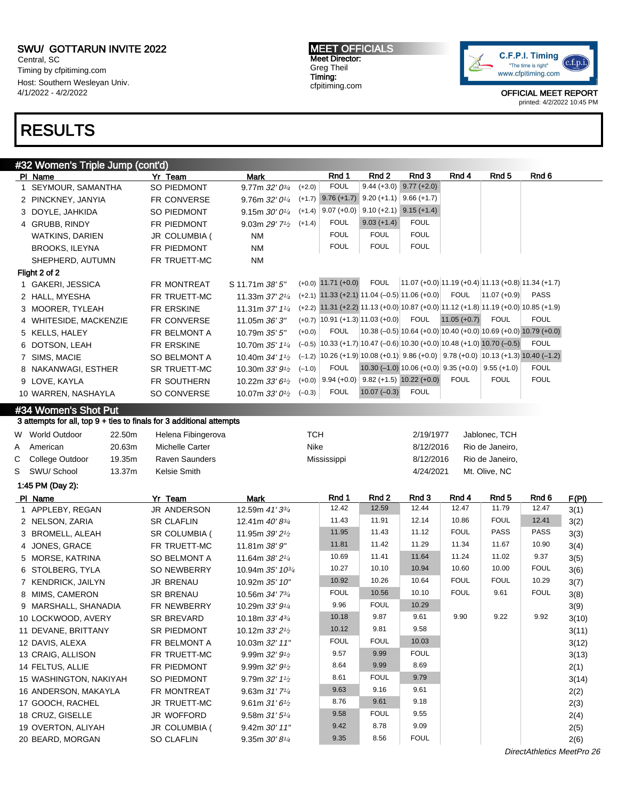Central, SC Timing by cfpitiming.com Host: Southern Wesleyan Univ. 4/1/2022 - 4/2/2022

### RESULTS

### #32 Women's Triple Jump (cont'd)

| PI Name                | Yr Team            | Mark                          |          | Rnd 1                   | Rnd 2                                                                     | Rnd 3                                                     | Rnd 4          | Rnd 5           | Rnd 6                                                                                              |
|------------------------|--------------------|-------------------------------|----------|-------------------------|---------------------------------------------------------------------------|-----------------------------------------------------------|----------------|-----------------|----------------------------------------------------------------------------------------------------|
| 1 SEYMOUR, SAMANTHA    | SO PIEDMONT        | 9.77m $32'0^{3/4}$            | $(+2.0)$ | <b>FOUL</b>             | $9.44 (+3.0)$                                                             | $9.77 (+2.0)$                                             |                |                 |                                                                                                    |
| 2 PINCKNEY, JANYIA     | FR CONVERSE        | 9.76m $32'0^{1/4}$            | $(+1.7)$ | $9.76(+1.7)$            | $9.20 (+1.1)$                                                             | $9.66 (+1.7)$                                             |                |                 |                                                                                                    |
| 3 DOYLE, JAHKIDA       | SO PIEDMONT        | 9.15m $30'0^{1/4}$            | $(+1.4)$ | $9.07 (+0.0)$           | $9.10 (+2.1)$                                                             | $9.15 (+1.4)$                                             |                |                 |                                                                                                    |
| 4 GRUBB, RINDY         | FR PIEDMONT        | 9.03m $29'7'$                 | $(+1.4)$ | <b>FOUL</b>             | $9.03 (+1.4)$                                                             | <b>FOUL</b>                                               |                |                 |                                                                                                    |
| <b>WATKINS, DARIEN</b> | JR COLUMBIA (      | <b>NM</b>                     |          | <b>FOUL</b>             | <b>FOUL</b>                                                               | <b>FOUL</b>                                               |                |                 |                                                                                                    |
| <b>BROOKS, ILEYNA</b>  | FR PIEDMONT        | <b>NM</b>                     |          | <b>FOUL</b>             | <b>FOUL</b>                                                               | <b>FOUL</b>                                               |                |                 |                                                                                                    |
| SHEPHERD, AUTUMN       | FR TRUETT-MC       | NM                            |          |                         |                                                                           |                                                           |                |                 |                                                                                                    |
| Flight 2 of 2          |                    |                               |          |                         |                                                                           |                                                           |                |                 |                                                                                                    |
| 1 GAKERI, JESSICA      | FR MONTREAT        | S 11.71m 38' 5"               |          | $(+0.0)$ 11.71 $(+0.0)$ | <b>FOUL</b>                                                               |                                                           |                |                 | $(11.07 (+0.0) 11.19 (+0.4) 11.13 (+0.8) 11.34 (+1.7))$                                            |
| 2 HALL, MYESHA         | FR TRUETT-MC       | 11.33m 37' 21/4               |          |                         | $(+2.1)$ 11.33 $(+2.1)$ 11.04 $(-0.5)$ 11.06 $(+0.0)$                     |                                                           | <b>FOUL</b>    | $ 11.07(+0.9) $ | PASS                                                                                               |
| 3 MOORER, TYLEAH       | FR ERSKINE         | 11.31m 37' 11/4               |          |                         |                                                                           |                                                           |                |                 | $(+2.2)$ 11.31 $(+2.2)$ 11.13 $(+0.0)$ 10.87 $(+0.0)$ 11.12 $(+1.8)$ 11.19 $(+0.0)$ 10.85 $(+1.9)$ |
| 4 WHITESIDE, MACKENZIE | <b>FR CONVERSE</b> | 11.05m 36' 3"                 |          |                         | $(+0.7)$ 10.91 $(+1.3)$ 11.03 $(+0.0)$                                    | FOUL                                                      | $11.05 (+0.7)$ | <b>FOUL</b>     | <b>FOUL</b>                                                                                        |
| 5 KELLS, HALEY         | FR BELMONT A       | 10.79m 35' 5"                 | $(+0.0)$ | <b>FOUL</b>             |                                                                           |                                                           |                |                 | $(10.38 (-0.5) 10.64 (+0.0) 10.40 (+0.0) 10.69 (+0.0) 10.79 (+0.0)$                                |
| 6 DOTSON, LEAH         | FR ERSKINE         | 10.70m 35' 11/4               |          |                         | $(-0.5)$ 10.33 (+1.7) 10.47 (-0.6) 10.30 (+0.0) 10.48 (+1.0) 10.70 (-0.5) |                                                           |                |                 | <b>FOUL</b>                                                                                        |
| 7 SIMS, MACIE          | SO BELMONT A       | 10.40m $34'$ 1 <sup>1/2</sup> |          |                         |                                                                           |                                                           |                |                 | $(-1.2)$ 10.26 (+1.9) 10.08 (+0.1) 9.86 (+0.0) 9.78 (+0.0) 10.13 (+1.3) 10.40 (-1.2)               |
| 8 NAKANWAGI, ESTHER    | SR TRUETT-MC       | 10.30m $33'9'$ <sup>1/2</sup> | $(-1.0)$ | <b>FOUL</b>             |                                                                           | 10.30 $(-1.0)$ 10.06 $(+0.0)$ 9.35 $(+0.0)$ 9.55 $(+1.0)$ |                |                 | <b>FOUL</b>                                                                                        |
| 9 LOVE, KAYLA          | FR SOUTHERN        | 10.22m $33'6\frac{1}{2}$      | $(+0.0)$ | $9.94 (+0.0)$           |                                                                           | $9.82 (+1.5) 10.22 (+0.0)$                                | <b>FOUL</b>    | <b>FOUL</b>     | <b>FOUL</b>                                                                                        |
| 10 WARREN, NASHAYLA    | SO CONVERSE        | 10.07m $33'0\frac{1}{2}$      | $(-0.3)$ | <b>FOUL</b>             | $10.07 (-0.3)$                                                            | <b>FOUL</b>                                               |                |                 |                                                                                                    |
|                        |                    |                               |          |                         |                                                                           |                                                           |                |                 |                                                                                                    |

#### #34 Women's Shot Put

3 attempts for all, top 9 + ties to finals for 3 additional attempts

| W World Outdoor   | 22.50m | Helena Fibingerova | тсн         | 2/19/1977 | Jablonec, TCH   |
|-------------------|--------|--------------------|-------------|-----------|-----------------|
| A American        | 20.63m | Michelle Carter    | Nike        | 8/12/2016 | Rio de Janeiro. |
| C College Outdoor | 19.35m | Raven Saunders     | Mississippi | 8/12/2016 | Rio de Janeiro. |
| S SWU/School      | 13.37m | Kelsie Smith       |             | 4/24/2021 | Mt. Olive. NC   |

1:45 PM (Day 2):

| PI Name                | Yr Team             | Mark                                      | Rnd 1       | Rnd 2       | Rnd 3       | Rnd 4       | Rnd 5       | Rnd 6       | F(PI) |
|------------------------|---------------------|-------------------------------------------|-------------|-------------|-------------|-------------|-------------|-------------|-------|
| 1 APPLEBY, REGAN       | JR ANDERSON         | 12.59m 41' 3 <sup>3/4</sup>               | 12.42       | 12.59       | 12.44       | 12.47       | 11.79       | 12.47       | 3(1)  |
| 2 NELSON, ZARIA        | <b>SR CLAFLIN</b>   | 12.41m $40'8\frac{3}{4}$                  | 11.43       | 11.91       | 12.14       | 10.86       | <b>FOUL</b> | 12.41       | 3(2)  |
| 3 BROMELL, ALEAH       | SR COLUMBIA (       | 11.95m 39' 2 <sup>1</sup> / <sub>2</sub>  | 11.95       | 11.43       | 11.12       | <b>FOUL</b> | <b>PASS</b> | <b>PASS</b> | 3(3)  |
| 4 JONES, GRACE         | FR TRUETT-MC        | 11.81m 38' 9"                             | 11.81       | 11.42       | 11.29       | 11.34       | 11.67       | 10.90       | 3(4)  |
| 5 MORSE, KATRINA       | <b>SO BELMONT A</b> | 11.64m 38' 2 <sup>1</sup> / <sub>4</sub>  | 10.69       | 11.41       | 11.64       | 11.24       | 11.02       | 9.37        | 3(5)  |
| 6 STOLBERG, TYLA       | SO NEWBERRY         | 10.94m 35' 10 <sup>3/4</sup>              | 10.27       | 10.10       | 10.94       | 10.60       | 10.00       | <b>FOUL</b> | 3(6)  |
| 7 KENDRICK, JAILYN     | JR BRENAU           | 10.92m 35' 10"                            | 10.92       | 10.26       | 10.64       | <b>FOUL</b> | <b>FOUL</b> | 10.29       | 3(7)  |
| 8 MIMS, CAMERON        | <b>SR BRENAU</b>    | 10.56m 34' 73/4                           | <b>FOUL</b> | 10.56       | 10.10       | <b>FOUL</b> | 9.61        | <b>FOUL</b> | 3(8)  |
| 9 MARSHALL, SHANADIA   | FR NEWBERRY         | 10.29m 33' 91/4                           | 9.96        | <b>FOUL</b> | 10.29       |             |             |             | 3(9)  |
| 10 LOCKWOOD, AVERY     | SR BREVARD          | 10.18m $33' 4^{3/4}$                      | 10.18       | 9.87        | 9.61        | 9.90        | 9.22        | 9.92        | 3(10) |
| 11 DEVANE, BRITTANY    | <b>SR PIEDMONT</b>  | 10.12m $33'2\frac{1}{2}$                  | 10.12       | 9.81        | 9.58        |             |             |             | 3(11) |
| 12 DAVIS, ALEXA        | FR BELMONT A        | 10.03m 32' 11"                            | <b>FOUL</b> | <b>FOUL</b> | 10.03       |             |             |             | 3(12) |
| 13 CRAIG, ALLISON      | FR TRUETT-MC        | 9.99m $32'9'$                             | 9.57        | 9.99        | <b>FOUL</b> |             |             |             | 3(13) |
| 14 FELTUS, ALLIE       | FR PIEDMONT         | 9.99m $32'9'$                             | 8.64        | 9.99        | 8.69        |             |             |             | 2(1)  |
| 15 WASHINGTON, NAKIYAH | SO PIEDMONT         | 9.79m $32'$ 1 <sup>1</sup> / <sub>2</sub> | 8.61        | <b>FOUL</b> | 9.79        |             |             |             | 3(14) |
| 16 ANDERSON, MAKAYLA   | FR MONTREAT         | 9.63m $31'7'4$                            | 9.63        | 9.16        | 9.61        |             |             |             | 2(2)  |
| 17 GOOCH, RACHEL       | JR TRUETT-MC        | 9.61m $31'6'$                             | 8.76        | 9.61        | 9.18        |             |             |             | 2(3)  |
| 18 CRUZ, GISELLE       | JR WOFFORD          | 9.58m $31'5''$                            | 9.58        | <b>FOUL</b> | 9.55        |             |             |             | 2(4)  |
| 19 OVERTON, ALIYAH     | JR COLUMBIA (       | 9.42m 30' 11"                             | 9.42        | 8.78        | 9.09        |             |             |             | 2(5)  |
| 20 BEARD, MORGAN       | <b>SO CLAFLIN</b>   | 9.35m $30'8'4$                            | 9.35        | 8.56        | <b>FOUL</b> |             |             |             | 2(6)  |

MEET OFFICIALS Meet Director: Greg Theil Timing: cfpitiming.com



OFFICIAL MEET REPORT printed: 4/2/2022 10:45 PM

DirectAthletics MeetPro 26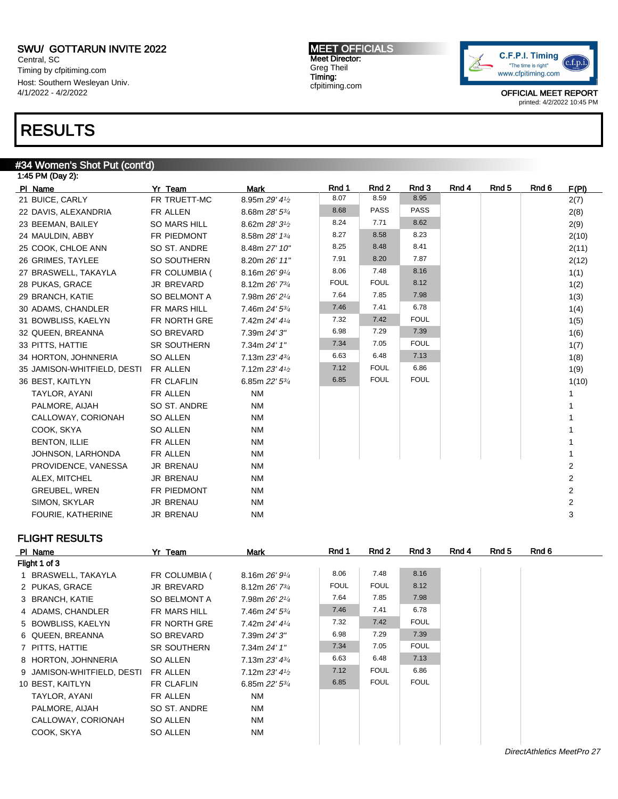Central, SC Timing by cfpitiming.com Host: Southern Wesleyan Univ. 4/1/2022 - 4/2/2022

## RESULTS

#### #34 Women's Shot Put (cont'd)

| 1:45 PM (Day 2):            |                    |                |             |             |             |       |       |       |                         |
|-----------------------------|--------------------|----------------|-------------|-------------|-------------|-------|-------|-------|-------------------------|
| PI Name                     | Yr Team            | <b>Mark</b>    | Rnd 1       | Rnd 2       | Rnd 3       | Rnd 4 | Rnd 5 | Rnd 6 | F(PI)                   |
| 21 BUICE, CARLY             | FR TRUETT-MC       | 8.95m 29' 41/2 | 8.07        | 8.59        | 8.95        |       |       |       | 2(7)                    |
| 22 DAVIS, ALEXANDRIA        | FR ALLEN           | 8.68m 28' 53/4 | 8.68        | <b>PASS</b> | <b>PASS</b> |       |       |       | 2(8)                    |
| 23 BEEMAN, BAILEY           | SO MARS HILL       | 8.62m 28' 31/2 | 8.24        | 7.71        | 8.62        |       |       |       | 2(9)                    |
| 24 MAULDIN, ABBY            | FR PIEDMONT        | 8.58m 28' 13/4 | 8.27        | 8.58        | 8.23        |       |       |       | 2(10)                   |
| 25 COOK, CHLOE ANN          | SO ST. ANDRE       | 8.48m 27' 10"  | 8.25        | 8.48        | 8.41        |       |       |       | 2(11)                   |
| 26 GRIMES, TAYLEE           | SO SOUTHERN        | 8.20m 26' 11"  | 7.91        | 8.20        | 7.87        |       |       |       | 2(12)                   |
| 27 BRASWELL, TAKAYLA        | FR COLUMBIA (      | 8.16m 26' 91/4 | 8.06        | 7.48        | 8.16        |       |       |       | 1(1)                    |
| 28 PUKAS, GRACE             | JR BREVARD         | 8.12m 26' 73/4 | <b>FOUL</b> | <b>FOUL</b> | 8.12        |       |       |       | 1(2)                    |
| 29 BRANCH, KATIE            | SO BELMONT A       | 7.98m 26' 21/4 | 7.64        | 7.85        | 7.98        |       |       |       | 1(3)                    |
| 30 ADAMS, CHANDLER          | FR MARS HILL       | 7.46m 24' 53/4 | 7.46        | 7.41        | 6.78        |       |       |       | 1(4)                    |
| 31 BOWBLISS, KAELYN         | FR NORTH GRE       | 7.42m 24' 41/4 | 7.32        | 7.42        | <b>FOUL</b> |       |       |       | 1(5)                    |
| 32 QUEEN, BREANNA           | SO BREVARD         | 7.39m 24' 3"   | 6.98        | 7.29        | 7.39        |       |       |       | 1(6)                    |
| 33 PITTS, HATTIE            | <b>SR SOUTHERN</b> | 7.34m 24' 1"   | 7.34        | 7.05        | <b>FOUL</b> |       |       |       | 1(7)                    |
| 34 HORTON, JOHNNERIA        | SO ALLEN           | 7.13m 23' 43/4 | 6.63        | 6.48        | 7.13        |       |       |       | 1(8)                    |
| 35 JAMISON-WHITFIELD, DESTI | FR ALLEN           | 7.12m 23' 41/2 | 7.12        | <b>FOUL</b> | 6.86        |       |       |       | 1(9)                    |
| 36 BEST, KAITLYN            | FR CLAFLIN         | 6.85m 22' 53/4 | 6.85        | <b>FOUL</b> | <b>FOUL</b> |       |       |       | 1(10)                   |
| TAYLOR, AYANI               | FR ALLEN           | <b>NM</b>      |             |             |             |       |       |       |                         |
| PALMORE, AIJAH              | SO ST. ANDRE       | <b>NM</b>      |             |             |             |       |       |       |                         |
| CALLOWAY, CORIONAH          | SO ALLEN           | <b>NM</b>      |             |             |             |       |       |       |                         |
| COOK, SKYA                  | SO ALLEN           | <b>NM</b>      |             |             |             |       |       |       |                         |
| BENTON, ILLIE               | FR ALLEN           | <b>NM</b>      |             |             |             |       |       |       |                         |
| JOHNSON, LARHONDA           | FR ALLEN           | <b>NM</b>      |             |             |             |       |       |       |                         |
| PROVIDENCE, VANESSA         | JR BRENAU          | <b>NM</b>      |             |             |             |       |       |       | $\overline{2}$          |
| ALEX, MITCHEL               | <b>JR BRENAU</b>   | <b>NM</b>      |             |             |             |       |       |       | $\mathbf{2}$            |
| GREUBEL, WREN               | FR PIEDMONT        | <b>NM</b>      |             |             |             |       |       |       | $\overline{\mathbf{c}}$ |
| SIMON, SKYLAR               | <b>JR BRENAU</b>   | <b>NM</b>      |             |             |             |       |       |       | $\overline{2}$          |
| <b>FOURIE, KATHERINE</b>    | <b>JR BRENAU</b>   | <b>NM</b>      |             |             |             |       |       |       | 3                       |

#### FLIGHT RESULTS

| PI Name                    | Yr Team            | <b>Mark</b>                 | Rnd 1       | Rnd 2       | Rnd 3       | Rnd 4 | Rnd 5 | Rnd 6 |
|----------------------------|--------------------|-----------------------------|-------------|-------------|-------------|-------|-------|-------|
| Flight 1 of 3              |                    |                             |             |             |             |       |       |       |
| 1 BRASWELL, TAKAYLA        | FR COLUMBIA (      | 8.16m $26'9'4$              | 8.06        | 7.48        | 8.16        |       |       |       |
| 2 PUKAS, GRACE             | JR BREVARD         | 8.12m 26' 73/4              | <b>FOUL</b> | <b>FOUL</b> | 8.12        |       |       |       |
| 3 BRANCH, KATIE            | SO BELMONT A       | 7.98m 26' 21/4              | 7.64        | 7.85        | 7.98        |       |       |       |
| 4 ADAMS, CHANDLER          | FR MARS HILL       | 7.46m 24' 5 <sup>3/4</sup>  | 7.46        | 7.41        | 6.78        |       |       |       |
| 5 BOWBLISS, KAELYN         | FR NORTH GRE       | 7.42m 24' 41/4              | 7.32        | 7.42        | <b>FOUL</b> |       |       |       |
| 6 QUEEN, BREANNA           | SO BREVARD         | 7.39m 24' 3"                | 6.98        | 7.29        | 7.39        |       |       |       |
| 7 PITTS, HATTIE            | <b>SR SOUTHERN</b> | 7.34m 24' 1"                | 7.34        | 7.05        | <b>FOUL</b> |       |       |       |
| 8 HORTON, JOHNNERIA        | SO ALLEN           | 7.13m $23'$ 4 $\frac{3}{4}$ | 6.63        | 6.48        | 7.13        |       |       |       |
| 9 JAMISON-WHITFIELD, DESTI | FR ALLEN           | 7.12m $23'$ 4 $\frac{1}{2}$ | 7.12        | <b>FOUL</b> | 6.86        |       |       |       |
| 10 BEST, KAITLYN           | <b>FR CLAFLIN</b>  | 6.85m $22'$ 5 $\frac{3}{4}$ | 6.85        | <b>FOUL</b> | <b>FOUL</b> |       |       |       |
| TAYLOR, AYANI              | FR ALLEN           | <b>NM</b>                   |             |             |             |       |       |       |
| PALMORE, AIJAH             | SO ST. ANDRE       | NM                          |             |             |             |       |       |       |
| CALLOWAY, CORIONAH         | SO ALLEN           | <b>NM</b>                   |             |             |             |       |       |       |
| COOK, SKYA                 | SO ALLEN           | <b>NM</b>                   |             |             |             |       |       |       |
|                            |                    |                             |             |             |             |       |       |       |

MEET OFFICIALS Meet Director: Greg Theil Timing: cfpitiming.com

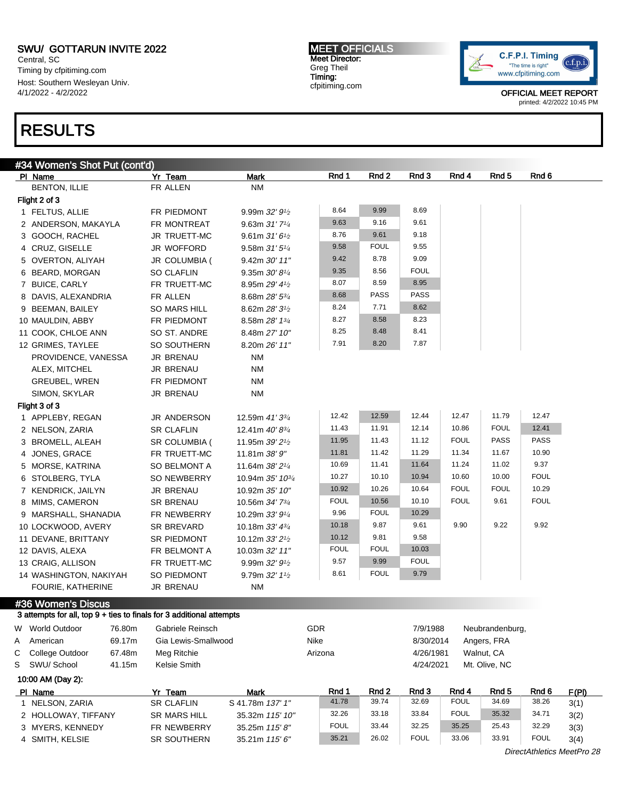Central, SC Timing by cfpitiming.com Host: Southern Wesleyan Univ. 4/1/2022 - 4/2/2022

### RESULTS

MEET OFFICIALS Meet Director: Greg Theil Timing: cfpitiming.com



OFFICIAL MEET REPORT printed: 4/2/2022 10:45 PM

|   | #34 Women's Shot Put <u>(cont'd)</u>                                                       |        |                     |                              |             |             |             |                      |                 |             |       |
|---|--------------------------------------------------------------------------------------------|--------|---------------------|------------------------------|-------------|-------------|-------------|----------------------|-----------------|-------------|-------|
|   | PI Name                                                                                    |        | Yr Team             | <b>Mark</b>                  | Rnd 1       | Rnd 2       | Rnd 3       | Rnd 4                | Rnd 5           | Rnd 6       |       |
|   | <b>BENTON, ILLIE</b>                                                                       |        | FR ALLEN            | <b>NM</b>                    |             |             |             |                      |                 |             |       |
|   | Flight 2 of 3                                                                              |        |                     |                              |             |             |             |                      |                 |             |       |
|   | 1 FELTUS, ALLIE                                                                            |        | FR PIEDMONT         | 9.99m 32' 91/2               | 8.64        | 9.99        | 8.69        |                      |                 |             |       |
|   | 2 ANDERSON, MAKAYLA                                                                        |        | FR MONTREAT         | 9.63m 31'71/4                | 9.63        | 9.16        | 9.61        |                      |                 |             |       |
|   | 3 GOOCH, RACHEL                                                                            |        | JR TRUETT-MC        | 9.61m31'61/2                 | 8.76        | 9.61        | 9.18        |                      |                 |             |       |
|   | 4 CRUZ, GISELLE                                                                            |        | JR WOFFORD          | 9.58m 31' 51/4               | 9.58        | <b>FOUL</b> | 9.55        |                      |                 |             |       |
|   | 5 OVERTON, ALIYAH                                                                          |        | JR COLUMBIA (       | 9.42m 30' 11"                | 9.42        | 8.78        | 9.09        |                      |                 |             |       |
|   | 6 BEARD, MORGAN                                                                            |        | <b>SO CLAFLIN</b>   | 9.35m 30' 81/4               | 9.35        | 8.56        | <b>FOUL</b> |                      |                 |             |       |
|   | 7 BUICE, CARLY                                                                             |        | FR TRUETT-MC        | 8.95m 29' 41/2               | 8.07        | 8.59        | 8.95        |                      |                 |             |       |
|   | 8 DAVIS, ALEXANDRIA                                                                        |        | FR ALLEN            | 8.68m 28' 53/4               | 8.68        | PASS        | <b>PASS</b> |                      |                 |             |       |
|   | 9 BEEMAN, BAILEY                                                                           |        | SO MARS HILL        | 8.62m 28' 31/2               | 8.24        | 7.71        | 8.62        |                      |                 |             |       |
|   | 10 MAULDIN, ABBY                                                                           |        | FR PIEDMONT         | 8.58m 28' 13/4               | 8.27        | 8.58        | 8.23        |                      |                 |             |       |
|   | 11 COOK, CHLOE ANN                                                                         |        | SO ST. ANDRE        | 8.48m 27' 10"                | 8.25        | 8.48        | 8.41        |                      |                 |             |       |
|   | 12 GRIMES, TAYLEE                                                                          |        | SO SOUTHERN         | 8.20m 26' 11"                | 7.91        | 8.20        | 7.87        |                      |                 |             |       |
|   | PROVIDENCE, VANESSA                                                                        |        | JR BRENAU           | <b>NM</b>                    |             |             |             |                      |                 |             |       |
|   | ALEX, MITCHEL                                                                              |        | JR BRENAU           | <b>NM</b>                    |             |             |             |                      |                 |             |       |
|   | GREUBEL, WREN                                                                              |        | FR PIEDMONT         | <b>NM</b>                    |             |             |             |                      |                 |             |       |
|   | SIMON, SKYLAR                                                                              |        | JR BRENAU           | <b>NM</b>                    |             |             |             |                      |                 |             |       |
|   | Flight 3 of 3                                                                              |        |                     |                              |             |             |             |                      |                 |             |       |
|   | 1 APPLEBY, REGAN                                                                           |        | JR ANDERSON         | 12.59m 41' 33/4              | 12.42       | 12.59       | 12.44       | 12.47                | 11.79           | 12.47       |       |
|   | 2 NELSON, ZARIA                                                                            |        | <b>SR CLAFLIN</b>   | 12.41m 40' 83/4              | 11.43       | 11.91       | 12.14       | 10.86                | <b>FOUL</b>     | 12.41       |       |
|   | 3 BROMELL, ALEAH                                                                           |        | SR COLUMBIA (       | 11.95m 39' 2 <sup>1</sup> /2 | 11.95       | 11.43       | 11.12       | <b>FOUL</b>          | <b>PASS</b>     | <b>PASS</b> |       |
|   | 4 JONES, GRACE                                                                             |        | FR TRUETT-MC        | 11.81m 38'9"                 | 11.81       | 11.42       | 11.29       | 11.34                | 11.67           | 10.90       |       |
|   | 5 MORSE, KATRINA                                                                           |        | SO BELMONT A        | 11.64m 38' 21/4              | 10.69       | 11.41       | 11.64       | 11.24                | 11.02           | 9.37        |       |
|   | 6 STOLBERG, TYLA                                                                           |        | SO NEWBERRY         | 10.94m 35' 10 <sup>3/4</sup> | 10.27       | 10.10       | 10.94       | 10.60                | 10.00           | <b>FOUL</b> |       |
|   | 7 KENDRICK, JAILYN                                                                         |        | JR BRENAU           | 10.92m 35' 10"               | 10.92       | 10.26       | 10.64       | <b>FOUL</b>          | <b>FOUL</b>     | 10.29       |       |
|   | 8 MIMS, CAMERON                                                                            |        | <b>SR BRENAU</b>    | 10.56m 34' 73/4              | <b>FOUL</b> | 10.56       | 10.10       | <b>FOUL</b>          | 9.61            | <b>FOUL</b> |       |
|   | 9 MARSHALL, SHANADIA                                                                       |        | FR NEWBERRY         | 10.29m 33' 91/4              | 9.96        | <b>FOUL</b> | 10.29       |                      |                 |             |       |
|   | 10 LOCKWOOD, AVERY                                                                         |        | SR BREVARD          | 10.18m 33' 43/4              | 10.18       | 9.87        | 9.61        | 9.90                 | 9.22            | 9.92        |       |
|   | 11 DEVANE, BRITTANY                                                                        |        | SR PIEDMONT         | 10.12m 33' 2 <sup>1/2</sup>  | 10.12       | 9.81        | 9.58        |                      |                 |             |       |
|   | 12 DAVIS, ALEXA                                                                            |        | FR BELMONT A        | 10.03m 32' 11"               | <b>FOUL</b> | <b>FOUL</b> | 10.03       |                      |                 |             |       |
|   | 13 CRAIG, ALLISON                                                                          |        | FR TRUETT-MC        | 9.99m 32' 91/2               | 9.57        | 9.99        | <b>FOUL</b> |                      |                 |             |       |
|   | 14 WASHINGTON, NAKIYAH                                                                     |        | SO PIEDMONT         | 9.79m 32' 11/2               | 8.61        | <b>FOUL</b> | 9.79        |                      |                 |             |       |
|   | FOURIE, KATHERINE                                                                          |        | JR BRENAU           | <b>NM</b>                    |             |             |             |                      |                 |             |       |
|   |                                                                                            |        |                     |                              |             |             |             |                      |                 |             |       |
|   | #36 Women's Discus<br>3 attempts for all, top 9 + ties to finals for 3 additional attempts |        |                     |                              |             |             |             |                      |                 |             |       |
|   |                                                                                            |        |                     |                              |             |             |             |                      |                 |             |       |
|   | W World Outdoor                                                                            | 76.80m | Gabriele Reinsch    |                              | GDR         |             | 7/9/1988    |                      | Neubrandenburg, |             |       |
| Α | American                                                                                   | 69.17m | Gia Lewis-Smallwood |                              | Nike        |             | 8/30/2014   |                      | Angers, FRA     |             |       |
| С | College Outdoor                                                                            | 67.48m | Meg Ritchie         |                              | Arizona     |             | 4/26/1981   |                      | Walnut, CA      |             |       |
| S | SWU/ School                                                                                | 41.15m | Kelsie Smith        |                              |             |             | 4/24/2021   |                      | Mt. Olive, NC   |             |       |
|   | 10:00 AM (Day 2):                                                                          |        |                     |                              |             |             |             |                      |                 |             |       |
|   | PI Name                                                                                    |        | Yr Team             | <b>Mark</b>                  | Rnd 1       | Rnd 2       | Rnd 3       | Rnd 4<br><b>FOUL</b> | Rnd 5           | Rnd 6       | F(PI) |
|   | 1 NELSON, ZARIA                                                                            |        | <b>SR CLAFLIN</b>   | S 41.78m 137' 1"             | 41.78       | 39.74       | 32.69       |                      | 34.69           | 38.26       | 3(1)  |
|   | 2 HOLLOWAY, TIFFANY                                                                        |        | SR MARS HILL        | 35.32m 115' 10"              | 32.26       | 33.18       | 33.84       | <b>FOUL</b>          | 35.32           | 34.71       | 3(2)  |
|   | 3 MYERS, KENNEDY                                                                           |        | FR NEWBERRY         | 35.25m 115'8"                | <b>FOUL</b> | 33.44       | 32.25       | 35.25                | 25.43           | 32.29       | 3(3)  |
|   | 4 SMITH, KELSIE                                                                            |        | SR SOUTHERN         | 35.21m 115' 6"               | 35.21       | 26.02       | <b>FOUL</b> | 33.06                | 33.91           | <b>FOUL</b> | 3(4)  |

DirectAthletics MeetPro 28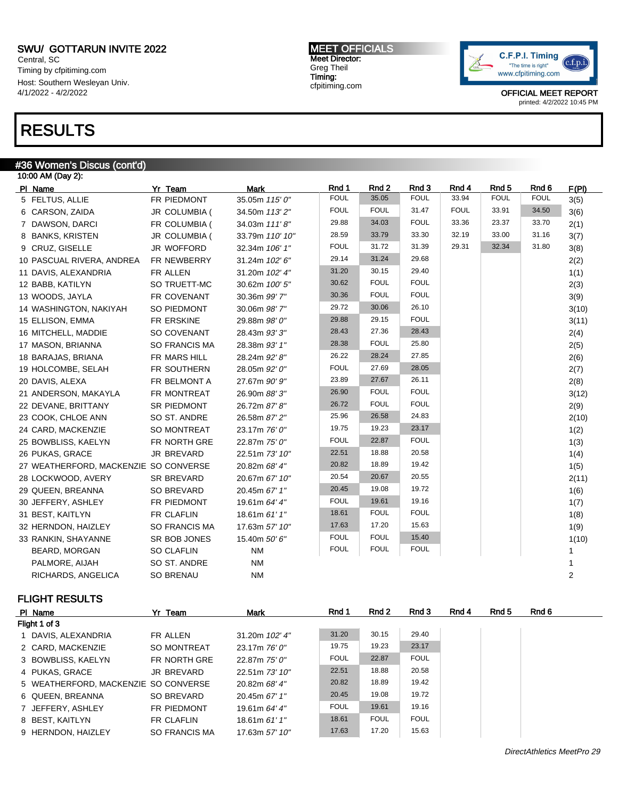Central, SC Timing by cfpitiming.com Host: Southern Wesleyan Univ. 4/1/2022 - 4/2/2022

### RESULTS

### #36 Women's Discus (cont'd)

| 10:00 AM (Day 2):                     |                      |                 |             |             |             |             |             |             |       |  |
|---------------------------------------|----------------------|-----------------|-------------|-------------|-------------|-------------|-------------|-------------|-------|--|
| PI Name                               | Yr Team              | <b>Mark</b>     | Rnd 1       | Rnd 2       | Rnd 3       | Rnd 4       | Rnd 5       | Rnd 6       | F(PI) |  |
| 5 FELTUS, ALLIE                       | FR PIEDMONT          | 35.05m 115' 0"  | <b>FOUL</b> | 35.05       | <b>FOUL</b> | 33.94       | <b>FOUL</b> | <b>FOUL</b> | 3(5)  |  |
| 6 CARSON, ZAIDA                       | JR COLUMBIA (        | 34.50m 113' 2"  | <b>FOUL</b> | <b>FOUL</b> | 31.47       | <b>FOUL</b> | 33.91       | 34.50       | 3(6)  |  |
| 7 DAWSON, DARCI                       | FR COLUMBIA (        | 34.03m 111'8"   | 29.88       | 34.03       | <b>FOUL</b> | 33.36       | 23.37       | 33.70       | 2(1)  |  |
| 8 BANKS, KRISTEN                      | JR COLUMBIA (        | 33.79m 110' 10" | 28.59       | 33.79       | 33.30       | 32.19       | 33.00       | 31.16       | 3(7)  |  |
| 9 CRUZ, GISELLE                       | JR WOFFORD           | 32.34m 106' 1"  | <b>FOUL</b> | 31.72       | 31.39       | 29.31       | 32.34       | 31.80       | 3(8)  |  |
| 10 PASCUAL RIVERA, ANDREA             | FR NEWBERRY          | 31.24m 102' 6"  | 29.14       | 31.24       | 29.68       |             |             |             | 2(2)  |  |
| 11 DAVIS, ALEXANDRIA                  | FR ALLEN             | 31.20m 102' 4"  | 31.20       | 30.15       | 29.40       |             |             |             | 1(1)  |  |
| 12 BABB, KATILYN                      | SO TRUETT-MC         | 30.62m 100' 5"  | 30.62       | <b>FOUL</b> | <b>FOUL</b> |             |             |             | 2(3)  |  |
| 13 WOODS, JAYLA                       | FR COVENANT          | 30.36m 99' 7"   | 30.36       | <b>FOUL</b> | <b>FOUL</b> |             |             |             | 3(9)  |  |
| 14 WASHINGTON, NAKIYAH                | SO PIEDMONT          | 30.06m 98' 7"   | 29.72       | 30.06       | 26.10       |             |             |             | 3(10) |  |
| 15 ELLISON, EMMA                      | FR ERSKINE           | 29.88m 98' 0"   | 29.88       | 29.15       | <b>FOUL</b> |             |             |             | 3(11) |  |
| 16 MITCHELL, MADDIE                   | SO COVENANT          | 28.43m 93' 3"   | 28.43       | 27.36       | 28.43       |             |             |             | 2(4)  |  |
| 17 MASON, BRIANNA                     | <b>SO FRANCIS MA</b> | 28.38m 93' 1"   | 28.38       | <b>FOUL</b> | 25.80       |             |             |             | 2(5)  |  |
| 18 BARAJAS, BRIANA                    | FR MARS HILL         | 28.24m 92' 8"   | 26.22       | 28.24       | 27.85       |             |             |             | 2(6)  |  |
| 19 HOLCOMBE, SELAH                    | FR SOUTHERN          | 28.05m 92' 0"   | <b>FOUL</b> | 27.69       | 28.05       |             |             |             | 2(7)  |  |
| 20 DAVIS, ALEXA                       | FR BELMONT A         | 27.67m 90' 9"   | 23.89       | 27.67       | 26.11       |             |             |             | 2(8)  |  |
| 21 ANDERSON, MAKAYLA                  | FR MONTREAT          | 26.90m 88' 3"   | 26.90       | <b>FOUL</b> | <b>FOUL</b> |             |             |             | 3(12) |  |
| 22 DEVANE, BRITTANY                   | SR PIEDMONT          | 26.72m 87' 8"   | 26.72       | <b>FOUL</b> | <b>FOUL</b> |             |             |             | 2(9)  |  |
| 23 COOK, CHLOE ANN                    | SO ST. ANDRE         | 26.58m 87' 2"   | 25.96       | 26.58       | 24.83       |             |             |             | 2(10) |  |
| 24 CARD, MACKENZIE                    | SO MONTREAT          | 23.17m 76' 0"   | 19.75       | 19.23       | 23.17       |             |             |             | 1(2)  |  |
| 25 BOWBLISS, KAELYN                   | FR NORTH GRE         | 22.87m 75' 0"   | <b>FOUL</b> | 22.87       | <b>FOUL</b> |             |             |             | 1(3)  |  |
| 26 PUKAS, GRACE                       | <b>JR BREVARD</b>    | 22.51m 73' 10"  | 22.51       | 18.88       | 20.58       |             |             |             | 1(4)  |  |
| 27 WEATHERFORD, MACKENZIE SO CONVERSE |                      | 20.82m 68' 4"   | 20.82       | 18.89       | 19.42       |             |             |             | 1(5)  |  |
| 28 LOCKWOOD, AVERY                    | <b>SR BREVARD</b>    | 20.67m 67' 10"  | 20.54       | 20.67       | 20.55       |             |             |             | 2(11) |  |
| 29 QUEEN, BREANNA                     | SO BREVARD           | 20.45m 67' 1"   | 20.45       | 19.08       | 19.72       |             |             |             | 1(6)  |  |
| 30 JEFFERY, ASHLEY                    | FR PIEDMONT          | 19.61m 64' 4"   | <b>FOUL</b> | 19.61       | 19.16       |             |             |             | 1(7)  |  |
| 31 BEST, KAITLYN                      | FR CLAFLIN           | 18.61m 61'1"    | 18.61       | <b>FOUL</b> | <b>FOUL</b> |             |             |             | 1(8)  |  |
| 32 HERNDON, HAIZLEY                   | SO FRANCIS MA        | 17.63m 57' 10"  | 17.63       | 17.20       | 15.63       |             |             |             | 1(9)  |  |
| 33 RANKIN, SHAYANNE                   | SR BOB JONES         | 15.40m 50' 6"   | <b>FOUL</b> | <b>FOUL</b> | 15.40       |             |             |             | 1(10) |  |
| BEARD, MORGAN                         | <b>SO CLAFLIN</b>    | <b>NM</b>       | <b>FOUL</b> | <b>FOUL</b> | <b>FOUL</b> |             |             |             |       |  |
| PALMORE, AIJAH                        | SO ST. ANDRE         | <b>NM</b>       |             |             |             |             |             |             |       |  |
| RICHARDS, ANGELICA                    | <b>SO BRENAU</b>     | <b>NM</b>       |             |             |             |             |             |             | 2     |  |

#### FLIGHT RESULTS

| PI Name                              | Yr Team            | Mark            | Rnd 1       | Rnd 2       | Rnd 3       | Rnd 4 | Rnd 5 | Rnd 6 |
|--------------------------------------|--------------------|-----------------|-------------|-------------|-------------|-------|-------|-------|
| Flight 1 of 3                        |                    |                 |             |             |             |       |       |       |
| 1 DAVIS, ALEXANDRIA                  | FR ALLEN           | 31.20m 102' 4"  | 31.20       | 30.15       | 29.40       |       |       |       |
| 2 CARD, MACKENZIE                    | SO MONTREAT        | 23.17m 76' 0"   | 19.75       | 19.23       | 23.17       |       |       |       |
| 3 BOWBLISS, KAELYN                   | FR NORTH GRE       | 22.87m 75' 0"   | <b>FOUL</b> | 22.87       | <b>FOUL</b> |       |       |       |
| 4 PUKAS, GRACE                       | JR BREVARD         | 22.51m 73' 10"  | 22.51       | 18.88       | 20.58       |       |       |       |
| 5 WEATHERFORD, MACKENZIE SO CONVERSE |                    | 20.82m 68' 4"   | 20.82       | 18.89       | 19.42       |       |       |       |
| 6 QUEEN, BREANNA                     | SO BREVARD         | 20.45m 67' 1"   | 20.45       | 19.08       | 19.72       |       |       |       |
| 7 JEFFERY, ASHLEY                    | <b>FR PIEDMONT</b> | 19.61m 64' 4"   | <b>FOUL</b> | 19.61       | 19.16       |       |       |       |
| 8 BEST, KAITLYN                      | FR CLAFLIN         | 18.61m $61'1''$ | 18.61       | <b>FOUL</b> | <b>FOUL</b> |       |       |       |
| 9 HERNDON, HAIZLEY                   | SO FRANCIS MA      | 17.63m 57' 10"  | 17.63       | 17.20       | 15.63       |       |       |       |

MEET OFFICIALS Meet Director: Greg Theil Timing: cfpitiming.com

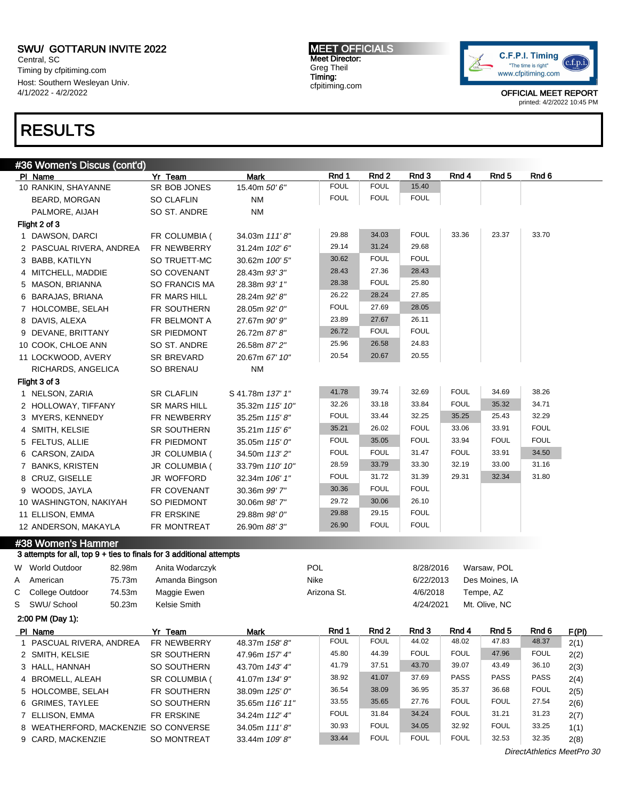6 GRIMES, TAYLEE SO SOUTHERN 35.65m 116' 11"

8 WEATHERFORD, MACKENZIE SO CONVERSE 34.05m 111'8"

9 CARD, MACKENZIE SO MONTREAT 33.44m 109' 8"

Central, SC Timing by cfpitiming.com Host: Southern Wesleyan Univ. 4/1/2022 - 4/2/2022

### RESULTS

MEET OFFICIALS Meet Director: Greg Theil Timing: cfpitiming.com



OFFICIAL MEET REPORT printed: 4/2/2022 10:45 PM

|   | #36 Women's Discus (cont'd)                                          |                     |                  |                      |                                 |                |                |                           |                |       |
|---|----------------------------------------------------------------------|---------------------|------------------|----------------------|---------------------------------|----------------|----------------|---------------------------|----------------|-------|
|   | PI Name                                                              | Yr Team             | <b>Mark</b>      | Rnd 1                | Rnd 2                           | Rnd 3          | Rnd 4          | Rnd 5                     | Rnd 6          |       |
|   | 10 RANKIN, SHAYANNE                                                  | SR BOB JONES        | 15.40m 50' 6"    | <b>FOUL</b>          | <b>FOUL</b>                     | 15.40          |                |                           |                |       |
|   | BEARD, MORGAN                                                        | <b>SO CLAFLIN</b>   | <b>NM</b>        | <b>FOUL</b>          | <b>FOUL</b>                     | <b>FOUL</b>    |                |                           |                |       |
|   | PALMORE, AIJAH                                                       | SO ST. ANDRE        | <b>NM</b>        |                      |                                 |                |                |                           |                |       |
|   | Flight 2 of 3                                                        |                     |                  |                      |                                 |                |                |                           |                |       |
|   | 1 DAWSON, DARCI                                                      | FR COLUMBIA (       | 34.03m 111'8"    | 29.88                | 34.03                           | <b>FOUL</b>    | 33.36          | 23.37                     | 33.70          |       |
|   | 2 PASCUAL RIVERA, ANDREA                                             | FR NEWBERRY         | 31.24m 102'6"    | 29.14                | 31.24                           | 29.68          |                |                           |                |       |
|   | 3 BABB, KATILYN                                                      | SO TRUETT-MC        | 30.62m 100' 5"   | 30.62                | <b>FOUL</b>                     | <b>FOUL</b>    |                |                           |                |       |
|   | 4 MITCHELL, MADDIE                                                   | SO COVENANT         | 28.43m 93'3"     | 28.43                | 27.36                           | 28.43          |                |                           |                |       |
|   | 5 MASON, BRIANNA                                                     | SO FRANCIS MA       | 28.38m 93' 1"    | 28.38                | <b>FOUL</b>                     | 25.80          |                |                           |                |       |
|   | 6 BARAJAS, BRIANA                                                    | FR MARS HILL        | 28.24m 92' 8"    | 26.22                | 28.24                           | 27.85          |                |                           |                |       |
|   | 7 HOLCOMBE, SELAH                                                    | FR SOUTHERN         | 28.05m 92' 0"    | <b>FOUL</b>          | 27.69                           | 28.05          |                |                           |                |       |
|   | 8 DAVIS, ALEXA                                                       | FR BELMONT A        | 27.67m 90' 9"    | 23.89                | 27.67                           | 26.11          |                |                           |                |       |
|   | 9 DEVANE, BRITTANY                                                   | SR PIEDMONT         | 26.72m 87' 8"    | 26.72                | <b>FOUL</b>                     | <b>FOUL</b>    |                |                           |                |       |
|   | 10 COOK, CHLOE ANN                                                   | SO ST. ANDRE        | 26.58m 87' 2"    | 25.96                | 26.58                           | 24.83          |                |                           |                |       |
|   | 11 LOCKWOOD, AVERY                                                   | SR BREVARD          | 20.67m 67' 10"   | 20.54                | 20.67                           | 20.55          |                |                           |                |       |
|   | RICHARDS, ANGELICA                                                   | <b>SO BRENAU</b>    | <b>NM</b>        |                      |                                 |                |                |                           |                |       |
|   | Flight 3 of 3                                                        |                     |                  |                      |                                 |                |                |                           |                |       |
|   | 1 NELSON, ZARIA                                                      | <b>SR CLAFLIN</b>   | S 41.78m 137' 1" | 41.78                | 39.74                           | 32.69          | <b>FOUL</b>    | 34.69                     | 38.26          |       |
|   | 2 HOLLOWAY, TIFFANY                                                  | <b>SR MARS HILL</b> | 35.32m 115' 10"  | 32.26                | 33.18                           | 33.84          | <b>FOUL</b>    | 35.32                     | 34.71          |       |
|   | 3 MYERS, KENNEDY                                                     | FR NEWBERRY         | 35.25m 115'8"    | <b>FOUL</b>          | 33.44                           | 32.25          | 35.25          | 25.43                     | 32.29          |       |
|   | 4 SMITH, KELSIE                                                      | <b>SR SOUTHERN</b>  | 35.21m 115' 6"   | 35.21                | 26.02                           | <b>FOUL</b>    | 33.06          | 33.91                     | <b>FOUL</b>    |       |
|   | 5 FELTUS, ALLIE                                                      | FR PIEDMONT         | 35.05m 115' 0"   | <b>FOUL</b>          | 35.05                           | <b>FOUL</b>    | 33.94          | <b>FOUL</b>               | <b>FOUL</b>    |       |
|   | 6 CARSON, ZAIDA                                                      | JR COLUMBIA (       | 34.50m 113'2"    | <b>FOUL</b>          | <b>FOUL</b>                     | 31.47          | <b>FOUL</b>    | 33.91                     | 34.50          |       |
|   | 7 BANKS, KRISTEN                                                     | JR COLUMBIA (       | 33.79m 110' 10"  | 28.59                | 33.79                           | 33.30          | 32.19          | 33.00                     | 31.16          |       |
|   | 8 CRUZ, GISELLE                                                      | JR WOFFORD          | 32.34m 106' 1"   | <b>FOUL</b>          | 31.72                           | 31.39          | 29.31          | 32.34                     | 31.80          |       |
|   | 9 WOODS, JAYLA                                                       | FR COVENANT         | 30.36m 99' 7"    | 30.36                | <b>FOUL</b>                     | <b>FOUL</b>    |                |                           |                |       |
|   | 10 WASHINGTON, NAKIYAH                                               | SO PIEDMONT         | 30.06m 98' 7"    | 29.72                | 30.06                           | 26.10          |                |                           |                |       |
|   | 11 ELLISON, EMMA                                                     | FR ERSKINE          | 29.88m 98' 0"    | 29.88                | 29.15                           | <b>FOUL</b>    |                |                           |                |       |
|   | 12 ANDERSON, MAKAYLA                                                 | FR MONTREAT         | 26.90m 88' 3"    | 26.90                | <b>FOUL</b>                     | <b>FOUL</b>    |                |                           |                |       |
|   | #38 Women's Hammer                                                   |                     |                  |                      |                                 |                |                |                           |                |       |
|   | 3 attempts for all, top 9 + ties to finals for 3 additional attempts |                     |                  |                      |                                 |                |                |                           |                |       |
|   | W World Outdoor<br>82.98m                                            | Anita Wodarczyk     |                  | <b>POL</b>           |                                 | 8/28/2016      |                | Warsaw, POL               |                |       |
| Α | 75.73m<br>American                                                   | Amanda Bingson      |                  | Nike                 |                                 | 6/22/2013      |                | Des Moines, IA            |                |       |
| С | College Outdoor<br>74.53m                                            | Maggie Ewen         |                  | Arizona St.          |                                 | 4/6/2018       |                | Tempe, AZ                 |                |       |
| S | SWU/ School<br>50.23m                                                | Kelsie Smith        |                  |                      |                                 | 4/24/2021      |                | Mt. Olive, NC             |                |       |
|   |                                                                      |                     |                  |                      |                                 |                |                |                           |                |       |
|   | 2:00 PM (Day 1):                                                     |                     |                  |                      |                                 |                |                |                           |                |       |
|   | PI Name                                                              | Yr Team             | <b>Mark</b>      | Rnd 1<br><b>FOUL</b> | Rnd <sub>2</sub><br><b>FOUL</b> | Rnd 3<br>44.02 | Rnd 4<br>48.02 | Rnd <sub>5</sub><br>47.83 | Rnd 6<br>48.37 | F(PI) |
|   | 1 PASCUAL RIVERA, ANDREA                                             | FR NEWBERRY         | 48.37m 158'8"    | 45.80                | 44.39                           | <b>FOUL</b>    | FOUL           | 47.96                     | <b>FOUL</b>    | 2(1)  |
|   | 2 SMITH, KELSIE                                                      | SR SOUTHERN         | 47.96m 157' 4"   | 41.79                | 37.51                           | 43.70          | 39.07          | 43.49                     | 36.10          | 2(2)  |
|   | 3 HALL, HANNAH                                                       | SO SOUTHERN         | 43.70m 143' 4"   | 38.92                | 41.07                           | 37.69          | PASS           | <b>PASS</b>               | PASS           | 2(3)  |
|   | 4 BROMELL, ALEAH                                                     | SR COLUMBIA (       | 41.07m 134' 9"   | 36.54                | 38.09                           | 36.95          | 35.37          | 36.68                     | <b>FOUL</b>    | 2(4)  |
|   | 5 HOLCOMBE, SELAH                                                    | FR SOUTHERN         | 38.09m 125' 0"   |                      |                                 |                |                |                           |                | 2(5)  |

7 ELLISON, EMMA FR ERSKINE 34.24m 112' 4" FOUL 31.84 34.24 FOUL 31.21 31.23 2(7)

DirectAthletics MeetPro 30

33.55 35.65 27.76 FOUL FOUL 27.54 2(6)

30.93 FOUL 34.05 32.92 FOUL 33.25 1(1)

33.44 FOUL FOUL FOUL 32.53 32.35 2(8)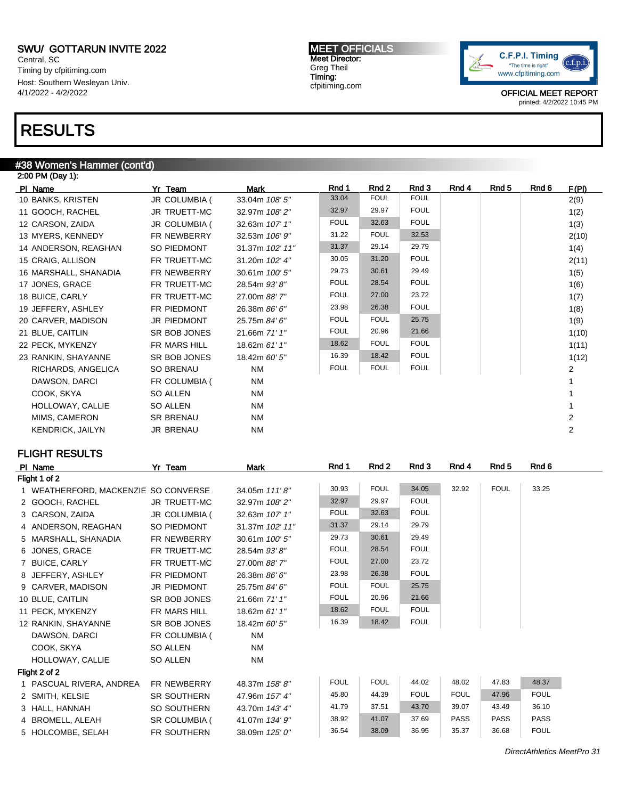Central, SC Timing by cfpitiming.com Host: Southern Wesleyan Univ. 4/1/2022 - 4/2/2022

## RESULTS

### #38 Women's Hammer (cont'd)

| 2:00 PM (Day 1):        |                  |                 |             |             |             |       |       |       |                |
|-------------------------|------------------|-----------------|-------------|-------------|-------------|-------|-------|-------|----------------|
| PI Name                 | Yr Team          | <b>Mark</b>     | Rnd 1       | Rnd 2       | Rnd 3       | Rnd 4 | Rnd 5 | Rnd 6 | F(PI)          |
| 10 BANKS, KRISTEN       | JR COLUMBIA (    | 33.04m 108' 5"  | 33.04       | <b>FOUL</b> | <b>FOUL</b> |       |       |       | 2(9)           |
| 11 GOOCH, RACHEL        | JR TRUETT-MC     | 32.97m 108'2"   | 32.97       | 29.97       | <b>FOUL</b> |       |       |       | 1(2)           |
| 12 CARSON, ZAIDA        | JR COLUMBIA (    | 32.63m 107' 1"  | <b>FOUL</b> | 32.63       | <b>FOUL</b> |       |       |       | 1(3)           |
| 13 MYERS, KENNEDY       | FR NEWBERRY      | 32.53m 106' 9"  | 31.22       | <b>FOUL</b> | 32.53       |       |       |       | 2(10)          |
| 14 ANDERSON, REAGHAN    | SO PIEDMONT      | 31.37m 102' 11" | 31.37       | 29.14       | 29.79       |       |       |       | 1(4)           |
| 15 CRAIG, ALLISON       | FR TRUETT-MC     | 31.20m 102' 4"  | 30.05       | 31.20       | <b>FOUL</b> |       |       |       | 2(11)          |
| 16 MARSHALL, SHANADIA   | FR NEWBERRY      | 30.61m 100' 5"  | 29.73       | 30.61       | 29.49       |       |       |       | 1(5)           |
| 17 JONES, GRACE         | FR TRUETT-MC     | 28.54m 93'8"    | <b>FOUL</b> | 28.54       | <b>FOUL</b> |       |       |       | 1(6)           |
| 18 BUICE, CARLY         | FR TRUETT-MC     | 27.00m 88'7"    | <b>FOUL</b> | 27.00       | 23.72       |       |       |       | 1(7)           |
| 19 JEFFERY, ASHLEY      | FR PIEDMONT      | 26.38m 86' 6"   | 23.98       | 26.38       | <b>FOUL</b> |       |       |       | 1(8)           |
| 20 CARVER, MADISON      | JR PIEDMONT      | 25.75m 84' 6"   | <b>FOUL</b> | <b>FOUL</b> | 25.75       |       |       |       | 1(9)           |
| 21 BLUE, CAITLIN        | SR BOB JONES     | 21.66m 71' 1"   | <b>FOUL</b> | 20.96       | 21.66       |       |       |       | 1(10)          |
| 22 PECK, MYKENZY        | FR MARS HILL     | 18.62m 61' 1"   | 18.62       | <b>FOUL</b> | <b>FOUL</b> |       |       |       | 1(11)          |
| 23 RANKIN, SHAYANNE     | SR BOB JONES     | 18.42m 60' 5"   | 16.39       | 18.42       | <b>FOUL</b> |       |       |       | 1(12)          |
| RICHARDS, ANGELICA      | SO BRENAU        | <b>NM</b>       | <b>FOUL</b> | <b>FOUL</b> | <b>FOUL</b> |       |       |       | 2              |
| DAWSON, DARCI           | FR COLUMBIA (    | NM              |             |             |             |       |       |       |                |
| COOK, SKYA              | SO ALLEN         | <b>NM</b>       |             |             |             |       |       |       |                |
| HOLLOWAY, CALLIE        | SO ALLEN         | <b>NM</b>       |             |             |             |       |       |       |                |
| MIMS, CAMERON           | <b>SR BRENAU</b> | <b>NM</b>       |             |             |             |       |       |       | 2              |
| <b>KENDRICK, JAILYN</b> | <b>JR BRENAU</b> | <b>NM</b>       |             |             |             |       |       |       | $\overline{2}$ |
|                         |                  |                 |             |             |             |       |       |       |                |

### FLIGHT RESULTS

| Flight 1 of 2<br><b>FOUL</b><br>32.92<br><b>FOUL</b><br>34.05<br>33.25<br>30.93<br>1 WEATHERFORD, MACKENZIE SO CONVERSE<br>34.05m 111'8"<br><b>FOUL</b><br>32.97<br>29.97<br><b>JR TRUETT-MC</b><br>2 GOOCH, RACHEL<br>32.97m 108'2"<br><b>FOUL</b><br><b>FOUL</b><br>32.63<br>JR COLUMBIA (<br>3 CARSON, ZAIDA<br>32.63m 107' 1"<br>31.37<br>29.79<br>29.14<br>4 ANDERSON, REAGHAN<br>SO PIEDMONT<br>31.37m 102' 11"<br>30.61<br>29.49<br>29.73<br>30.61m 100'5"<br>5 MARSHALL, SHANADIA<br><b>FR NEWBERRY</b><br><b>FOUL</b><br><b>FOUL</b><br>28.54<br>6 JONES, GRACE<br>FR TRUETT-MC<br>28.54m 93' 8"<br>23.72<br><b>FOUL</b><br>27.00<br>7 BUICE, CARLY<br>FR TRUETT-MC<br>27.00m 88' 7"<br><b>FOUL</b><br>26.38<br>23.98<br>8 JEFFERY, ASHLEY<br>FR PIEDMONT<br>26.38m 86' 6"<br><b>FOUL</b><br><b>FOUL</b><br>25.75<br>9 CARVER, MADISON<br><b>JR PIEDMONT</b><br>25.75m 84' 6"<br><b>FOUL</b><br>20.96<br>21.66<br>10 BLUE, CAITLIN<br>SR BOB JONES<br>21.66m 71' 1"<br><b>FOUL</b><br><b>FOUL</b><br>18.62<br>11 PECK, MYKENZY<br>FR MARS HILL<br>18.62m 61' 1"<br><b>FOUL</b><br>16.39<br>18.42<br>12 RANKIN, SHAYANNE<br>SR BOB JONES<br>18.42m 60' 5"<br><b>NM</b><br>DAWSON, DARCI<br>FR COLUMBIA (<br>COOK, SKYA<br>SO ALLEN<br><b>NM</b><br><b>NM</b><br>HOLLOWAY, CALLIE<br><b>SO ALLEN</b><br>Flight 2 of 2<br><b>FOUL</b><br><b>FOUL</b><br>48.02<br>47.83<br>48.37<br>44.02<br>1 PASCUAL RIVERA, ANDREA<br><b>FR NEWBERRY</b><br>48.37m 158'8"<br><b>FOUL</b><br><b>FOUL</b><br><b>FOUL</b><br>47.96<br>45.80<br>44.39<br>2 SMITH, KELSIE<br><b>SR SOUTHERN</b><br>47.96m 157' 4"<br>37.51<br>39.07<br>36.10<br>41.79<br>43.70<br>43.49<br>43.70m 143' 4"<br>3 HALL, HANNAH<br>SO SOUTHERN<br><b>PASS</b><br>38.92<br>41.07<br><b>PASS</b><br><b>PASS</b><br>37.69<br>4 BROMELL, ALEAH<br>SR COLUMBIA (<br>41.07m 134' 9"<br><b>FOUL</b><br>35.37<br>36.54<br>38.09<br>36.95<br>36.68<br>5 HOLCOMBE, SELAH<br><b>FR SOUTHERN</b><br>38.09m 125' 0" | PI Name | Yr Team | Mark | Rnd 1 | Rnd 2 | Rnd 3 | Rnd 4 | Rnd 5 | Rnd 6 |
|-----------------------------------------------------------------------------------------------------------------------------------------------------------------------------------------------------------------------------------------------------------------------------------------------------------------------------------------------------------------------------------------------------------------------------------------------------------------------------------------------------------------------------------------------------------------------------------------------------------------------------------------------------------------------------------------------------------------------------------------------------------------------------------------------------------------------------------------------------------------------------------------------------------------------------------------------------------------------------------------------------------------------------------------------------------------------------------------------------------------------------------------------------------------------------------------------------------------------------------------------------------------------------------------------------------------------------------------------------------------------------------------------------------------------------------------------------------------------------------------------------------------------------------------------------------------------------------------------------------------------------------------------------------------------------------------------------------------------------------------------------------------------------------------------------------------------------------------------------------------------------------------------------------------------------------------------------------------------|---------|---------|------|-------|-------|-------|-------|-------|-------|
|                                                                                                                                                                                                                                                                                                                                                                                                                                                                                                                                                                                                                                                                                                                                                                                                                                                                                                                                                                                                                                                                                                                                                                                                                                                                                                                                                                                                                                                                                                                                                                                                                                                                                                                                                                                                                                                                                                                                                                       |         |         |      |       |       |       |       |       |       |
|                                                                                                                                                                                                                                                                                                                                                                                                                                                                                                                                                                                                                                                                                                                                                                                                                                                                                                                                                                                                                                                                                                                                                                                                                                                                                                                                                                                                                                                                                                                                                                                                                                                                                                                                                                                                                                                                                                                                                                       |         |         |      |       |       |       |       |       |       |
|                                                                                                                                                                                                                                                                                                                                                                                                                                                                                                                                                                                                                                                                                                                                                                                                                                                                                                                                                                                                                                                                                                                                                                                                                                                                                                                                                                                                                                                                                                                                                                                                                                                                                                                                                                                                                                                                                                                                                                       |         |         |      |       |       |       |       |       |       |
|                                                                                                                                                                                                                                                                                                                                                                                                                                                                                                                                                                                                                                                                                                                                                                                                                                                                                                                                                                                                                                                                                                                                                                                                                                                                                                                                                                                                                                                                                                                                                                                                                                                                                                                                                                                                                                                                                                                                                                       |         |         |      |       |       |       |       |       |       |
|                                                                                                                                                                                                                                                                                                                                                                                                                                                                                                                                                                                                                                                                                                                                                                                                                                                                                                                                                                                                                                                                                                                                                                                                                                                                                                                                                                                                                                                                                                                                                                                                                                                                                                                                                                                                                                                                                                                                                                       |         |         |      |       |       |       |       |       |       |
|                                                                                                                                                                                                                                                                                                                                                                                                                                                                                                                                                                                                                                                                                                                                                                                                                                                                                                                                                                                                                                                                                                                                                                                                                                                                                                                                                                                                                                                                                                                                                                                                                                                                                                                                                                                                                                                                                                                                                                       |         |         |      |       |       |       |       |       |       |
|                                                                                                                                                                                                                                                                                                                                                                                                                                                                                                                                                                                                                                                                                                                                                                                                                                                                                                                                                                                                                                                                                                                                                                                                                                                                                                                                                                                                                                                                                                                                                                                                                                                                                                                                                                                                                                                                                                                                                                       |         |         |      |       |       |       |       |       |       |
|                                                                                                                                                                                                                                                                                                                                                                                                                                                                                                                                                                                                                                                                                                                                                                                                                                                                                                                                                                                                                                                                                                                                                                                                                                                                                                                                                                                                                                                                                                                                                                                                                                                                                                                                                                                                                                                                                                                                                                       |         |         |      |       |       |       |       |       |       |
|                                                                                                                                                                                                                                                                                                                                                                                                                                                                                                                                                                                                                                                                                                                                                                                                                                                                                                                                                                                                                                                                                                                                                                                                                                                                                                                                                                                                                                                                                                                                                                                                                                                                                                                                                                                                                                                                                                                                                                       |         |         |      |       |       |       |       |       |       |
|                                                                                                                                                                                                                                                                                                                                                                                                                                                                                                                                                                                                                                                                                                                                                                                                                                                                                                                                                                                                                                                                                                                                                                                                                                                                                                                                                                                                                                                                                                                                                                                                                                                                                                                                                                                                                                                                                                                                                                       |         |         |      |       |       |       |       |       |       |
|                                                                                                                                                                                                                                                                                                                                                                                                                                                                                                                                                                                                                                                                                                                                                                                                                                                                                                                                                                                                                                                                                                                                                                                                                                                                                                                                                                                                                                                                                                                                                                                                                                                                                                                                                                                                                                                                                                                                                                       |         |         |      |       |       |       |       |       |       |
|                                                                                                                                                                                                                                                                                                                                                                                                                                                                                                                                                                                                                                                                                                                                                                                                                                                                                                                                                                                                                                                                                                                                                                                                                                                                                                                                                                                                                                                                                                                                                                                                                                                                                                                                                                                                                                                                                                                                                                       |         |         |      |       |       |       |       |       |       |
|                                                                                                                                                                                                                                                                                                                                                                                                                                                                                                                                                                                                                                                                                                                                                                                                                                                                                                                                                                                                                                                                                                                                                                                                                                                                                                                                                                                                                                                                                                                                                                                                                                                                                                                                                                                                                                                                                                                                                                       |         |         |      |       |       |       |       |       |       |
|                                                                                                                                                                                                                                                                                                                                                                                                                                                                                                                                                                                                                                                                                                                                                                                                                                                                                                                                                                                                                                                                                                                                                                                                                                                                                                                                                                                                                                                                                                                                                                                                                                                                                                                                                                                                                                                                                                                                                                       |         |         |      |       |       |       |       |       |       |
|                                                                                                                                                                                                                                                                                                                                                                                                                                                                                                                                                                                                                                                                                                                                                                                                                                                                                                                                                                                                                                                                                                                                                                                                                                                                                                                                                                                                                                                                                                                                                                                                                                                                                                                                                                                                                                                                                                                                                                       |         |         |      |       |       |       |       |       |       |
|                                                                                                                                                                                                                                                                                                                                                                                                                                                                                                                                                                                                                                                                                                                                                                                                                                                                                                                                                                                                                                                                                                                                                                                                                                                                                                                                                                                                                                                                                                                                                                                                                                                                                                                                                                                                                                                                                                                                                                       |         |         |      |       |       |       |       |       |       |
|                                                                                                                                                                                                                                                                                                                                                                                                                                                                                                                                                                                                                                                                                                                                                                                                                                                                                                                                                                                                                                                                                                                                                                                                                                                                                                                                                                                                                                                                                                                                                                                                                                                                                                                                                                                                                                                                                                                                                                       |         |         |      |       |       |       |       |       |       |
|                                                                                                                                                                                                                                                                                                                                                                                                                                                                                                                                                                                                                                                                                                                                                                                                                                                                                                                                                                                                                                                                                                                                                                                                                                                                                                                                                                                                                                                                                                                                                                                                                                                                                                                                                                                                                                                                                                                                                                       |         |         |      |       |       |       |       |       |       |
|                                                                                                                                                                                                                                                                                                                                                                                                                                                                                                                                                                                                                                                                                                                                                                                                                                                                                                                                                                                                                                                                                                                                                                                                                                                                                                                                                                                                                                                                                                                                                                                                                                                                                                                                                                                                                                                                                                                                                                       |         |         |      |       |       |       |       |       |       |
|                                                                                                                                                                                                                                                                                                                                                                                                                                                                                                                                                                                                                                                                                                                                                                                                                                                                                                                                                                                                                                                                                                                                                                                                                                                                                                                                                                                                                                                                                                                                                                                                                                                                                                                                                                                                                                                                                                                                                                       |         |         |      |       |       |       |       |       |       |
|                                                                                                                                                                                                                                                                                                                                                                                                                                                                                                                                                                                                                                                                                                                                                                                                                                                                                                                                                                                                                                                                                                                                                                                                                                                                                                                                                                                                                                                                                                                                                                                                                                                                                                                                                                                                                                                                                                                                                                       |         |         |      |       |       |       |       |       |       |
|                                                                                                                                                                                                                                                                                                                                                                                                                                                                                                                                                                                                                                                                                                                                                                                                                                                                                                                                                                                                                                                                                                                                                                                                                                                                                                                                                                                                                                                                                                                                                                                                                                                                                                                                                                                                                                                                                                                                                                       |         |         |      |       |       |       |       |       |       |

MEET OFFICIALS Meet Director: Greg Theil Timing: cfpitiming.com

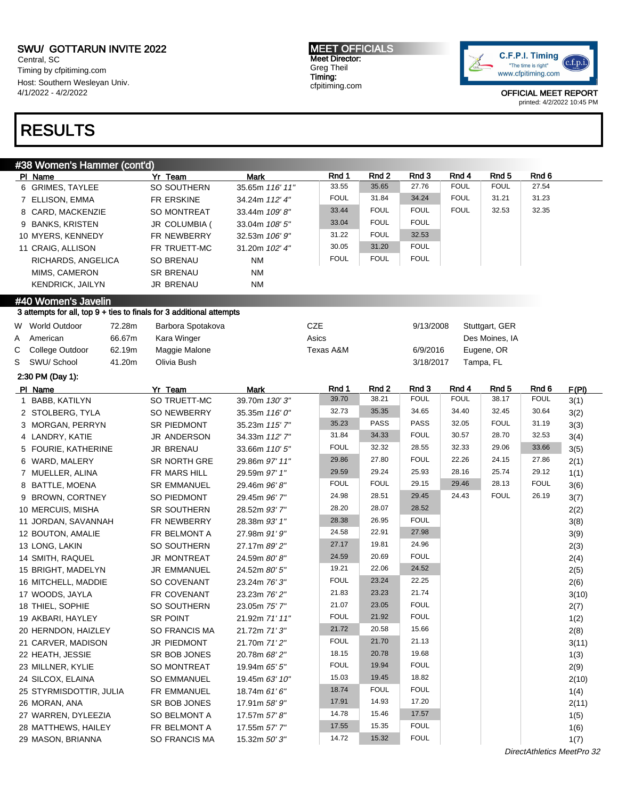#38 Women's Hammer (cont'd)

Central, SC Timing by cfpitiming.com Host: Southern Wesleyan Univ. 4/1/2022 - 4/2/2022

## RESULTS

#### MEET OFFICIALS Meet Director: Greg Theil Timing: cfpitiming.com



|   | $\pi$ ט וויטטן ופווס וופווווופו (טטונע<br>PI Name                                           | Yr Team             | Mark            |       | Rnd 1       | Rnd 2       | Rnd 3       | Rnd 4       | Rnd <sub>5</sub> | Rnd 6       |              |
|---|---------------------------------------------------------------------------------------------|---------------------|-----------------|-------|-------------|-------------|-------------|-------------|------------------|-------------|--------------|
|   | 6 GRIMES, TAYLEE                                                                            | SO SOUTHERN         | 35.65m 116' 11" |       | 33.55       | 35.65       | 27.76       | <b>FOUL</b> | <b>FOUL</b>      | 27.54       |              |
|   | 7 ELLISON, EMMA                                                                             | FR ERSKINE          | 34.24m 112' 4"  |       | <b>FOUL</b> | 31.84       | 34.24       | <b>FOUL</b> | 31.21            | 31.23       |              |
|   | 8 CARD, MACKENZIE                                                                           | SO MONTREAT         | 33.44m 109'8"   |       | 33.44       | <b>FOUL</b> | <b>FOUL</b> | <b>FOUL</b> | 32.53            | 32.35       |              |
|   | 9 BANKS, KRISTEN                                                                            | JR COLUMBIA (       | 33.04m 108' 5"  |       | 33.04       | <b>FOUL</b> | <b>FOUL</b> |             |                  |             |              |
|   | 10 MYERS, KENNEDY                                                                           | FR NEWBERRY         | 32.53m 106' 9"  |       | 31.22       | <b>FOUL</b> | 32.53       |             |                  |             |              |
|   | 11 CRAIG, ALLISON                                                                           | FR TRUETT-MC        | 31.20m 102' 4"  |       | 30.05       | 31.20       | <b>FOUL</b> |             |                  |             |              |
|   | RICHARDS, ANGELICA                                                                          | <b>SO BRENAU</b>    | <b>NM</b>       |       | <b>FOUL</b> | <b>FOUL</b> | <b>FOUL</b> |             |                  |             |              |
|   | MIMS, CAMERON                                                                               | <b>SR BRENAU</b>    | <b>NM</b>       |       |             |             |             |             |                  |             |              |
|   | KENDRICK, JAILYN                                                                            | JR BRENAU           | NM              |       |             |             |             |             |                  |             |              |
|   |                                                                                             |                     |                 |       |             |             |             |             |                  |             |              |
|   | #40 Women's Javelin<br>3 attempts for all, top 9 + ties to finals for 3 additional attempts |                     |                 |       |             |             |             |             |                  |             |              |
|   | W World Outdoor<br>72.28m                                                                   | Barbora Spotakova   |                 | CZE   |             |             | 9/13/2008   |             | Stuttgart, GER   |             |              |
| A | 66.67m<br>American                                                                          | Kara Winger         |                 | Asics |             |             |             |             | Des Moines, IA   |             |              |
| С | College Outdoor<br>62.19m                                                                   | Maggie Malone       |                 |       | Texas A&M   |             | 6/9/2016    |             | Eugene, OR       |             |              |
| S | SWU/ School<br>41.20m                                                                       | Olivia Bush         |                 |       |             |             | 3/18/2017   |             | Tampa, FL        |             |              |
|   | 2:30 PM (Day 1):                                                                            |                     |                 |       |             |             |             |             |                  |             |              |
|   | PI Name                                                                                     | Yr Team             | <b>Mark</b>     |       | Rnd 1       | Rnd 2       | Rnd 3       | Rnd 4       | Rnd <sub>5</sub> | Rnd 6       | F(PI)        |
| 1 | BABB, KATILYN                                                                               | SO TRUETT-MC        | 39.70m 130'3"   |       | 39.70       | 38.21       | <b>FOUL</b> | <b>FOUL</b> | 38.17            | <b>FOUL</b> | 3(1)         |
|   | 2 STOLBERG, TYLA                                                                            | SO NEWBERRY         | 35.35m 116' 0"  |       | 32.73       | 35.35       | 34.65       | 34.40       | 32.45            | 30.64       | 3(2)         |
|   | 3 MORGAN, PERRYN                                                                            | SR PIEDMONT         | 35.23m 115' 7"  |       | 35.23       | <b>PASS</b> | <b>PASS</b> | 32.05       | <b>FOUL</b>      | 31.19       | 3(3)         |
|   | 4 LANDRY, KATIE                                                                             | JR ANDERSON         | 34.33m 112' 7"  |       | 31.84       | 34.33       | <b>FOUL</b> | 30.57       | 28.70            | 32.53       | 3(4)         |
|   | 5 FOURIE, KATHERINE                                                                         | <b>JR BRENAU</b>    | 33.66m 110' 5"  |       | <b>FOUL</b> | 32.32       | 28.55       | 32.33       | 29.06            | 33.66       | 3(5)         |
|   | 6 WARD, MALERY                                                                              | <b>SR NORTH GRE</b> | 29.86m 97' 11"  |       | 29.86       | 27.80       | <b>FOUL</b> | 22.26       | 24.15            | 27.86       | 2(1)         |
|   | 7 MUELLER, ALINA                                                                            | FR MARS HILL        | 29.59m 97' 1"   |       | 29.59       | 29.24       | 25.93       | 28.16       | 25.74            | 29.12       | 1(1)         |
|   | 8 BATTLE, MOENA                                                                             | <b>SR EMMANUEL</b>  | 29.46m 96'8"    |       | <b>FOUL</b> | <b>FOUL</b> | 29.15       | 29.46       | 28.13            | <b>FOUL</b> | 3(6)         |
|   | 9 BROWN, CORTNEY                                                                            | SO PIEDMONT         | 29.45m 96' 7"   |       | 24.98       | 28.51       | 29.45       | 24.43       | <b>FOUL</b>      | 26.19       | 3(7)         |
|   | 10 MERCUIS, MISHA                                                                           | SR SOUTHERN         | 28.52m 93'7"    |       | 28.20       | 28.07       | 28.52       |             |                  |             | 2(2)         |
|   | 11 JORDAN, SAVANNAH                                                                         | FR NEWBERRY         | 28.38m 93' 1"   |       | 28.38       | 26.95       | <b>FOUL</b> |             |                  |             | 3(8)         |
|   | 12 BOUTON, AMALIE                                                                           | FR BELMONT A        | 27.98m 91' 9"   |       | 24.58       | 22.91       | 27.98       |             |                  |             | 3(9)         |
|   | 13 LONG, LAKIN                                                                              | SO SOUTHERN         | 27.17m 89' 2"   |       | 27.17       | 19.81       | 24.96       |             |                  |             | 2(3)         |
|   | 14 SMITH, RAQUEL                                                                            | JR MONTREAT         | 24.59m 80'8"    |       | 24.59       | 20.69       | <b>FOUL</b> |             |                  |             | 2(4)         |
|   | 15 BRIGHT, MADELYN                                                                          | <b>JR EMMANUEL</b>  | 24.52m 80' 5"   |       | 19.21       | 22.06       | 24.52       |             |                  |             | 2(5)         |
|   | 16 MITCHELL, MADDIE                                                                         | SO COVENANT         | 23.24m 76' 3"   |       | <b>FOUL</b> | 23.24       | 22.25       |             |                  |             | 2(6)         |
|   | 17 WOODS, JAYLA                                                                             | FR COVENANT         | 23.23m 76' 2"   |       | 21.83       | 23.23       | 21.74       |             |                  |             | 3(10)        |
|   | 18 THIEL, SOPHIE                                                                            | SO SOUTHERN         | 23.05m 75' 7"   |       | 21.07       | 23.05       | <b>FOUL</b> |             |                  |             | 2(7)         |
|   | 19 AKBARI, HAYLEY                                                                           | SR POINT            | 21.92m 71' 11"  |       | <b>FOUL</b> | 21.92       | <b>FOUL</b> |             |                  |             | 1(2)         |
|   | 20 HERNDON, HAIZLEY                                                                         | SO FRANCIS MA       | 21.72m 71'3"    |       | 21.72       | 20.58       | 15.66       |             |                  |             | 2(8)         |
|   | 21 CARVER, MADISON                                                                          | JR PIEDMONT         | 21.70m 71'2"    |       | <b>FOUL</b> | 21.70       | 21.13       |             |                  |             | 3(11)        |
|   | 22 HEATH, JESSIE                                                                            | SR BOB JONES        | 20.78m 68' 2"   |       | 18.15       | 20.78       | 19.68       |             |                  |             |              |
|   | 23 MILLNER, KYLIE                                                                           | SO MONTREAT         | 19.94m 65' 5"   |       | <b>FOUL</b> | 19.94       | <b>FOUL</b> |             |                  |             | 1(3)<br>2(9) |
|   | 24 SILCOX, ELAINA                                                                           | <b>SO EMMANUEL</b>  | 19.45m 63' 10"  |       | 15.03       | 19.45       | 18.82       |             |                  |             | 2(10)        |
|   | 25 STYRMISDOTTIR, JULIA                                                                     | FR EMMANUEL         | 18.74m 61' 6"   |       | 18.74       | <b>FOUL</b> | <b>FOUL</b> |             |                  |             | 1(4)         |
|   | 26 MORAN, ANA                                                                               | SR BOB JONES        | 17.91m 58' 9"   |       | 17.91       | 14.93       | 17.20       |             |                  |             |              |
|   | 27 WARREN, DYLEEZIA                                                                         | SO BELMONT A        | 17.57m 57' 8"   |       | 14.78       | 15.46       | 17.57       |             |                  |             | 2(11)        |
|   | 28 MATTHEWS, HAILEY                                                                         | FR BELMONT A        | 17.55m 57' 7"   |       | 17.55       | 15.35       | <b>FOUL</b> |             |                  |             | 1(5)         |
|   | 29 MASON, BRIANNA                                                                           | SO FRANCIS MA       | 15.32m 50'3"    |       | 14.72       | 15.32       | <b>FOUL</b> |             |                  |             | 1(6)         |
|   |                                                                                             |                     |                 |       |             |             |             |             |                  |             | 1(7)         |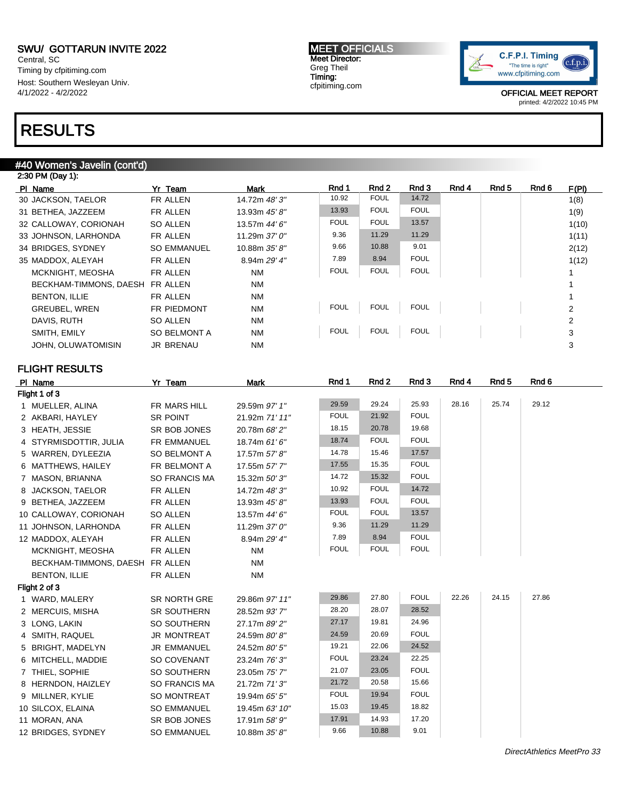Central, SC Timing by cfpitiming.com Host: Southern Wesleyan Univ. 4/1/2022 - 4/2/2022

### RESULTS

#### #40 Women's Javelin (cont'd)

| 2:30 PM (Day 1):        |                     |               |             |             |             |       |       |       |       |
|-------------------------|---------------------|---------------|-------------|-------------|-------------|-------|-------|-------|-------|
| PI Name                 | Yr Team             | Mark          | Rnd 1       | Rnd 2       | Rnd 3       | Rnd 4 | Rnd 5 | Rnd 6 | F(PI) |
| 30 JACKSON, TAELOR      | FR ALLEN            | 14.72m 48'3"  | 10.92       | <b>FOUL</b> | 14.72       |       |       |       | 1(8)  |
| 31 BETHEA, JAZZEEM      | FR ALLEN            | 13.93m 45' 8" | 13.93       | <b>FOUL</b> | <b>FOUL</b> |       |       |       | 1(9)  |
| 32 CALLOWAY, CORIONAH   | SO ALLEN            | 13.57m 44' 6" | <b>FOUL</b> | <b>FOUL</b> | 13.57       |       |       |       | 1(10) |
| 33 JOHNSON, LARHONDA    | FR ALLEN            | 11.29m 37'0"  | 9.36        | 11.29       | 11.29       |       |       |       | 1(11) |
| 34 BRIDGES, SYDNEY      | <b>SO EMMANUEL</b>  | 10.88m 35' 8" | 9.66        | 10.88       | 9.01        |       |       |       | 2(12) |
| 35 MADDOX, ALEYAH       | FR ALLEN            | 8.94m 29' 4"  | 7.89        | 8.94        | <b>FOUL</b> |       |       |       | 1(12) |
| <b>MCKNIGHT, MEOSHA</b> | FR ALLEN            | <b>NM</b>     | <b>FOUL</b> | <b>FOUL</b> | <b>FOUL</b> |       |       |       |       |
| BECKHAM-TIMMONS, DAESH  | FR ALLEN            | <b>NM</b>     |             |             |             |       |       |       |       |
| <b>BENTON, ILLIE</b>    | FR ALLEN            | <b>NM</b>     |             |             |             |       |       |       |       |
| <b>GREUBEL, WREN</b>    | <b>FR PIEDMONT</b>  | <b>NM</b>     | <b>FOUL</b> | <b>FOUL</b> | <b>FOUL</b> |       |       |       | 2     |
| DAVIS, RUTH             | SO ALLEN            | <b>NM</b>     |             |             |             |       |       |       | 2     |
| SMITH, EMILY            | <b>SO BELMONT A</b> | <b>NM</b>     | <b>FOUL</b> | <b>FOUL</b> | <b>FOUL</b> |       |       |       | 3     |
| JOHN, OLUWATOMISIN      | <b>JR BRENAU</b>    | <b>NM</b>     |             |             |             |       |       |       | 3     |
|                         |                     |               |             |             |             |       |       |       |       |

#### FLIGHT RESULTS

| PI Name                         | Yr Team              | <b>Mark</b>    | Rnd 1       | Rnd 2       | Rnd 3       | Rnd 4 | Rnd 5 | Rnd 6 |
|---------------------------------|----------------------|----------------|-------------|-------------|-------------|-------|-------|-------|
| Flight 1 of 3                   |                      |                |             |             |             |       |       |       |
| 1 MUELLER, ALINA                | FR MARS HILL         | 29.59m 97' 1"  | 29.59       | 29.24       | 25.93       | 28.16 | 25.74 | 29.12 |
| 2 AKBARI, HAYLEY                | SR POINT             | 21.92m 71' 11" | <b>FOUL</b> | 21.92       | <b>FOUL</b> |       |       |       |
| 3 HEATH, JESSIE                 | SR BOB JONES         | 20.78m 68' 2"  | 18.15       | 20.78       | 19.68       |       |       |       |
| 4 STYRMISDOTTIR, JULIA          | FR EMMANUEL          | 18.74m 61' 6"  | 18.74       | <b>FOUL</b> | <b>FOUL</b> |       |       |       |
| 5 WARREN, DYLEEZIA              | SO BELMONT A         | 17.57m 57' 8"  | 14.78       | 15.46       | 17.57       |       |       |       |
| 6 MATTHEWS, HAILEY              | FR BELMONT A         | 17.55m 57' 7"  | 17.55       | 15.35       | <b>FOUL</b> |       |       |       |
| 7 MASON, BRIANNA                | <b>SO FRANCIS MA</b> | 15.32m 50'3"   | 14.72       | 15.32       | <b>FOUL</b> |       |       |       |
| 8 JACKSON, TAELOR               | FR ALLEN             | 14.72m 48' 3"  | 10.92       | <b>FOUL</b> | 14.72       |       |       |       |
| 9 BETHEA, JAZZEEM               | FR ALLEN             | 13.93m 45' 8"  | 13.93       | <b>FOUL</b> | <b>FOUL</b> |       |       |       |
| 10 CALLOWAY, CORIONAH           | <b>SO ALLEN</b>      | 13.57m 44' 6"  | <b>FOUL</b> | <b>FOUL</b> | 13.57       |       |       |       |
| 11 JOHNSON, LARHONDA            | FR ALLEN             | 11.29m 37' 0"  | 9.36        | 11.29       | 11.29       |       |       |       |
| 12 MADDOX, ALEYAH               | FR ALLEN             | 8.94m 29' 4"   | 7.89        | 8.94        | <b>FOUL</b> |       |       |       |
| MCKNIGHT, MEOSHA                | FR ALLEN             | <b>NM</b>      | <b>FOUL</b> | <b>FOUL</b> | <b>FOUL</b> |       |       |       |
| BECKHAM-TIMMONS, DAESH FR ALLEN |                      | <b>NM</b>      |             |             |             |       |       |       |
| <b>BENTON, ILLIE</b>            | FR ALLEN             | <b>NM</b>      |             |             |             |       |       |       |
| Flight 2 of 3                   |                      |                |             |             |             |       |       |       |
| 1 WARD, MALERY                  | SR NORTH GRE         | 29.86m 97' 11" | 29.86       | 27.80       | <b>FOUL</b> | 22.26 | 24.15 | 27.86 |
| 2 MERCUIS, MISHA                | SR SOUTHERN          | 28.52m 93'7"   | 28.20       | 28.07       | 28.52       |       |       |       |
| 3 LONG, LAKIN                   | SO SOUTHERN          | 27.17m 89' 2"  | 27.17       | 19.81       | 24.96       |       |       |       |
| 4 SMITH, RAQUEL                 | <b>JR MONTREAT</b>   | 24.59m 80'8"   | 24.59       | 20.69       | <b>FOUL</b> |       |       |       |
| 5 BRIGHT, MADELYN               | <b>JR EMMANUEL</b>   | 24.52m 80' 5"  | 19.21       | 22.06       | 24.52       |       |       |       |
| 6 MITCHELL, MADDIE              | SO COVENANT          | 23.24m 76' 3"  | <b>FOUL</b> | 23.24       | 22.25       |       |       |       |
| 7 THIEL, SOPHIE                 | SO SOUTHERN          | 23.05m 75' 7"  | 21.07       | 23.05       | <b>FOUL</b> |       |       |       |
| 8 HERNDON, HAIZLEY              | SO FRANCIS MA        | 21.72m 71'3"   | 21.72       | 20.58       | 15.66       |       |       |       |
| 9 MILLNER, KYLIE                | SO MONTREAT          | 19.94m 65' 5"  | <b>FOUL</b> | 19.94       | <b>FOUL</b> |       |       |       |
| 10 SILCOX, ELAINA               | <b>SO EMMANUEL</b>   | 19.45m 63' 10" | 15.03       | 19.45       | 18.82       |       |       |       |
| 11 MORAN, ANA                   | SR BOB JONES         | 17.91m 58' 9"  | 17.91       | 14.93       | 17.20       |       |       |       |
| 12 BRIDGES, SYDNEY              | <b>SO EMMANUEL</b>   | 10.88m 35' 8"  | 9.66        | 10.88       | 9.01        |       |       |       |
|                                 |                      |                |             |             |             |       |       |       |

MEET OFFICIALS Meet Director: Greg Theil Timing: cfpitiming.com

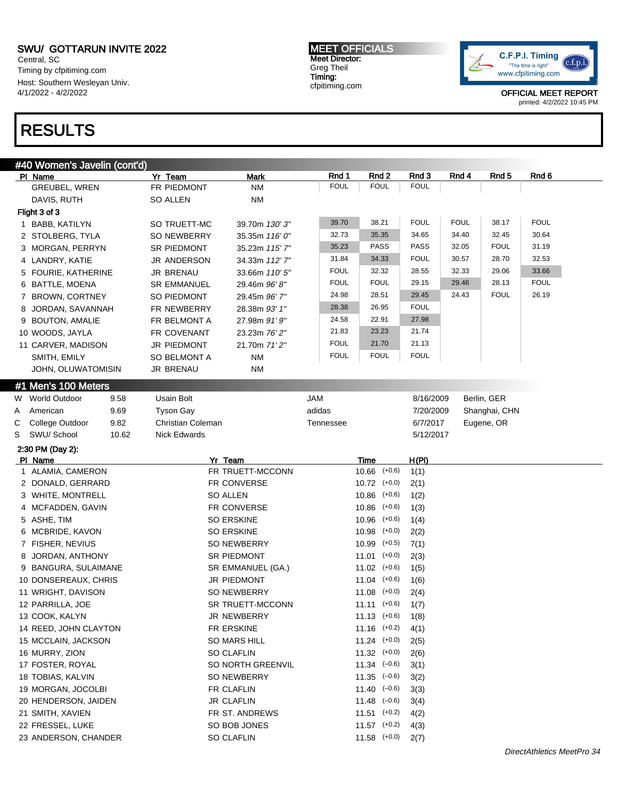Central, SC Timing by cfpitiming.com Host: Southern Wesleyan Univ. 4/1/2022 - 4/2/2022

### RESULTS

MEET OFFICIALS Meet Director: Greg Theil Timing: cfpitiming.com



|   | #40 Women's Javelin (cont'd) |                                 |                   |             |                             |           |             |               |             |
|---|------------------------------|---------------------------------|-------------------|-------------|-----------------------------|-----------|-------------|---------------|-------------|
|   | PI Name                      | Yr Team                         | Mark              | Rnd 1       | Rnd 2                       | Rnd 3     | Rnd 4       | Rnd 5         | Rnd 6       |
|   | GREUBEL, WREN                | FR PIEDMONT                     | <b>NM</b>         | <b>FOUL</b> | <b>FOUL</b>                 | FOUL      |             |               |             |
|   | DAVIS, RUTH                  | <b>SO ALLEN</b>                 | <b>NM</b>         |             |                             |           |             |               |             |
|   | Flight 3 of 3                |                                 |                   |             |                             |           |             |               |             |
|   | 1 BABB, KATILYN              | SO TRUETT-MC                    | 39.70m 130'3"     | 39.70       | 38.21                       | FOUL      | <b>FOUL</b> | 38.17         | <b>FOUL</b> |
|   | 2 STOLBERG, TYLA             | SO NEWBERRY                     | 35.35m 116' 0"    | 32.73       | 35.35                       | 34.65     | 34.40       | 32.45         | 30.64       |
|   | 3 MORGAN, PERRYN             | SR PIEDMONT                     | 35.23m 115' 7"    | 35.23       | <b>PASS</b>                 | PASS      | 32.05       | <b>FOUL</b>   | 31.19       |
|   | 4 LANDRY, KATIE              | JR ANDERSON                     | 34.33m 112' 7"    | 31.84       | 34.33                       | FOUL      | 30.57       | 28.70         | 32.53       |
|   | 5 FOURIE, KATHERINE          | <b>JR BRENAU</b>                | 33.66m 110' 5"    | <b>FOUL</b> | 32.32                       | 28.55     | 32.33       | 29.06         | 33.66       |
|   | 6 BATTLE, MOENA              | <b>SR EMMANUEL</b>              | 29.46m 96'8"      | <b>FOUL</b> | <b>FOUL</b>                 | 29.15     | 29.46       | 28.13         | <b>FOUL</b> |
|   | 7 BROWN, CORTNEY             | SO PIEDMONT                     | 29.45m 96' 7"     | 24.98       | 28.51                       | 29.45     | 24.43       | <b>FOUL</b>   | 26.19       |
|   | 8 JORDAN, SAVANNAH           | FR NEWBERRY                     | 28.38m 93' 1"     | 28.38       | 26.95                       | FOUL      |             |               |             |
|   | 9 BOUTON, AMALIE             | FR BELMONT A                    | 27.98m 91' 9"     | 24.58       | 22.91                       | 27.98     |             |               |             |
|   | 10 WOODS, JAYLA              | FR COVENANT                     | 23.23m 76' 2"     | 21.83       | 23.23                       | 21.74     |             |               |             |
|   | 11 CARVER, MADISON           | JR PIEDMONT                     | 21.70m 71'2"      | <b>FOUL</b> | 21.70                       | 21.13     |             |               |             |
|   | SMITH, EMILY                 | <b>SO BELMONT A</b>             | <b>NM</b>         | <b>FOUL</b> | <b>FOUL</b>                 | FOUL      |             |               |             |
|   | JOHN, OLUWATOMISIN           | <b>JR BRENAU</b>                | <b>NM</b>         |             |                             |           |             |               |             |
|   | #1 Men's 100 Meters          |                                 |                   |             |                             |           |             |               |             |
|   | W World Outdoor<br>9.58      | Usain Bolt                      |                   | <b>JAM</b>  |                             | 8/16/2009 |             | Berlin, GER   |             |
| Α | American<br>9.69             | <b>Tyson Gay</b>                |                   | adidas      |                             | 7/20/2009 |             | Shanghai, CHN |             |
| С | College Outdoor<br>9.82      | Christian Coleman               |                   | Tennessee   |                             | 6/7/2017  |             | Eugene, OR    |             |
| S | SWU/ School<br>10.62         | <b>Nick Edwards</b>             |                   |             |                             | 5/12/2017 |             |               |             |
|   |                              |                                 |                   |             |                             |           |             |               |             |
|   | 2:30 PM (Day 2):<br>PI Name  |                                 | Yr Team           |             | <b>Time</b>                 | H(PI)     |             |               |             |
|   | 1 ALAMIA, CAMERON            |                                 | FR TRUETT-MCCONN  |             | $10.66$ $(+0.6)$            | 1(1)      |             |               |             |
|   | 2 DONALD, GERRARD            |                                 | FR CONVERSE       |             | $10.72$ $(+0.0)$            | 2(1)      |             |               |             |
|   | 3 WHITE, MONTRELL            |                                 | <b>SO ALLEN</b>   |             | $10.86$ $(+0.6)$            | 1(2)      |             |               |             |
|   | 4 MCFADDEN, GAVIN            |                                 | FR CONVERSE       |             | $10.86$ $(+0.6)$            | 1(3)      |             |               |             |
|   | 5 ASHE, TIM                  |                                 | <b>SO ERSKINE</b> |             | $10.96$ $(+0.6)$            | 1(4)      |             |               |             |
|   | 6 MCBRIDE, KAVON             |                                 | <b>SO ERSKINE</b> |             | 10.98<br>$(+0.0)$           | 2(2)      |             |               |             |
|   | 7 FISHER, NEVIUS             |                                 | SO NEWBERRY       |             | $10.99$ $(+0.5)$            | 7(1)      |             |               |             |
| 8 | JORDAN, ANTHONY              |                                 | SR PIEDMONT       |             | $11.01$ (+0.0)              | 2(3)      |             |               |             |
|   | 9 BANGURA, SULAIMANE         |                                 | SR EMMANUEL (GA.) |             | $11.02$ $(+0.6)$            | 1(5)      |             |               |             |
|   | 10 DONSEREAUX, CHRIS         |                                 | JR PIEDMONT       |             | $11.04$ (+0.6)              | 1(6)      |             |               |             |
|   | 11 WRIGHT, DAVISON           |                                 | SO NEWBERRY       |             | $11.08$ (+0.0)              | 2(4)      |             |               |             |
|   | 12 PARRILLA, JOE             |                                 | SR TRUETT-MCCONN  |             | $11.11$ $(+0.6)$            | 1(7)      |             |               |             |
|   | 13 COOK, KALYN               |                                 | JR NEWBERRY       |             | $11.13$ $(+0.6)$            | 1(8)      |             |               |             |
|   | 14 REED, JOHN CLAYTON        |                                 | FR ERSKINE        |             | $11.16$ $(+0.2)$            | 4(1)      |             |               |             |
|   | 15 MCCLAIN, JACKSON          |                                 | SO MARS HILL      |             | $11.24$ $(+0.0)$            | 2(5)      |             |               |             |
|   | 16 MURRY, ZION               |                                 |                   |             | $11.32$ $(+0.0)$            | 2(6)      |             |               |             |
|   | 17 FOSTER, ROYAL             | SO CLAFLIN<br>SO NORTH GREENVIL |                   |             | $11.34$ $(-0.6)$            | 3(1)      |             |               |             |
|   | 18 TOBIAS, KALVIN            | SO NEWBERRY                     |                   |             | $11.35 \left( -0.6 \right)$ | 3(2)      |             |               |             |
|   | 19 MORGAN, JOCOLBI           |                                 | FR CLAFLIN        |             | $11.40 \left( -0.6 \right)$ | 3(3)      |             |               |             |
|   | 20 HENDERSON, JAIDEN         |                                 | <b>JR CLAFLIN</b> |             | $11.48$ $(-0.6)$            | 3(4)      |             |               |             |
|   | 21 SMITH, XAVIEN             |                                 | FR ST. ANDREWS    |             | $11.51$ (+0.2)              | 4(2)      |             |               |             |
|   | 22 FRESSEL, LUKE             |                                 | SO BOB JONES      |             | $11.57$ (+0.2)              | 4(3)      |             |               |             |
|   | 23 ANDERSON, CHANDER         |                                 | SO CLAFLIN        |             | $11.58$ (+0.0)              | 2(7)      |             |               |             |
|   |                              |                                 |                   |             |                             |           |             |               |             |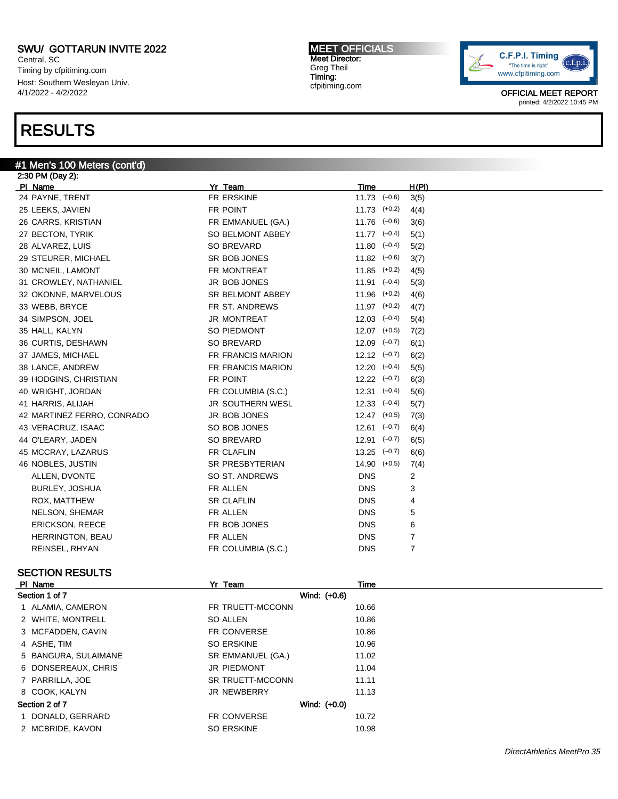Central, SC Timing by cfpitiming.com Host: Southern Wesleyan Univ. 4/1/2022 - 4/2/2022

### RESULTS

#### #1 Men's 100 Meters (cont'd)

2:30 PM (Day 2): Pl Name Yr Team Time H(Pl) 24 PAYNE, TRENT FREDUCED FREERSKINE 11.73 ( $-0.6$ ) 3(5) 25 LEEKS, JAVIEN FR POINT 11.73 (+0.2) 4(4) 26 CARRS, KRISTIAN FR EMMANUEL (GA.) 11.76 (-0.6) 3(6) 27 BECTON, TYRIK SO BELMONT ABBEY 11.77 (-0.4) 5(1) 28 ALVAREZ, LUIS SO BREVARD 11.80 (–0.4) 5(2) 29 STEURER, MICHAEL SR BOB JONES 11.82 (-0.6) 3(7) 30 MCNEIL, LAMONT **FR MONTREAT** 11.85 (+0.2) 4(5) 31 CROWLEY, NATHANIEL **JR BOB JONES** 11.91 (-0.4) 5(3) 32 OKONNE, MARVELOUS SR BELMONT ABBEY 11.96 (+0.2) 4(6) 33 WEBB, BRYCE **FR ST. ANDREWS** 11.97 (+0.2) 4(7) 34 SIMPSON, JOEL JR MONTREAT 12.03 (–0.4) 5(4) 35 HALL, KALYN **SO PIEDMONT** 12.07 (+0.5) 7(2) 36 CURTIS, DESHAWN SO BREVARD 12.09 ( $-0.7$ ) 6(1) 37 JAMES, MICHAEL 6(2) 6(2) 6(2) 6(2) FR FRANCIS MARION 12.12 (-0.7) 6(2) 38 LANCE, ANDREW FR FRANCIS MARION 12.20 (–0.4) 5(5) 39 HODGINS, CHRISTIAN **FR POINT** FR POINT 12.22 (-0.7) 6(3) 40 WRIGHT, JORDAN **FR COLUMBIA (S.C.)** 12.31 (-0.4) 5(6) 41 HARRIS, ALIJAH JR SOUTHERN WESL 12.33 (-0.4) 5(7) 42 MARTINEZ FERRO, CONRADO JR BOB JONES 12.47 (+0.5) 7(3) 43 VERACRUZ, ISAAC SO BOB JONES 12.61 ( $-0.7$ ) 6(4) 44 O'LEARY, JADEN SO BREVARD 12.91 (–0.7) 6(5) 45 MCCRAY, LAZARUS **FR CLAFLIN** FR CLAFLIN 13.25 (–0.7) 6(6) 46 NOBLES, JUSTIN SR PRESBYTERIAN 14.90 (+0.5) 7(4) ALLEN, DVONTE SO ST. ANDREWS DNS 2 BURLEY, JOSHUA FR ALLEN DNS 3 ROX, MATTHEW **SR CLAFLIN** SR CLAFLIN DNS 4 NELSON, SHEMAR FR ALLEN DNS 5 ERICKSON, REECE FR BOB JONES DNS 6 HERRINGTON, BEAU **FR ALLEN** FR ALLEN DNS 7 REINSEL, RHYAN FR COLUMBIA (S.C.) DNS 7

#### SECTION RESULTS

| PI<br>Name    | Team<br>$\mathbf{v}$ |                       | <b>ime</b> |
|---------------|----------------------|-----------------------|------------|
| Socion 1 of 7 |                      | <i>Mind-</i><br>(100) |            |

| Section 1 of 7       | Wind: (+0.6)       |       |
|----------------------|--------------------|-------|
| 1 ALAMIA, CAMERON    | FR TRUETT-MCCONN   | 10.66 |
| 2 WHITE, MONTRELL    | <b>SO ALLEN</b>    | 10.86 |
| 3 MCFADDEN, GAVIN    | <b>FR CONVERSE</b> | 10.86 |
| 4 ASHE, TIM          | <b>SO ERSKINE</b>  | 10.96 |
| 5 BANGURA, SULAIMANE | SR EMMANUEL (GA.)  | 11.02 |
| 6 DONSEREAUX, CHRIS  | JR PIEDMONT        | 11.04 |
| 7 PARRILLA, JOE      | SR TRUETT-MCCONN   | 11.11 |
| 8 COOK, KALYN        | <b>JR NEWBERRY</b> | 11.13 |
| Section 2 of 7       | Wind: (+0.0)       |       |
| 1 DONALD, GERRARD    | <b>FR CONVERSE</b> | 10.72 |
| 2 MCBRIDE, KAVON     | <b>SO ERSKINE</b>  | 10.98 |
|                      |                    |       |

MEET OFFICIALS Meet Director: Greg Theil Timing: cfpitiming.com

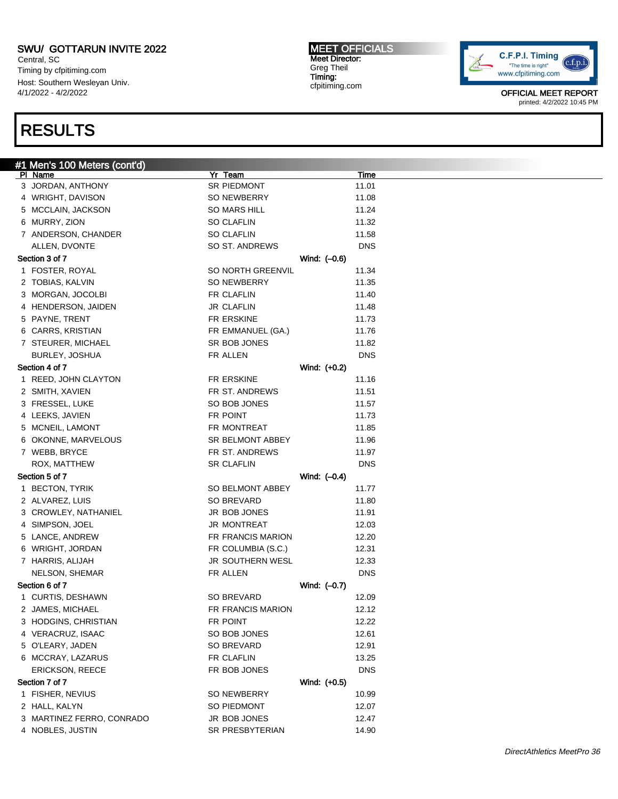Central, SC Timing by cfpitiming.com Host: Southern Wesleyan Univ. 4/1/2022 - 4/2/2022

### RESULTS

#### #1 Men's 100 Meters (cont'd) Pl Name Yr Team Time 3 JORDAN, ANTHONY SR PIEDMONT 11.01 4 WRIGHT, DAVISON SO NEWBERRY 11.08 5 MCCLAIN, JACKSON SO MARS HILL 11.24 6 MURRY, ZION SO CLAFLIN 11.32 7 ANDERSON, CHANDER SO CLAFLIN 58 SO CLARED 11.58 ALLEN, DVONTE SO ST. ANDREWS DNS Section 3 of 7 Wind: (–0.6) 1 FOSTER, ROYAL **SO NORTH GREENVIL** 11.34 2 TOBIAS, KALVIN SO NEWBERRY 11.35 3 MORGAN, JOCOLBI FR CLAFLIN 11.40 4 HENDERSON, JAIDEN JR CLAFLIN 11.48 5 PAYNE, TRENT FREERSKINE FREERSKINE 11.73 6 CARRS, KRISTIAN FR EMMANUEL (GA.) 11.76 7 STEURER, MICHAEL SR BOB JONES 11.82 BURLEY, JOSHUA **FR ALLEN** FR ALLEN Section 4 of 7 Wind: (+0.2) 1 REED, JOHN CLAYTON FR ERSKINE 11.16 2 SMITH, XAVIEN FR ST. ANDREWS 11.51 3 FRESSEL, LUKE SO BOB JONES 11.57 4 LEEKS, JAVIEN **FR POINT** 61.73 5 MCNEIL, LAMONT **FR MONTREAT** 11.85 6 OKONNE, MARVELOUS SR BELMONT ABBEY 11.96 7 WEBB, BRYCE **FR ST. ANDREWS** 11.97 ROX, MATTHEW **SR CLAFLIN** SR CLAFLIN Section 5 of 7 Wind: (–0.4) 1 BECTON, TYRIK SO BELMONT ABBEY 11.77 2 ALVAREZ, LUIS SO BREVARD 11.80 3 CROWLEY, NATHANIEL **SEE A SEE A SEE A SEE A SEE A SEE A** 11.91 4 SIMPSON, JOEL 12.03 5 LANCE, ANDREW FR FRANCIS MARION 12.20 6 WRIGHT, JORDAN **FR COLUMBIA (S.C.)** 12.31 7 HARRIS, ALIJAH 12.33 JR SOUTHERN WESL 12.33 NELSON, SHEMAR FR ALLEN FR ALLEN Section 6 of 7 Wind: (–0.7) 1 CURTIS, DESHAWN SO BREVARD 12.09 2 JAMES, MICHAEL **FR FRANCIS MARION** 12.12 3 HODGINS, CHRISTIAN **FR POINT** 12.22 4 VERACRUZ, ISAAC SO BOB JONES 12.61 5 O'LEARY, JADEN SO BREVARD 12.91 6 MCCRAY, LAZARUS **FR CLAFLIN** 13.25 ERICKSON, REECE FR BOB JONES DNS Section 7 of 7 Wind: (+0.5) 1 FISHER, NEVIUS **SO NEWBERRY** 10.99 2 HALL, KALYN SO PIEDMONT 12.07 3 MARTINEZ FERRO, CONRADO JR BOB JONES 12.47 4 NOBLES, JUSTIN SR PRESBYTERIAN 14.90

MEET OFFICIALS Meet Director: Greg Theil Timing: cfpitiming.com

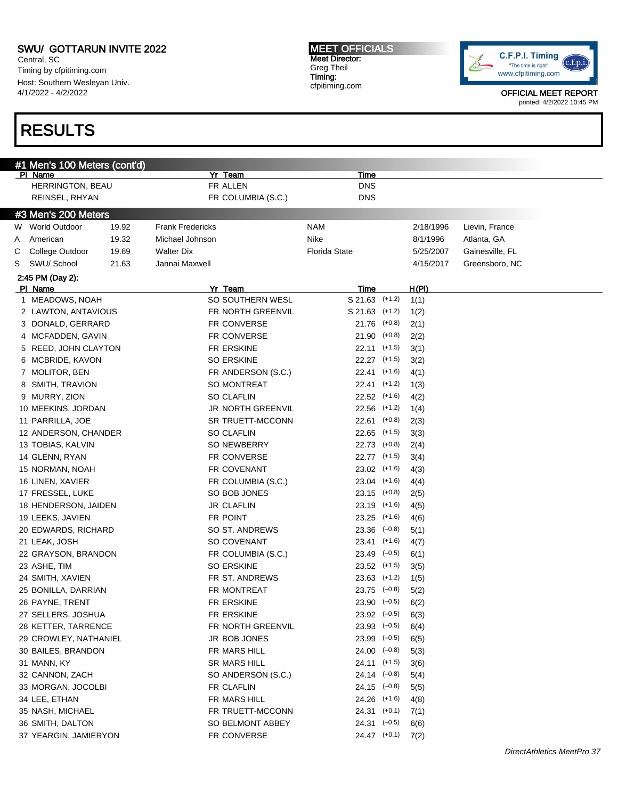Central, SC Timing by cfpitiming.com Host: Southern Wesleyan Univ. 4/1/2022 - 4/2/2022

# RESULTS

MEET OFFICIALS Meet Director: Greg Theil Timing: cfpitiming.com



| #1 Men's 100 Meters (cont'd)<br>PI Name |       | <b>Yr Team</b>          |            | Time                 |          |           |                 |
|-----------------------------------------|-------|-------------------------|------------|----------------------|----------|-----------|-----------------|
| HERRINGTON, BEAU                        |       | FR ALLEN                |            | <b>DNS</b>           |          |           |                 |
| REINSEL, RHYAN                          |       | FR COLUMBIA (S.C.)      |            | <b>DNS</b>           |          |           |                 |
|                                         |       |                         |            |                      |          |           |                 |
| #3 Men's 200 Meters                     |       |                         |            |                      |          |           |                 |
| W World Outdoor                         | 19.92 | <b>Frank Fredericks</b> | <b>NAM</b> |                      |          | 2/18/1996 | Lievin, France  |
| American<br>A                           | 19.32 | Michael Johnson         | Nike       |                      |          | 8/1/1996  | Atlanta, GA     |
| College Outdoor<br>С                    | 19.69 | <b>Walter Dix</b>       |            | <b>Florida State</b> |          | 5/25/2007 | Gainesville, FL |
| SWU/ School<br>S                        | 21.63 | Jannai Maxwell          |            |                      |          | 4/15/2017 | Greensboro, NC  |
| 2:45 PM (Day 2):                        |       |                         |            |                      |          |           |                 |
| PI Name                                 |       | Yr Team                 |            | Time                 |          | H(PI)     |                 |
| 1 MEADOWS, NOAH                         |       | SO SOUTHERN WESL        |            | $S$ 21.63 $(+1.2)$   |          | 1(1)      |                 |
| 2 LAWTON, ANTAVIOUS                     |       | FR NORTH GREENVIL       |            | $S$ 21.63 $(+1.2)$   |          | 1(2)      |                 |
| 3 DONALD, GERRARD                       |       | FR CONVERSE             |            | $21.76$ (+0.8)       |          | 2(1)      |                 |
| 4 MCFADDEN, GAVIN                       |       | FR CONVERSE             |            | $21.90$ (+0.8)       |          | 2(2)      |                 |
| 5 REED, JOHN CLAYTON                    |       | FR ERSKINE              |            | 22.11 (+1.5)         |          | 3(1)      |                 |
| 6 MCBRIDE, KAVON                        |       | <b>SO ERSKINE</b>       |            | 22.27 (+1.5)         |          | 3(2)      |                 |
| 7 MOLITOR, BEN                          |       | FR ANDERSON (S.C.)      |            | 22.41                | $(+1.6)$ | 4(1)      |                 |
| 8 SMITH, TRAVION                        |       | SO MONTREAT             |            | 22.41 (+1.2)         |          | 1(3)      |                 |
| 9 MURRY, ZION                           |       | <b>SO CLAFLIN</b>       |            | 22.52 (+1.6)         |          | 4(2)      |                 |
| 10 MEEKINS, JORDAN                      |       | JR NORTH GREENVIL       |            | $22.56$ $(+1.2)$     |          | 1(4)      |                 |
| 11 PARRILLA, JOE                        |       | SR TRUETT-MCCONN        |            | 22.61                | $(+0.8)$ | 2(3)      |                 |
| 12 ANDERSON, CHANDER                    |       | <b>SO CLAFLIN</b>       |            | $22.65$ $(+1.5)$     |          | 3(3)      |                 |
| 13 TOBIAS, KALVIN                       |       | SO NEWBERRY             |            | 22.73 (+0.8)         |          | 2(4)      |                 |
| 14 GLENN, RYAN                          |       | FR CONVERSE             |            | 22.77 (+1.5)         |          | 3(4)      |                 |
| 15 NORMAN, NOAH                         |       | FR COVENANT             |            | 23.02 (+1.6)         |          | 4(3)      |                 |
| 16 LINEN, XAVIER                        |       | FR COLUMBIA (S.C.)      |            | 23.04 (+1.6)         |          | 4(4)      |                 |
| 17 FRESSEL, LUKE                        |       | SO BOB JONES            |            | $23.15$ (+0.8)       |          | 2(5)      |                 |
| 18 HENDERSON, JAIDEN                    |       | <b>JR CLAFLIN</b>       |            | 23.19 (+1.6)         |          | 4(5)      |                 |
| 19 LEEKS, JAVIEN                        |       | FR POINT                |            | 23.25 (+1.6)         |          | 4(6)      |                 |
| 20 EDWARDS, RICHARD                     |       | SO ST. ANDREWS          |            | $23.36$ $(-0.8)$     |          | 5(1)      |                 |
| 21 LEAK, JOSH                           |       | SO COVENANT             |            | 23.41 (+1.6)         |          | 4(7)      |                 |
| 22 GRAYSON, BRANDON                     |       | FR COLUMBIA (S.C.)      |            | $23.49$ $(-0.5)$     |          | 6(1)      |                 |
| 23 ASHE, TIM                            |       | <b>SO ERSKINE</b>       |            | 23.52 (+1.5)         |          | 3(5)      |                 |
| 24 SMITH, XAVIEN                        |       | FR ST. ANDREWS          |            | $23.63$ $(+1.2)$     |          | 1(5)      |                 |
| 25 BONILLA, DARRIAN                     |       | FR MONTREAT             |            | $23.75$ $(-0.8)$     |          | 5(2)      |                 |
| 26 PAYNE, TRENT                         |       | FR ERSKINE              |            | $23.90 (-0.5)$       |          | 6(2)      |                 |
| 27 SELLERS, JOSHUA                      |       | FR ERSKINE              |            | $23.92$ $(-0.5)$     |          | 6(3)      |                 |
| 28 KETTER, TARRENCE                     |       | FR NORTH GREENVIL       |            | $23.93$ $(-0.5)$     |          | 6(4)      |                 |
| 29 CROWLEY, NATHANIEL                   |       | JR BOB JONES            |            | $23.99$ $(-0.5)$     |          | 6(5)      |                 |
| 30 BAILES, BRANDON                      |       | FR MARS HILL            |            | $24.00$ $(-0.8)$     |          | 5(3)      |                 |
| 31 MANN, KY                             |       | SR MARS HILL            |            | 24.11 (+1.5)         |          | 3(6)      |                 |
| 32 CANNON, ZACH                         |       | SO ANDERSON (S.C.)      |            | 24.14 (-0.8)         |          | 5(4)      |                 |
| 33 MORGAN, JOCOLBI                      |       | FR CLAFLIN              |            | $24.15$ (-0.8)       |          | 5(5)      |                 |
| 34 LEE, ETHAN                           |       | FR MARS HILL            |            | 24.26 (+1.6)         |          | 4(8)      |                 |
| 35 NASH, MICHAEL                        |       | FR TRUETT-MCCONN        |            | $24.31$ (+0.1)       |          | 7(1)      |                 |
| 36 SMITH, DALTON                        |       | SO BELMONT ABBEY        |            | $24.31$ $(-0.5)$     |          | 6(6)      |                 |
| 37 YEARGIN, JAMIERYON                   |       |                         |            |                      |          |           |                 |
|                                         |       | FR CONVERSE             |            | 24.47 (+0.1)         |          | 7(2)      |                 |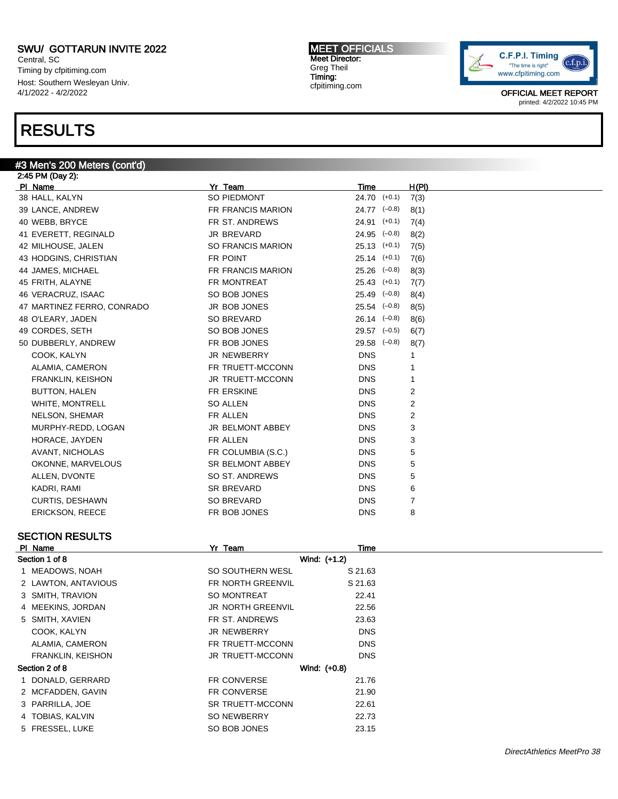Central, SC Timing by cfpitiming.com Host: Southern Wesleyan Univ. 4/1/2022 - 4/2/2022

#3 Men's 200 Meters (cont'd)

## RESULTS

#### MEET OFFICIALS Meet Director: Greg Theil Timing: cfpitiming.com



OFFICIAL MEET REPORT printed: 4/2/2022 10:45 PM

| 2:45 PM (Day 2):           |                          |                      |       |
|----------------------------|--------------------------|----------------------|-------|
| PI Name                    | Yr Team                  | Time                 | H(PI) |
| 38 HALL, KALYN             | SO PIEDMONT              | $24.70$ $(+0.1)$     | 7(3)  |
| 39 LANCE, ANDREW           | FR FRANCIS MARION        | $24.77$ $(-0.8)$     | 8(1)  |
| 40 WEBB, BRYCE             | FR ST. ANDREWS           | $24.91$ $(+0.1)$     | 7(4)  |
| 41 EVERETT, REGINALD       | JR BREVARD               | $24.95$ $(-0.8)$     | 8(2)  |
| 42 MILHOUSE, JALEN         | <b>SO FRANCIS MARION</b> | $25.13$ $(+0.1)$     | 7(5)  |
| 43 HODGINS, CHRISTIAN      | FR POINT                 | $25.14$ $(+0.1)$     | 7(6)  |
| 44 JAMES, MICHAEL          | <b>FR FRANCIS MARION</b> | $25.26$ $(-0.8)$     | 8(3)  |
| 45 FRITH, ALAYNE           | FR MONTREAT              | $25.43$ $(+0.1)$     | 7(7)  |
| 46 VERACRUZ, ISAAC         | SO BOB JONES             | $25.49$ $(-0.8)$     | 8(4)  |
| 47 MARTINEZ FERRO, CONRADO | JR BOB JONES             | $25.54$ $(-0.8)$     | 8(5)  |
| 48 O'LEARY, JADEN          | <b>SO BREVARD</b>        | $26.14 \quad (-0.8)$ | 8(6)  |
| 49 CORDES, SETH            | SO BOB JONES             | $29.57$ $(-0.5)$     | 6(7)  |
| 50 DUBBERLY, ANDREW        | FR BOB JONES             | $29.58$ $(-0.8)$     | 8(7)  |
| COOK, KALYN                | <b>JR NEWBERRY</b>       | <b>DNS</b>           |       |
| ALAMIA, CAMERON            | FR TRUETT-MCCONN         | <b>DNS</b>           | 1     |
| <b>FRANKLIN, KEISHON</b>   | <b>JR TRUETT-MCCONN</b>  | <b>DNS</b>           | 1     |
| <b>BUTTON, HALEN</b>       | FR ERSKINE               | <b>DNS</b>           | 2     |
| WHITE, MONTRELL            | <b>SO ALLEN</b>          | <b>DNS</b>           | 2     |
| NELSON, SHEMAR             | FR ALLEN                 | <b>DNS</b>           | 2     |
| MURPHY-REDD, LOGAN         | JR BELMONT ABBEY         | <b>DNS</b>           | 3     |
| HORACE, JAYDEN             | FR ALLEN                 | <b>DNS</b>           | 3     |
| AVANT, NICHOLAS            | FR COLUMBIA (S.C.)       | <b>DNS</b>           | 5     |
| OKONNE, MARVELOUS          | <b>SR BELMONT ABBEY</b>  | <b>DNS</b>           | 5     |
| ALLEN, DVONTE              | SO ST. ANDREWS           | <b>DNS</b>           | 5     |
| KADRI, RAMI                | <b>SR BREVARD</b>        | <b>DNS</b>           | 6     |
| <b>CURTIS, DESHAWN</b>     | SO BREVARD               | <b>DNS</b>           | 7     |
| <b>ERICKSON, REECE</b>     | FR BOB JONES             | <b>DNS</b>           | 8     |
|                            |                          |                      |       |

### SECTION RESULTS

| PI Name                  | Yr Team                  | Time         |
|--------------------------|--------------------------|--------------|
| Section 1 of 8           |                          | Wind: (+1.2) |
| 1 MEADOWS, NOAH          | SO SOUTHERN WESL         | S 21.63      |
| 2 LAWTON, ANTAVIOUS      | FR NORTH GREENVIL        | S 21.63      |
| 3 SMITH, TRAVION         | <b>SO MONTREAT</b>       | 22.41        |
| 4 MEEKINS, JORDAN        | <b>JR NORTH GREENVIL</b> | 22.56        |
| 5 SMITH, XAVIEN          | FR ST. ANDREWS           | 23.63        |
| COOK, KALYN              | <b>JR NEWBERRY</b>       | <b>DNS</b>   |
| ALAMIA, CAMERON          | FR TRUETT-MCCONN         | <b>DNS</b>   |
| <b>FRANKLIN, KEISHON</b> | <b>JR TRUETT-MCCONN</b>  | <b>DNS</b>   |
| Section 2 of 8           |                          | Wind: (+0.8) |
| 1 DONALD, GERRARD        | <b>FR CONVERSE</b>       | 21.76        |
| 2 MCFADDEN, GAVIN        | <b>FR CONVERSE</b>       | 21.90        |
| 3 PARRILLA, JOE          | <b>SR TRUETT-MCCONN</b>  | 22.61        |
| 4 TOBIAS, KALVIN         | SO NEWBERRY              | 22.73        |
| 5 FRESSEL, LUKE          | SO BOB JONES             | 23.15        |
|                          |                          |              |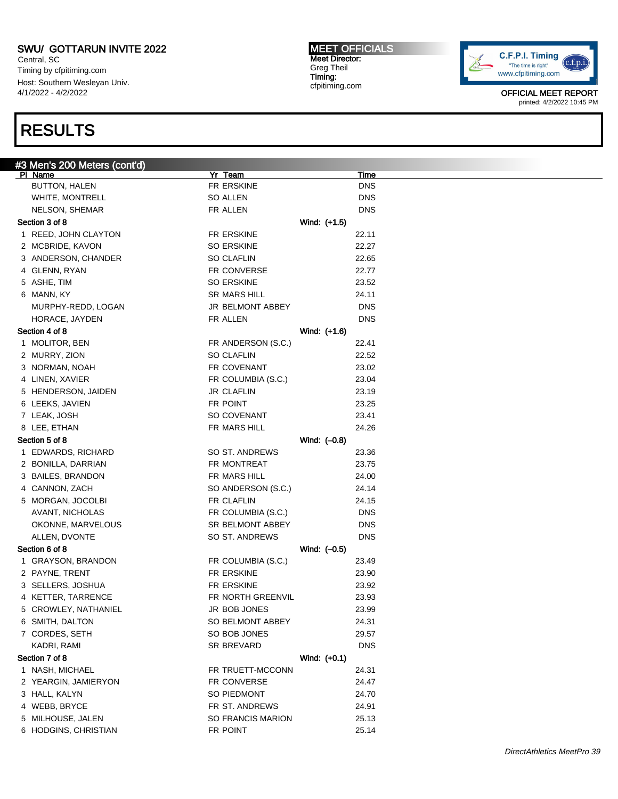Central, SC Timing by cfpitiming.com Host: Southern Wesleyan Univ. 4/1/2022 - 4/2/2022

## RESULTS

MEET OFFICIALS Meet Director: Greg Theil Timing: cfpitiming.com



| #3 Men's 200 Meters (cont'd) |                         |              |             |
|------------------------------|-------------------------|--------------|-------------|
| PI Name                      | Yr Team                 |              | <u>Time</u> |
| <b>BUTTON, HALEN</b>         | FR ERSKINE              |              | <b>DNS</b>  |
| <b>WHITE, MONTRELL</b>       | SO ALLEN                |              | <b>DNS</b>  |
| NELSON, SHEMAR               | FR ALLEN                |              | <b>DNS</b>  |
| Section 3 of 8               |                         | Wind: (+1.5) |             |
| 1 REED, JOHN CLAYTON         | FR ERSKINE              |              | 22.11       |
| 2 MCBRIDE, KAVON             | <b>SO ERSKINE</b>       |              | 22.27       |
| 3 ANDERSON, CHANDER          | <b>SO CLAFLIN</b>       |              | 22.65       |
| 4 GLENN, RYAN                | FR CONVERSE             |              | 22.77       |
| 5 ASHE, TIM                  | <b>SO ERSKINE</b>       |              | 23.52       |
| 6 MANN, KY                   | <b>SR MARS HILL</b>     |              | 24.11       |
| MURPHY-REDD, LOGAN           | JR BELMONT ABBEY        |              | <b>DNS</b>  |
| HORACE, JAYDEN               | FR ALLEN                |              | <b>DNS</b>  |
| Section 4 of 8               |                         | Wind: (+1.6) |             |
| 1 MOLITOR, BEN               | FR ANDERSON (S.C.)      |              | 22.41       |
| 2 MURRY, ZION                | <b>SO CLAFLIN</b>       |              | 22.52       |
| 3 NORMAN, NOAH               | FR COVENANT             |              | 23.02       |
| 4 LINEN, XAVIER              | FR COLUMBIA (S.C.)      |              | 23.04       |
| 5 HENDERSON, JAIDEN          | <b>JR CLAFLIN</b>       |              | 23.19       |
| 6 LEEKS, JAVIEN              | FR POINT                |              | 23.25       |
| 7 LEAK, JOSH                 | <b>SO COVENANT</b>      |              | 23.41       |
| 8 LEE, ETHAN                 | FR MARS HILL            |              | 24.26       |
| Section 5 of 8               |                         | Wind: (-0.8) |             |
| 1 EDWARDS, RICHARD           | SO ST. ANDREWS          |              | 23.36       |
| 2 BONILLA, DARRIAN           | FR MONTREAT             |              | 23.75       |
| 3 BAILES, BRANDON            | FR MARS HILL            |              | 24.00       |
| 4 CANNON, ZACH               | SO ANDERSON (S.C.)      |              | 24.14       |
|                              | FR CLAFLIN              |              |             |
| 5 MORGAN, JOCOLBI            |                         |              | 24.15       |
| AVANT, NICHOLAS              | FR COLUMBIA (S.C.)      |              | <b>DNS</b>  |
| OKONNE, MARVELOUS            | <b>SR BELMONT ABBEY</b> |              | <b>DNS</b>  |
| ALLEN, DVONTE                | SO ST. ANDREWS          |              | DNS         |
| Section 6 of 8               |                         | Wind: (-0.5) |             |
| 1 GRAYSON, BRANDON           | FR COLUMBIA (S.C.)      |              | 23.49       |
| 2 PAYNE, TRENT               | FR ERSKINE              |              | 23.90       |
| 3 SELLERS, JOSHUA            | FR ERSKINE              |              | 23.92       |
| 4 KETTER, TARRENCE           | FR NORTH GREENVIL       |              | 23.93       |
| 5 CROWLEY, NATHANIEL         | JR BOB JONES            |              | 23.99       |
| 6 SMITH, DALTON              | SO BELMONT ABBEY        |              | 24.31       |
| 7 CORDES, SETH               | SO BOB JONES            |              | 29.57       |
| KADRI, RAMI                  | <b>SR BREVARD</b>       |              | <b>DNS</b>  |
| Section 7 of 8               |                         | Wind: (+0.1) |             |
| 1 NASH, MICHAEL              | FR TRUETT-MCCONN        |              | 24.31       |
| 2 YEARGIN, JAMIERYON         | FR CONVERSE             |              | 24.47       |
| 3 HALL, KALYN                | SO PIEDMONT             |              | 24.70       |
| 4 WEBB, BRYCE                | FR ST. ANDREWS          |              | 24.91       |
| 5 MILHOUSE, JALEN            | SO FRANCIS MARION       |              | 25.13       |
| 6 HODGINS, CHRISTIAN         | FR POINT                |              | 25.14       |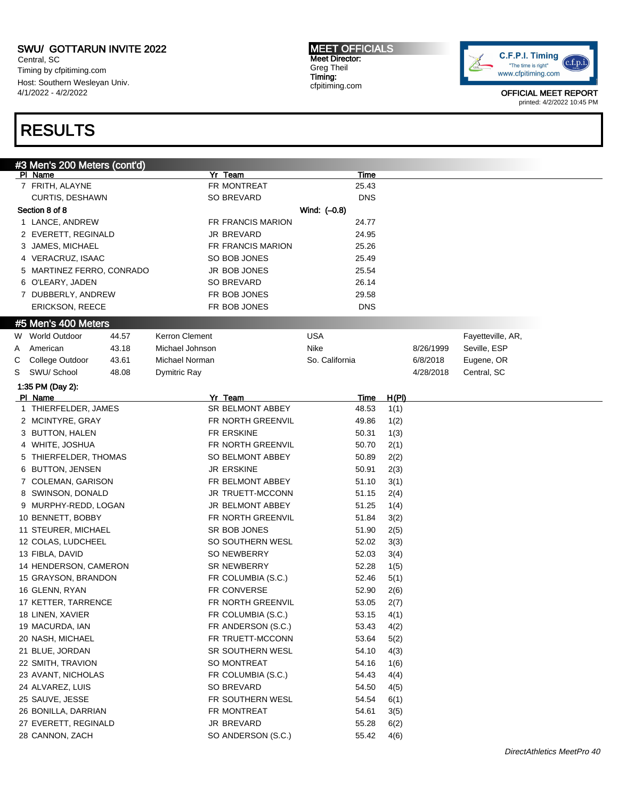Central, SC Timing by cfpitiming.com Host: Southern Wesleyan Univ. 4/1/2022 - 4/2/2022

# RESULTS

MEET OFFICIALS Meet Director: Greg Theil Timing: cfpitiming.com



|    | #3 Men's 200 Meters (cont'd)<br>PI Name |       |                 | Yr Team            |                | Time        |              |           |                   |
|----|-----------------------------------------|-------|-----------------|--------------------|----------------|-------------|--------------|-----------|-------------------|
|    | 7 FRITH, ALAYNE                         |       |                 | FR MONTREAT        |                | 25.43       |              |           |                   |
|    | CURTIS, DESHAWN                         |       |                 | SO BREVARD         |                | <b>DNS</b>  |              |           |                   |
|    | Section 8 of 8                          |       |                 |                    | Wind: (-0.8)   |             |              |           |                   |
|    | 1 LANCE, ANDREW                         |       |                 | FR FRANCIS MARION  |                | 24.77       |              |           |                   |
|    | 2 EVERETT, REGINALD                     |       |                 | JR BREVARD         |                | 24.95       |              |           |                   |
|    |                                         |       |                 |                    |                |             |              |           |                   |
|    | 3 JAMES, MICHAEL                        |       |                 | FR FRANCIS MARION  |                | 25.26       |              |           |                   |
|    | 4 VERACRUZ, ISAAC                       |       |                 | SO BOB JONES       |                | 25.49       |              |           |                   |
|    | 5 MARTINEZ FERRO, CONRADO               |       |                 | JR BOB JONES       |                | 25.54       |              |           |                   |
|    | 6 O'LEARY, JADEN                        |       |                 | SO BREVARD         |                | 26.14       |              |           |                   |
|    | 7 DUBBERLY, ANDREW                      |       |                 | FR BOB JONES       |                | 29.58       |              |           |                   |
|    | <b>ERICKSON, REECE</b>                  |       |                 | FR BOB JONES       |                | <b>DNS</b>  |              |           |                   |
|    | #5 Men's 400 Meters                     |       |                 |                    |                |             |              |           |                   |
| W. | <b>World Outdoor</b>                    | 44.57 | Kerron Clement  |                    | <b>USA</b>     |             |              |           | Fayetteville, AR, |
| A  | American                                | 43.18 | Michael Johnson |                    | Nike           |             |              | 8/26/1999 | Seville, ESP      |
| С  | College Outdoor                         | 43.61 | Michael Norman  |                    | So. California |             |              | 6/8/2018  | Eugene, OR        |
| S  | SWU/ School                             | 48.08 | Dymitric Ray    |                    |                |             |              | 4/28/2018 | Central, SC       |
|    | 1:35 PM (Day 2):                        |       |                 |                    |                |             |              |           |                   |
|    | PI Name                                 |       |                 | Yr Team            |                | <u>Time</u> | <u>H(PI)</u> |           |                   |
|    | 1 THIERFELDER, JAMES                    |       |                 | SR BELMONT ABBEY   |                | 48.53       | 1(1)         |           |                   |
|    | 2 MCINTYRE, GRAY                        |       |                 | FR NORTH GREENVIL  |                | 49.86       | 1(2)         |           |                   |
|    | 3 BUTTON, HALEN                         |       |                 | FR ERSKINE         |                | 50.31       | 1(3)         |           |                   |
|    | 4 WHITE, JOSHUA                         |       |                 | FR NORTH GREENVIL  |                | 50.70       | 2(1)         |           |                   |
|    | 5 THIERFELDER, THOMAS                   |       |                 | SO BELMONT ABBEY   |                | 50.89       | 2(2)         |           |                   |
|    | 6 BUTTON, JENSEN                        |       |                 | <b>JR ERSKINE</b>  |                | 50.91       | 2(3)         |           |                   |
|    | 7 COLEMAN, GARISON                      |       |                 | FR BELMONT ABBEY   |                | 51.10       | 3(1)         |           |                   |
|    | 8 SWINSON, DONALD                       |       |                 | JR TRUETT-MCCONN   |                | 51.15       | 2(4)         |           |                   |
|    | 9 MURPHY-REDD, LOGAN                    |       |                 | JR BELMONT ABBEY   |                | 51.25       | 1(4)         |           |                   |
|    | 10 BENNETT, BOBBY                       |       |                 | FR NORTH GREENVIL  |                | 51.84       | 3(2)         |           |                   |
|    | 11 STEURER, MICHAEL                     |       |                 | SR BOB JONES       |                | 51.90       | 2(5)         |           |                   |
|    | 12 COLAS, LUDCHEEL                      |       |                 | SO SOUTHERN WESL   |                | 52.02       | 3(3)         |           |                   |
|    | 13 FIBLA, DAVID                         |       |                 | SO NEWBERRY        |                | 52.03       | 3(4)         |           |                   |
|    | 14 HENDERSON, CAMERON                   |       |                 | SR NEWBERRY        |                | 52.28       | 1(5)         |           |                   |
|    | 15 GRAYSON, BRANDON                     |       |                 | FR COLUMBIA (S.C.) |                | 52.46       | 5(1)         |           |                   |
|    | 16 GLENN, RYAN                          |       |                 | FR CONVERSE        |                | 52.90       | 2(6)         |           |                   |
|    | 17 KETTER, TARRENCE                     |       |                 | FR NORTH GREENVIL  |                | 53.05       | 2(7)         |           |                   |
|    | 18 LINEN, XAVIER                        |       |                 | FR COLUMBIA (S.C.) |                | 53.15       | 4(1)         |           |                   |
|    | 19 MACURDA, IAN                         |       |                 | FR ANDERSON (S.C.) |                | 53.43       |              |           |                   |
|    |                                         |       |                 |                    |                |             | 4(2)         |           |                   |
|    | 20 NASH, MICHAEL                        |       |                 | FR TRUETT-MCCONN   |                | 53.64       | 5(2)         |           |                   |
|    | 21 BLUE, JORDAN                         |       |                 | SR SOUTHERN WESL   |                | 54.10       | 4(3)         |           |                   |
|    | 22 SMITH, TRAVION                       |       |                 | SO MONTREAT        |                | 54.16       | 1(6)         |           |                   |
|    | 23 AVANT, NICHOLAS                      |       |                 | FR COLUMBIA (S.C.) |                | 54.43       | 4(4)         |           |                   |
|    | 24 ALVAREZ, LUIS                        |       |                 | SO BREVARD         |                | 54.50       | 4(5)         |           |                   |
|    | 25 SAUVE, JESSE                         |       |                 | FR SOUTHERN WESL   |                | 54.54       | 6(1)         |           |                   |
|    | 26 BONILLA, DARRIAN                     |       |                 | FR MONTREAT        |                | 54.61       | 3(5)         |           |                   |
|    | 27 EVERETT, REGINALD                    |       |                 | JR BREVARD         |                | 55.28       | 6(2)         |           |                   |
|    | 28 CANNON, ZACH                         |       |                 | SO ANDERSON (S.C.) |                | 55.42       | 4(6)         |           |                   |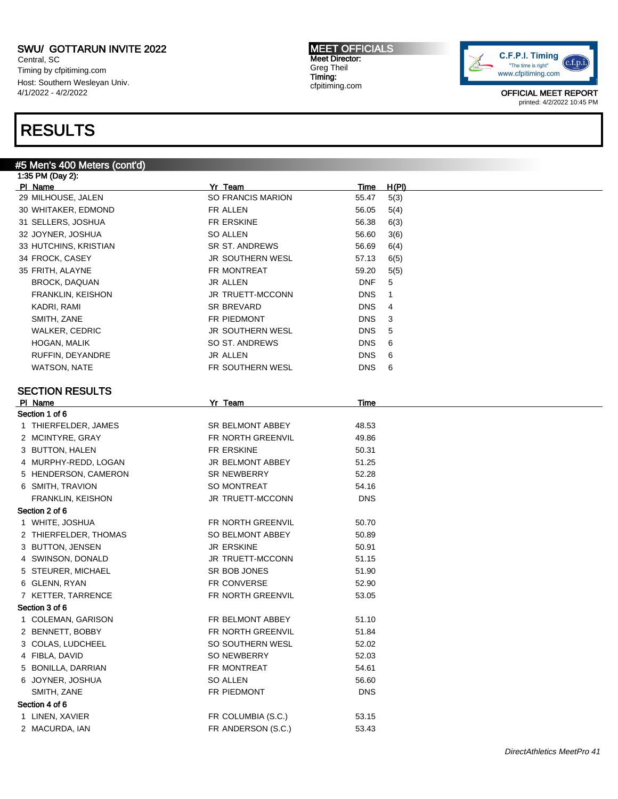Central, SC Timing by cfpitiming.com Host: Southern Wesleyan Univ. 4/1/2022 - 4/2/2022

#5 Men's 400 Meters (cont'd)

## RESULTS

#### MEET OFFICIALS Meet Director: Greg Theil Timing: cfpitiming.com



| 1:35 PM (Day 2):       |                         |             |       |
|------------------------|-------------------------|-------------|-------|
| PI Name                | Yr Team                 | <u>Time</u> | H(PI) |
| 29 MILHOUSE, JALEN     | SO FRANCIS MARION       | 55.47       | 5(3)  |
| 30 WHITAKER, EDMOND    | FR ALLEN                | 56.05       | 5(4)  |
| 31 SELLERS, JOSHUA     | FR ERSKINE              | 56.38       | 6(3)  |
| 32 JOYNER, JOSHUA      | <b>SO ALLEN</b>         | 56.60       | 3(6)  |
| 33 HUTCHINS, KRISTIAN  | SR ST. ANDREWS          | 56.69       | 6(4)  |
| 34 FROCK, CASEY        | JR SOUTHERN WESL        | 57.13       | 6(5)  |
| 35 FRITH, ALAYNE       | FR MONTREAT             | 59.20       | 5(5)  |
| <b>BROCK, DAQUAN</b>   | JR ALLEN                | <b>DNF</b>  | 5     |
| FRANKLIN, KEISHON      | JR TRUETT-MCCONN        | <b>DNS</b>  | 1     |
| KADRI, RAMI            | SR BREVARD              | <b>DNS</b>  | 4     |
| SMITH, ZANE            | FR PIEDMONT             | <b>DNS</b>  | 3     |
| <b>WALKER, CEDRIC</b>  | JR SOUTHERN WESL        | <b>DNS</b>  | 5     |
| HOGAN, MALIK           | SO ST. ANDREWS          | <b>DNS</b>  | 6     |
| RUFFIN, DEYANDRE       | JR ALLEN                | <b>DNS</b>  | 6     |
| WATSON, NATE           | FR SOUTHERN WESL        | <b>DNS</b>  | 6     |
|                        |                         |             |       |
| <b>SECTION RESULTS</b> |                         |             |       |
| PI Name                | Yr Team                 | Time        |       |
| Section 1 of 6         |                         |             |       |
| 1 THIERFELDER, JAMES   | SR BELMONT ABBEY        | 48.53       |       |
| 2 MCINTYRE, GRAY       | FR NORTH GREENVIL       | 49.86       |       |
| 3 BUTTON, HALEN        | FR ERSKINE              | 50.31       |       |
| 4 MURPHY-REDD, LOGAN   | <b>JR BELMONT ABBEY</b> | 51.25       |       |
| 5 HENDERSON, CAMERON   | <b>SR NEWBERRY</b>      | 52.28       |       |
| 6 SMITH, TRAVION       | <b>SO MONTREAT</b>      | 54.16       |       |
| FRANKLIN, KEISHON      | JR TRUETT-MCCONN        | <b>DNS</b>  |       |
| Section 2 of 6         |                         |             |       |
| 1 WHITE, JOSHUA        | FR NORTH GREENVIL       | 50.70       |       |
| 2 THIERFELDER, THOMAS  | SO BELMONT ABBEY        | 50.89       |       |
| 3 BUTTON, JENSEN       | <b>JR ERSKINE</b>       | 50.91       |       |
| 4 SWINSON, DONALD      | <b>JR TRUETT-MCCONN</b> | 51.15       |       |
| 5 STEURER, MICHAEL     | SR BOB JONES            | 51.90       |       |
| 6 GLENN, RYAN          | FR CONVERSE             | 52.90       |       |
| 7 KETTER, TARRENCE     | FR NORTH GREENVIL       | 53.05       |       |
| Section 3 of 6         |                         |             |       |
| 1 COLEMAN, GARISON     | FR BELMONT ABBEY        | 51.10       |       |
| 2 BENNETT, BOBBY       | FR NORTH GREENVIL       | 51.84       |       |
| 3 COLAS, LUDCHEEL      | SO SOUTHERN WESL        | 52.02       |       |
| 4 FIBLA, DAVID         | SO NEWBERRY             | 52.03       |       |
| 5 BONILLA, DARRIAN     | FR MONTREAT             | 54.61       |       |
| 6 JOYNER, JOSHUA       | SO ALLEN                | 56.60       |       |
| SMITH, ZANE            | FR PIEDMONT             | <b>DNS</b>  |       |
| Section 4 of 6         |                         |             |       |
|                        |                         |             |       |
| 1 LINEN, XAVIER        | FR COLUMBIA (S.C.)      | 53.15       |       |
| 2 MACURDA, IAN         | FR ANDERSON (S.C.)      | 53.43       |       |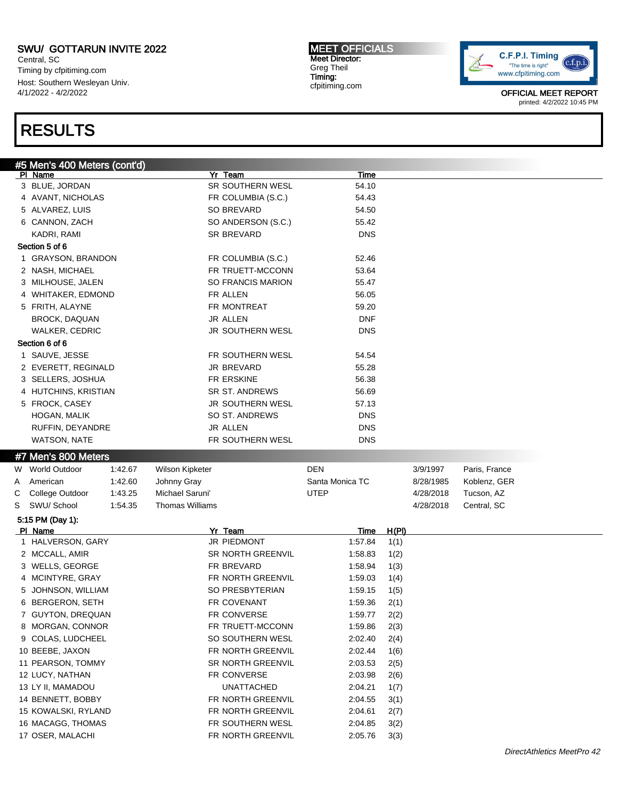Central, SC Timing by cfpitiming.com Host: Southern Wesleyan Univ. 4/1/2022 - 4/2/2022

## RESULTS

MEET OFFICIALS Meet Director: Greg Theil Timing: cfpitiming.com



|   | #5 Men's 400 Meters (cont'd) |         |                        |                    |                 |              |           |               |
|---|------------------------------|---------|------------------------|--------------------|-----------------|--------------|-----------|---------------|
|   | PI Name                      |         |                        | Yr Team            | Time            |              |           |               |
|   | 3 BLUE, JORDAN               |         |                        | SR SOUTHERN WESL   | 54.10           |              |           |               |
|   | 4 AVANT, NICHOLAS            |         |                        | FR COLUMBIA (S.C.) | 54.43           |              |           |               |
|   | 5 ALVAREZ, LUIS              |         |                        | SO BREVARD         | 54.50           |              |           |               |
|   | 6 CANNON, ZACH               |         |                        | SO ANDERSON (S.C.) | 55.42           |              |           |               |
|   | KADRI, RAMI                  |         |                        | <b>SR BREVARD</b>  | <b>DNS</b>      |              |           |               |
|   | Section 5 of 6               |         |                        |                    |                 |              |           |               |
|   | 1 GRAYSON, BRANDON           |         |                        | FR COLUMBIA (S.C.) | 52.46           |              |           |               |
|   | 2 NASH, MICHAEL              |         |                        | FR TRUETT-MCCONN   | 53.64           |              |           |               |
|   | 3 MILHOUSE, JALEN            |         |                        | SO FRANCIS MARION  | 55.47           |              |           |               |
|   | 4 WHITAKER, EDMOND           |         |                        | FR ALLEN           | 56.05           |              |           |               |
|   | 5 FRITH, ALAYNE              |         |                        | FR MONTREAT        | 59.20           |              |           |               |
|   | <b>BROCK, DAQUAN</b>         |         |                        | JR ALLEN           | <b>DNF</b>      |              |           |               |
|   | <b>WALKER, CEDRIC</b>        |         |                        | JR SOUTHERN WESL   | <b>DNS</b>      |              |           |               |
|   | Section 6 of 6               |         |                        |                    |                 |              |           |               |
|   | 1 SAUVE, JESSE               |         |                        | FR SOUTHERN WESL   | 54.54           |              |           |               |
|   | 2 EVERETT, REGINALD          |         |                        | JR BREVARD         | 55.28           |              |           |               |
|   | 3 SELLERS, JOSHUA            |         |                        | FR ERSKINE         | 56.38           |              |           |               |
|   | 4 HUTCHINS, KRISTIAN         |         |                        | SR ST. ANDREWS     | 56.69           |              |           |               |
|   | 5 FROCK, CASEY               |         |                        | JR SOUTHERN WESL   | 57.13           |              |           |               |
|   | HOGAN, MALIK                 |         |                        | SO ST. ANDREWS     | <b>DNS</b>      |              |           |               |
|   | RUFFIN, DEYANDRE             |         |                        | JR ALLEN           | <b>DNS</b>      |              |           |               |
|   | WATSON, NATE                 |         |                        | FR SOUTHERN WESL   | <b>DNS</b>      |              |           |               |
|   |                              |         |                        |                    |                 |              |           |               |
|   | #7 Men's 800 Meters          |         |                        |                    |                 |              |           |               |
|   | W World Outdoor              | 1:42.67 | Wilson Kipketer        |                    | <b>DEN</b>      |              | 3/9/1997  | Paris, France |
| A | American                     | 1:42.60 | Johnny Gray            |                    | Santa Monica TC |              | 8/28/1985 | Koblenz, GER  |
| C | College Outdoor              | 1:43.25 | Michael Saruni'        |                    | <b>UTEP</b>     |              | 4/28/2018 | Tucson, AZ    |
| S | SWU/ School                  | 1:54.35 | <b>Thomas Williams</b> |                    |                 |              | 4/28/2018 | Central, SC   |
|   | 5:15 PM (Day 1):             |         |                        |                    |                 |              |           |               |
|   | PI Name                      |         |                        | Yr Team            | <u>Time</u>     | <u>H(PI)</u> |           |               |
|   | 1 HALVERSON, GARY            |         |                        | JR PIEDMONT        | 1:57.84         | 1(1)         |           |               |
|   | 2 MCCALL, AMIR               |         |                        | SR NORTH GREENVIL  | 1:58.83         | 1(2)         |           |               |
|   | 3 WELLS, GEORGE              |         |                        | FR BREVARD         | 1:58.94         | 1(3)         |           |               |
|   | 4 MCINTYRE, GRAY             |         |                        | FR NORTH GREENVIL  | 1:59.03         | 1(4)         |           |               |
|   | 5 JOHNSON, WILLIAM           |         |                        | SO PRESBYTERIAN    | 1:59.15         | 1(5)         |           |               |
|   | 6 BERGERON, SETH             |         |                        | <b>FR COVENANT</b> | 1:59.36         | 2(1)         |           |               |
|   | 7 GUYTON, DREQUAN            |         |                        | FR CONVERSE        | 1:59.77         | 2(2)         |           |               |
|   | 8 MORGAN, CONNOR             |         |                        | FR TRUETT-MCCONN   | 1:59.86         | 2(3)         |           |               |
|   | 9 COLAS, LUDCHEEL            |         |                        | SO SOUTHERN WESL   | 2:02.40         | 2(4)         |           |               |
|   | 10 BEEBE, JAXON              |         |                        | FR NORTH GREENVIL  | 2:02.44         | 1(6)         |           |               |
|   | 11 PEARSON, TOMMY            |         |                        | SR NORTH GREENVIL  | 2:03.53         | 2(5)         |           |               |
|   | 12 LUCY, NATHAN              |         |                        | FR CONVERSE        | 2:03.98         | 2(6)         |           |               |
|   | 13 LY II, MAMADOU            |         |                        | <b>UNATTACHED</b>  | 2:04.21         | 1(7)         |           |               |
|   | 14 BENNETT, BOBBY            |         |                        | FR NORTH GREENVIL  | 2:04.55         | 3(1)         |           |               |
|   | 15 KOWALSKI, RYLAND          |         |                        | FR NORTH GREENVIL  | 2:04.61         | 2(7)         |           |               |
|   | 16 MACAGG, THOMAS            |         |                        | FR SOUTHERN WESL   | 2:04.85         | 3(2)         |           |               |
|   | 17 OSER, MALACHI             |         |                        | FR NORTH GREENVIL  | 2:05.76         | 3(3)         |           |               |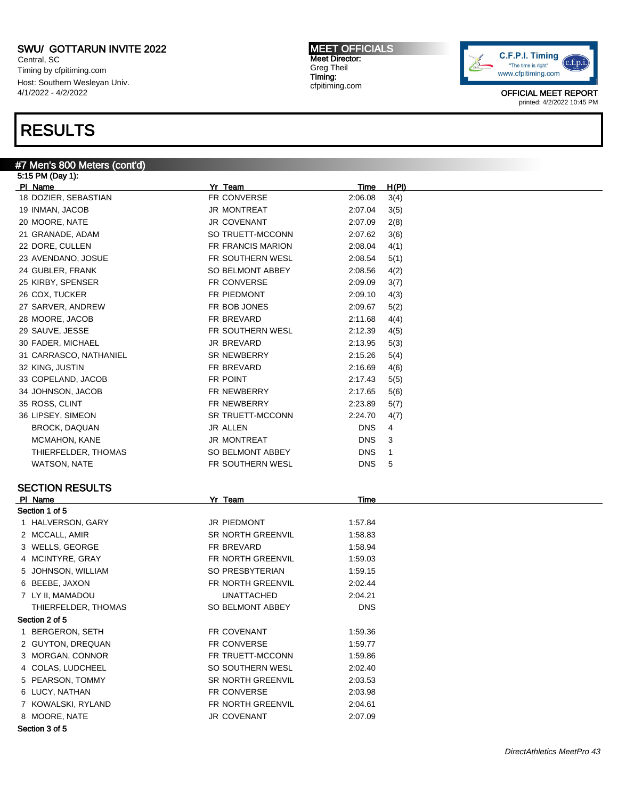Central, SC Timing by cfpitiming.com Host: Southern Wesleyan Univ. 4/1/2022 - 4/2/2022

### RESULTS

#### #7 Men's 800 Meters (cont'd) 5:15 PM (Day 1):

Pl Name Yr Team Time H(Pl) 18 DOZIER, SEBASTIAN FR CONVERSE 2:06.08 3(4) 19 INMAN, JACOB JR MONTREAT 2:07.04 3(5) 20 MOORE, NATE 189 JR COVENANT 2:07.09 2(8) 21 GRANADE, ADAM SO TRUETT-MCCONN 2:07.62 3(6) 22 DORE, CULLEN FR FRANCIS MARION 2:08.04 4(1) 23 AVENDANO, JOSUE **FR SOUTHERN WESL** 2:08.54 5(1) 24 GUBLER, FRANK SO BELMONT ABBEY 2:08.56 4(2) 25 KIRBY, SPENSER FR CONVERSE 2:09.09 3(7) 26 COX, TUCKER FR PIEDMONT 2:09.10 4(3) 27 SARVER, ANDREW FR BOB JONES 2:09.67 5(2) 28 MOORE, JACOB FR BREVARD 2:11.68 4(4) 29 SAUVE, JESSE THE RESOUTHERN WESL 2:12.39 4(5) 30 FADER, MICHAEL JR BREVARD 2:13.95 5(3) 31 CARRASCO, NATHANIEL SR NEWBERRY 2:15.26 5(4) 32 KING, JUSTIN FR BREVARD 2:16.69 4(6) 33 COPELAND, JACOB FR POINT 2:17.43 5(5) 34 JOHNSON, JACOB FR NEWBERRY 2:17.65 5(6) 35 ROSS, CLINT FR NEWBERRY 2:23.89 5(7) 36 LIPSEY, SIMEON SR TRUETT-MCCONN 2:24.70 4(7) BROCK, DAQUAN JR ALLEN DNS 4 MCMAHON, KANE JR MONTREAT DNS 3 THIERFELDER, THOMAS SO BELMONT ABBEY THE RESERVE AND SO BELMONT ABBEY WATSON, NATE THE RESOLT HERN WESL THE RESOLT ON STATE AND RESOLT HERN WESL THE RESOLUTION OF STATE AND RESOLUTION AT STATE AND RESOLUTION OF STATE AND RESOLUTION OF STATE AND RESOLUTION OF STATE AND RESOLUTION OF STATE AND SECTION RESULTS Pl Name Yr Team Time Section 1 of 5 1 HALVERSON, GARY **JR PIEDMONT** 1:57.84 2 MCCALL, AMIR SR NORTH GREENVIL 1:58.83 3 WELLS, GEORGE **FR BREVARD** 1:58.94 4 MCINTYRE, GRAY **FR NORTH GREENVIL** 1:59.03 5 JOHNSON, WILLIAM SO PRESBYTERIAN 1:59.15 6 BEEBE, JAXON FR NORTH GREENVIL 2:02.44 7 LY II, MAMADOU UNATTACHED 2:04.21 THIERFELDER, THOMAS SO BELMONT ABBEY DNS Section 2 of 5 1 BERGERON, SETH FR COVENANT 1:59.36 2 GUYTON, DREQUAN FR CONVERSE 1:59.77 3 MORGAN, CONNOR **FRITRUETT-MCCONN** 1:59.86 4 COLAS, LUDCHEEL SO SOUTHERN WESL 2:02.40 5 PEARSON, TOMMY SR NORTH GREENVIL 2:03.53 6 LUCY, NATHAN FR CONVERSE 2:03.98 7 KOWALSKI, RYLAND FR NORTH GREENVIL 2:04.61 8 MOORE, NATE 32:07.09

Section 3 of 5

MEET OFFICIALS Meet Director: Greg Theil Timing: cfpitiming.com

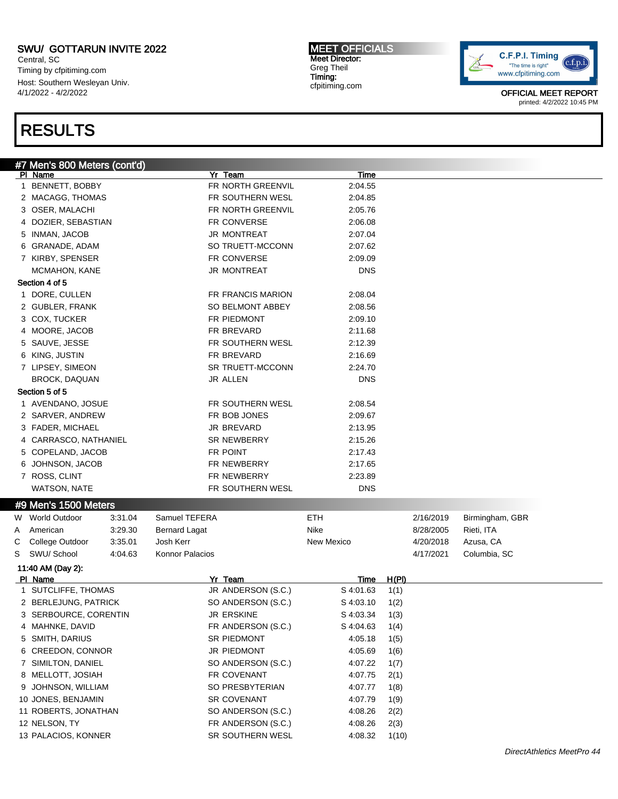Central, SC Timing by cfpitiming.com Host: Southern Wesleyan Univ. 4/1/2022 - 4/2/2022

## RESULTS

MEET OFFICIALS Meet Director: Greg Theil Timing: cfpitiming.com



|        | #7 Men's 800 Meters (cont'd)   |         |                      |                               |                          |                      |           |                 |  |
|--------|--------------------------------|---------|----------------------|-------------------------------|--------------------------|----------------------|-----------|-----------------|--|
|        | PI Name                        |         |                      | Yr Team                       | Time                     |                      |           |                 |  |
|        | 1 BENNETT, BOBBY               |         |                      | FR NORTH GREENVIL             | 2:04.55                  |                      |           |                 |  |
|        | 2 MACAGG, THOMAS               |         |                      | FR SOUTHERN WESL              | 2:04.85                  |                      |           |                 |  |
|        | 3 OSER, MALACHI                |         |                      | FR NORTH GREENVIL             | 2:05.76                  |                      |           |                 |  |
|        | 4 DOZIER, SEBASTIAN            |         |                      | FR CONVERSE                   | 2:06.08                  |                      |           |                 |  |
|        | 5 INMAN, JACOB                 |         |                      | <b>JR MONTREAT</b>            | 2:07.04                  |                      |           |                 |  |
|        | 6 GRANADE, ADAM                |         |                      | SO TRUETT-MCCONN              | 2:07.62                  |                      |           |                 |  |
|        | 7 KIRBY, SPENSER               |         |                      | FR CONVERSE                   | 2:09.09                  |                      |           |                 |  |
|        | MCMAHON, KANE                  |         |                      | <b>JR MONTREAT</b>            | <b>DNS</b>               |                      |           |                 |  |
|        | Section 4 of 5                 |         |                      |                               |                          |                      |           |                 |  |
|        | 1 DORE, CULLEN                 |         |                      | <b>FR FRANCIS MARION</b>      | 2:08.04                  |                      |           |                 |  |
|        | 2 GUBLER, FRANK                |         |                      | SO BELMONT ABBEY              | 2:08.56                  |                      |           |                 |  |
|        | 3 COX, TUCKER                  |         |                      | FR PIEDMONT                   | 2:09.10                  |                      |           |                 |  |
|        | 4 MOORE, JACOB                 |         |                      | FR BREVARD                    | 2:11.68                  |                      |           |                 |  |
|        | 5 SAUVE, JESSE                 |         |                      | FR SOUTHERN WESL              | 2:12.39                  |                      |           |                 |  |
|        | 6 KING, JUSTIN                 |         |                      | FR BREVARD                    | 2:16.69                  |                      |           |                 |  |
|        | 7 LIPSEY, SIMEON               |         |                      | <b>SR TRUETT-MCCONN</b>       | 2:24.70                  |                      |           |                 |  |
|        | <b>BROCK, DAQUAN</b>           |         |                      | JR ALLEN                      | <b>DNS</b>               |                      |           |                 |  |
|        | Section 5 of 5                 |         |                      |                               |                          |                      |           |                 |  |
|        | 1 AVENDANO, JOSUE              |         |                      | FR SOUTHERN WESL              | 2:08.54                  |                      |           |                 |  |
|        | 2 SARVER, ANDREW               |         |                      | FR BOB JONES                  | 2:09.67                  |                      |           |                 |  |
|        | 3 FADER, MICHAEL               |         |                      | JR BREVARD                    | 2:13.95                  |                      |           |                 |  |
|        | 4 CARRASCO, NATHANIEL          |         |                      | <b>SR NEWBERRY</b>            | 2:15.26                  |                      |           |                 |  |
|        | 5 COPELAND, JACOB              |         |                      | FR POINT                      | 2:17.43                  |                      |           |                 |  |
|        | 6 JOHNSON, JACOB               |         |                      | FR NEWBERRY                   | 2:17.65                  |                      |           |                 |  |
|        | 7 ROSS, CLINT                  |         |                      | FR NEWBERRY                   | 2:23.89                  |                      |           |                 |  |
|        | WATSON, NATE                   |         |                      | FR SOUTHERN WESL              | <b>DNS</b>               |                      |           |                 |  |
|        | #9 Men's 1500 Meters           |         |                      |                               |                          |                      |           |                 |  |
|        | W World Outdoor                | 3:31.04 | Samuel TEFERA        |                               | <b>ETH</b>               |                      | 2/16/2019 | Birmingham, GBR |  |
| A      | American                       | 3:29.30 | <b>Bernard Lagat</b> |                               | Nike                     |                      | 8/28/2005 | Rieti, ITA      |  |
|        | College Outdoor                | 3:35.01 | Josh Kerr            |                               | New Mexico               |                      | 4/20/2018 | Azusa, CA       |  |
| С<br>S | SWU/ School                    | 4:04.63 | Konnor Palacios      |                               |                          |                      | 4/17/2021 | Columbia, SC    |  |
|        |                                |         |                      |                               |                          |                      |           |                 |  |
|        | 11:40 AM (Day 2):              |         |                      |                               |                          |                      |           |                 |  |
|        | PI Name<br>1 SUTCLIFFE, THOMAS |         |                      | Yr Team<br>JR ANDERSON (S.C.) | <u>Time</u><br>S 4:01.63 | <u>H(PI)</u><br>1(1) |           |                 |  |
|        | 2 BERLEJUNG, PATRICK           |         |                      | SO ANDERSON (S.C.)            | S 4:03.10                |                      |           |                 |  |
|        | 3 SERBOURCE, CORENTIN          |         |                      | JR ERSKINE                    | S 4:03.34                | 1(2)                 |           |                 |  |
|        |                                |         |                      | FR ANDERSON (S.C.)            |                          | 1(3)                 |           |                 |  |
|        | 4 MAHNKE, DAVID                |         |                      |                               | S 4:04.63                | 1(4)                 |           |                 |  |
|        | 5 SMITH, DARIUS                |         |                      | SR PIEDMONT                   | 4:05.18                  | 1(5)                 |           |                 |  |
|        | 6 CREEDON, CONNOR              |         |                      | JR PIEDMONT                   | 4:05.69                  | 1(6)                 |           |                 |  |
|        | 7 SIMILTON, DANIEL             |         |                      | SO ANDERSON (S.C.)            | 4:07.22                  | 1(7)                 |           |                 |  |
|        | 8 MELLOTT, JOSIAH              |         |                      | FR COVENANT                   | 4:07.75                  | 2(1)                 |           |                 |  |
|        | 9 JOHNSON, WILLIAM             |         |                      | SO PRESBYTERIAN               | 4:07.77                  | 1(8)                 |           |                 |  |
|        | 10 JONES, BENJAMIN             |         |                      | <b>SR COVENANT</b>            | 4:07.79                  | 1(9)                 |           |                 |  |
|        | 11 ROBERTS, JONATHAN           |         |                      | SO ANDERSON (S.C.)            | 4:08.26                  | 2(2)                 |           |                 |  |
|        | 12 NELSON, TY                  |         |                      | FR ANDERSON (S.C.)            | 4:08.26                  | 2(3)                 |           |                 |  |
|        | 13 PALACIOS, KONNER            |         |                      | SR SOUTHERN WESL              | 4:08.32                  | 1(10)                |           |                 |  |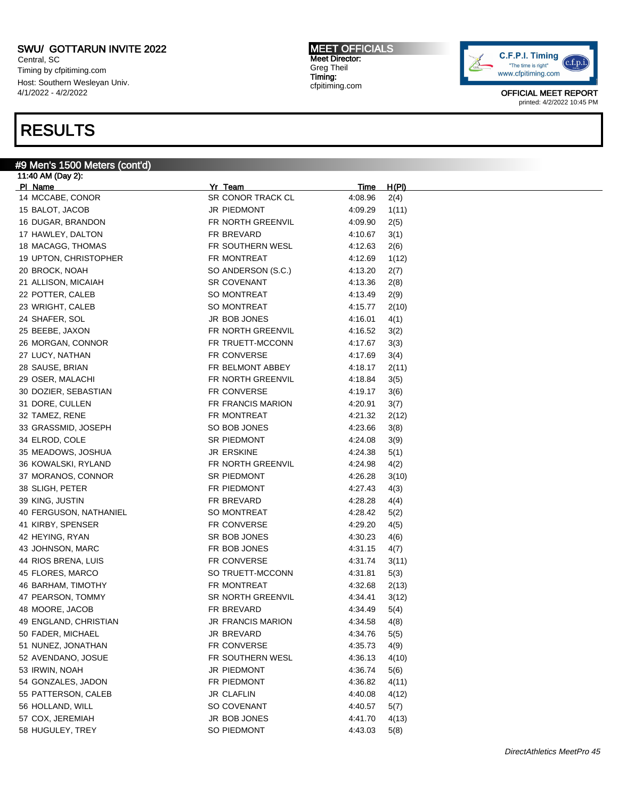Central, SC Timing by cfpitiming.com Host: Southern Wesleyan Univ. 4/1/2022 - 4/2/2022

### RESULTS

#### #9 Men's 1500 Meters (cont'd)

11:40 AM (Day 2): Pl Name Yr Team Time H(Pl) 14 MCCABE, CONOR SR CONOR TRACK CL 4:08.96 2(4) BALOT, JACOB JR PIEDMONT 4:09.29 1(11) DUGAR, BRANDON FR NORTH GREENVIL 4:09.90 2(5) HAWLEY, DALTON FR BREVARD 4:10.67 3(1) 18 MACAGG, THOMAS **FR SOUTHERN WESL** 4:12.63 2(6) 19 UPTON, CHRISTOPHER FR MONTREAT 4:12.69 1(12) BROCK, NOAH SO ANDERSON (S.C.) 4:13.20 2(7) 21 ALLISON, MICAIAH SR COVENANT 4:13.36 2(8) 22 POTTER, CALEB SO MONTREAT 4:13.49 2(9) WRIGHT, CALEB SO MONTREAT 4:15.77 2(10) SHAFER, SOL JR BOB JONES 4:16.01 4(1) BEEBE, JAXON FR NORTH GREENVIL 4:16.52 3(2) MORGAN, CONNOR FR TRUETT-MCCONN 4:17.67 3(3) LUCY, NATHAN FR CONVERSE 4:17.69 3(4) 28 SAUSE, BRIAN FR BELMONT ABBEY 4:18.17 2(11) OSER, MALACHI FR NORTH GREENVIL 4:18.84 3(5) DOZIER, SEBASTIAN FR CONVERSE 4:19.17 3(6) DORE, CULLEN FR FRANCIS MARION 4:20.91 3(7) TAMEZ, RENE FR MONTREAT 4:21.32 2(12) 33 GRASSMID, JOSEPH SO BOB JONES 4:23.66 3(8) ELROD, COLE SR PIEDMONT 4:24.08 3(9) MEADOWS, JOSHUA JR ERSKINE 4:24.38 5(1) KOWALSKI, RYLAND FR NORTH GREENVIL 4:24.98 4(2) 37 MORANOS, CONNOR SR PIEDMONT 4:26.28 3(10) SLIGH, PETER FR PIEDMONT 4:27.43 4(3) KING, JUSTIN FR BREVARD 4:28.28 4(4) FERGUSON, NATHANIEL SO MONTREAT 4:28.42 5(2) KIRBY, SPENSER FR CONVERSE 4:29.20 4(5) HEYING, RYAN SR BOB JONES 4:30.23 4(6) 43 JOHNSON, MARC **FR BOB JONES** 4:31.15 4(7) 44 RIOS BRENA, LUIS FR CONVERSE 4:31.74 3(11) FLORES, MARCO SO TRUETT-MCCONN 4:31.81 5(3) 46 BARHAM, TIMOTHY **FR MONTREAT** 4:32.68 2(13) PEARSON, TOMMY SR NORTH GREENVIL 4:34.41 3(12) MOORE, JACOB FR BREVARD 4:34.49 5(4) ENGLAND, CHRISTIAN JR FRANCIS MARION 4:34.58 4(8) FADER, MICHAEL JR BREVARD 4:34.76 5(5) NUNEZ, JONATHAN FR CONVERSE 4:35.73 4(9) AVENDANO, JOSUE FR SOUTHERN WESL 4:36.13 4(10) 53 IRWIN, NOAH JR PIEDMONT 4:36.74 5(6) GONZALES, JADON FR PIEDMONT 4:36.82 4(11) 55 PATTERSON, CALEB JR CLAFLIN 4:40.08 4(12) HOLLAND, WILL SO COVENANT 4:40.57 5(7) COX, JEREMIAH JR BOB JONES 4:41.70 4(13) 58 HUGULEY, TREY **SO PIEDMONT** 4:43.03 5(8)

MEET OFFICIALS Meet Director: Greg Theil Timing: cfpitiming.com

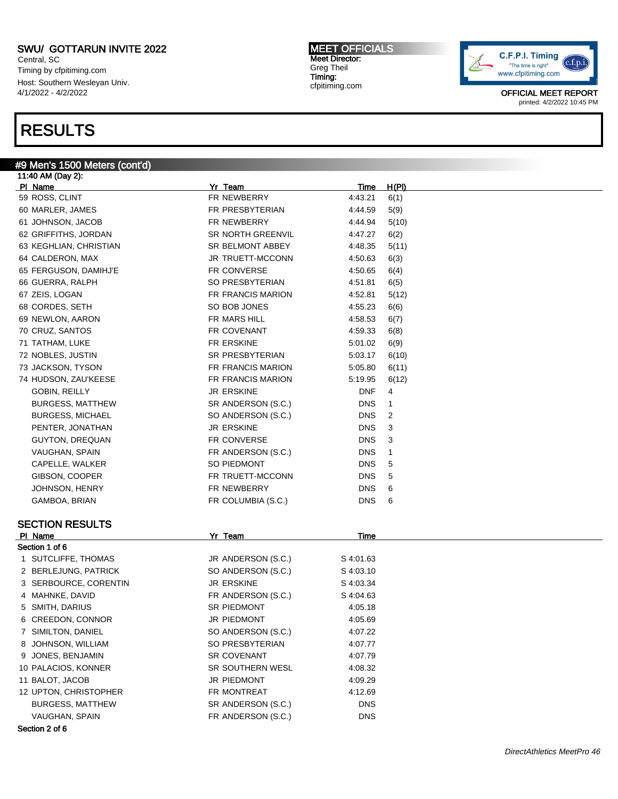Central, SC Timing by cfpitiming.com Host: Southern Wesleyan Univ. 4/1/2022 - 4/2/2022

### RESULTS

#### #9 Men's 1500 Meters (cont'd)

11:40 AM (Day 2): Pl Name Yr Team Time H(Pl) 59 ROSS, CLINT FR NEWBERRY 4:43.21 6(1) 60 MARLER, JAMES FR PRESBYTERIAN 4:44.59 5(9) 61 JOHNSON, JACOB FR NEWBERRY 4:44.94 5(10) 62 GRIFFITHS, JORDAN SR NORTH GREENVIL 4:47.27 6(2) 63 KEGHLIAN, CHRISTIAN SR BELMONT ABBEY 4:48.35 5(11) 64 CALDERON, MAX JR TRUETT-MCCONN 4:50.63 6(3) 65 FERGUSON, DAMIHJ'E FR CONVERSE 4:50.65 6(4) 66 GUERRA, RALPH SO PRESBYTERIAN 4:51.81 6(5) 67 ZEIS, LOGAN FR FRANCIS MARION 4:52.81 5(12) 68 CORDES, SETH SO BOB JONES 4:55.23 6(6) 69 NEWLON, AARON FR MARS HILL 4:58.53 6(7) 70 CRUZ, SANTOS FR COVENANT 4:59.33 6(8) 71 TATHAM, LUKE FR ERSKINE 5:01.02 6(9) 72 NOBLES, JUSTIN SR PRESBYTERIAN 5:03.17 6(10) 73 JACKSON, TYSON FR FRANCIS MARION 5:05.80 6(11) 74 HUDSON, ZAU'KEESE FR FRANCIS MARION 5:19.95 6(12) GOBIN, REILLY **SECURE A SECURE SECURE A SECURE A SECURE A SECURE A SECURE A SECURE A SECURE A SECURE A SECURE 4** BURGESS, MATTHEW SR ANDERSON (S.C.) DNS 1 BURGESS, MICHAEL SO ANDERSON (S.C.) DNS 2 PENTER, JONATHAN **JR ERSKINE** DNS 3 GUYTON, DREQUAN FR CONVERSE FR CONVERSE VAUGHAN, SPAIN FR ANDERSON (S.C.) DNS 1 CAPELLE, WALKER SO PIEDMONT DNS 5 GIBSON, COOPER FR TRUETT-MCCONN DNS 5 JOHNSON, HENRY **EXAMPLE FRIMED FRIMED FR** NEWBERRY **CONS** 6 GAMBOA, BRIAN FR COLUMBIA (S.C.) DNS 6 SECTION RESULTS Pl Name Yr Team Time Section 1 of 6 1 SUTCLIFFE, THOMAS JR ANDERSON (S.C.) S 4:01.63 2 BERLEJUNG, PATRICK SO ANDERSON (S.C.) S 4:03.10 3 SERBOURCE, CORENTIN JR ERSKINE S 4:03.34 4 MAHNKE, DAVID FR ANDERSON (S.C.) S 4:04.63 5 SMITH, DARIUS SR PIEDMONT 4:05.18 6 CREEDON, CONNOR JR PIEDMONT 4:05.69 7 SIMILTON, DANIEL SO ANDERSON (S.C.) 4:07.22 8 JOHNSON, WILLIAM SO PRESBYTERIAN 4:07.77 9 JONES, BENJAMIN SR COVENANT 4:07.79 10 PALACIOS, KONNER SER SOUTHERN WESL 4:08.32 11 BALOT, JACOB 329 329 JR PIEDMONT 4:09.29 12 UPTON, CHRISTOPHER FR MONTREAT 4:12.69 BURGESS, MATTHEW SR ANDERSON (S.C.) DNS VAUGHAN, SPAIN GEREEN FR ANDERSON (S.C.) DNS

Section 2 of 6

MEET OFFICIALS Meet Director: Greg Theil Timing: cfpitiming.com

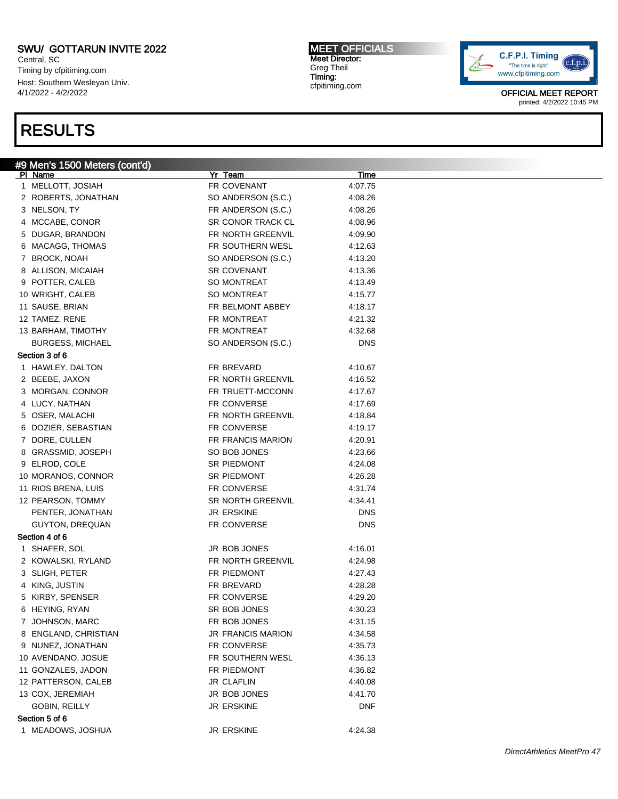Central, SC Timing by cfpitiming.com Host: Southern Wesleyan Univ. 4/1/2022 - 4/2/2022

## RESULTS

### #9 Men's 1500 Meters (cont'd)

| PI Name                 | Yr Team                  | <u>Time</u> |  |
|-------------------------|--------------------------|-------------|--|
| 1 MELLOTT, JOSIAH       | FR COVENANT              | 4:07.75     |  |
| 2 ROBERTS, JONATHAN     | SO ANDERSON (S.C.)       | 4:08.26     |  |
| 3 NELSON, TY            | FR ANDERSON (S.C.)       | 4:08.26     |  |
| 4 MCCABE, CONOR         | SR CONOR TRACK CL        | 4:08.96     |  |
| 5 DUGAR, BRANDON        | FR NORTH GREENVIL        | 4:09.90     |  |
| 6 MACAGG, THOMAS        | FR SOUTHERN WESL         | 4:12.63     |  |
| 7 BROCK, NOAH           | SO ANDERSON (S.C.)       | 4:13.20     |  |
| 8 ALLISON, MICAIAH      | <b>SR COVENANT</b>       | 4:13.36     |  |
| 9 POTTER, CALEB         | SO MONTREAT              | 4:13.49     |  |
| 10 WRIGHT, CALEB        | <b>SO MONTREAT</b>       | 4:15.77     |  |
| 11 SAUSE, BRIAN         | FR BELMONT ABBEY         | 4:18.17     |  |
| 12 TAMEZ, RENE          | FR MONTREAT              | 4:21.32     |  |
| 13 BARHAM, TIMOTHY      | FR MONTREAT              | 4:32.68     |  |
| <b>BURGESS, MICHAEL</b> | SO ANDERSON (S.C.)       | <b>DNS</b>  |  |
| Section 3 of 6          |                          |             |  |
| 1 HAWLEY, DALTON        | FR BREVARD               | 4:10.67     |  |
| 2 BEEBE, JAXON          | FR NORTH GREENVIL        | 4:16.52     |  |
| 3 MORGAN, CONNOR        | FR TRUETT-MCCONN         | 4:17.67     |  |
| 4 LUCY, NATHAN          | FR CONVERSE              | 4:17.69     |  |
| 5 OSER, MALACHI         | FR NORTH GREENVIL        | 4:18.84     |  |
| 6 DOZIER, SEBASTIAN     | FR CONVERSE              | 4:19.17     |  |
| 7 DORE, CULLEN          | FR FRANCIS MARION        | 4:20.91     |  |
| 8 GRASSMID, JOSEPH      | SO BOB JONES             | 4:23.66     |  |
| 9 ELROD, COLE           | SR PIEDMONT              | 4:24.08     |  |
| 10 MORANOS, CONNOR      | SR PIEDMONT              | 4:26.28     |  |
| 11 RIOS BRENA, LUIS     | FR CONVERSE              | 4:31.74     |  |
| 12 PEARSON, TOMMY       | <b>SR NORTH GREENVIL</b> | 4:34.41     |  |
| PENTER, JONATHAN        | <b>JR ERSKINE</b>        | <b>DNS</b>  |  |
| GUYTON, DREQUAN         | FR CONVERSE              | <b>DNS</b>  |  |
| Section 4 of 6          |                          |             |  |
| 1 SHAFER, SOL           | JR BOB JONES             | 4:16.01     |  |
| 2 KOWALSKI, RYLAND      | FR NORTH GREENVIL        | 4:24.98     |  |
| 3 SLIGH, PETER          | FR PIEDMONT              | 4:27.43     |  |
| 4 KING, JUSTIN          | FR BREVARD               | 4:28.28     |  |
| 5 KIRBY, SPENSER        | FR CONVERSE              | 4:29.20     |  |
| 6 HEYING, RYAN          | SR BOB JONES             | 4:30.23     |  |
| 7 JOHNSON, MARC         | FR BOB JONES             | 4:31.15     |  |
| 8 ENGLAND, CHRISTIAN    | <b>JR FRANCIS MARION</b> | 4:34.58     |  |
| 9 NUNEZ, JONATHAN       | FR CONVERSE              | 4:35.73     |  |
| 10 AVENDANO, JOSUE      | FR SOUTHERN WESL         | 4:36.13     |  |
| 11 GONZALES, JADON      | FR PIEDMONT              | 4:36.82     |  |
| 12 PATTERSON, CALEB     | <b>JR CLAFLIN</b>        | 4:40.08     |  |
| 13 COX, JEREMIAH        | JR BOB JONES             | 4:41.70     |  |
| GOBIN, REILLY           | <b>JR ERSKINE</b>        | <b>DNF</b>  |  |
| Section 5 of 6          |                          |             |  |
| 1 MEADOWS, JOSHUA       | <b>JR ERSKINE</b>        | 4:24.38     |  |
|                         |                          |             |  |

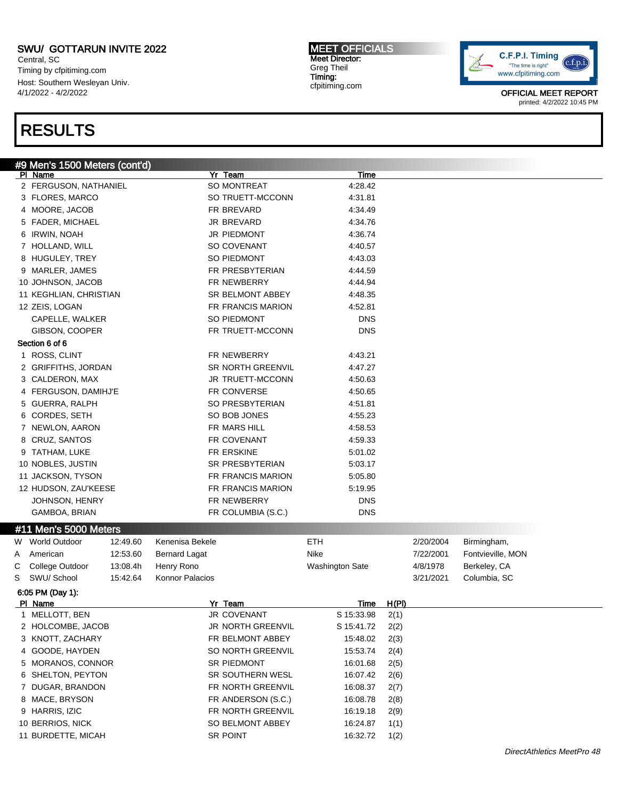Central, SC Timing by cfpitiming.com Host: Southern Wesleyan Univ. 4/1/2022 - 4/2/2022

### RESULTS

### #9 Men's 1500 Meters (cont'd)

|   | PI Name                                |          |                      | Yr Team                  | <b>Time</b>            |       |           |                   |  |
|---|----------------------------------------|----------|----------------------|--------------------------|------------------------|-------|-----------|-------------------|--|
|   | 2 FERGUSON, NATHANIEL                  |          |                      | SO MONTREAT              | 4:28.42                |       |           |                   |  |
|   | 3 FLORES, MARCO                        |          |                      | SO TRUETT-MCCONN         | 4:31.81                |       |           |                   |  |
|   | 4 MOORE, JACOB                         |          |                      | FR BREVARD               | 4:34.49                |       |           |                   |  |
|   | 5 FADER, MICHAEL                       |          |                      | JR BREVARD               | 4:34.76                |       |           |                   |  |
|   | 6 IRWIN, NOAH                          |          |                      | JR PIEDMONT              | 4:36.74                |       |           |                   |  |
|   | 7 HOLLAND, WILL                        |          |                      | SO COVENANT              | 4:40.57                |       |           |                   |  |
|   | 8 HUGULEY, TREY                        |          |                      | SO PIEDMONT              | 4:43.03                |       |           |                   |  |
|   | 9 MARLER, JAMES                        |          |                      | FR PRESBYTERIAN          | 4:44.59                |       |           |                   |  |
|   | 10 JOHNSON, JACOB                      |          |                      | FR NEWBERRY              | 4:44.94                |       |           |                   |  |
|   | 11 KEGHLIAN, CHRISTIAN                 |          |                      | SR BELMONT ABBEY         | 4:48.35                |       |           |                   |  |
|   | 12 ZEIS, LOGAN                         |          |                      | FR FRANCIS MARION        | 4:52.81                |       |           |                   |  |
|   | CAPELLE, WALKER                        |          |                      | SO PIEDMONT              | <b>DNS</b>             |       |           |                   |  |
|   | GIBSON, COOPER                         |          |                      | FR TRUETT-MCCONN         | <b>DNS</b>             |       |           |                   |  |
|   | Section 6 of 6                         |          |                      |                          |                        |       |           |                   |  |
|   |                                        |          |                      |                          |                        |       |           |                   |  |
|   | 1 ROSS, CLINT                          |          |                      | FR NEWBERRY              | 4:43.21                |       |           |                   |  |
|   | 2 GRIFFITHS, JORDAN                    |          |                      | <b>SR NORTH GREENVIL</b> | 4:47.27                |       |           |                   |  |
|   | 3 CALDERON, MAX                        |          |                      | JR TRUETT-MCCONN         | 4:50.63                |       |           |                   |  |
|   | 4 FERGUSON, DAMIHJ'E                   |          |                      | FR CONVERSE              | 4:50.65                |       |           |                   |  |
|   | 5 GUERRA, RALPH                        |          |                      | SO PRESBYTERIAN          | 4:51.81                |       |           |                   |  |
|   | 6 CORDES, SETH                         |          |                      | SO BOB JONES             | 4:55.23                |       |           |                   |  |
|   | 7 NEWLON, AARON                        |          |                      | FR MARS HILL             | 4:58.53                |       |           |                   |  |
|   | 8 CRUZ, SANTOS                         |          |                      | FR COVENANT              | 4:59.33                |       |           |                   |  |
|   | 9 TATHAM, LUKE                         |          |                      | FR ERSKINE               | 5:01.02                |       |           |                   |  |
|   | 10 NOBLES, JUSTIN                      |          |                      | SR PRESBYTERIAN          | 5:03.17                |       |           |                   |  |
|   | 11 JACKSON, TYSON                      |          |                      | FR FRANCIS MARION        | 5:05.80                |       |           |                   |  |
|   | 12 HUDSON, ZAU'KEESE                   |          |                      | FR FRANCIS MARION        | 5:19.95                |       |           |                   |  |
|   | JOHNSON, HENRY                         |          |                      | FR NEWBERRY              | <b>DNS</b>             |       |           |                   |  |
|   | GAMBOA, BRIAN                          |          |                      | FR COLUMBIA (S.C.)       | <b>DNS</b>             |       |           |                   |  |
|   | #11 Men's 5000 Meters                  |          |                      |                          |                        |       |           |                   |  |
|   | W World Outdoor                        | 12:49.60 | Kenenisa Bekele      |                          | <b>ETH</b>             |       | 2/20/2004 | Birmingham,       |  |
| A | American                               | 12:53.60 | <b>Bernard Lagat</b> |                          | Nike                   |       | 7/22/2001 | Fontvieville, MON |  |
| С | College Outdoor                        | 13:08.4h | Henry Rono           |                          | <b>Washington Sate</b> |       | 4/8/1978  | Berkeley, CA      |  |
| S | SWU/ School                            | 15:42.64 | Konnor Palacios      |                          |                        |       | 3/21/2021 | Columbia, SC      |  |
|   | 6:05 PM (Day 1):                       |          |                      |                          |                        |       |           |                   |  |
|   | PI Name                                |          |                      | Yr_Team                  | <b>Time</b>            | H(PI) |           |                   |  |
|   | 1 MELLOTT, BEN                         |          |                      | <b>JR COVENANT</b>       | S 15:33.98             | 2(1)  |           |                   |  |
|   | 2 HOLCOMBE, JACOB                      |          |                      | JR NORTH GREENVIL        | S 15:41.72             | 2(2)  |           |                   |  |
|   | 3 KNOTT, ZACHARY                       |          |                      | FR BELMONT ABBEY         | 15:48.02               | 2(3)  |           |                   |  |
|   | 4 GOODE, HAYDEN                        |          |                      | SO NORTH GREENVIL        | 15:53.74               | 2(4)  |           |                   |  |
|   | 5 MORANOS, CONNOR                      |          |                      | SR PIEDMONT              | 16:01.68               | 2(5)  |           |                   |  |
|   | 6 SHELTON, PEYTON                      |          |                      | SR SOUTHERN WESL         | 16:07.42               | 2(6)  |           |                   |  |
|   | 7 DUGAR, BRANDON                       |          |                      | FR NORTH GREENVIL        | 16:08.37               | 2(7)  |           |                   |  |
|   | 8 MACE, BRYSON                         |          |                      | FR ANDERSON (S.C.)       | 16:08.78               | 2(8)  |           |                   |  |
|   | 9 HARRIS, IZIC                         |          |                      | FR NORTH GREENVIL        | 16:19.18               |       |           |                   |  |
|   |                                        |          |                      |                          |                        | 2(9)  |           |                   |  |
|   | 10 BERRIOS, NICK<br>11 BURDETTE, MICAH |          |                      | SO BELMONT ABBEY         | 16:24.87               | 1(1)  |           |                   |  |
|   |                                        |          |                      | SR POINT                 | 16:32.72               | 1(2)  |           |                   |  |

C.F.P.I. Timing  $(c.f.p.i$ "The time is right" www.cfpitiming.com

> OFFICIAL MEET REPORT printed: 4/2/2022 10:45 PM

MEET OFFICIALS Meet Director: Greg Theil Timing: cfpitiming.com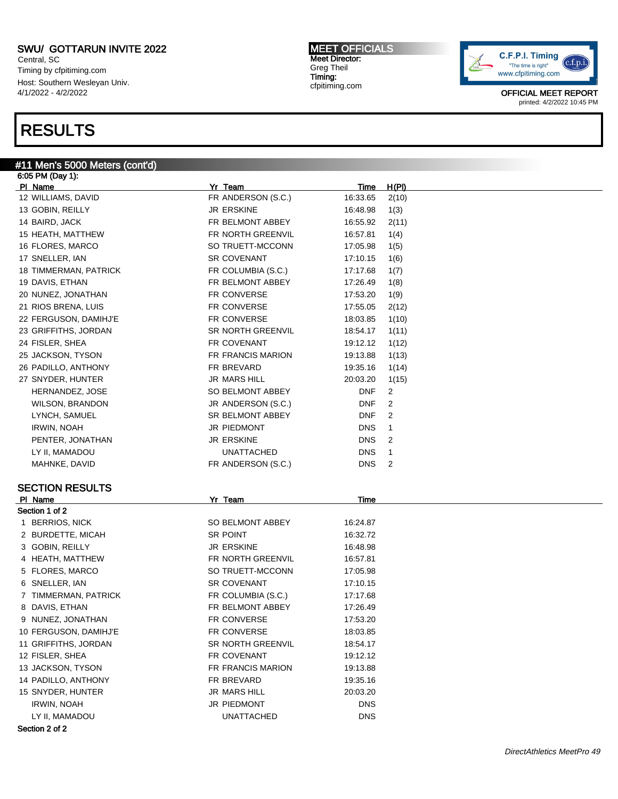Central, SC Timing by cfpitiming.com Host: Southern Wesleyan Univ. 4/1/2022 - 4/2/2022

### RESULTS

#### #11 Men's 5000 Meters (cont'd) 6:05 PM (Day 1):

Pl Name Yr Team Time H(Pl) 12 WILLIAMS, DAVID **FR ANDERSON (S.C.)** 16:33.65 2(10) 13 GOBIN, REILLY **16:48.98** 1(3) 14 BAIRD, JACK FR BELMONT ABBEY 16:55.92 2(11) 15 HEATH, MATTHEW **FR NORTH GREENVIL** 16:57.81 1(4) 16 FLORES, MARCO SO TRUETT-MCCONN 17:05.98 1(5) 17 SNELLER, IAN 61 - 17:10.15 1(6) SR COVENANT 17:10.15 1(6) 18 TIMMERMAN, PATRICK FR COLUMBIA (S.C.) 17:17.68 1(7) 19 DAVIS, ETHAN FR BELMONT ABBEY 17:26.49 1(8) 20 NUNEZ, JONATHAN FR CONVERSE 17:53.20 1(9) 21 RIOS BRENA, LUIS **FR CONVERSE** 17:55.05 2(12) 22 FERGUSON, DAMIHJ'E FR CONVERSE 18:03.85 1(10) 23 GRIFFITHS, JORDAN SR NORTH GREENVIL 18:54.17 1(11) 24 FISLER, SHEA 19:12.12 1(12) 25 JACKSON, TYSON FR FRANCIS MARION 19:13.88 1(13) 26 PADILLO, ANTHONY **FR BREVARD** 19:35.16 1(14) 27 SNYDER, HUNTER JR MARS HILL 20:03.20 1(15) HERNANDEZ, JOSE SO BELMONT ABBEY DNF 2 WILSON, BRANDON JR ANDERSON (S.C.) DNF 2 LYNCH, SAMUEL SANGER SR BELMONT ABBEY THE SAMUEL ASSESSED AS SR BELMONT ABBEY IRWIN, NOAH DNS 1 PENTER, JONATHAN **JR ERSKINE** DNS 2 LY II, MAMADOU UNATTACHED DNS 1 MAHNKE, DAVID GALL CONTROLLER FR ANDERSON (S.C.) THIS ISSUED AND THE RESERVED ASSESSED AND THE RESERVED AND TH SECTION RESULTS Pl Name Yr Team Time Section 1 of 2 1 BERRIOS, NICK SO BELMONT ABBEY 16:24.87 2 BURDETTE, MICAH SR POINT SANDETTE, MICAH 3 GOBIN, REILLY **JR ERSKINE** 16:48.98 4 HEATH, MATTHEW **FR NORTH GREENVIL** 16:57.81 5 FLORES, MARCO SO TRUETT-MCCONN 17:05.98 6 SNELLER, IAN SR COVENANT 17:10.15 7 TIMMERMAN, PATRICK FR COLUMBIA (S.C.) 17:17.68 8 DAVIS, ETHAN FR BELMONT ABBEY 17:26.49 9 NUNEZ, JONATHAN FR CONVERSE 17:53.20 10 FERGUSON, DAMIHJ'E FR CONVERSE 18:03.85 11 GRIFFITHS, JORDAN SR NORTH GREENVIL 18:54.17 12 FISLER, SHEA **FR COVENANT** 19:12.12 13 JACKSON, TYSON FR FRANCIS MARION 19:13.88 14 PADILLO, ANTHONY FR BREVARD 19:35.16 15 SNYDER, HUNTER JR MARS HILL 20:03.20 IRWIN, NOAH DNS DONS ON DIEDMONT LY II, MAMADOU UNATTACHED DNS



OFFICIAL MEET REPORT printed: 4/2/2022 10:45 PM

MEET OFFICIALS Meet Director: Greg Theil Timing: cfpitiming.com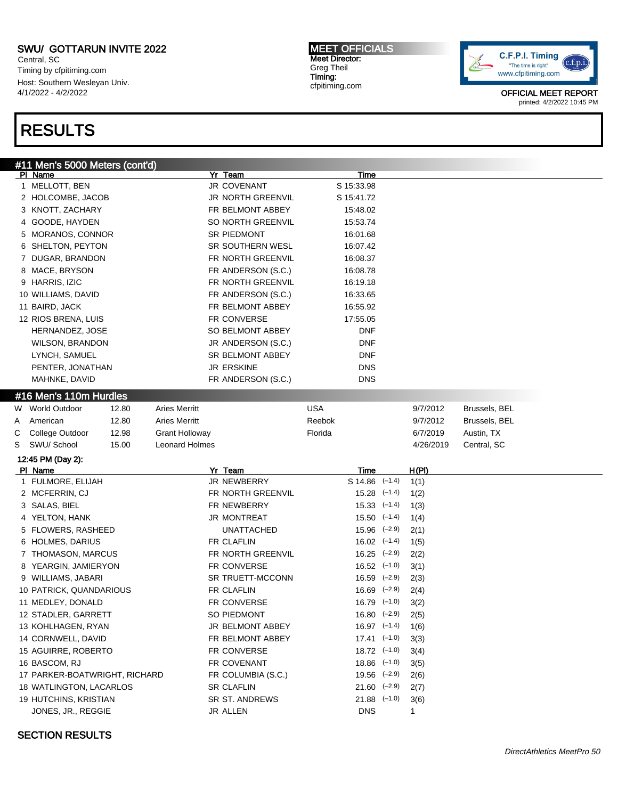Central, SC Timing by cfpitiming.com Host: Southern Wesleyan Univ. 4/1/2022 - 4/2/2022

### RESULTS

#11 Men's 5000 Meters (cont'd)<br>|PI\_Name Pl Name Yr Team Time 1 MELLOTT, BEN 33.98 2 HOLCOMBE, JACOB JR NORTH GREENVIL S 15:41.72 3 KNOTT, ZACHARY FR BELMONT ABBEY 15:48.02 4 GOODE, HAYDEN SO NORTH GREENVIL 15:53.74 5 MORANOS, CONNOR SR PIEDMONT 16:01.68 6 SHELTON, PEYTON SR SOUTHERN WESL 16:07.42 7 DUGAR, BRANDON FR NORTH GREENVIL 16:08.37 8 MACE, BRYSON **FR ANDERSON (S.C.)** 16:08.78 9 HARRIS, IZIC **FR NORTH GREENVIL** 16:19.18 10 WILLIAMS, DAVID **FR ANDERSON (S.C.)** 16:33.65 11 BAIRD, JACK **FR BELMONT ABBEY** 16:55.92 12 RIOS BRENA, LUIS **FR CONVERSE** 17:55.05 HERNANDEZ, JOSE SO BELMONT ABBEY DNF WILSON, BRANDON JR ANDERSON (S.C.) DNF LYNCH, SAMUEL **SAMUEL SALES ARE SELMONT ABBEY** DNF PENTER, JONATHAN DISCHARGER HARD DISCHARGE THE RESKINE DISCHARGE DISCHARGE MAHNKE, DAVID **EXAMPLE REANDERSON (S.C.)** DNS #16 Men's 110m Hurdles W World Outdoor 12.80 Aries Merritt USA 9/7/2012 Brussels, BEL A American 12.80 Aries Merritt Reebok 9/7/2012 Brussels, BEL C College Outdoor 12.98 Grant Holloway Florida 6/7/2019 Austin, TX S SWU/ School 15.00 Leonard Holmes 4/26/2019 Central, SC 12:45 PM (Day 2): Pl Name Yr Team Time H(Pl) 1 FULMORE, ELIJAH JR NEWBERRY S 14.86 (-1.4) 1(1) 2 MCFERRIN, CJ **FR NORTH GREENVIL** 15.28 (–1.4) 1(2) 3 SALAS, BIEL FR NEWBERRY 15.33 (–1.4) 1(3) 4 YELTON, HANK JR MONTREAT 15.50 (–1.4) 1(4) 5 FLOWERS, RASHEED UNATTACHED 15.96 (-2.9) 2(1) 6 HOLMES, DARIUS **FR CLAFLIN** 16.02 (–1.4) 1(5) 7 THOMASON, MARCUS FR NORTH GREENVIL 16.25 (-2.9) 2(2) 8 YEARGIN, JAMIERYON FR CONVERSE 16.52 (-1.0) 3(1) 9 WILLIAMS, JABARI SR TRUETT-MCCONN 16.59 (-2.9) 2(3) 10 PATRICK, QUANDARIOUS FR CLAFLIN 16.69 (-2.9) 2(4) 11 MEDLEY, DONALD **FR CONVERSE** 16.79 (–1.0) 3(2) 12 STADLER, GARRETT SO PIEDMONT 16.80 (-2.9) 2(5) 13 KOHLHAGEN, RYAN JR BELMONT ABBEY 16.97 (-1.4) 1(6) 14 CORNWELL, DAVID **FR BELMONT ABBEY** 17.41 (-1.0) 3(3) 15 AGUIRRE, ROBERTO **FR CONVERSE** 18.72 (–1.0) 3(4) 16 BASCOM, RJ FR COVENANT 18.86 (–1.0) 3(5) 17 PARKER-BOATWRIGHT, RICHARD FR COLUMBIA (S.C.) 19.56 (-2.9) 2(6) 18 WATLINGTON, LACARLOS SR CLAFLIN 21.60 (-2.9) 2(7) 19 HUTCHINS, KRISTIAN SR ST. ANDREWS 21.88 (-1.0) 3(6) JONES, JR., REGGIE JR ALLEN DNS 1

MEET OFFICIALS Meet Director: Greg Theil Timing: cfpitiming.com



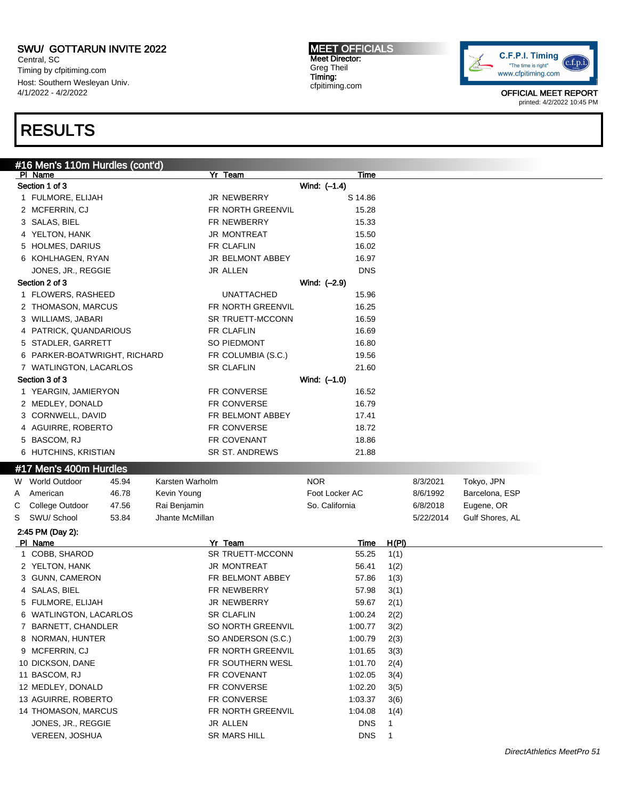Central, SC Timing by cfpitiming.com Host: Southern Wesleyan Univ. 4/1/2022 - 4/2/2022

## RESULTS

#16 Men's 110m Hurdles (cont'd) Pl Name Yr Team Time Section 1 of 3 Wind: (–1.4) 1 FULMORE, ELIJAH JR NEWBERRY S 14.86 2 MCFERRIN, CJ **FR NORTH GREENVIL** 15.28 3 SALAS, BIEL **FR NEWBERRY** 15.33 4 YELTON, HANK 15.50 5 HOLMES, DARIUS **FR CLAFLIN** 16.02 6 KOHLHAGEN, RYAN JR BELMONT ABBEY 16.97 JONES, JR., REGGIE JR ALLEN DNS Section 2 of 3 Wind:  $(-2.9)$ 1 FLOWERS, RASHEED UNATTACHED 15.96 2 THOMASON, MARCUS **FR NORTH GREENVIL** 16.25 3 WILLIAMS, JABARI SR TRUETT-MCCONN 16.59 4 PATRICK, QUANDARIOUS FR CLAFLIN 16.69 5 STADLER, GARRETT SO PIEDMONT 16.80 6 PARKER-BOATWRIGHT, RICHARD FR COLUMBIA (S.C.) 19.56 7 WATLINGTON, LACARLOS SR CLAFLIN 21.60 Section 3 of 3 Wind: (–1.0) 1 YEARGIN, JAMIERYON FR CONVERSE 16.52 2 MEDLEY, DONALD **FR CONVERSE** 16.79 3 CORNWELL, DAVID FR BELMONT ABBEY 17.41 4 AGUIRRE, ROBERTO FR CONVERSE 18.72 5 BASCOM, RJ FR COVENANT 18.86 6 HUTCHINS, KRISTIAN SR ST. ANDREWS 21.88 #17 Men's 400m Hurdles W World Outdoor  $45.94$  Karsten Warholm NOR NOR 8/3/2021 Tokyo, JPN A American 46.78 Kevin Young Foot Locker AC 8/6/1992 Barcelona, ESP C College Outdoor 47.56 Rai Benjamin So. California 6/8/2018 Eugene, OR S SWU/ School 53.84 Jhante McMillan 500 and 500 and 5022/2014 Gulf Shores, AL 2:45 PM (Day 2): Pl Name Yr Team Time H(Pl) 1 COBB, SHAROD SR TRUETT-MCCONN 55.25 1(1) 2 YELTON, HANK 1(2) 3 JR MONTREAT 56.41 1(2) 3 GUNN, CAMERON FR BELMONT ABBEY 57.86 1(3) 4 SALAS, BIEL FR NEWBERRY 57.98 3(1) 5 FULMORE, ELIJAH JR NEWBERRY 59.67 2(1) 6 WATLINGTON, LACARLOS SR CLAFLIN 1:00.24 2(2) 7 BARNETT, CHANDLER SO NORTH GREENVIL 1:00.77 3(2) 8 NORMAN, HUNTER SO ANDERSON (S.C.) 1:00.79 2(3) 9 MCFERRIN, CJ FR NORTH GREENVIL 1:01.65 3(3) 10 DICKSON, DANE **FR SOUTHERN WESL** 1:01.70 2(4) 11 BASCOM, RJ FR COVENANT 1:02.05 3(4) 12 MEDLEY, DONALD FR CONVERSE 1:02.20 3(5) 13 AGUIRRE, ROBERTO FR CONVERSE 1:03.37 3(6)

14 THOMASON, MARCUS FR NORTH GREENVIL 1:04.08 1(4) JONES, JR., REGGIE JR ALLEN DNS 1 VEREEN, JOSHUA SR MARS HILL DNS 1



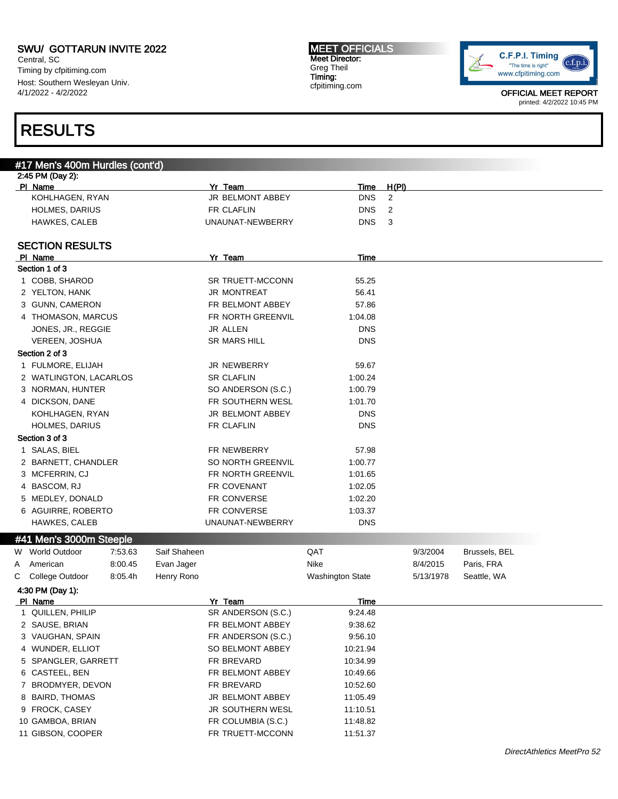Central, SC Timing by cfpitiming.com Host: Southern Wesleyan Univ. 4/1/2022 - 4/2/2022

#### MEET OFFICIALS Meet Director: Greg Theil Timing: cfpitiming.com



OFFICIAL MEET REPORT printed: 4/2/2022 10:45 PM

## RESULTS

|   | #17 Men's 400m Hurdles (cont'd) |         |              |                               |                  |                |               |  |
|---|---------------------------------|---------|--------------|-------------------------------|------------------|----------------|---------------|--|
|   | 2:45 PM (Day 2):                |         |              |                               |                  |                |               |  |
|   | PI Name                         |         |              | Yr Team                       | Time             | <u>H(PI)</u>   |               |  |
|   | KOHLHAGEN, RYAN                 |         |              | JR BELMONT ABBEY              | <b>DNS</b>       | $\overline{c}$ |               |  |
|   | HOLMES, DARIUS                  |         |              | FR CLAFLIN                    | <b>DNS</b>       | 2              |               |  |
|   | <b>HAWKES, CALEB</b>            |         |              | UNAUNAT-NEWBERRY              | <b>DNS</b>       | 3              |               |  |
|   | <b>SECTION RESULTS</b>          |         |              |                               |                  |                |               |  |
|   | PI Name                         |         |              | Yr Team                       | Time             |                |               |  |
|   | Section 1 of 3                  |         |              |                               |                  |                |               |  |
|   | 1 COBB, SHAROD                  |         |              | <b>SR TRUETT-MCCONN</b>       | 55.25            |                |               |  |
|   | 2 YELTON, HANK                  |         |              | <b>JR MONTREAT</b>            | 56.41            |                |               |  |
|   | 3 GUNN, CAMERON                 |         |              | FR BELMONT ABBEY              | 57.86            |                |               |  |
|   | 4 THOMASON, MARCUS              |         |              | FR NORTH GREENVIL             | 1:04.08          |                |               |  |
|   | JONES, JR., REGGIE              |         |              | JR ALLEN                      | <b>DNS</b>       |                |               |  |
|   | VEREEN, JOSHUA                  |         |              | <b>SR MARS HILL</b>           | <b>DNS</b>       |                |               |  |
|   | Section 2 of 3                  |         |              |                               |                  |                |               |  |
|   | 1 FULMORE, ELIJAH               |         |              | <b>JR NEWBERRY</b>            | 59.67            |                |               |  |
|   | 2 WATLINGTON, LACARLOS          |         |              | <b>SR CLAFLIN</b>             | 1:00.24          |                |               |  |
|   | 3 NORMAN, HUNTER                |         |              | SO ANDERSON (S.C.)            | 1:00.79          |                |               |  |
|   | 4 DICKSON, DANE                 |         |              | FR SOUTHERN WESL              | 1:01.70          |                |               |  |
|   | KOHLHAGEN, RYAN                 |         |              | JR BELMONT ABBEY              | <b>DNS</b>       |                |               |  |
|   | <b>HOLMES, DARIUS</b>           |         |              | <b>FR CLAFLIN</b>             | <b>DNS</b>       |                |               |  |
|   | Section 3 of 3                  |         |              |                               |                  |                |               |  |
|   | 1 SALAS, BIEL                   |         |              | FR NEWBERRY                   | 57.98            |                |               |  |
|   | 2 BARNETT, CHANDLER             |         |              | SO NORTH GREENVIL             | 1:00.77          |                |               |  |
|   | 3 MCFERRIN, CJ                  |         |              | FR NORTH GREENVIL             | 1:01.65          |                |               |  |
|   | 4 BASCOM, RJ                    |         |              | FR COVENANT                   | 1:02.05          |                |               |  |
|   | 5 MEDLEY, DONALD                |         |              | FR CONVERSE                   | 1:02.20          |                |               |  |
|   |                                 |         |              |                               |                  |                |               |  |
|   | 6 AGUIRRE, ROBERTO              |         |              | FR CONVERSE                   | 1:03.37          |                |               |  |
|   | <b>HAWKES, CALEB</b>            |         |              | UNAUNAT-NEWBERRY              | <b>DNS</b>       |                |               |  |
|   | #41 Men's 3000m Steeple         |         |              |                               |                  |                |               |  |
|   | W World Outdoor                 | 7:53.63 | Saif Shaheen |                               | QAT              | 9/3/2004       | Brussels, BEL |  |
| A | American                        | 8:00.45 | Evan Jager   |                               | Nike             | 8/4/2015       | Paris, FRA    |  |
| С | College Outdoor                 | 8:05.4h | Henry Rono   |                               | Washington State | 5/13/1978      | Seattle, WA   |  |
|   | 4:30 PM (Day 1):                |         |              |                               |                  |                |               |  |
|   | PI Name<br>QUILLEN, PHILIP      |         |              | Yr Team<br>SR ANDERSON (S.C.) | Time<br>9:24.48  |                |               |  |
| 1 | 2 SAUSE, BRIAN                  |         |              | FR BELMONT ABBEY              | 9:38.62          |                |               |  |
|   | 3 VAUGHAN, SPAIN                |         |              | FR ANDERSON (S.C.)            | 9:56.10          |                |               |  |
|   |                                 |         |              |                               |                  |                |               |  |
|   | 4 WUNDER, ELLIOT                |         |              | SO BELMONT ABBEY              | 10:21.94         |                |               |  |
|   | 5 SPANGLER, GARRETT             |         |              | FR BREVARD                    | 10:34.99         |                |               |  |
|   | 6 CASTEEL, BEN                  |         |              | FR BELMONT ABBEY              | 10:49.66         |                |               |  |
|   | 7 BRODMYER, DEVON               |         |              | FR BREVARD                    | 10:52.60         |                |               |  |
|   | 8 BAIRD, THOMAS                 |         |              | JR BELMONT ABBEY              | 11:05.49         |                |               |  |
|   | 9 FROCK, CASEY                  |         |              | JR SOUTHERN WESL              | 11:10.51         |                |               |  |
|   | 10 GAMBOA, BRIAN                |         |              | FR COLUMBIA (S.C.)            | 11:48.82         |                |               |  |
|   | 11 GIBSON, COOPER               |         |              | FR TRUETT-MCCONN              | 11:51.37         |                |               |  |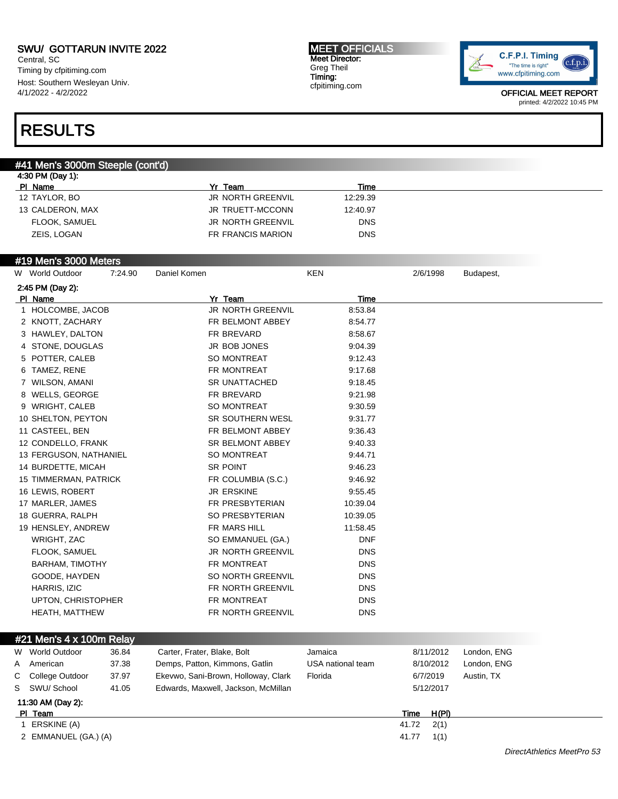Central, SC Timing by cfpitiming.com Host: Southern Wesleyan Univ. 4/1/2022 - 4/2/2022

#### MEET OFFICIALS Meet Director: Greg Theil Timing: cfpitiming.com



OFFICIAL MEET REPORT printed: 4/2/2022 10:45 PM

## RESULTS

### #41 Men's 3000m Steeple (cont'd)

| 4:30 PM (Day 1): |                          |            |
|------------------|--------------------------|------------|
| PI Name          | Team                     | Time       |
| 12 TAYLOR, BO    | <b>JR NORTH GREENVIL</b> | 12:29.39   |
| 13 CALDERON, MAX | JR TRUETT-MCCONN         | 12:40.97   |
| FLOOK, SAMUEL    | <b>JR NORTH GREENVIL</b> | <b>DNS</b> |
| ZEIS, LOGAN      | FR FRANCIS MARION        | <b>DNS</b> |
|                  |                          |            |

#### #19 Men's 3000 Meters

| W World Outdoor        | 7:24.90 | Daniel Komen |                          | <b>KEN</b> | 2/6/1998 | Budapest, |
|------------------------|---------|--------------|--------------------------|------------|----------|-----------|
| 2:45 PM (Day 2):       |         |              |                          |            |          |           |
| PI Name                |         |              | Yr Team                  | Time       |          |           |
| 1 HOLCOMBE, JACOB      |         |              | <b>JR NORTH GREENVIL</b> | 8:53.84    |          |           |
| 2 KNOTT, ZACHARY       |         |              | FR BELMONT ABBEY         | 8:54.77    |          |           |
| 3 HAWLEY, DALTON       |         |              | FR BREVARD               | 8:58.67    |          |           |
| 4 STONE, DOUGLAS       |         |              | JR BOB JONES             | 9:04.39    |          |           |
| 5 POTTER, CALEB        |         |              | SO MONTREAT              | 9:12.43    |          |           |
| 6 TAMEZ, RENE          |         |              | FR MONTREAT              | 9:17.68    |          |           |
| 7 WILSON, AMANI        |         |              | <b>SR UNATTACHED</b>     | 9:18.45    |          |           |
| 8 WELLS, GEORGE        |         |              | FR BREVARD               | 9:21.98    |          |           |
| 9 WRIGHT, CALEB        |         |              | SO MONTREAT              | 9:30.59    |          |           |
| 10 SHELTON, PEYTON     |         |              | SR SOUTHERN WESL         | 9:31.77    |          |           |
| 11 CASTEEL, BEN        |         |              | FR BELMONT ABBEY         | 9:36.43    |          |           |
| 12 CONDELLO, FRANK     |         |              | <b>SR BELMONT ABBEY</b>  | 9:40.33    |          |           |
| 13 FERGUSON, NATHANIEL |         |              | SO MONTREAT              | 9:44.71    |          |           |
| 14 BURDETTE, MICAH     |         |              | SR POINT                 | 9:46.23    |          |           |
| 15 TIMMERMAN, PATRICK  |         |              | FR COLUMBIA (S.C.)       | 9:46.92    |          |           |
| 16 LEWIS, ROBERT       |         |              | <b>JR ERSKINE</b>        | 9:55.45    |          |           |
| 17 MARLER, JAMES       |         |              | FR PRESBYTERIAN          | 10:39.04   |          |           |
| 18 GUERRA, RALPH       |         |              | SO PRESBYTERIAN          | 10:39.05   |          |           |
| 19 HENSLEY, ANDREW     |         |              | FR MARS HILL             | 11:58.45   |          |           |
| WRIGHT, ZAC            |         |              | SO EMMANUEL (GA.)        | <b>DNF</b> |          |           |
| FLOOK, SAMUEL          |         |              | <b>JR NORTH GREENVIL</b> | <b>DNS</b> |          |           |
| <b>BARHAM, TIMOTHY</b> |         |              | FR MONTREAT              | <b>DNS</b> |          |           |
| GOODE, HAYDEN          |         |              | SO NORTH GREENVIL        | <b>DNS</b> |          |           |
| HARRIS, IZIC           |         |              | FR NORTH GREENVIL        | <b>DNS</b> |          |           |
| UPTON, CHRISTOPHER     |         |              | FR MONTREAT              | <b>DNS</b> |          |           |
| <b>HEATH, MATTHEW</b>  |         |              | FR NORTH GREENVIL        | <b>DNS</b> |          |           |
|                        |         |              |                          |            |          |           |

#### #21 Men's 4 x 100m Relay

| W                             | World Outdoor     | 36.84 | Carter, Frater, Blake, Bolt         | Jamaica           |       | 8/11/2012 | London, ENG |
|-------------------------------|-------------------|-------|-------------------------------------|-------------------|-------|-----------|-------------|
| A                             | American          | 37.38 | Demps, Patton, Kimmons, Gatlin      | USA national team |       | 8/10/2012 | London, ENG |
| $\mathbf{C}$                  | College Outdoor   | 37.97 | Ekevwo, Sani-Brown, Holloway, Clark | Florida           |       | 6/7/2019  | Austin, TX  |
| S.                            | SWU/ School       | 41.05 | Edwards, Maxwell, Jackson, McMillan |                   |       | 5/12/2017 |             |
|                               | 11:30 AM (Day 2): |       |                                     |                   |       |           |             |
|                               | PI Team           |       |                                     |                   | Time  | H(PI)     |             |
|                               | ERSKINE (A)       |       |                                     |                   | 41.72 | 2(1)      |             |
| 2 EMMANUEL (GA.) (A)<br>41.77 |                   |       |                                     |                   |       | 1(1)      |             |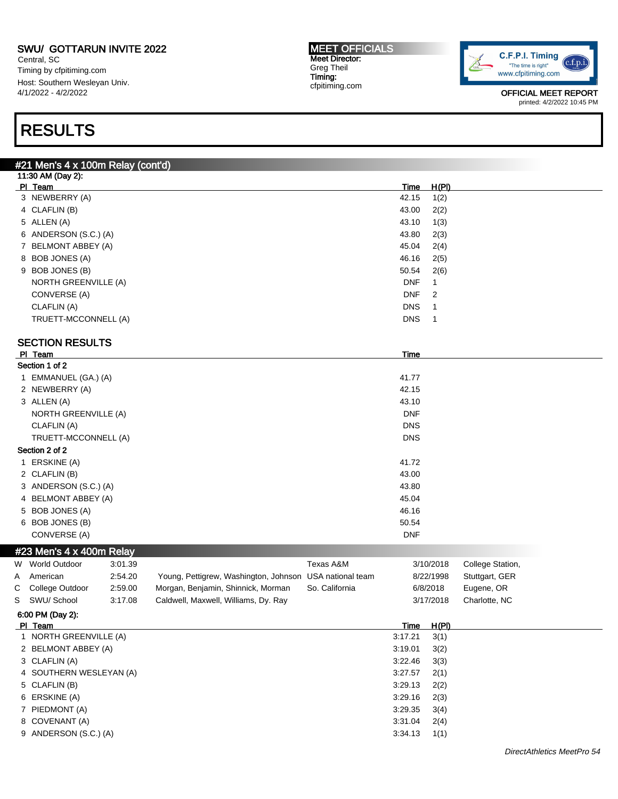Central, SC Timing by cfpitiming.com Host: Southern Wesleyan Univ. 4/1/2022 - 4/2/2022

## RESULTS

#### MEET OFFICIALS Meet Director: Greg Theil Timing: cfpitiming.com



OFFICIAL MEET REPORT printed: 4/2/2022 10:45 PM

### #21 Men's 4 x 100m Relay (cont'd)

| 11:30 AM (Day 2):     |            |                            |  |  |  |  |  |  |
|-----------------------|------------|----------------------------|--|--|--|--|--|--|
| PI Team               | Time       | H(PI)                      |  |  |  |  |  |  |
| 3 NEWBERRY (A)        | 42.15      | 1(2)                       |  |  |  |  |  |  |
| 4 CLAFLIN (B)         | 43.00      | 2(2)                       |  |  |  |  |  |  |
| 5 ALLEN (A)           | 43.10      | 1(3)                       |  |  |  |  |  |  |
| 6 ANDERSON (S.C.) (A) | 43.80      | 2(3)                       |  |  |  |  |  |  |
| 7 BELMONT ABBEY (A)   | 45.04      | 2(4)                       |  |  |  |  |  |  |
| 8 BOB JONES (A)       | 46.16      | 2(5)                       |  |  |  |  |  |  |
| 9 BOB JONES (B)       | 50.54      | 2(6)                       |  |  |  |  |  |  |
| NORTH GREENVILLE (A)  | <b>DNF</b> | 1                          |  |  |  |  |  |  |
| CONVERSE (A)          | <b>DNF</b> | $\overline{\phantom{0}}^2$ |  |  |  |  |  |  |
| CLAFLIN (A)           | <b>DNS</b> |                            |  |  |  |  |  |  |
| TRUETT-MCCONNELL (A)  | <b>DNS</b> |                            |  |  |  |  |  |  |
|                       |            |                            |  |  |  |  |  |  |

#### SECTION RESULTS

|                                                                                                                                                                                                                                                                             |                                                                                                                                                         |                | Time                                                    |                  |
|-----------------------------------------------------------------------------------------------------------------------------------------------------------------------------------------------------------------------------------------------------------------------------|---------------------------------------------------------------------------------------------------------------------------------------------------------|----------------|---------------------------------------------------------|------------------|
|                                                                                                                                                                                                                                                                             |                                                                                                                                                         |                |                                                         |                  |
|                                                                                                                                                                                                                                                                             |                                                                                                                                                         |                | 41.77                                                   |                  |
|                                                                                                                                                                                                                                                                             |                                                                                                                                                         |                | 42.15                                                   |                  |
|                                                                                                                                                                                                                                                                             |                                                                                                                                                         |                | 43.10                                                   |                  |
|                                                                                                                                                                                                                                                                             |                                                                                                                                                         |                | <b>DNF</b>                                              |                  |
|                                                                                                                                                                                                                                                                             |                                                                                                                                                         |                | <b>DNS</b>                                              |                  |
|                                                                                                                                                                                                                                                                             |                                                                                                                                                         |                | <b>DNS</b>                                              |                  |
|                                                                                                                                                                                                                                                                             |                                                                                                                                                         |                |                                                         |                  |
|                                                                                                                                                                                                                                                                             |                                                                                                                                                         |                | 41.72                                                   |                  |
|                                                                                                                                                                                                                                                                             |                                                                                                                                                         |                | 43.00                                                   |                  |
|                                                                                                                                                                                                                                                                             |                                                                                                                                                         |                | 43.80                                                   |                  |
|                                                                                                                                                                                                                                                                             |                                                                                                                                                         |                | 45.04                                                   |                  |
|                                                                                                                                                                                                                                                                             |                                                                                                                                                         |                | 46.16                                                   |                  |
|                                                                                                                                                                                                                                                                             |                                                                                                                                                         |                | 50.54                                                   |                  |
|                                                                                                                                                                                                                                                                             |                                                                                                                                                         |                | <b>DNF</b>                                              |                  |
|                                                                                                                                                                                                                                                                             |                                                                                                                                                         |                |                                                         |                  |
| 3:01.39                                                                                                                                                                                                                                                                     |                                                                                                                                                         | Texas A&M      | 3/10/2018                                               | College Station, |
| 2:54.20                                                                                                                                                                                                                                                                     |                                                                                                                                                         |                | 8/22/1998                                               | Stuttgart, GER   |
| 2:59.00                                                                                                                                                                                                                                                                     | Morgan, Benjamin, Shinnick, Morman                                                                                                                      | So. California | 6/8/2018                                                | Eugene, OR       |
| 3:17.08                                                                                                                                                                                                                                                                     | Caldwell, Maxwell, Williams, Dy. Ray                                                                                                                    |                | 3/17/2018                                               | Charlotte, NC    |
|                                                                                                                                                                                                                                                                             |                                                                                                                                                         |                |                                                         |                  |
| PI Team<br>Section 1 of 2<br>2 NEWBERRY (A)<br>3 ALLEN (A)<br>CLAFLIN (A)<br>Section 2 of 2<br>1 ERSKINE (A)<br>2 CLAFLIN (B)<br>5 BOB JONES (A)<br>6 BOB JONES (B)<br>CONVERSE (A)<br>W World Outdoor<br>A American<br>College Outdoor<br>S SWU/School<br>6:00 PM (Day 2): | 1 EMMANUEL (GA.) (A)<br><b>NORTH GREENVILLE (A)</b><br>TRUETT-MCCONNELL (A)<br>3 ANDERSON (S.C.) (A)<br>4 BELMONT ABBEY (A)<br>#23 Men's 4 x 400m Relay |                | Young, Pettigrew, Washington, Johnson USA national team |                  |

| PI Team       | Time                               | H(PI) |
|---------------|------------------------------------|-------|
|               | 1 NORTH GREENVILLE (A)<br>3:17.21  | 3(1)  |
|               | 2 BELMONT ABBEY (A)<br>3:19.01     | 3(2)  |
| 3 CLAFLIN (A) | 3:22.46                            | 3(3)  |
|               | 4 SOUTHERN WESLEYAN (A)<br>3:27.57 | 2(1)  |
| 5 CLAFLIN (B) | 3:29.13                            | 2(2)  |
| 6 ERSKINE (A) | 3:29.16                            | 2(3)  |
|               | 3:29.35<br>7 PIEDMONT (A)          | 3(4)  |
|               | 8 COVENANT (A)<br>3:31.04          | 2(4)  |
|               | 9 ANDERSON (S.C.) (A)<br>3:34.13   | 1(1)  |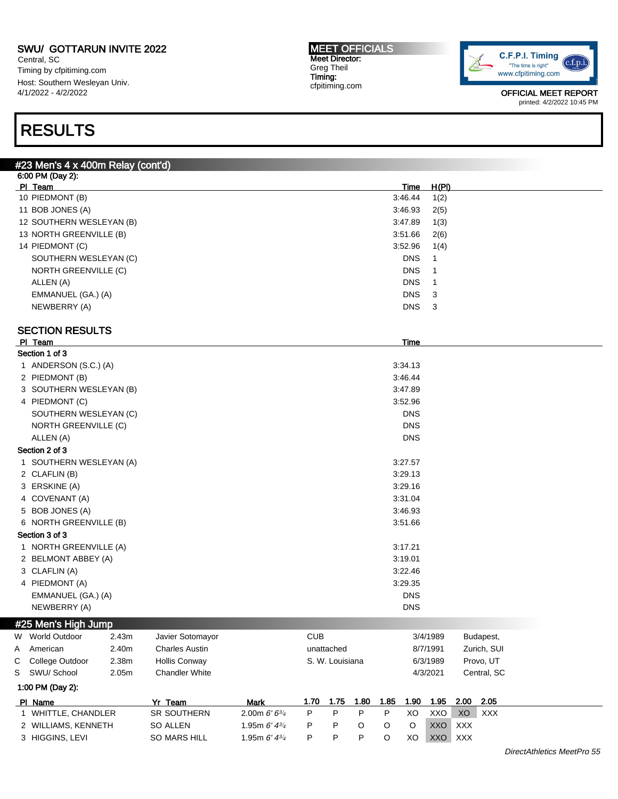Central, SC Timing by cfpitiming.com Host: Southern Wesleyan Univ. 4/1/2022 - 4/2/2022

### RESULTS

#### #23 Men's 4 x 400m Relay (cont'd) 6:00 PM (Day 2): Pl Team Time H(Pl) 10 PIEDMONT (B) 3:46.44 1(2) 11 BOB JONES (A) 3:46.93 2(5) 12 SOUTHERN WESLEYAN (B) 3:47.89 1(3) 13 NORTH GREENVILLE (B) 3:51.66 2(6) 14 PIEDMONT (C) 3:52.96 1(4) SOUTHERN WESLEYAN (C) SOUTHERN WESLEYAN (C) NORTH GREENVILLE (C) DNS 1 ALLEN (A) DNS 1 EMMANUEL (GA.) (A) DNS 3 NEWBERRY (A) DNS 3 SECTION RESULTS Pl Team Time Section 1 of 3 1 ANDERSON (S.C.) (A) 3:34.13 2 PIEDMONT (B) 3:46.44 3 SOUTHERN WESLEYAN (B) 3:47.89 4 PIEDMONT (C) 3:52.96 SOUTHERN WESLEYAN (C) DNS NORTH GREENVILLE (C) DNS ALLEN (A) DNS Section 2 of 3 1 SOUTHERN WESLEYAN (A) 3:27.57 2 CLAFLIN (B) 3:29.13 3 ERSKINE (A) 3:29.16 4 COVENANT (A) 3:31.04 5 BOB JONES (A) 3:46.93 6 NORTH GREENVILLE (B) 3:51.66 Section 3 of 3 1 NORTH GREENVILLE (A) 3:17.21 2 BELMONT ABBEY (A) 3:19.01 3 CLAFLIN (A) 3:22.46 4 PIEDMONT (A) 3:29.35 EMMANUEL (GA.) (A) DNS NEWBERRY (A) DNS #25 Men's High Jump W World Outdoor 2.43m Javier Sotomayor CUB CUB 3/4/1989 Budapest, A American 2.40m Charles Austin **1988** Contracted 1987/1991 Zurich, SUI C College Outdoor 2.38m Hollis Conway S. W. Louisiana 6/3/1989 Provo, UT S SWU/ School 2.05m Chandler White 4/3/2021 Central, SC 1:00 PM (Day 2): Pl Name Yr Team Mark 1.70 1.75 1.80 1.85 1.90 1.95 2.00 2.05 1 WHITTLE, CHANDLER SR SOUTHERN 2.00m 6' 634 P P P P XO XXO XO XXX 2 WILLIAMS, KENNETH SO ALLEN 1.95m 6' 434 P P O O O XXO XXX 3 HIGGINS, LEVI SO MARS HILL 1.95m 6' 434 P P P O XO XXO XXX



OFFICIAL MEET REPORT printed: 4/2/2022 10:45 PM

#### MEET OFFICIALS Meet Director: Greg Theil Timing: cfpitiming.com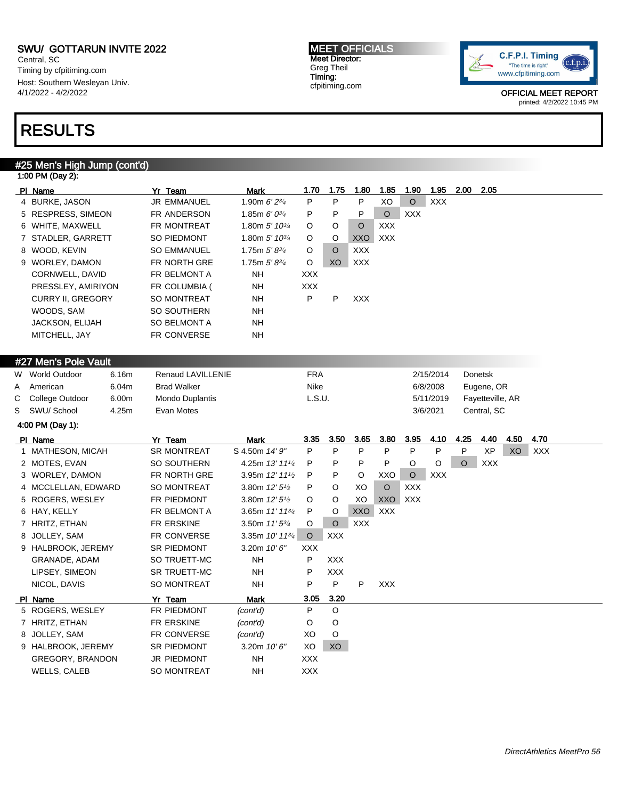Central, SC Timing by cfpitiming.com Host: Southern Wesleyan Univ. 4/1/2022 - 4/2/2022

### RESULTS

#### #25 Men's High Jump (cont'd) 1:00 PM (Day 2):

| PI Name                  | Yr Team            | Mark                        | 1.70       | 1.75    | 1.80       | 1.85       | 1.90       | 1.95 | 2.00 | - 2.05 |
|--------------------------|--------------------|-----------------------------|------------|---------|------------|------------|------------|------|------|--------|
| 4 BURKE, JASON           | <b>JR EMMANUEL</b> | 1.90m $6'2^{3/4}$           | P          | P       | P          | XO         | $\circ$    | XXX  |      |        |
| 5 RESPRESS, SIMEON       | FR ANDERSON        | 1.85m $6'0^{3/4}$           | P          | P       | P          | $\circ$    | <b>XXX</b> |      |      |        |
| 6 WHITE, MAXWELL         | FR MONTREAT        | 1.80m $5'$ 10 $\frac{3}{4}$ | $\circ$    | $\circ$ | $\circ$    | <b>XXX</b> |            |      |      |        |
| 7 STADLER, GARRETT       | SO PIEDMONT        | 1.80m $5'$ 10 $\frac{3}{4}$ | $\circ$    | $\circ$ | <b>XXO</b> | XXX        |            |      |      |        |
| 8 WOOD, KEVIN            | <b>SO EMMANUEL</b> | 1.75m $5'8^{3/4}$           | $\circ$    | $\circ$ | <b>XXX</b> |            |            |      |      |        |
| 9 WORLEY, DAMON          | FR NORTH GRE       | 1.75m $5'8^{3/4}$           | $\circ$    | XO      | XXX        |            |            |      |      |        |
| CORNWELL, DAVID          | FR BELMONT A       | <b>NH</b>                   | <b>XXX</b> |         |            |            |            |      |      |        |
| PRESSLEY, AMIRIYON       | FR COLUMBIA (      | NH                          | <b>XXX</b> |         |            |            |            |      |      |        |
| <b>CURRY II. GREGORY</b> | SO MONTREAT        | NH                          | P          | P       | <b>XXX</b> |            |            |      |      |        |
| WOODS, SAM               | SO SOUTHERN        | <b>NH</b>                   |            |         |            |            |            |      |      |        |
| <b>JACKSON, ELIJAH</b>   | SO BELMONT A       | <b>NH</b>                   |            |         |            |            |            |      |      |        |
| MITCHELL, JAY            | FR CONVERSE        | NΗ                          |            |         |            |            |            |      |      |        |
|                          |                    |                             |            |         |            |            |            |      |      |        |

### #27 Men's Pole Vault

| $1.21$ $1.1911$ $0.1$ $0.00$ $1.0011$ |       |                        |        |           |                  |  |  |  |  |  |
|---------------------------------------|-------|------------------------|--------|-----------|------------------|--|--|--|--|--|
| W World Outdoor                       | 6.16m | Renaud LAVILLENIE      | FRA    | 2/15/2014 | Donetsk          |  |  |  |  |  |
| A American                            | 6.04m | <b>Brad Walker</b>     | Nike   | 6/8/2008  | Eugene, OR       |  |  |  |  |  |
| C College Outdoor                     | 6.00m | <b>Mondo Duplantis</b> | L.S.U. | 5/11/2019 | Fayetteville, AR |  |  |  |  |  |
| S SWU/School                          | 4.25m | Evan Motes             |        | 3/6/2021  | Central, SC      |  |  |  |  |  |
| 4:00 PM (Day 1):                      |       |                        |        |           |                  |  |  |  |  |  |

| PI Name             | Yr Team            | <b>Mark</b>                 | 3.35       | 3.50       | 3.65       | 3.80       | 3.95       | 4.10       | 4.25    | 4.40       | 4.50 | 4.70       |  |
|---------------------|--------------------|-----------------------------|------------|------------|------------|------------|------------|------------|---------|------------|------|------------|--|
| 1 MATHESON, MICAH   | <b>SR MONTREAT</b> | S 4.50m 14' 9"              | P          | P          | P          | P          | P          | P          | P       | XP         | XO   | <b>XXX</b> |  |
| 2 MOTES, EVAN       | SO SOUTHERN        | 4.25m 13' 111/4             | P          | P          | P          | P          | O          | O          | $\circ$ | <b>XXX</b> |      |            |  |
| 3 WORLEY, DAMON     | FR NORTH GRE       | 3.95m 12' 111/2             | P.         | P.         | $\circ$    | XXO        | $\circ$    | <b>XXX</b> |         |            |      |            |  |
| 4 MCCLELLAN, EDWARD | SO MONTREAT        | 3.80m $12'5\frac{1}{2}$     | P          | $\circ$    | XO         | O          | <b>XXX</b> |            |         |            |      |            |  |
| 5 ROGERS, WESLEY    | FR PIEDMONT        | 3.80m $12'5\frac{1}{2}$     | $\circ$    | $\circ$    | XO         | XXO        | XXX        |            |         |            |      |            |  |
| 6 HAY, KELLY        | FR BELMONT A       | 3.65m 11' 11 <sup>3/4</sup> | P          | O          | XXO        | <b>XXX</b> |            |            |         |            |      |            |  |
| 7 HRITZ, ETHAN      | FR ERSKINE         | 3.50m $11'5^{3/4}$          | $\circ$    | $\circ$    | <b>XXX</b> |            |            |            |         |            |      |            |  |
| 8 JOLLEY, SAM       | <b>FR CONVERSE</b> | 3.35m 10' 113/4             | $\circ$    | <b>XXX</b> |            |            |            |            |         |            |      |            |  |
| 9 HALBROOK, JEREMY  | SR PIEDMONT        | 3.20m $10'6''$              | <b>XXX</b> |            |            |            |            |            |         |            |      |            |  |
| GRANADE, ADAM       | SO TRUETT-MC       | NH.                         | P          | <b>XXX</b> |            |            |            |            |         |            |      |            |  |
| LIPSEY, SIMEON      | SR TRUETT-MC       | NH.                         | P          | XXX        |            |            |            |            |         |            |      |            |  |
| NICOL, DAVIS        | SO MONTREAT        | NH.                         | P          | P          | P          | XXX.       |            |            |         |            |      |            |  |
| PI Name             | Yr Team            | Mark                        | 3.05       | 3.20       |            |            |            |            |         |            |      |            |  |
| 5 ROGERS, WESLEY    | FR PIEDMONT        | (cont'd)                    | P          | $\circ$    |            |            |            |            |         |            |      |            |  |
| 7 HRITZ, ETHAN      | FR ERSKINE         | (cont'd)                    | O          | O          |            |            |            |            |         |            |      |            |  |
| 8 JOLLEY, SAM       | FR CONVERSE        | (cont'd)                    | XO         | O          |            |            |            |            |         |            |      |            |  |
| 9 HALBROOK, JEREMY  | <b>SR PIEDMONT</b> | 3.20m $10'6''$              | XO         | XO         |            |            |            |            |         |            |      |            |  |
| GREGORY, BRANDON    | <b>JR PIEDMONT</b> | NH.                         | <b>XXX</b> |            |            |            |            |            |         |            |      |            |  |
| <b>WELLS, CALEB</b> | <b>SO MONTREAT</b> | NΗ                          | <b>XXX</b> |            |            |            |            |            |         |            |      |            |  |



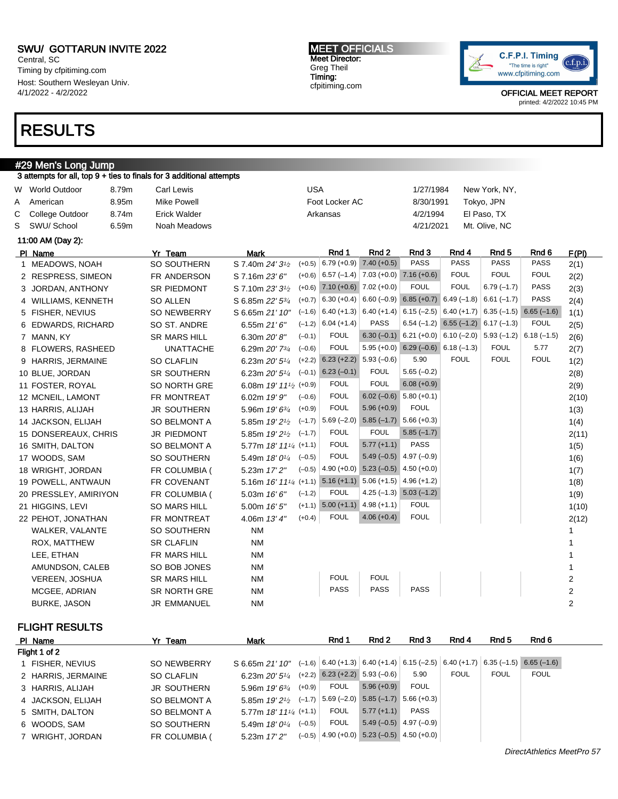Central, SC Timing by cfpitiming.com Host: Southern Wesleyan Univ. 4/1/2022 - 4/2/2022

### RESULTS

### #29 Men's Long Jump

|   | 3 attempts for all, top 9 + ties to finals for 3 additional attempts |       |                     |                                                                                       |            |                                              |                                           |                                                          |                                                                        |                  |              |                |
|---|----------------------------------------------------------------------|-------|---------------------|---------------------------------------------------------------------------------------|------------|----------------------------------------------|-------------------------------------------|----------------------------------------------------------|------------------------------------------------------------------------|------------------|--------------|----------------|
|   | W World Outdoor                                                      | 8.79m | Carl Lewis          |                                                                                       | <b>USA</b> |                                              |                                           | 1/27/1984                                                |                                                                        | New York, NY,    |              |                |
| Α | American                                                             | 8.95m | <b>Mike Powell</b>  |                                                                                       |            | Foot Locker AC                               |                                           | 8/30/1991                                                |                                                                        | Tokyo, JPN       |              |                |
| С | College Outdoor                                                      | 8.74m | <b>Erick Walder</b> |                                                                                       |            | Arkansas                                     |                                           | 4/2/1994                                                 |                                                                        | El Paso, TX      |              |                |
| S | SWU/ School                                                          | 6.59m | Noah Meadows        |                                                                                       |            |                                              |                                           | 4/21/2021                                                |                                                                        | Mt. Olive, NC    |              |                |
|   | 11:00 AM (Day 2):                                                    |       |                     |                                                                                       |            |                                              |                                           |                                                          |                                                                        |                  |              |                |
|   | PI Name                                                              |       | Yr Team             | <b>Mark</b>                                                                           |            | Rnd 1                                        | Rnd 2                                     | Rnd 3                                                    | Rnd 4                                                                  | Rnd <sub>5</sub> | Rnd 6        | F(PI)          |
|   | 1 MEADOWS, NOAH                                                      |       | SO SOUTHERN         | S 7.40m 24' 3 <sup>1</sup> / <sub>2</sub>                                             | $(+0.5)$   | $6.79 (+0.9)$ 7.40 (+0.5)                    |                                           | <b>PASS</b>                                              | <b>PASS</b>                                                            | <b>PASS</b>      | <b>PASS</b>  | 2(1)           |
|   | 2 RESPRESS, SIMEON                                                   |       | FR ANDERSON         | S 7.16m 23' 6"                                                                        |            | $(+0.6)$ 6.57 (-1.4) 7.03 (+0.0) 7.16 (+0.6) |                                           |                                                          | <b>FOUL</b>                                                            | <b>FOUL</b>      | <b>FOUL</b>  | 2(2)           |
|   | 3 JORDAN, ANTHONY                                                    |       | <b>SR PIEDMONT</b>  | S 7.10m 23' 3 <sup>1</sup> / <sub>2</sub>                                             |            | $(+0.6)$ 7.10 $(+0.6)$ 7.02 $(+0.0)$         |                                           | <b>FOUL</b>                                              | <b>FOUL</b>                                                            | $6.79(-1.7)$     | PASS         | 2(3)           |
|   | 4 WILLIAMS, KENNETH                                                  |       | SO ALLEN            | S 6.85m 22' 53/4                                                                      |            |                                              |                                           | $(+0.7)$ 6.30 (+0.4) 6.60 (-0.9) 6.85 (+0.7) 6.49 (-1.8) |                                                                        | $6.61(-1.7)$     | <b>PASS</b>  | 2(4)           |
|   | 5 FISHER, NEVIUS                                                     |       | SO NEWBERRY         | S 6.65m 21' 10"                                                                       |            | $(-1.6)$ 6.40 (+1.3) 6.40 (+1.4)             |                                           |                                                          | $6.15$ (-2.5) $\mid 6.40$ (+1.7) $\mid 6.35$ (-1.5) $\mid 6.65$ (-1.6) |                  |              | 1(1)           |
|   | 6 EDWARDS, RICHARD                                                   |       | SO ST. ANDRE        | 6.55m $21'6''$                                                                        | $(-1.2)$   | $6.04 (+1.4)$                                | <b>PASS</b>                               |                                                          | $6.54$ (-1.2) $6.55$ (-1.2) $6.17$ (-1.3)                              |                  | <b>FOUL</b>  | 2(5)           |
|   | 7 MANN, KY                                                           |       | <b>SR MARS HILL</b> | 6.30m 20' 8"                                                                          | $(-0.1)$   | <b>FOUL</b>                                  |                                           | $6.30 (-0.1)$ 6.21 (+0.0) 6.10 (-2.0) 5.93 (-1.2)        |                                                                        |                  | $6.18(-1.5)$ | 2(6)           |
|   | 8 FLOWERS, RASHEED                                                   |       | <b>UNATTACHE</b>    | 6.29m 20' 73/4                                                                        | $(-0.6)$   | <b>FOUL</b>                                  |                                           | $5.95 (+0.0)$ 6.29 (-0.6) 6.18 (-1.3)                    |                                                                        | <b>FOUL</b>      | 5.77         | 2(7)           |
|   | 9 HARRIS, JERMAINE                                                   |       | <b>SO CLAFLIN</b>   | 6.23m 20' 5 <sup>1/4</sup>                                                            | $(+2.2)$   | $6.23 (+2.2)$ 5.93 (-0.6)                    |                                           | 5.90                                                     | <b>FOUL</b>                                                            | <b>FOUL</b>      | <b>FOUL</b>  | 1(2)           |
|   | 10 BLUE, JORDAN                                                      |       | SR SOUTHERN         | 6.23m $20'5^{1/4}$ (-0.1)                                                             |            | $6.23(-0.1)$                                 | <b>FOUL</b>                               | $5.65(-0.2)$                                             |                                                                        |                  |              | 2(8)           |
|   | 11 FOSTER, ROYAL                                                     |       | SO NORTH GRE        | 6.08m 19' 11 <sup>1</sup> / <sub>2</sub> (+0.9)                                       |            | <b>FOUL</b>                                  | <b>FOUL</b>                               | $6.08 (+0.9)$                                            |                                                                        |                  |              | 2(9)           |
|   | 12 MCNEIL, LAMONT                                                    |       | FR MONTREAT         | 6.02m 19' 9"                                                                          | $(-0.6)$   | <b>FOUL</b>                                  |                                           | $6.02 (-0.6) 5.80 (+0.1)$                                |                                                                        |                  |              | 2(10)          |
|   | 13 HARRIS, ALIJAH                                                    |       | <b>JR SOUTHERN</b>  | 5.96m 19' 63/4                                                                        | $(+0.9)$   | <b>FOUL</b>                                  | $5.96 (+0.9)$                             | <b>FOUL</b>                                              |                                                                        |                  |              | 1(3)           |
|   | 14 JACKSON, ELIJAH                                                   |       | SO BELMONT A        | 5.85m 19' 2 <sup>1</sup> / <sub>2</sub>                                               | $(-1.7)$   |                                              | $5.69$ (-2.0) $5.85$ (-1.7) $5.66$ (+0.3) |                                                          |                                                                        |                  |              | 1(4)           |
|   | 15 DONSEREAUX, CHRIS                                                 |       | <b>JR PIEDMONT</b>  | 5.85m $19'2^{1/2}$ (-1.7)                                                             |            | <b>FOUL</b>                                  | <b>FOUL</b>                               | $5.85(-1.7)$                                             |                                                                        |                  |              | 2(11)          |
|   | 16 SMITH, DALTON                                                     |       | <b>SO BELMONT A</b> | 5.77m $18'$ $11'$ <sup>4</sup> $(+1.1)$                                               |            | <b>FOUL</b>                                  | $5.77 (+1.1)$                             | <b>PASS</b>                                              |                                                                        |                  |              | 1(5)           |
|   | 17 WOODS, SAM                                                        |       | SO SOUTHERN         | 5.49m $18'0^{1/4}$ (-0.5)                                                             |            | <b>FOUL</b>                                  |                                           | $5.49(-0.5)$ 4.97 (-0.9)                                 |                                                                        |                  |              | 1(6)           |
|   | 18 WRIGHT, JORDAN                                                    |       | FR COLUMBIA (       | 5.23m 17' 2"                                                                          |            | $(-0.5)$ 4.90 (+0.0) 5.23 (-0.5) 4.50 (+0.0) |                                           |                                                          |                                                                        |                  |              | 1(7)           |
|   | 19 POWELL, ANTWAUN                                                   |       | FR COVENANT         | 5.16m $16'$ 11 <sup>1</sup> / <sub>4</sub> (+1.1) 5.16 (+1.1) 5.06 (+1.5) 4.96 (+1.2) |            |                                              |                                           |                                                          |                                                                        |                  |              | 1(8)           |
|   | 20 PRESSLEY, AMIRIYON                                                |       | FR COLUMBIA (       | 5.03m 16' 6"                                                                          | $(-1.2)$   | <b>FOUL</b>                                  |                                           | $4.25(-1.3)$ $5.03(-1.2)$                                |                                                                        |                  |              | 1(9)           |
|   | 21 HIGGINS, LEVI                                                     |       | <b>SO MARS HILL</b> | 5.00m 16' 5"                                                                          |            | $(+1.1)$ 5.00 $(+1.1)$ 4.98 $(+1.1)$         |                                           | <b>FOUL</b>                                              |                                                                        |                  |              | 1(10)          |
|   | 22 PEHOT, JONATHAN                                                   |       | FR MONTREAT         | 4.06m 13' 4"                                                                          | $(+0.4)$   | <b>FOUL</b>                                  | $4.06 (+0.4)$                             | <b>FOUL</b>                                              |                                                                        |                  |              | 2(12)          |
|   | WALKER, VALANTE                                                      |       | SO SOUTHERN         | <b>NM</b>                                                                             |            |                                              |                                           |                                                          |                                                                        |                  |              | 1              |
|   | ROX, MATTHEW                                                         |       | <b>SR CLAFLIN</b>   | <b>NM</b>                                                                             |            |                                              |                                           |                                                          |                                                                        |                  |              |                |
|   | LEE, ETHAN                                                           |       | FR MARS HILL        | <b>NM</b>                                                                             |            |                                              |                                           |                                                          |                                                                        |                  |              |                |
|   | AMUNDSON, CALEB                                                      |       | SO BOB JONES        | <b>NM</b>                                                                             |            |                                              |                                           |                                                          |                                                                        |                  |              |                |
|   | <b>VEREEN, JOSHUA</b>                                                |       | <b>SR MARS HILL</b> | <b>NM</b>                                                                             |            | <b>FOUL</b>                                  | <b>FOUL</b>                               |                                                          |                                                                        |                  |              | 2              |
|   | MCGEE, ADRIAN                                                        |       | SR NORTH GRE        | <b>NM</b>                                                                             |            | <b>PASS</b>                                  | <b>PASS</b>                               | <b>PASS</b>                                              |                                                                        |                  |              | $\overline{c}$ |
|   | <b>BURKE, JASON</b>                                                  |       | JR EMMANUEL         | <b>NM</b>                                                                             |            |                                              |                                           |                                                          |                                                                        |                  |              | $\overline{2}$ |

FLIGHT RESULTS

| PI Name            | Yr Team            | <b>Mark</b>                    | Rnd 1                                | Rnd <sub>2</sub>                          | Rnd 3                      | Rnd 4       | Rnd <sub>5</sub> | Rnd 6                                                                            |  |
|--------------------|--------------------|--------------------------------|--------------------------------------|-------------------------------------------|----------------------------|-------------|------------------|----------------------------------------------------------------------------------|--|
| Flight 1 of 2      |                    |                                |                                      |                                           |                            |             |                  |                                                                                  |  |
| 1 FISHER, NEVIUS   | <b>SO NEWBERRY</b> | S 6.65m 21' 10"                |                                      |                                           |                            |             |                  | $(-1.6)$ 6.40 (+1.3) 6.40 (+1.4) 6.15 (-2.5) 6.40 (+1.7) 6.35 (-1.5) 6.65 (-1.6) |  |
| 2 HARRIS, JERMAINE | SO CLAFLIN         | 6.23m $20'5\frac{1}{4}$        | $(+2.2)$ 6.23 $(+2.2)$ 5.93 $(-0.6)$ |                                           | 5.90                       | <b>FOUL</b> | <b>FOUL</b>      | <b>FOUL</b>                                                                      |  |
| 3 HARRIS, ALIJAH   | <b>JR SOUTHERN</b> | $(+0.9)$<br>5.96m $19'6^{3/4}$ | <b>FOUL</b>                          | $5.96(+0.9)$                              | <b>FOUL</b>                |             |                  |                                                                                  |  |
| 4 JACKSON, ELIJAH  | SO BELMONT A       | 5.85m $19'2^{1/2}$ (-1.7)      |                                      | $5.69$ (-2.0) $5.85$ (-1.7) $5.66$ (+0.3) |                            |             |                  |                                                                                  |  |
| 5 SMITH, DALTON    | SO BELMONT A       | 5.77m $18'$ $11'$ 4 $(+1.1)$   | <b>FOUL</b>                          | $5.77(+1.1)$                              | <b>PASS</b>                |             |                  |                                                                                  |  |
| 6 WOODS, SAM       | SO SOUTHERN        | 5.49m $18'0^{1/4}$ (-0.5)      | FOUL                                 |                                           | $5.49(-0.5)$ 4.97 $(-0.9)$ |             |                  |                                                                                  |  |
| 7 WRIGHT, JORDAN   | FR COLUMBIA (      | $(-0.5)$<br>5.23m 17' 2"       |                                      | $(4.90 (+0.0) 5.23 (-0.5) 4.50 (+0.0)$    |                            |             |                  |                                                                                  |  |

DirectAthletics MeetPro 57

MEET OFFICIALS Meet Director: Greg Theil Timing: cfpitiming.com

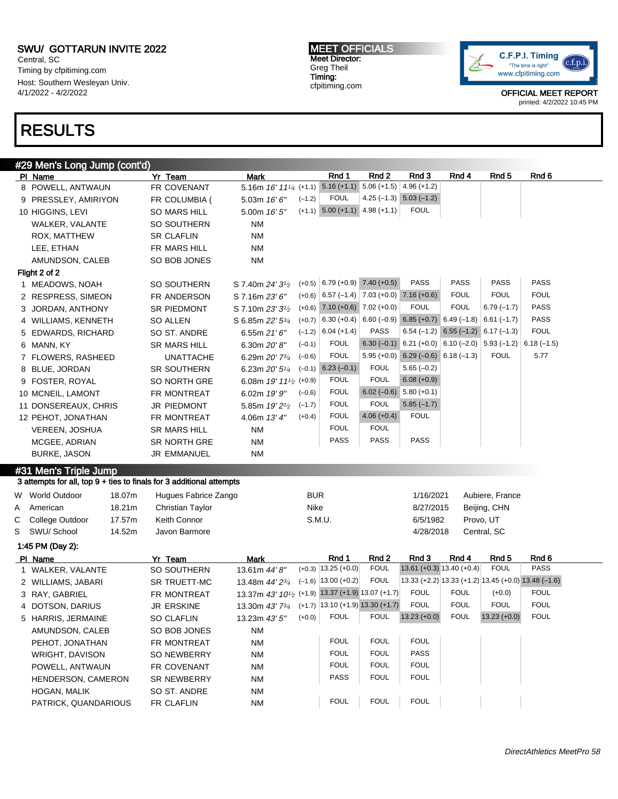Central, SC Timing by cfpitiming.com Host: Southern Wesleyan Univ. 4/1/2022 - 4/2/2022

### RESULTS

MEET OFFICIALS Meet Director: Greg Theil Timing: cfpitiming.com



OFFICIAL MEET REPORT printed: 4/2/2022 10:45 PM

#### #29 Men's Long Jump (cont'd) PIName 7r Team Mark Rnd 1 Rnd 2 Rnd 3 Rnd 4 Rnd 5 Rnd 6 Rnd 6 Rnd 5 Rnd 6 Rnd 5 Rnd 6 Rnd 6 Rnd 6 Rnd 6 Rnd 6 Rnd 6 Rnd 6 Rnd 6 Rnd 6 Rnd 6 Rnd 6 Rnd 6 Rnd 6 Rnd 6 Rnd 6 Rnd 6 Rnd 6 Rnd 6 Rnd 6 Rnd 6 Rnd 6 Rnd 6 Rnd 6 Rnd 8 POWELL, ANTWAUN FR COVENANT 5.16m 16' 11<sup>1/4 (+1.1)</sup>  $5.16 (+1.1) 5.06 (+1.5) 4.96 (+1.2)$ 9 PRESSLEY, AMIRIYON FR COLUMBIA (5.03m 16' 6"  $(-1.2)$  FOUL 4.25 (-1.3) 5.03 (-1.2) 10 HIGGINS, LEVI SO MARS HILL 5.00m 16' 5" (+1.1) 5.00 (+1.1) 4.98 (+1.1) FOUL WALKER, VALANTE SO SOUTHERN NM ROX, MATTHEW SR CLAFLIN NM LEE, ETHAN FR MARS HILL NM AMUNDSON, CALEB SO BOB JONES NM Flight 2 of 2 1 MEADOWS, NOAH SO SOUTHERN S 7.40m 24' 3<sup>1/2</sup> (+0.5) 6.79 (+0.9) 7.40 (+0.5) PASS PASS PASS PASS 2 RESPRESS, SIMEON FR ANDERSON S 7.16m 23' 6" (+0.6) 6.57 (–1.4) 7.03 (+0.0) 7.16 (+0.6) FOUL FOUL FOUL 3 JORDAN, ANTHONY SR PIEDMONT S 7.10m 23' 3<sup>1/2</sup> (+0.6) 7.10 (+0.6) 7.02 (+0.0) FOUL FOUL 6.79 (–1.7) PASS 4 WILLIAMS, KENNETH SO ALLEN S 6.85m 22' 53/4  $(+0.7)$  6.30 (+0.4) 6.60 (-0.9) 6.85 (+0.7) 6.49 (-1.8) 6.61 (-1.7) PASS 5 EDWARDS, RICHARD SO ST. ANDRE 6.55m 21' 6"  $(-1.2)$  6.04 (+1.4) PASS 6.54 (-1.2) 6.55 (-1.2) 6.17 (-1.3) FOUL 6 MANN, KY SR MARS HILL 6.30m 20' 8"  $(-0.1)$  FOUL 6.30 (-0.1) 6.21 (+0.0) 6.10 (-2.0) 5.93 (-1.2) 6.18 (-1.5) 7 FLOWERS, RASHEED UNATTACHE 6.29m 20' 73/<sup>4</sup>  $(-0.6)$  FOUL 5.95 (+0.0) 6.29 (-0.6) 6.18 (-1.3) FOUL 5.77 8 BLUE, JORDAN SR SOUTHERN 6.23m 20' 5<sup>1/4</sup>  $(-0.1)$  6.23  $(-0.1)$  FOUL 5.65  $(-0.2)$ 9 FOSTER, ROYAL SO NORTH GRE 6.08m 19' 11<sup>1</sup>/<sub>2</sub> (+0.9) (+0.9) FOUL FOUL 6.08 (+0.9) 10 MCNEIL, LAMONT FR MONTREAT 6.02m 19' 9"  $(-0.6)$  FOUL 6.02 (-0.6) 5.80 (+0.1) 11 DONSEREAUX, CHRIS JR PIEDMONT 5.85m 19' 2<sup>1/2</sup>  $(-1.7)$  FOUL FOUL 5.85 (-1.7) 12 PEHOT, JONATHAN FR MONTREAT 4.06m 13' 4" (+0.4) FOUL 4.06 (+0.4) FOUL VEREEN, JOSHUA SR MARS HILL NM FOUL FOUL MCGEE, ADRIAN SR NORTH GRE NM PASS PASS PASS PASS BURKE, JASON JR EMMANUEL NM #31 Men's Triple Jump 3 attempts for all, top 9 + ties to finals for 3 additional attempts W World Outdoor at 18.07m Hugues Fabrice Zango BUR BUR 1/16/2021 Aubiere, France A American 18.21m Christian Taylor Nike Nike 8/27/2015 Beijing, CHN C College Outdoor 17.57m Keith Connor S.M.U. 6/5/1982 Provo, UT S SWU/ School 14.52m Javon Barmore **14.52m** 18.000 and 14.52m 14.52m 14.52m 14.52m 14.52m 14.52m 14.52m 14.52m 1 1:45 PM (Day 2): Pl Name Yr Team Mark Rnd 1 Rnd 2 Rnd 3 Rnd 4 Rnd 5 Rnd 6 1 WALKER, VALANTE SO SOUTHERN 13.61m 44' 8"  $(+0.3)$  | 13.25 (+0.0) FOUL 13.61 (+0.3) 13.40 (+0.4) FOUL PASS 2 WILLIAMS, JABARI SR TRUETT-MC 13.48m 44' 23/4  $(-1.6)$  13.00 (+0.2) FOUL 13.33 (+2.2) 13.33 (+1.2) 13.45 (+0.0) 13.48 (-1.6) 3 RAY, GABRIEL FR MONTREAT 13.37m 43' 10<sup>1</sup>/2 (+1.9) 13.37 (+1.9) 13.07 (+1.7) FOUL FOUL (+0.0) FOUL 4 DOTSON, DARIUS JR ERSKINE 13.30m 43' 73/4 (+1.7) 13.10 (+1.9) 13.30 (+1.7) FOUL FOUL FOUL FOUL 5 HARRIS, JERMAINE SO CLAFLIN 13.23m 43' 5" (+0.0) FOUL FOUL 13.23 (+0.0) FOUL 13.23 (+0.0) FOUL AMUNDSON, CALEB SO BOB JONES NM PEHOT, JONATHAN FR MONTREAT NM FOUL FOUL FOUL FOUL WRIGHT, DAVISON SO NEWBERRY NM FOUL FOUL PASS POWELL, ANTWAUN FR COVENANT NM FOUL FOUL FOUL FOUL HENDERSON, CAMERON SR NEWBERRY NM PASS FOUL FOUL HOGAN, MALIK SO ST. ANDRE NM PATRICK, QUANDARIOUS FR CLAFLIN NM NM FOUL FOUL FOUL FOUL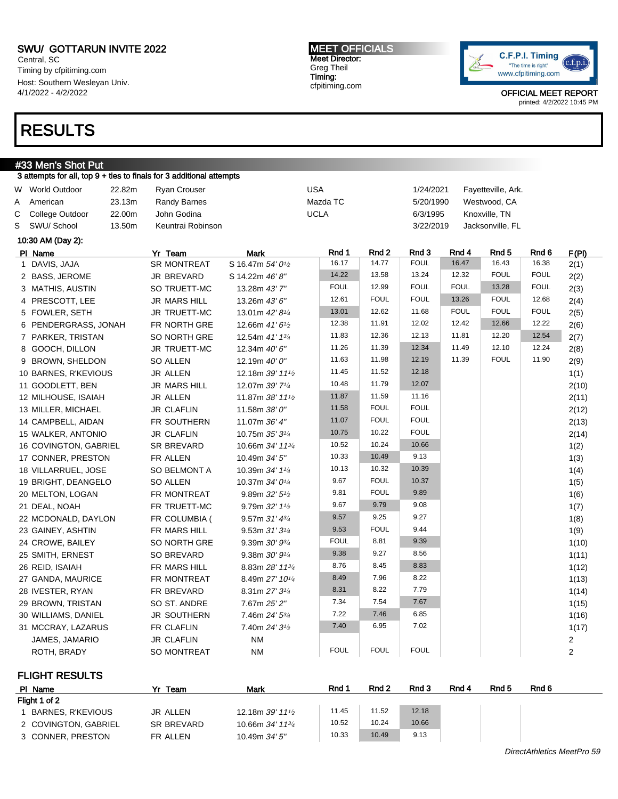Central, SC Timing by cfpitiming.com Host: Southern Wesleyan Univ. 4/1/2022 - 4/2/2022

### RESULTS

### #33 Men's Shot Put

|   | 3 attempts for all, top 9 + ties to finals for 3 additional attempts |        |                     |                                           |             |             |             |             |             |                    |             |                         |
|---|----------------------------------------------------------------------|--------|---------------------|-------------------------------------------|-------------|-------------|-------------|-------------|-------------|--------------------|-------------|-------------------------|
|   | W World Outdoor                                                      | 22.82m | <b>Ryan Crouser</b> |                                           | <b>USA</b>  |             |             | 1/24/2021   |             | Fayetteville, Ark. |             |                         |
| A | American                                                             | 23.13m | Randy Barnes        |                                           |             | Mazda TC    |             | 5/20/1990   |             | Westwood, CA       |             |                         |
| С | College Outdoor                                                      | 22.00m | John Godina         |                                           | <b>UCLA</b> |             |             | 6/3/1995    |             | Knoxville, TN      |             |                         |
| S | SWU/ School                                                          | 13.50m | Keuntrai Robinson   |                                           |             |             |             | 3/22/2019   |             | Jacksonville, FL   |             |                         |
|   | 10:30 AM (Day 2):                                                    |        |                     |                                           |             |             |             |             |             |                    |             |                         |
|   | PI Name                                                              |        | Yr Team             | Mark                                      |             | Rnd 1       | Rnd 2       | Rnd 3       | Rnd 4       | Rnd 5              | Rnd 6       | F(PI)                   |
|   | 1 DAVIS, JAJA                                                        |        | <b>SR MONTREAT</b>  | S 16.47m 54' 0 <sup>1</sup> /2            |             | 16.17       | 14.77       | <b>FOUL</b> | 16.47       | 16.43              | 16.38       | 2(1)                    |
|   | 2 BASS, JEROME                                                       |        | JR BREVARD          | S 14.22m 46' 8"                           |             | 14.22       | 13.58       | 13.24       | 12.32       | <b>FOUL</b>        | <b>FOUL</b> | 2(2)                    |
|   | 3 MATHIS, AUSTIN                                                     |        | SO TRUETT-MC        | 13.28m 43'7"                              |             | <b>FOUL</b> | 12.99       | <b>FOUL</b> | <b>FOUL</b> | 13.28              | <b>FOUL</b> | 2(3)                    |
|   | 4 PRESCOTT, LEE                                                      |        | <b>JR MARS HILL</b> | 13.26m 43' 6"                             |             | 12.61       | <b>FOUL</b> | <b>FOUL</b> | 13.26       | <b>FOUL</b>        | 12.68       | 2(4)                    |
|   | 5 FOWLER, SETH                                                       |        | JR TRUETT-MC        | 13.01m 42' 81/4                           |             | 13.01       | 12.62       | 11.68       | <b>FOUL</b> | <b>FOUL</b>        | <b>FOUL</b> | 2(5)                    |
|   | 6 PENDERGRASS, JONAH                                                 |        | FR NORTH GRE        | 12.66m 41'6 <sup>1</sup> /2               |             | 12.38       | 11.91       | 12.02       | 12.42       | 12.66              | 12.22       | 2(6)                    |
|   | 7 PARKER, TRISTAN                                                    |        | SO NORTH GRE        | 12.54m 41' 13/4                           |             | 11.83       | 12.36       | 12.13       | 11.81       | 12.20              | 12.54       | 2(7)                    |
|   | 8 GOOCH, DILLON                                                      |        | JR TRUETT-MC        | 12.34m 40' 6"                             |             | 11.26       | 11.39       | 12.34       | 11.49       | 12.10              | 12.24       | 2(8)                    |
|   | 9 BROWN, SHELDON                                                     |        | SO ALLEN            | 12.19m 40' 0"                             |             | 11.63       | 11.98       | 12.19       | 11.39       | <b>FOUL</b>        | 11.90       | 2(9)                    |
|   | 10 BARNES, R'KEVIOUS                                                 |        | <b>JR ALLEN</b>     | 12.18m 39' 11 <sup>1</sup> / <sub>2</sub> |             | 11.45       | 11.52       | 12.18       |             |                    |             | 1(1)                    |
|   | 11 GOODLETT, BEN                                                     |        | <b>JR MARS HILL</b> | 12.07m 39' 71/4                           |             | 10.48       | 11.79       | 12.07       |             |                    |             | 2(10)                   |
|   | 12 MILHOUSE, ISAIAH                                                  |        | JR ALLEN            | 11.87m 38' 11 <sup>1</sup> / <sub>2</sub> |             | 11.87       | 11.59       | 11.16       |             |                    |             | 2(11)                   |
|   | 13 MILLER, MICHAEL                                                   |        | <b>JR CLAFLIN</b>   | 11.58m 38' 0"                             |             | 11.58       | <b>FOUL</b> | <b>FOUL</b> |             |                    |             | 2(12)                   |
|   | 14 CAMPBELL, AIDAN                                                   |        | FR SOUTHERN         | 11.07m 36' 4"                             |             | 11.07       | <b>FOUL</b> | <b>FOUL</b> |             |                    |             | 2(13)                   |
|   | 15 WALKER, ANTONIO                                                   |        | <b>JR CLAFLIN</b>   | 10.75m 35' 31/4                           |             | 10.75       | 10.22       | <b>FOUL</b> |             |                    |             | 2(14)                   |
|   | 16 COVINGTON, GABRIEL                                                |        | SR BREVARD          | 10.66m 34' 11 <sup>3/4</sup>              |             | 10.52       | 10.24       | 10.66       |             |                    |             | 1(2)                    |
|   | 17 CONNER, PRESTON                                                   |        | FR ALLEN            | 10.49m 34' 5"                             |             | 10.33       | 10.49       | 9.13        |             |                    |             | 1(3)                    |
|   | 18 VILLARRUEL, JOSE                                                  |        | SO BELMONT A        | 10.39m 34' 11/4                           |             | 10.13       | 10.32       | 10.39       |             |                    |             | 1(4)                    |
|   | 19 BRIGHT, DEANGELO                                                  |        | <b>SO ALLEN</b>     | 10.37m 34' 01/4                           |             | 9.67        | <b>FOUL</b> | 10.37       |             |                    |             | 1(5)                    |
|   | 20 MELTON, LOGAN                                                     |        | FR MONTREAT         | 9.89m 32' 5 <sup>1</sup> /2               |             | 9.81        | <b>FOUL</b> | 9.89        |             |                    |             | 1(6)                    |
|   | 21 DEAL, NOAH                                                        |        | FR TRUETT-MC        | 9.79m 32' 11/2                            |             | 9.67        | 9.79        | 9.08        |             |                    |             | 1(7)                    |
|   | 22 MCDONALD, DAYLON                                                  |        | FR COLUMBIA (       | 9.57m $31'$ $4^{3/4}$                     |             | 9.57        | 9.25        | 9.27        |             |                    |             | 1(8)                    |
|   | 23 GAINEY, ASHTIN                                                    |        | FR MARS HILL        | $9.53m31'3^{1/4}$                         |             | 9.53        | <b>FOUL</b> | 9.44        |             |                    |             | 1(9)                    |
|   | 24 CROWE, BAILEY                                                     |        | SO NORTH GRE        | 9.39m 30' 93/4                            |             | <b>FOUL</b> | 8.81        | 9.39        |             |                    |             | 1(10)                   |
|   | 25 SMITH, ERNEST                                                     |        | SO BREVARD          | 9.38m $30'$ $9\frac{1}{4}$                |             | 9.38        | 9.27        | 8.56        |             |                    |             | 1(11)                   |
|   | 26 REID, ISAIAH                                                      |        | FR MARS HILL        | 8.83m 28' 11 <sup>3/4</sup>               |             | 8.76        | 8.45        | 8.83        |             |                    |             | 1(12)                   |
|   | 27 GANDA, MAURICE                                                    |        | FR MONTREAT         | 8.49m 27' 10 <sup>1/4</sup>               |             | 8.49        | 7.96        | 8.22        |             |                    |             | 1(13)                   |
|   | 28 IVESTER, RYAN                                                     |        | FR BREVARD          | 8.31m 27' 31/4                            |             | 8.31        | 8.22        | 7.79        |             |                    |             | 1(14)                   |
|   | 29 BROWN, TRISTAN                                                    |        | SO ST. ANDRE        | 7.67m 25' 2"                              |             | 7.34        | 7.54        | 7.67        |             |                    |             | 1(15)                   |
|   | 30 WILLIAMS, DANIEL                                                  |        | JR SOUTHERN         | 7.46m 24' 5 <sup>3/4</sup>                |             | 7.22        | 7.46        | 6.85        |             |                    |             | 1(16)                   |
|   | 31 MCCRAY, LAZARUS                                                   |        | FR CLAFLIN          | 7.40m 24' 3 <sup>1</sup> / <sub>2</sub>   |             | 7.40        | 6.95        | 7.02        |             |                    |             | 1(17)                   |
|   | JAMES, JAMARIO                                                       |        | <b>JR CLAFLIN</b>   | <b>NM</b>                                 |             |             |             |             |             |                    |             | $\overline{\mathbf{c}}$ |
|   | ROTH, BRADY                                                          |        | <b>SO MONTREAT</b>  | <b>NM</b>                                 |             | <b>FOUL</b> | <b>FOUL</b> | <b>FOUL</b> |             |                    |             | $\overline{c}$          |

FLIGHT RESULTS

| PI Name              | Team       | Mark                                        | Rnd 1 | Rnd 2 | Rnd 3 | Rnd 4 | Rnd 5 | Rnd 6 |
|----------------------|------------|---------------------------------------------|-------|-------|-------|-------|-------|-------|
| Flight 1 of 2        |            |                                             |       |       |       |       |       |       |
| BARNES, R'KEVIOUS    | JR ALLEN   | 12.18m $39'$ 11 <sup>1</sup> / <sub>2</sub> | 11.45 | 11.52 | 12.18 |       |       |       |
| 2 COVINGTON, GABRIEL | SR BREVARD | 10.66m $34'$ 11 $\frac{3}{4}$               | 10.52 | 10.24 | 10.66 |       |       |       |
| 3 CONNER, PRESTON    | FR ALLEN   | 10.49m $34'5''$                             | 10.33 | 10.49 | 9.13  |       |       |       |

MEET OFFICIALS Meet Director: Greg Theil Timing: cfpitiming.com

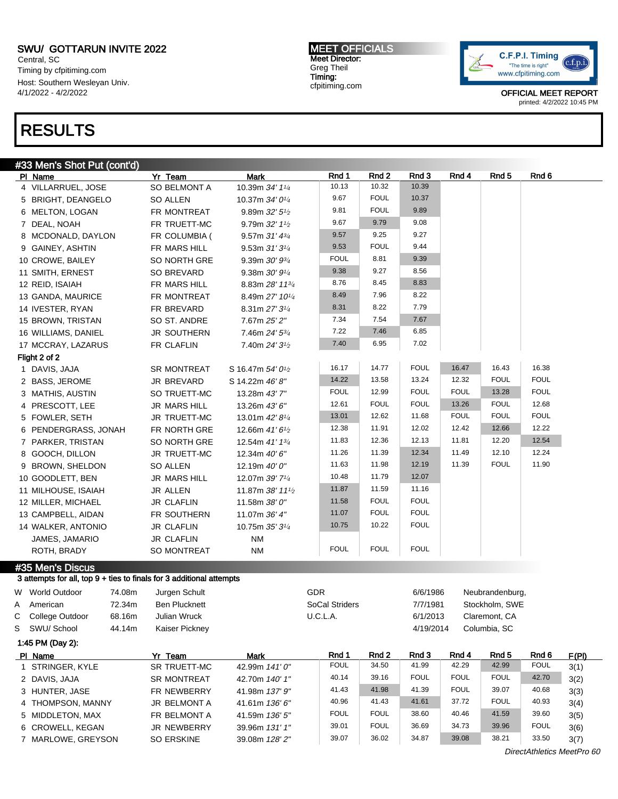Central, SC Timing by cfpitiming.com Host: Southern Wesleyan Univ. 4/1/2022 - 4/2/2022

## RESULTS

| #33 Men's Shot Put (cont'd) |  |
|-----------------------------|--|

|    | $\pi$ וסווט ווער כווסוונט א $\mu$ טווט $\tau$                        |                      |                                            |                |                |                |             |                 |             |
|----|----------------------------------------------------------------------|----------------------|--------------------------------------------|----------------|----------------|----------------|-------------|-----------------|-------------|
|    | PI Name                                                              | Yr Team              | Mark                                       | Rnd 1<br>10.13 | Rnd 2<br>10.32 | Rnd 3<br>10.39 | Rnd 4       | Rnd 5           | Rnd 6       |
|    | 4 VILLARRUEL, JOSE                                                   | <b>SO BELMONT A</b>  | 10.39m 34' 11/4                            | 9.67           | <b>FOUL</b>    | 10.37          |             |                 |             |
|    | 5 BRIGHT, DEANGELO                                                   | <b>SO ALLEN</b>      | 10.37m 34' 01/4                            | 9.81           | <b>FOUL</b>    | 9.89           |             |                 |             |
|    | 6 MELTON, LOGAN                                                      | FR MONTREAT          | 9.89m $32'5'$                              | 9.67           | 9.79           | 9.08           |             |                 |             |
|    | 7 DEAL, NOAH                                                         | FR TRUETT-MC         | 9.79m 32' 11/2                             |                | 9.25           | 9.27           |             |                 |             |
|    | 8 MCDONALD, DAYLON                                                   | FR COLUMBIA (        | 9.57m 31' 43/4                             | 9.57           | <b>FOUL</b>    | 9.44           |             |                 |             |
|    | 9 GAINEY, ASHTIN                                                     | FR MARS HILL         | 9.53m $31'3\frac{1}{4}$                    | 9.53           |                |                |             |                 |             |
|    | 10 CROWE, BAILEY                                                     | SO NORTH GRE         | 9.39m $30'$ $9\frac{3}{4}$                 | <b>FOUL</b>    | 8.81           | 9.39           |             |                 |             |
|    | 11 SMITH, ERNEST                                                     | SO BREVARD           | 9.38m 30' 91/4                             | 9.38           | 9.27           | 8.56           |             |                 |             |
|    | 12 REID, ISAIAH                                                      | FR MARS HILL         | 8.83m 28' 113/4                            | 8.76           | 8.45           | 8.83           |             |                 |             |
|    | 13 GANDA, MAURICE                                                    | FR MONTREAT          | 8.49m 27' 101/4                            | 8.49           | 7.96           | 8.22           |             |                 |             |
|    | 14 IVESTER, RYAN                                                     | FR BREVARD           | 8.31m 27' 31/4                             | 8.31           | 8.22           | 7.79           |             |                 |             |
|    | 15 BROWN, TRISTAN                                                    | SO ST. ANDRE         | 7.67m 25' 2"                               | 7.34           | 7.54           | 7.67           |             |                 |             |
|    | 16 WILLIAMS, DANIEL                                                  | JR SOUTHERN          | 7.46m 24' 53/4                             | 7.22           | 7.46           | 6.85           |             |                 |             |
|    | 17 MCCRAY, LAZARUS                                                   | FR CLAFLIN           | 7.40m 24' 3 <sup>1</sup> / <sub>2</sub>    | 7.40           | 6.95           | 7.02           |             |                 |             |
|    | Flight 2 of 2                                                        |                      |                                            |                |                |                |             |                 |             |
|    | 1 DAVIS, JAJA                                                        | <b>SR MONTREAT</b>   | S 16.47m 54' 0 <sup>1</sup> / <sub>2</sub> | 16.17          | 14.77          | <b>FOUL</b>    | 16.47       | 16.43           | 16.38       |
|    | 2 BASS, JEROME                                                       | JR BREVARD           | S 14.22m 46'8"                             | 14.22          | 13.58          | 13.24          | 12.32       | <b>FOUL</b>     | <b>FOUL</b> |
|    | 3 MATHIS, AUSTIN                                                     | SO TRUETT-MC         | 13.28m 43'7"                               | <b>FOUL</b>    | 12.99          | <b>FOUL</b>    | <b>FOUL</b> | 13.28           | <b>FOUL</b> |
|    | 4 PRESCOTT, LEE                                                      | <b>JR MARS HILL</b>  | 13.26m 43' 6"                              | 12.61          | <b>FOUL</b>    | <b>FOUL</b>    | 13.26       | <b>FOUL</b>     | 12.68       |
|    | 5 FOWLER, SETH                                                       | JR TRUETT-MC         | 13.01m 42' 81/4                            | 13.01          | 12.62          | 11.68          | <b>FOUL</b> | <b>FOUL</b>     | <b>FOUL</b> |
|    | 6 PENDERGRASS, JONAH                                                 | FR NORTH GRE         | 12.66m 41' 6 <sup>1</sup> / <sub>2</sub>   | 12.38          | 11.91          | 12.02          | 12.42       | 12.66           | 12.22       |
|    | 7 PARKER, TRISTAN                                                    | SO NORTH GRE         | 12.54m 41' 13/4                            | 11.83          | 12.36          | 12.13          | 11.81       | 12.20           | 12.54       |
|    | 8 GOOCH, DILLON                                                      | JR TRUETT-MC         | 12.34m 40' 6"                              | 11.26          | 11.39          | 12.34          | 11.49       | 12.10           | 12.24       |
|    | 9 BROWN, SHELDON                                                     | <b>SO ALLEN</b>      | 12.19m 40' 0"                              | 11.63          | 11.98          | 12.19          | 11.39       | <b>FOUL</b>     | 11.90       |
|    | 10 GOODLETT, BEN                                                     | <b>JR MARS HILL</b>  | 12.07m 39' 71/4                            | 10.48          | 11.79          | 12.07          |             |                 |             |
|    | 11 MILHOUSE, ISAIAH                                                  | <b>JR ALLEN</b>      | 11.87m 38' 111/2                           | 11.87          | 11.59          | 11.16          |             |                 |             |
|    | 12 MILLER, MICHAEL                                                   | <b>JR CLAFLIN</b>    | 11.58m 38' 0"                              | 11.58          | <b>FOUL</b>    | <b>FOUL</b>    |             |                 |             |
|    | 13 CAMPBELL, AIDAN                                                   | FR SOUTHERN          | 11.07m 36' 4"                              | 11.07          | <b>FOUL</b>    | <b>FOUL</b>    |             |                 |             |
|    | 14 WALKER, ANTONIO                                                   | <b>JR CLAFLIN</b>    | 10.75m 35' 31/4                            | 10.75          | 10.22          | <b>FOUL</b>    |             |                 |             |
|    | JAMES, JAMARIO                                                       | <b>JR CLAFLIN</b>    | <b>NM</b>                                  |                |                |                |             |                 |             |
|    | ROTH, BRADY                                                          | SO MONTREAT          | <b>NM</b>                                  | <b>FOUL</b>    | <b>FOUL</b>    | <b>FOUL</b>    |             |                 |             |
|    | #35 Men's Discus                                                     |                      |                                            |                |                |                |             |                 |             |
|    | 3 attempts for all, top 9 + ties to finals for 3 additional attempts |                      |                                            |                |                |                |             |                 |             |
|    | W World Outdoor<br>74.08m                                            | Jurgen Schult        |                                            | <b>GDR</b>     |                | 6/6/1986       |             | Neubrandenburg, |             |
| А  | American<br>72.34m                                                   | <b>Ben Plucknett</b> |                                            | SoCal Striders |                | 7/7/1981       |             | Stockholm, SWE  |             |
| C. | 68.16m<br>College Outdoor                                            | Julian Wruck         |                                            | U.C.L.A.       |                | 6/1/2013       |             | Claremont, CA   |             |
|    | S SWU/School<br>44.14m                                               | Kaiser Pickney       |                                            |                |                | 4/19/2014      |             | Columbia, SC    |             |
|    | 1:45 PM (Day 2):                                                     |                      |                                            |                |                |                |             |                 |             |
|    |                                                                      |                      |                                            | <b>Dec 44</b>  |                | <b>D-JA</b>    | $P = 11$    | <b>DAJ 5</b>    | $P - I$     |

| PI Name            | Yr Team            | Mark           | Rnd 1       | Rnd 2       | Rnd 3       | Rnd 4       | Rnd 5       | Rnd 6       | F(PI) |
|--------------------|--------------------|----------------|-------------|-------------|-------------|-------------|-------------|-------------|-------|
| 1 STRINGER, KYLE   | SR TRUETT-MC       | 42.99m 141'0"  | <b>FOUL</b> | 34.50       | 41.99       | 42.29       | 42.99       | <b>FOUL</b> | 3(1)  |
| 2 DAVIS, JAJA      | <b>SR MONTREAT</b> | 42.70m 140' 1" | 40.14       | 39.16       | <b>FOUL</b> | <b>FOUL</b> | <b>FOUL</b> | 42.70       | 3(2)  |
| 3 HUNTER, JASE     | FR NEWBERRY        | 41.98m 137' 9" | 41.43       | 41.98       | 41.39       | <b>FOUL</b> | 39.07       | 40.68       | 3(3)  |
| 4 THOMPSON, MANNY  | JR BELMONT A       | 41.61m 136' 6" | 40.96       | 41.43       | 41.61       | 37.72       | <b>FOUL</b> | 40.93       | 3(4)  |
| 5 MIDDLETON, MAX   | FR BELMONT A       | 41.59m 136' 5" | <b>FOUL</b> | <b>FOUL</b> | 38.60       | 40.46       | 41.59       | 39.60       | 3(5)  |
| 6 CROWELL, KEGAN   | <b>JR NEWBERRY</b> | 39.96m 131' 1" | 39.01       | <b>FOUL</b> | 36.69       | 34.73       | 39.96       | <b>FOUL</b> | 3(6)  |
| 7 MARLOWE, GREYSON | <b>SO ERSKINE</b>  | 39.08m 128'2"  | 39.07       | 36.02       | 34.87       | 39.08       | 38.21       | 33.50       | 3(7)  |

OFFICIAL MEET REPORT printed: 4/2/2022 10:45 PM

MEET OFFICIALS Meet Director: Greg Theil Timing: cfpitiming.com



DirectAthletics MeetPro 60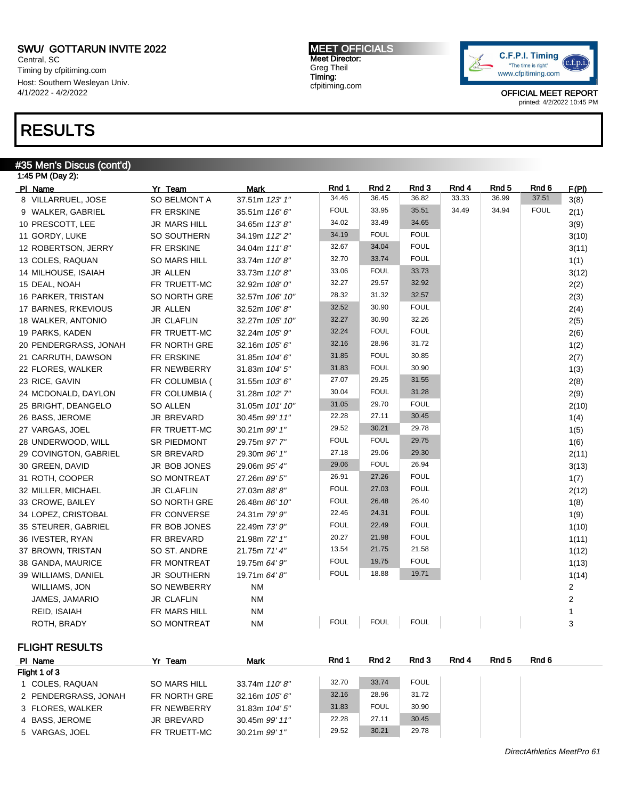Central, SC Timing by cfpitiming.com Host: Southern Wesleyan Univ. 4/1/2022 - 4/2/2022

### RESULTS

#### #35 Men's Discus (cont'd)

| 1:45 PM (Day 2):      |                     |                 |             |             |             |       |       |             |              |
|-----------------------|---------------------|-----------------|-------------|-------------|-------------|-------|-------|-------------|--------------|
| PI Name               | Yr Team             | Mark            | Rnd 1       | Rnd 2       | Rnd 3       | Rnd 4 | Rnd 5 | Rnd 6       | F(PI)        |
| 8 VILLARRUEL, JOSE    | SO BELMONT A        | 37.51m 123' 1"  | 34.46       | 36.45       | 36.82       | 33.33 | 36.99 | 37.51       | 3(8)         |
| 9 WALKER, GABRIEL     | FR ERSKINE          | 35.51m 116'6"   | <b>FOUL</b> | 33.95       | 35.51       | 34.49 | 34.94 | <b>FOUL</b> | 2(1)         |
| 10 PRESCOTT, LEE      | <b>JR MARS HILL</b> | 34.65m 113'8"   | 34.02       | 33.49       | 34.65       |       |       |             | 3(9)         |
| 11 GORDY, LUKE        | SO SOUTHERN         | 34.19m 112' 2"  | 34.19       | <b>FOUL</b> | <b>FOUL</b> |       |       |             | 3(10)        |
| 12 ROBERTSON, JERRY   | FR ERSKINE          | 34.04m 111'8"   | 32.67       | 34.04       | <b>FOUL</b> |       |       |             | 3(11)        |
| 13 COLES, RAQUAN      | <b>SO MARS HILL</b> | 33.74m 110'8"   | 32.70       | 33.74       | <b>FOUL</b> |       |       |             | 1(1)         |
| 14 MILHOUSE, ISAIAH   | JR ALLEN            | 33.73m 110'8"   | 33.06       | <b>FOUL</b> | 33.73       |       |       |             | 3(12)        |
| 15 DEAL, NOAH         | FR TRUETT-MC        | 32.92m 108' 0"  | 32.27       | 29.57       | 32.92       |       |       |             | 2(2)         |
| 16 PARKER, TRISTAN    | SO NORTH GRE        | 32.57m 106' 10" | 28.32       | 31.32       | 32.57       |       |       |             | 2(3)         |
| 17 BARNES, R'KEVIOUS  | <b>JR ALLEN</b>     | 32.52m 106'8"   | 32.52       | 30.90       | <b>FOUL</b> |       |       |             | 2(4)         |
| 18 WALKER, ANTONIO    | <b>JR CLAFLIN</b>   | 32.27m 105' 10" | 32.27       | 30.90       | 32.26       |       |       |             | 2(5)         |
| 19 PARKS, KADEN       | FR TRUETT-MC        | 32.24m 105' 9"  | 32.24       | <b>FOUL</b> | <b>FOUL</b> |       |       |             | 2(6)         |
| 20 PENDERGRASS, JONAH | FR NORTH GRE        | 32.16m 105' 6"  | 32.16       | 28.96       | 31.72       |       |       |             | 1(2)         |
| 21 CARRUTH, DAWSON    | FR ERSKINE          | 31.85m 104' 6"  | 31.85       | <b>FOUL</b> | 30.85       |       |       |             | 2(7)         |
| 22 FLORES, WALKER     | FR NEWBERRY         | 31.83m 104' 5"  | 31.83       | <b>FOUL</b> | 30.90       |       |       |             | 1(3)         |
| 23 RICE, GAVIN        | FR COLUMBIA (       | 31.55m 103' 6"  | 27.07       | 29.25       | 31.55       |       |       |             | 2(8)         |
| 24 MCDONALD, DAYLON   | FR COLUMBIA (       | 31.28m 102' 7"  | 30.04       | <b>FOUL</b> | 31.28       |       |       |             | 2(9)         |
| 25 BRIGHT, DEANGELO   | <b>SO ALLEN</b>     | 31.05m 101' 10" | 31.05       | 29.70       | <b>FOUL</b> |       |       |             | 2(10)        |
| 26 BASS, JEROME       | JR BREVARD          | 30.45m 99' 11"  | 22.28       | 27.11       | 30.45       |       |       |             | 1(4)         |
| 27 VARGAS, JOEL       | FR TRUETT-MC        | 30.21m 99' 1"   | 29.52       | 30.21       | 29.78       |       |       |             | 1(5)         |
| 28 UNDERWOOD, WILL    | SR PIEDMONT         | 29.75m 97' 7"   | <b>FOUL</b> | <b>FOUL</b> | 29.75       |       |       |             | 1(6)         |
| 29 COVINGTON, GABRIEL | <b>SR BREVARD</b>   | 29.30m 96' 1"   | 27.18       | 29.06       | 29.30       |       |       |             | 2(11)        |
| 30 GREEN, DAVID       | JR BOB JONES        | 29.06m 95' 4"   | 29.06       | <b>FOUL</b> | 26.94       |       |       |             | 3(13)        |
| 31 ROTH, COOPER       | <b>SO MONTREAT</b>  | 27.26m 89' 5"   | 26.91       | 27.26       | <b>FOUL</b> |       |       |             | 1(7)         |
| 32 MILLER, MICHAEL    | <b>JR CLAFLIN</b>   | 27.03m 88' 8"   | <b>FOUL</b> | 27.03       | <b>FOUL</b> |       |       |             | 2(12)        |
| 33 CROWE, BAILEY      | SO NORTH GRE        | 26.48m 86' 10"  | <b>FOUL</b> | 26.48       | 26.40       |       |       |             | 1(8)         |
| 34 LOPEZ, CRISTOBAL   | FR CONVERSE         | 24.31m 79' 9"   | 22.46       | 24.31       | <b>FOUL</b> |       |       |             | 1(9)         |
| 35 STEURER, GABRIEL   | FR BOB JONES        | 22.49m 73' 9"   | <b>FOUL</b> | 22.49       | <b>FOUL</b> |       |       |             | 1(10)        |
| 36 IVESTER, RYAN      | FR BREVARD          | 21.98m 72' 1"   | 20.27       | 21.98       | <b>FOUL</b> |       |       |             | 1(11)        |
| 37 BROWN, TRISTAN     | SO ST. ANDRE        | 21.75m 71' 4"   | 13.54       | 21.75       | 21.58       |       |       |             | 1(12)        |
| 38 GANDA, MAURICE     | FR MONTREAT         | 19.75m 64' 9"   | <b>FOUL</b> | 19.75       | <b>FOUL</b> |       |       |             | 1(13)        |
| 39 WILLIAMS, DANIEL   | <b>JR SOUTHERN</b>  | 19.71m 64' 8"   | <b>FOUL</b> | 18.88       | 19.71       |       |       |             | 1(14)        |
| WILLIAMS, JON         | SO NEWBERRY         | <b>NM</b>       |             |             |             |       |       |             | 2            |
| JAMES, JAMARIO        | <b>JR CLAFLIN</b>   | <b>NM</b>       |             |             |             |       |       |             | 2            |
| REID, ISAIAH          | FR MARS HILL        | <b>NM</b>       |             |             |             |       |       |             | $\mathbf{1}$ |
| ROTH, BRADY           | SO MONTREAT         | <b>NM</b>       | <b>FOUL</b> | <b>FOUL</b> | <b>FOUL</b> |       |       |             | 3            |

#### FLIGHT RESULTS

| PI Name              | Yr Team            | <b>Mark</b>    | Rnd 1 | Rnd 2       | Rnd 3       | Rnd 4 | Rnd 5 | Rnd 6 |
|----------------------|--------------------|----------------|-------|-------------|-------------|-------|-------|-------|
| Flight 1 of 3        |                    |                |       |             |             |       |       |       |
| 1 COLES, RAQUAN      | SO MARS HILL       | 33.74m 110'8"  | 32.70 | 33.74       | <b>FOUL</b> |       |       |       |
| 2 PENDERGRASS, JONAH | FR NORTH GRE       | 32.16m 105' 6" | 32.16 | 28.96       | 31.72       |       |       |       |
| 3 FLORES, WALKER     | <b>FR NEWBERRY</b> | 31.83m 104' 5" | 31.83 | <b>FOUL</b> | 30.90       |       |       |       |
| 4 BASS, JEROME       | JR BREVARD         | 30.45m 99' 11" | 22.28 | 27.11       | 30.45       |       |       |       |
| 5 VARGAS, JOEL       | FR TRUETT-MC       | 30.21m 99' 1"  | 29.52 | 30.21       | 29.78       |       |       |       |

MEET OFFICIALS Meet Director: Greg Theil Timing: cfpitiming.com

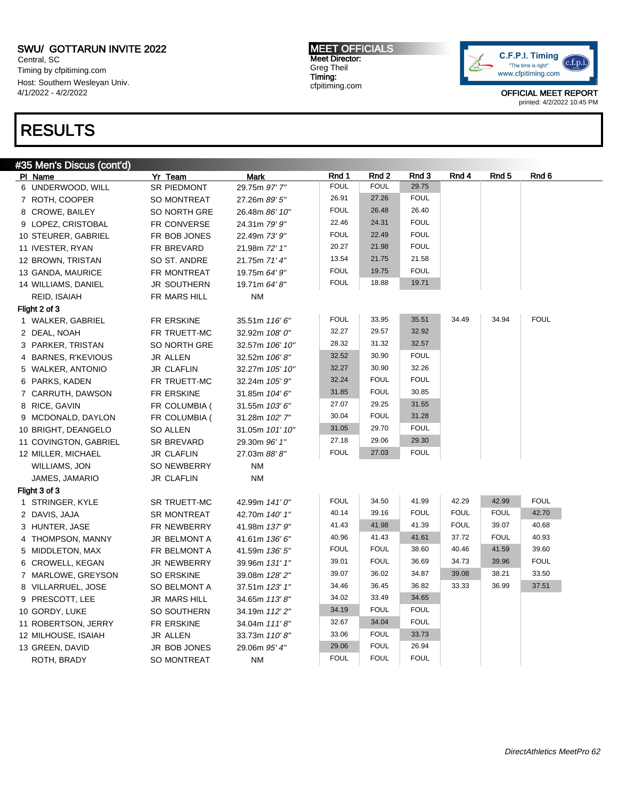Central, SC Timing by cfpitiming.com Host: Southern Wesleyan Univ. 4/1/2022 - 4/2/2022

## RESULTS

MEET OFFICIALS Meet Director: Greg Theil Timing: cfpitiming.com



| #35 Men's Discus (cont'd) |                 |                           |                 |             |             |             |             |             |             |
|---------------------------|-----------------|---------------------------|-----------------|-------------|-------------|-------------|-------------|-------------|-------------|
| PI Name                   | Yr Team         | <b>Mark</b>               |                 | Rnd 1       | Rnd 2       | Rnd 3       | Rnd 4       | Rnd 5       | Rnd 6       |
| 6 UNDERWOOD, WILL         |                 | <b>SR PIEDMONT</b>        | 29.75m 97' 7"   | <b>FOUL</b> | <b>FOUL</b> | 29.75       |             |             |             |
| 7 ROTH, COOPER            |                 | SO MONTREAT               | 27.26m 89' 5"   | 26.91       | 27.26       | <b>FOUL</b> |             |             |             |
| 8 CROWE, BAILEY           |                 | SO NORTH GRE              | 26.48m 86' 10"  | <b>FOUL</b> | 26.48       | 26.40       |             |             |             |
| 9 LOPEZ, CRISTOBAL        |                 | FR CONVERSE               | 24.31m 79' 9"   | 22.46       | 24.31       | <b>FOUL</b> |             |             |             |
| 10 STEURER, GABRIEL       |                 | FR BOB JONES              | 22.49m 73' 9"   | <b>FOUL</b> | 22.49       | <b>FOUL</b> |             |             |             |
| 11 IVESTER, RYAN          |                 | FR BREVARD                | 21.98m 72' 1"   | 20.27       | 21.98       | <b>FOUL</b> |             |             |             |
| 12 BROWN, TRISTAN         |                 | SO ST. ANDRE              | 21.75m 71' 4"   | 13.54       | 21.75       | 21.58       |             |             |             |
| 13 GANDA, MAURICE         |                 | FR MONTREAT               | 19.75m 64' 9"   | <b>FOUL</b> | 19.75       | <b>FOUL</b> |             |             |             |
| 14 WILLIAMS, DANIEL       |                 | JR SOUTHERN               | 19.71m 64' 8"   | <b>FOUL</b> | 18.88       | 19.71       |             |             |             |
| REID, ISAIAH              |                 | FR MARS HILL<br><b>NM</b> |                 |             |             |             |             |             |             |
| Flight 2 of 3             |                 |                           |                 |             |             |             |             |             |             |
| 1 WALKER, GABRIEL         |                 | FR ERSKINE                | 35.51m 116' 6"  | <b>FOUL</b> | 33.95       | 35.51       | 34.49       | 34.94       | <b>FOUL</b> |
| 2 DEAL, NOAH              |                 | FR TRUETT-MC              | 32.92m 108' 0"  | 32.27       | 29.57       | 32.92       |             |             |             |
| 3 PARKER, TRISTAN         |                 | SO NORTH GRE              | 32.57m 106' 10" | 28.32       | 31.32       | 32.57       |             |             |             |
| 4 BARNES, R'KEVIOUS       | JR ALLEN        |                           | 32.52m 106'8"   | 32.52       | 30.90       | <b>FOUL</b> |             |             |             |
| 5 WALKER, ANTONIO         |                 | <b>JR CLAFLIN</b>         | 32.27m 105' 10" | 32.27       | 30.90       | 32.26       |             |             |             |
| 6 PARKS, KADEN            |                 | FR TRUETT-MC              | 32.24m 105' 9"  | 32.24       | <b>FOUL</b> | <b>FOUL</b> |             |             |             |
| 7 CARRUTH, DAWSON         |                 | FR ERSKINE                | 31.85m 104' 6"  | 31.85       | <b>FOUL</b> | 30.85       |             |             |             |
| 8 RICE, GAVIN             |                 | FR COLUMBIA (             | 31.55m 103'6"   | 27.07       | 29.25       | 31.55       |             |             |             |
| 9 MCDONALD, DAYLON        |                 | FR COLUMBIA (             | 31.28m 102' 7"  | 30.04       | <b>FOUL</b> | 31.28       |             |             |             |
| 10 BRIGHT, DEANGELO       | <b>SO ALLEN</b> |                           | 31.05m 101' 10" | 31.05       | 29.70       | <b>FOUL</b> |             |             |             |
| 11 COVINGTON, GABRIEL     |                 | <b>SR BREVARD</b>         | 29.30m 96' 1"   | 27.18       | 29.06       | 29.30       |             |             |             |
| 12 MILLER, MICHAEL        |                 | <b>JR CLAFLIN</b>         | 27.03m 88'8"    | <b>FOUL</b> | 27.03       | <b>FOUL</b> |             |             |             |
| WILLIAMS, JON             |                 | <b>SO NEWBERRY</b>        | ΝM              |             |             |             |             |             |             |
| JAMES, JAMARIO            |                 | <b>JR CLAFLIN</b>         | <b>NM</b>       |             |             |             |             |             |             |
| Flight 3 of 3             |                 |                           |                 |             |             |             |             |             |             |
| 1 STRINGER, KYLE          |                 | <b>SR TRUETT-MC</b>       | 42.99m 141'0"   | <b>FOUL</b> | 34.50       | 41.99       | 42.29       | 42.99       | <b>FOUL</b> |
| 2 DAVIS, JAJA             |                 | <b>SR MONTREAT</b>        | 42.70m 140' 1"  | 40.14       | 39.16       | <b>FOUL</b> | <b>FOUL</b> | <b>FOUL</b> | 42.70       |
| 3 HUNTER, JASE            |                 | FR NEWBERRY               | 41.98m 137' 9"  | 41.43       | 41.98       | 41.39       | <b>FOUL</b> | 39.07       | 40.68       |
| 4 THOMPSON, MANNY         |                 | JR BELMONT A              | 41.61m 136' 6"  | 40.96       | 41.43       | 41.61       | 37.72       | <b>FOUL</b> | 40.93       |
| 5 MIDDLETON, MAX          |                 | FR BELMONT A              | 41.59m 136' 5"  | <b>FOUL</b> | <b>FOUL</b> | 38.60       | 40.46       | 41.59       | 39.60       |
| 6 CROWELL, KEGAN          |                 | JR NEWBERRY               | 39.96m 131' 1"  | 39.01       | <b>FOUL</b> | 36.69       | 34.73       | 39.96       | <b>FOUL</b> |
| 7 MARLOWE, GREYSON        |                 | <b>SO ERSKINE</b>         | 39.08m 128' 2"  | 39.07       | 36.02       | 34.87       | 39.08       | 38.21       | 33.50       |
| 8 VILLARRUEL, JOSE        |                 | SO BELMONT A              | 37.51m 123' 1"  | 34.46       | 36.45       | 36.82       | 33.33       | 36.99       | 37.51       |
| 9 PRESCOTT, LEE           |                 | <b>JR MARS HILL</b>       | 34.65m 113'8"   | 34.02       | 33.49       | 34.65       |             |             |             |
| 10 GORDY, LUKE            |                 | SO SOUTHERN               | 34.19m 112'2"   | 34.19       | <b>FOUL</b> | <b>FOUL</b> |             |             |             |
| 11 ROBERTSON, JERRY       |                 | FR ERSKINE                | 34.04m 111'8"   | 32.67       | 34.04       | <b>FOUL</b> |             |             |             |
| 12 MILHOUSE, ISAIAH       | JR ALLEN        |                           | 33.73m 110'8"   | 33.06       | <b>FOUL</b> | 33.73       |             |             |             |
| 13 GREEN, DAVID           |                 | JR BOB JONES              | 29.06m 95' 4"   | 29.06       | <b>FOUL</b> | 26.94       |             |             |             |
| ROTH, BRADY               |                 | <b>SO MONTREAT</b>        | <b>NM</b>       | <b>FOUL</b> | <b>FOUL</b> | <b>FOUL</b> |             |             |             |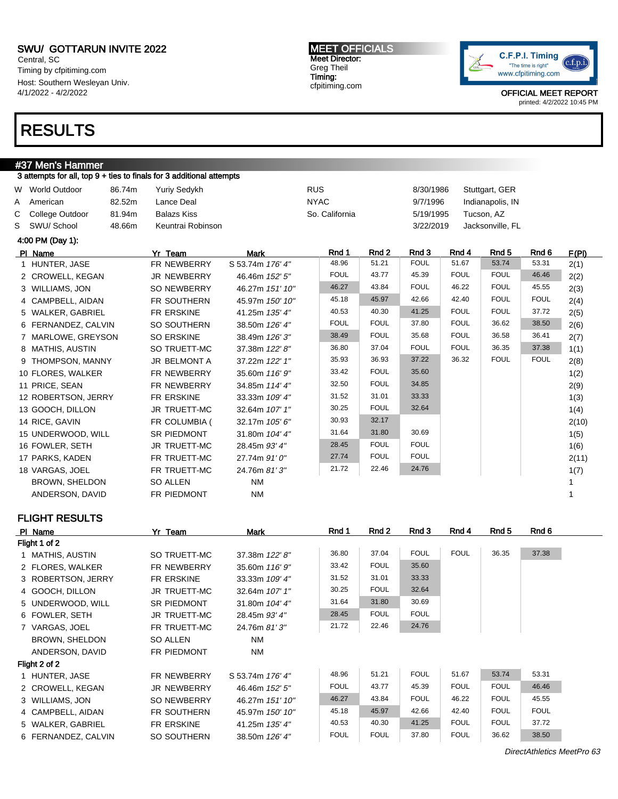Central, SC Timing by cfpitiming.com Host: Southern Wesleyan Univ. 4/1/2022 - 4/2/2022

### RESULTS

#### #37 Men's Hammer

3 attempts for all, top 9 + ties to finals for 3 additional attempts W World Outdoor 86.74m Yuriy Sedykh RUS 8/30/1986 Stuttgart, GER A American and 82.52m Lance Deal **NYAC** NYAC 9/7/1996 Indianapolis, IN C College Outdoor 81.94m Balazs Kiss So. California 5/19/1995 Tucson, AZ S SWU/ School 48.66m Keuntrai Robinson 3/22/2019 Jacksonville, FL 4:00 PM (Day 1): Pl Name **Yr Team Mark Rnd 1 Rnd 2 Rnd 3 Rnd 4 Rnd 5** Rnd 6 F(PI) 1 HUNTER, JASE FR NEWBERRY S 53.74m 176' 4" 48.96 51.21 FOUL 51.67 53.74 53.31 2(1) 2 CROWELL, KEGAN JR NEWBERRY 46.46m 152' 5" FOUL 43.77 45.39 FOUL FOUL 46.46 2(2) 3 WILLIAMS, JON SO NEWBERRY 46.27m 151' 10" 46.27 43.84 FOUL 46.22 FOUL 45.55 2(3) 4 CAMPBELL, AIDAN FR SOUTHERN 45.97m 150' 10" 45.18 45.97 42.66 42.40 FOUL FOUL 2(4) 5 WALKER, GABRIEL FR ERSKINE 41.25m 135' 4" 40.53 40.30 41.25 FOUL FOUL 37.72 2(5) 6 FERNANDEZ, CALVIN SO SOUTHERN 38.50m 126' 4" FOUL FOUL 37.80 FOUL 36.62 38.50 2(6) 7 MARLOWE, GREYSON SO ERSKINE 38.49m 126' 3" 38.49 FOUL 35.68 FOUL 36.58 36.41 2(7) 8 MATHIS, AUSTIN SO TRUETT-MC 37.38m 122' 8" 36.80 37.04 FOUL FOUL 36.35 37.38 1(1) 9 THOMPSON, MANNY JR BELMONT A 37.22m 122' 1" 35.93 36.93 37.22 36.32 FOUL FOUL 2(8) 10 FLORES, WALKER FR NEWBERRY 35.60m 116' 9" 33.42 FOUL 35.60 1(2) 11 PRICE, SEAN FR NEWBERRY 34.85m 114' 4" 32.50 FOUL 34.85 2(9) 12 ROBERTSON, JERRY FR ERSKINE 33.33m 109' 4"  $31.52$   $31.01$   $33.33$   $1(3)$ 13 GOOCH, DILLON JR TRUETT-MC 32.64m 107' 1" 30.25 FOUL 32.64 1(4) 14 RICE, GAVIN FR COLUMBIA (32.17m 105' 6" 30.93 32.17 2(10) 15 UNDERWOOD, WILL SR PIEDMONT 31.80m 104' 4" 31.64 31.80 30.69 1(5) 16 FOWLER, SETH JR TRUETT-MC 28.45m 93' 4" 28.45 FOUL FOUL 1(6) 17 PARKS, KADEN FR TRUETT-MC 27.74m 91' 0" 27.74 FOUL FOUL 2(11) 18 VARGAS, JOEL FR TRUETT-MC 24.76m 81' 3" 21.72 22.46 24.76 1(7) BROWN, SHELDON SO ALLEN NM NM 1 ANDERSON, DAVID FR PIEDMONT NM NATURAL RESERVE TO A 1

#### FLIGHT RESULTS

| PI Name             | Yr Team            | Mark             | Rnd 1       | Rnd 2       | Rnd 3       | Rnd 4       | Rnd 5       | Rnd 6       |
|---------------------|--------------------|------------------|-------------|-------------|-------------|-------------|-------------|-------------|
| Flight 1 of 2       |                    |                  |             |             |             |             |             |             |
| 1 MATHIS, AUSTIN    | SO TRUETT-MC       | 37.38m 122' 8"   | 36.80       | 37.04       | <b>FOUL</b> | <b>FOUL</b> | 36.35       | 37.38       |
| 2 FLORES, WALKER    | <b>FR NEWBERRY</b> | 35.60m 116' 9"   | 33.42       | <b>FOUL</b> | 35.60       |             |             |             |
| 3 ROBERTSON, JERRY  | FR ERSKINE         | 33.33m 109' 4"   | 31.52       | 31.01       | 33.33       |             |             |             |
| 4 GOOCH, DILLON     | JR TRUETT-MC       | 32.64m 107' 1"   | 30.25       | <b>FOUL</b> | 32.64       |             |             |             |
| 5 UNDERWOOD, WILL   | <b>SR PIEDMONT</b> | 31.80m 104' 4"   | 31.64       | 31.80       | 30.69       |             |             |             |
| 6 FOWLER, SETH      | JR TRUETT-MC       | 28.45m 93' 4"    | 28.45       | <b>FOUL</b> | <b>FOUL</b> |             |             |             |
| 7 VARGAS, JOEL      | FR TRUETT-MC       | 24.76m 81'3"     | 21.72       | 22.46       | 24.76       |             |             |             |
| BROWN, SHELDON      | SO ALLEN           | NM               |             |             |             |             |             |             |
| ANDERSON, DAVID     | FR PIEDMONT        | NM               |             |             |             |             |             |             |
| Flight 2 of 2       |                    |                  |             |             |             |             |             |             |
| 1 HUNTER, JASE      | <b>FR NEWBERRY</b> | S 53.74m 176' 4" | 48.96       | 51.21       | <b>FOUL</b> | 51.67       | 53.74       | 53.31       |
| 2 CROWELL, KEGAN    | <b>JR NEWBERRY</b> | 46.46m 152' 5"   | <b>FOUL</b> | 43.77       | 45.39       | <b>FOUL</b> | <b>FOUL</b> | 46.46       |
| 3 WILLIAMS, JON     | <b>SO NEWBERRY</b> | 46.27m 151' 10"  | 46.27       | 43.84       | <b>FOUL</b> | 46.22       | <b>FOUL</b> | 45.55       |
| 4 CAMPBELL, AIDAN   | <b>FR SOUTHERN</b> | 45.97m 150' 10"  | 45.18       | 45.97       | 42.66       | 42.40       | <b>FOUL</b> | <b>FOUL</b> |
| 5 WALKER, GABRIEL   | FR ERSKINE         | 41.25m 135' 4"   | 40.53       | 40.30       | 41.25       | <b>FOUL</b> | <b>FOUL</b> | 37.72       |
| 6 FERNANDEZ, CALVIN | SO SOUTHERN        | 38.50m 126' 4"   | <b>FOUL</b> | <b>FOUL</b> | 37.80       | <b>FOUL</b> | 36.62       | 38.50       |

MEET OFFICIALS Meet Director: Greg Theil Timing: cfpitiming.com



OFFICIAL MEET REPORT printed: 4/2/2022 10:45 PM

DirectAthletics MeetPro 63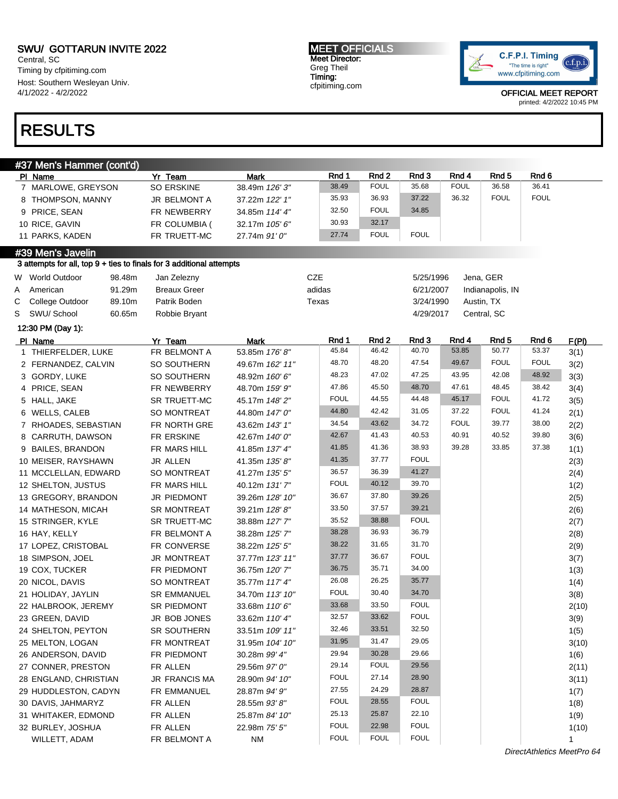Central, SC Timing by cfpitiming.com Host: Southern Wesleyan Univ. 4/1/2022 - 4/2/2022

## RESULTS

MEET OFFICIALS Meet Director: Greg Theil Timing: cfpitiming.com



OFFICIAL MEET REPORT printed: 4/2/2022 10:45 PM

| Rnd 1<br>Rnd 2<br>Rnd 4<br>Rnd 6<br>Yr Team<br>PI Name<br><b>Mark</b><br><b>FOUL</b><br>36.58<br>36.41<br>38.49<br>35.68<br><b>FOUL</b><br>7 MARLOWE, GREYSON<br><b>SO ERSKINE</b><br>38.49m 126' 3"<br>37.22<br><b>FOUL</b><br><b>FOUL</b><br>35.93<br>36.93<br>36.32<br>8 THOMPSON, MANNY<br>JR BELMONT A<br>37.22m 122' 1"<br><b>FOUL</b><br>32.50<br>34.85<br>FR NEWBERRY<br>9 PRICE, SEAN<br>34.85m 114' 4"<br>30.93<br>32.17<br>10 RICE, GAVIN<br>FR COLUMBIA (<br>32.17m 105' 6"<br><b>FOUL</b><br>27.74<br><b>FOUL</b><br>11 PARKS, KADEN<br>FR TRUETT-MC<br>27.74m 91' 0"<br>#39 Men's Javelin<br>3 attempts for all, top 9 + ties to finals for 3 additional attempts<br><b>CZE</b><br>W World Outdoor<br>98.48m<br>Jan Zelezny<br>5/25/1996<br>Jena, GER<br>91.29m<br>adidas<br>American<br><b>Breaux Greer</b><br>6/21/2007<br>Indianapolis, IN<br>A<br>89.10m<br>Patrik Boden<br>С<br>College Outdoor<br>Texas<br>3/24/1990<br>Austin, TX<br>Central, SC<br>S<br>SWU/ School<br>60.65m<br>Robbie Bryant<br>4/29/2017<br>12:30 PM (Day 1):<br>Rnd 1<br>Rnd 3<br>Rnd 2<br>Rnd 4<br>Rnd <sub>5</sub><br>Rnd 6<br>F(PI)<br>PI Name<br>Yr Team<br><b>Mark</b><br>45.84<br>46.42<br>40.70<br>53.85<br>50.77<br>53.37<br>3(1)<br>FR BELMONT A<br>1 THIERFELDER, LUKE<br>53.85m 176'8"<br>48.70<br>48.20<br>47.54<br>49.67<br><b>FOUL</b><br><b>FOUL</b><br>3(2)<br>2 FERNANDEZ, CALVIN<br>SO SOUTHERN<br>49.67m 162' 11"<br>48.23<br>47.02<br>47.25<br>43.95<br>42.08<br>48.92<br>3(3)<br>3 GORDY, LUKE<br>SO SOUTHERN<br>48.92m 160' 6"<br>47.86<br>45.50<br>48.70<br>47.61<br>48.45<br>38.42<br>4 PRICE, SEAN<br>3(4)<br>FR NEWBERRY<br>48.70m 159' 9"<br><b>FOUL</b><br>44.55<br>44.48<br>45.17<br><b>FOUL</b><br>41.72<br>3(5)<br>5 HALL, JAKE<br>SR TRUETT-MC<br>45.17m 148' 2"<br>44.80<br>42.42<br>37.22<br><b>FOUL</b><br>41.24<br>31.05<br>2(1)<br>6 WELLS, CALEB<br>SO MONTREAT<br>44.80m 147' 0"<br>34.54<br>43.62<br>34.72<br><b>FOUL</b><br>39.77<br>38.00<br>2(2)<br>7 RHOADES, SEBASTIAN<br>FR NORTH GRE<br>43.62m 143' 1"<br>42.67<br>41.43<br>40.53<br>40.91<br>40.52<br>39.80<br>3(6)<br>8 CARRUTH, DAWSON<br>FR ERSKINE<br>42.67m 140' 0"<br>41.85<br>41.36<br>38.93<br>39.28<br>33.85<br>37.38<br>1(1)<br>9 BAILES, BRANDON<br>FR MARS HILL<br>41.85m 137' 4"<br><b>FOUL</b><br>41.35<br>37.77<br>10 MEISER, RAYSHAWN<br>JR ALLEN<br>41.35m 135'8"<br>2(3)<br>41.27<br>36.57<br>36.39<br>11 MCCLELLAN, EDWARD<br>SO MONTREAT<br>41.27m 135' 5"<br>2(4)<br><b>FOUL</b><br>40.12<br>39.70<br>12 SHELTON, JUSTUS<br>FR MARS HILL<br>40.12m 131'7"<br>1(2)<br>39.26<br>37.80<br>36.67<br>2(5)<br>13 GREGORY, BRANDON<br>JR PIEDMONT<br>39.26m 128' 10"<br>33.50<br>37.57<br>39.21<br>2(6)<br>14 MATHESON, MICAH<br><b>SR MONTREAT</b><br>39.21m 128'8"<br><b>FOUL</b><br>35.52<br>38.88<br>2(7)<br>15 STRINGER, KYLE<br>SR TRUETT-MC<br>38.88m 127' 7"<br>38.28<br>36.93<br>36.79<br>2(8)<br>16 HAY, KELLY<br>FR BELMONT A<br>38.28m 125' 7"<br>38.22<br>31.65<br>31.70<br>2(9)<br>17 LOPEZ, CRISTOBAL<br>FR CONVERSE<br>38.22m 125' 5"<br><b>FOUL</b><br>37.77<br>36.67<br>3(7)<br>18 SIMPSON, JOEL<br><b>JR MONTREAT</b><br>37.77m 123' 11"<br>36.75<br>35.71<br>34.00<br>19 COX, TUCKER<br>FR PIEDMONT<br>36.75m 120' 7"<br>1(3)<br>26.08<br>26.25<br>35.77<br>20 NICOL, DAVIS<br>SO MONTREAT<br>35.77m 117' 4"<br>1(4)<br><b>FOUL</b><br>30.40<br>34.70<br>21 HOLIDAY, JAYLIN<br><b>SR EMMANUEL</b><br>34.70m 113' 10"<br>3(8)<br>33.68<br>33.50<br><b>FOUL</b><br>2(10)<br>22 HALBROOK, JEREMY<br>SR PIEDMONT<br>33.68m 110'6"<br><b>FOUL</b><br>33.62<br>32.57<br>23 GREEN, DAVID<br>3(9)<br>JR BOB JONES<br>33.62m 110' 4"<br>33.51<br>32.50<br>32.46<br>1(5)<br>24 SHELTON, PEYTON<br>SR SOUTHERN<br>33.51m 109' 11"<br>29.05<br>31.95<br>31.47<br>25 MELTON, LOGAN<br>FR MONTREAT<br>3(10)<br>31.95m 104' 10"<br>29.94<br>30.28<br>29.66<br>26 ANDERSON, DAVID<br>FR PIEDMONT<br>30.28m 99' 4"<br>1(6)<br><b>FOUL</b><br>29.56<br>29.14<br>2(11)<br>27 CONNER, PRESTON<br>FR ALLEN<br>29.56m 97' 0"<br><b>FOUL</b><br>27.14<br>28.90<br>28 ENGLAND, CHRISTIAN<br>JR FRANCIS MA<br>3(11)<br>28.90m 94' 10" | #37 Men's Hammer (cont'd) |             |               |       |       |       |                  |      |
|------------------------------------------------------------------------------------------------------------------------------------------------------------------------------------------------------------------------------------------------------------------------------------------------------------------------------------------------------------------------------------------------------------------------------------------------------------------------------------------------------------------------------------------------------------------------------------------------------------------------------------------------------------------------------------------------------------------------------------------------------------------------------------------------------------------------------------------------------------------------------------------------------------------------------------------------------------------------------------------------------------------------------------------------------------------------------------------------------------------------------------------------------------------------------------------------------------------------------------------------------------------------------------------------------------------------------------------------------------------------------------------------------------------------------------------------------------------------------------------------------------------------------------------------------------------------------------------------------------------------------------------------------------------------------------------------------------------------------------------------------------------------------------------------------------------------------------------------------------------------------------------------------------------------------------------------------------------------------------------------------------------------------------------------------------------------------------------------------------------------------------------------------------------------------------------------------------------------------------------------------------------------------------------------------------------------------------------------------------------------------------------------------------------------------------------------------------------------------------------------------------------------------------------------------------------------------------------------------------------------------------------------------------------------------------------------------------------------------------------------------------------------------------------------------------------------------------------------------------------------------------------------------------------------------------------------------------------------------------------------------------------------------------------------------------------------------------------------------------------------------------------------------------------------------------------------------------------------------------------------------------------------------------------------------------------------------------------------------------------------------------------------------------------------------------------------------------------------------------------------------------------------------------------------------------------------------------------------------------------------------------------------------------------------------------------------------------------------------------------------------------------------------------------------------------------------------------------------------------------------------------------------------------------------------------------------------------------------------------------------------------------------------------------------------------------------------------------------------------------------------------------|---------------------------|-------------|---------------|-------|-------|-------|------------------|------|
|                                                                                                                                                                                                                                                                                                                                                                                                                                                                                                                                                                                                                                                                                                                                                                                                                                                                                                                                                                                                                                                                                                                                                                                                                                                                                                                                                                                                                                                                                                                                                                                                                                                                                                                                                                                                                                                                                                                                                                                                                                                                                                                                                                                                                                                                                                                                                                                                                                                                                                                                                                                                                                                                                                                                                                                                                                                                                                                                                                                                                                                                                                                                                                                                                                                                                                                                                                                                                                                                                                                                                                                                                                                                                                                                                                                                                                                                                                                                                                                                                                                                                                                                          |                           |             |               |       |       | Rnd 3 | Rnd <sub>5</sub> |      |
|                                                                                                                                                                                                                                                                                                                                                                                                                                                                                                                                                                                                                                                                                                                                                                                                                                                                                                                                                                                                                                                                                                                                                                                                                                                                                                                                                                                                                                                                                                                                                                                                                                                                                                                                                                                                                                                                                                                                                                                                                                                                                                                                                                                                                                                                                                                                                                                                                                                                                                                                                                                                                                                                                                                                                                                                                                                                                                                                                                                                                                                                                                                                                                                                                                                                                                                                                                                                                                                                                                                                                                                                                                                                                                                                                                                                                                                                                                                                                                                                                                                                                                                                          |                           |             |               |       |       |       |                  |      |
|                                                                                                                                                                                                                                                                                                                                                                                                                                                                                                                                                                                                                                                                                                                                                                                                                                                                                                                                                                                                                                                                                                                                                                                                                                                                                                                                                                                                                                                                                                                                                                                                                                                                                                                                                                                                                                                                                                                                                                                                                                                                                                                                                                                                                                                                                                                                                                                                                                                                                                                                                                                                                                                                                                                                                                                                                                                                                                                                                                                                                                                                                                                                                                                                                                                                                                                                                                                                                                                                                                                                                                                                                                                                                                                                                                                                                                                                                                                                                                                                                                                                                                                                          |                           |             |               |       |       |       |                  |      |
|                                                                                                                                                                                                                                                                                                                                                                                                                                                                                                                                                                                                                                                                                                                                                                                                                                                                                                                                                                                                                                                                                                                                                                                                                                                                                                                                                                                                                                                                                                                                                                                                                                                                                                                                                                                                                                                                                                                                                                                                                                                                                                                                                                                                                                                                                                                                                                                                                                                                                                                                                                                                                                                                                                                                                                                                                                                                                                                                                                                                                                                                                                                                                                                                                                                                                                                                                                                                                                                                                                                                                                                                                                                                                                                                                                                                                                                                                                                                                                                                                                                                                                                                          |                           |             |               |       |       |       |                  |      |
|                                                                                                                                                                                                                                                                                                                                                                                                                                                                                                                                                                                                                                                                                                                                                                                                                                                                                                                                                                                                                                                                                                                                                                                                                                                                                                                                                                                                                                                                                                                                                                                                                                                                                                                                                                                                                                                                                                                                                                                                                                                                                                                                                                                                                                                                                                                                                                                                                                                                                                                                                                                                                                                                                                                                                                                                                                                                                                                                                                                                                                                                                                                                                                                                                                                                                                                                                                                                                                                                                                                                                                                                                                                                                                                                                                                                                                                                                                                                                                                                                                                                                                                                          |                           |             |               |       |       |       |                  |      |
|                                                                                                                                                                                                                                                                                                                                                                                                                                                                                                                                                                                                                                                                                                                                                                                                                                                                                                                                                                                                                                                                                                                                                                                                                                                                                                                                                                                                                                                                                                                                                                                                                                                                                                                                                                                                                                                                                                                                                                                                                                                                                                                                                                                                                                                                                                                                                                                                                                                                                                                                                                                                                                                                                                                                                                                                                                                                                                                                                                                                                                                                                                                                                                                                                                                                                                                                                                                                                                                                                                                                                                                                                                                                                                                                                                                                                                                                                                                                                                                                                                                                                                                                          |                           |             |               |       |       |       |                  |      |
|                                                                                                                                                                                                                                                                                                                                                                                                                                                                                                                                                                                                                                                                                                                                                                                                                                                                                                                                                                                                                                                                                                                                                                                                                                                                                                                                                                                                                                                                                                                                                                                                                                                                                                                                                                                                                                                                                                                                                                                                                                                                                                                                                                                                                                                                                                                                                                                                                                                                                                                                                                                                                                                                                                                                                                                                                                                                                                                                                                                                                                                                                                                                                                                                                                                                                                                                                                                                                                                                                                                                                                                                                                                                                                                                                                                                                                                                                                                                                                                                                                                                                                                                          |                           |             |               |       |       |       |                  |      |
|                                                                                                                                                                                                                                                                                                                                                                                                                                                                                                                                                                                                                                                                                                                                                                                                                                                                                                                                                                                                                                                                                                                                                                                                                                                                                                                                                                                                                                                                                                                                                                                                                                                                                                                                                                                                                                                                                                                                                                                                                                                                                                                                                                                                                                                                                                                                                                                                                                                                                                                                                                                                                                                                                                                                                                                                                                                                                                                                                                                                                                                                                                                                                                                                                                                                                                                                                                                                                                                                                                                                                                                                                                                                                                                                                                                                                                                                                                                                                                                                                                                                                                                                          |                           |             |               |       |       |       |                  |      |
|                                                                                                                                                                                                                                                                                                                                                                                                                                                                                                                                                                                                                                                                                                                                                                                                                                                                                                                                                                                                                                                                                                                                                                                                                                                                                                                                                                                                                                                                                                                                                                                                                                                                                                                                                                                                                                                                                                                                                                                                                                                                                                                                                                                                                                                                                                                                                                                                                                                                                                                                                                                                                                                                                                                                                                                                                                                                                                                                                                                                                                                                                                                                                                                                                                                                                                                                                                                                                                                                                                                                                                                                                                                                                                                                                                                                                                                                                                                                                                                                                                                                                                                                          |                           |             |               |       |       |       |                  |      |
|                                                                                                                                                                                                                                                                                                                                                                                                                                                                                                                                                                                                                                                                                                                                                                                                                                                                                                                                                                                                                                                                                                                                                                                                                                                                                                                                                                                                                                                                                                                                                                                                                                                                                                                                                                                                                                                                                                                                                                                                                                                                                                                                                                                                                                                                                                                                                                                                                                                                                                                                                                                                                                                                                                                                                                                                                                                                                                                                                                                                                                                                                                                                                                                                                                                                                                                                                                                                                                                                                                                                                                                                                                                                                                                                                                                                                                                                                                                                                                                                                                                                                                                                          |                           |             |               |       |       |       |                  |      |
|                                                                                                                                                                                                                                                                                                                                                                                                                                                                                                                                                                                                                                                                                                                                                                                                                                                                                                                                                                                                                                                                                                                                                                                                                                                                                                                                                                                                                                                                                                                                                                                                                                                                                                                                                                                                                                                                                                                                                                                                                                                                                                                                                                                                                                                                                                                                                                                                                                                                                                                                                                                                                                                                                                                                                                                                                                                                                                                                                                                                                                                                                                                                                                                                                                                                                                                                                                                                                                                                                                                                                                                                                                                                                                                                                                                                                                                                                                                                                                                                                                                                                                                                          |                           |             |               |       |       |       |                  |      |
|                                                                                                                                                                                                                                                                                                                                                                                                                                                                                                                                                                                                                                                                                                                                                                                                                                                                                                                                                                                                                                                                                                                                                                                                                                                                                                                                                                                                                                                                                                                                                                                                                                                                                                                                                                                                                                                                                                                                                                                                                                                                                                                                                                                                                                                                                                                                                                                                                                                                                                                                                                                                                                                                                                                                                                                                                                                                                                                                                                                                                                                                                                                                                                                                                                                                                                                                                                                                                                                                                                                                                                                                                                                                                                                                                                                                                                                                                                                                                                                                                                                                                                                                          |                           |             |               |       |       |       |                  |      |
|                                                                                                                                                                                                                                                                                                                                                                                                                                                                                                                                                                                                                                                                                                                                                                                                                                                                                                                                                                                                                                                                                                                                                                                                                                                                                                                                                                                                                                                                                                                                                                                                                                                                                                                                                                                                                                                                                                                                                                                                                                                                                                                                                                                                                                                                                                                                                                                                                                                                                                                                                                                                                                                                                                                                                                                                                                                                                                                                                                                                                                                                                                                                                                                                                                                                                                                                                                                                                                                                                                                                                                                                                                                                                                                                                                                                                                                                                                                                                                                                                                                                                                                                          |                           |             |               |       |       |       |                  |      |
|                                                                                                                                                                                                                                                                                                                                                                                                                                                                                                                                                                                                                                                                                                                                                                                                                                                                                                                                                                                                                                                                                                                                                                                                                                                                                                                                                                                                                                                                                                                                                                                                                                                                                                                                                                                                                                                                                                                                                                                                                                                                                                                                                                                                                                                                                                                                                                                                                                                                                                                                                                                                                                                                                                                                                                                                                                                                                                                                                                                                                                                                                                                                                                                                                                                                                                                                                                                                                                                                                                                                                                                                                                                                                                                                                                                                                                                                                                                                                                                                                                                                                                                                          |                           |             |               |       |       |       |                  |      |
|                                                                                                                                                                                                                                                                                                                                                                                                                                                                                                                                                                                                                                                                                                                                                                                                                                                                                                                                                                                                                                                                                                                                                                                                                                                                                                                                                                                                                                                                                                                                                                                                                                                                                                                                                                                                                                                                                                                                                                                                                                                                                                                                                                                                                                                                                                                                                                                                                                                                                                                                                                                                                                                                                                                                                                                                                                                                                                                                                                                                                                                                                                                                                                                                                                                                                                                                                                                                                                                                                                                                                                                                                                                                                                                                                                                                                                                                                                                                                                                                                                                                                                                                          |                           |             |               |       |       |       |                  |      |
|                                                                                                                                                                                                                                                                                                                                                                                                                                                                                                                                                                                                                                                                                                                                                                                                                                                                                                                                                                                                                                                                                                                                                                                                                                                                                                                                                                                                                                                                                                                                                                                                                                                                                                                                                                                                                                                                                                                                                                                                                                                                                                                                                                                                                                                                                                                                                                                                                                                                                                                                                                                                                                                                                                                                                                                                                                                                                                                                                                                                                                                                                                                                                                                                                                                                                                                                                                                                                                                                                                                                                                                                                                                                                                                                                                                                                                                                                                                                                                                                                                                                                                                                          |                           |             |               |       |       |       |                  |      |
|                                                                                                                                                                                                                                                                                                                                                                                                                                                                                                                                                                                                                                                                                                                                                                                                                                                                                                                                                                                                                                                                                                                                                                                                                                                                                                                                                                                                                                                                                                                                                                                                                                                                                                                                                                                                                                                                                                                                                                                                                                                                                                                                                                                                                                                                                                                                                                                                                                                                                                                                                                                                                                                                                                                                                                                                                                                                                                                                                                                                                                                                                                                                                                                                                                                                                                                                                                                                                                                                                                                                                                                                                                                                                                                                                                                                                                                                                                                                                                                                                                                                                                                                          |                           |             |               |       |       |       |                  |      |
|                                                                                                                                                                                                                                                                                                                                                                                                                                                                                                                                                                                                                                                                                                                                                                                                                                                                                                                                                                                                                                                                                                                                                                                                                                                                                                                                                                                                                                                                                                                                                                                                                                                                                                                                                                                                                                                                                                                                                                                                                                                                                                                                                                                                                                                                                                                                                                                                                                                                                                                                                                                                                                                                                                                                                                                                                                                                                                                                                                                                                                                                                                                                                                                                                                                                                                                                                                                                                                                                                                                                                                                                                                                                                                                                                                                                                                                                                                                                                                                                                                                                                                                                          |                           |             |               |       |       |       |                  |      |
|                                                                                                                                                                                                                                                                                                                                                                                                                                                                                                                                                                                                                                                                                                                                                                                                                                                                                                                                                                                                                                                                                                                                                                                                                                                                                                                                                                                                                                                                                                                                                                                                                                                                                                                                                                                                                                                                                                                                                                                                                                                                                                                                                                                                                                                                                                                                                                                                                                                                                                                                                                                                                                                                                                                                                                                                                                                                                                                                                                                                                                                                                                                                                                                                                                                                                                                                                                                                                                                                                                                                                                                                                                                                                                                                                                                                                                                                                                                                                                                                                                                                                                                                          |                           |             |               |       |       |       |                  |      |
|                                                                                                                                                                                                                                                                                                                                                                                                                                                                                                                                                                                                                                                                                                                                                                                                                                                                                                                                                                                                                                                                                                                                                                                                                                                                                                                                                                                                                                                                                                                                                                                                                                                                                                                                                                                                                                                                                                                                                                                                                                                                                                                                                                                                                                                                                                                                                                                                                                                                                                                                                                                                                                                                                                                                                                                                                                                                                                                                                                                                                                                                                                                                                                                                                                                                                                                                                                                                                                                                                                                                                                                                                                                                                                                                                                                                                                                                                                                                                                                                                                                                                                                                          |                           |             |               |       |       |       |                  |      |
|                                                                                                                                                                                                                                                                                                                                                                                                                                                                                                                                                                                                                                                                                                                                                                                                                                                                                                                                                                                                                                                                                                                                                                                                                                                                                                                                                                                                                                                                                                                                                                                                                                                                                                                                                                                                                                                                                                                                                                                                                                                                                                                                                                                                                                                                                                                                                                                                                                                                                                                                                                                                                                                                                                                                                                                                                                                                                                                                                                                                                                                                                                                                                                                                                                                                                                                                                                                                                                                                                                                                                                                                                                                                                                                                                                                                                                                                                                                                                                                                                                                                                                                                          |                           |             |               |       |       |       |                  |      |
|                                                                                                                                                                                                                                                                                                                                                                                                                                                                                                                                                                                                                                                                                                                                                                                                                                                                                                                                                                                                                                                                                                                                                                                                                                                                                                                                                                                                                                                                                                                                                                                                                                                                                                                                                                                                                                                                                                                                                                                                                                                                                                                                                                                                                                                                                                                                                                                                                                                                                                                                                                                                                                                                                                                                                                                                                                                                                                                                                                                                                                                                                                                                                                                                                                                                                                                                                                                                                                                                                                                                                                                                                                                                                                                                                                                                                                                                                                                                                                                                                                                                                                                                          |                           |             |               |       |       |       |                  |      |
|                                                                                                                                                                                                                                                                                                                                                                                                                                                                                                                                                                                                                                                                                                                                                                                                                                                                                                                                                                                                                                                                                                                                                                                                                                                                                                                                                                                                                                                                                                                                                                                                                                                                                                                                                                                                                                                                                                                                                                                                                                                                                                                                                                                                                                                                                                                                                                                                                                                                                                                                                                                                                                                                                                                                                                                                                                                                                                                                                                                                                                                                                                                                                                                                                                                                                                                                                                                                                                                                                                                                                                                                                                                                                                                                                                                                                                                                                                                                                                                                                                                                                                                                          |                           |             |               |       |       |       |                  |      |
|                                                                                                                                                                                                                                                                                                                                                                                                                                                                                                                                                                                                                                                                                                                                                                                                                                                                                                                                                                                                                                                                                                                                                                                                                                                                                                                                                                                                                                                                                                                                                                                                                                                                                                                                                                                                                                                                                                                                                                                                                                                                                                                                                                                                                                                                                                                                                                                                                                                                                                                                                                                                                                                                                                                                                                                                                                                                                                                                                                                                                                                                                                                                                                                                                                                                                                                                                                                                                                                                                                                                                                                                                                                                                                                                                                                                                                                                                                                                                                                                                                                                                                                                          |                           |             |               |       |       |       |                  |      |
|                                                                                                                                                                                                                                                                                                                                                                                                                                                                                                                                                                                                                                                                                                                                                                                                                                                                                                                                                                                                                                                                                                                                                                                                                                                                                                                                                                                                                                                                                                                                                                                                                                                                                                                                                                                                                                                                                                                                                                                                                                                                                                                                                                                                                                                                                                                                                                                                                                                                                                                                                                                                                                                                                                                                                                                                                                                                                                                                                                                                                                                                                                                                                                                                                                                                                                                                                                                                                                                                                                                                                                                                                                                                                                                                                                                                                                                                                                                                                                                                                                                                                                                                          |                           |             |               |       |       |       |                  |      |
|                                                                                                                                                                                                                                                                                                                                                                                                                                                                                                                                                                                                                                                                                                                                                                                                                                                                                                                                                                                                                                                                                                                                                                                                                                                                                                                                                                                                                                                                                                                                                                                                                                                                                                                                                                                                                                                                                                                                                                                                                                                                                                                                                                                                                                                                                                                                                                                                                                                                                                                                                                                                                                                                                                                                                                                                                                                                                                                                                                                                                                                                                                                                                                                                                                                                                                                                                                                                                                                                                                                                                                                                                                                                                                                                                                                                                                                                                                                                                                                                                                                                                                                                          |                           |             |               |       |       |       |                  |      |
|                                                                                                                                                                                                                                                                                                                                                                                                                                                                                                                                                                                                                                                                                                                                                                                                                                                                                                                                                                                                                                                                                                                                                                                                                                                                                                                                                                                                                                                                                                                                                                                                                                                                                                                                                                                                                                                                                                                                                                                                                                                                                                                                                                                                                                                                                                                                                                                                                                                                                                                                                                                                                                                                                                                                                                                                                                                                                                                                                                                                                                                                                                                                                                                                                                                                                                                                                                                                                                                                                                                                                                                                                                                                                                                                                                                                                                                                                                                                                                                                                                                                                                                                          |                           |             |               |       |       |       |                  |      |
|                                                                                                                                                                                                                                                                                                                                                                                                                                                                                                                                                                                                                                                                                                                                                                                                                                                                                                                                                                                                                                                                                                                                                                                                                                                                                                                                                                                                                                                                                                                                                                                                                                                                                                                                                                                                                                                                                                                                                                                                                                                                                                                                                                                                                                                                                                                                                                                                                                                                                                                                                                                                                                                                                                                                                                                                                                                                                                                                                                                                                                                                                                                                                                                                                                                                                                                                                                                                                                                                                                                                                                                                                                                                                                                                                                                                                                                                                                                                                                                                                                                                                                                                          |                           |             |               |       |       |       |                  |      |
|                                                                                                                                                                                                                                                                                                                                                                                                                                                                                                                                                                                                                                                                                                                                                                                                                                                                                                                                                                                                                                                                                                                                                                                                                                                                                                                                                                                                                                                                                                                                                                                                                                                                                                                                                                                                                                                                                                                                                                                                                                                                                                                                                                                                                                                                                                                                                                                                                                                                                                                                                                                                                                                                                                                                                                                                                                                                                                                                                                                                                                                                                                                                                                                                                                                                                                                                                                                                                                                                                                                                                                                                                                                                                                                                                                                                                                                                                                                                                                                                                                                                                                                                          |                           |             |               |       |       |       |                  |      |
|                                                                                                                                                                                                                                                                                                                                                                                                                                                                                                                                                                                                                                                                                                                                                                                                                                                                                                                                                                                                                                                                                                                                                                                                                                                                                                                                                                                                                                                                                                                                                                                                                                                                                                                                                                                                                                                                                                                                                                                                                                                                                                                                                                                                                                                                                                                                                                                                                                                                                                                                                                                                                                                                                                                                                                                                                                                                                                                                                                                                                                                                                                                                                                                                                                                                                                                                                                                                                                                                                                                                                                                                                                                                                                                                                                                                                                                                                                                                                                                                                                                                                                                                          |                           |             |               |       |       |       |                  |      |
|                                                                                                                                                                                                                                                                                                                                                                                                                                                                                                                                                                                                                                                                                                                                                                                                                                                                                                                                                                                                                                                                                                                                                                                                                                                                                                                                                                                                                                                                                                                                                                                                                                                                                                                                                                                                                                                                                                                                                                                                                                                                                                                                                                                                                                                                                                                                                                                                                                                                                                                                                                                                                                                                                                                                                                                                                                                                                                                                                                                                                                                                                                                                                                                                                                                                                                                                                                                                                                                                                                                                                                                                                                                                                                                                                                                                                                                                                                                                                                                                                                                                                                                                          |                           |             |               |       |       |       |                  |      |
|                                                                                                                                                                                                                                                                                                                                                                                                                                                                                                                                                                                                                                                                                                                                                                                                                                                                                                                                                                                                                                                                                                                                                                                                                                                                                                                                                                                                                                                                                                                                                                                                                                                                                                                                                                                                                                                                                                                                                                                                                                                                                                                                                                                                                                                                                                                                                                                                                                                                                                                                                                                                                                                                                                                                                                                                                                                                                                                                                                                                                                                                                                                                                                                                                                                                                                                                                                                                                                                                                                                                                                                                                                                                                                                                                                                                                                                                                                                                                                                                                                                                                                                                          |                           |             |               |       |       |       |                  |      |
|                                                                                                                                                                                                                                                                                                                                                                                                                                                                                                                                                                                                                                                                                                                                                                                                                                                                                                                                                                                                                                                                                                                                                                                                                                                                                                                                                                                                                                                                                                                                                                                                                                                                                                                                                                                                                                                                                                                                                                                                                                                                                                                                                                                                                                                                                                                                                                                                                                                                                                                                                                                                                                                                                                                                                                                                                                                                                                                                                                                                                                                                                                                                                                                                                                                                                                                                                                                                                                                                                                                                                                                                                                                                                                                                                                                                                                                                                                                                                                                                                                                                                                                                          |                           |             |               |       |       |       |                  |      |
|                                                                                                                                                                                                                                                                                                                                                                                                                                                                                                                                                                                                                                                                                                                                                                                                                                                                                                                                                                                                                                                                                                                                                                                                                                                                                                                                                                                                                                                                                                                                                                                                                                                                                                                                                                                                                                                                                                                                                                                                                                                                                                                                                                                                                                                                                                                                                                                                                                                                                                                                                                                                                                                                                                                                                                                                                                                                                                                                                                                                                                                                                                                                                                                                                                                                                                                                                                                                                                                                                                                                                                                                                                                                                                                                                                                                                                                                                                                                                                                                                                                                                                                                          |                           |             |               |       |       |       |                  |      |
|                                                                                                                                                                                                                                                                                                                                                                                                                                                                                                                                                                                                                                                                                                                                                                                                                                                                                                                                                                                                                                                                                                                                                                                                                                                                                                                                                                                                                                                                                                                                                                                                                                                                                                                                                                                                                                                                                                                                                                                                                                                                                                                                                                                                                                                                                                                                                                                                                                                                                                                                                                                                                                                                                                                                                                                                                                                                                                                                                                                                                                                                                                                                                                                                                                                                                                                                                                                                                                                                                                                                                                                                                                                                                                                                                                                                                                                                                                                                                                                                                                                                                                                                          |                           |             |               |       |       |       |                  |      |
|                                                                                                                                                                                                                                                                                                                                                                                                                                                                                                                                                                                                                                                                                                                                                                                                                                                                                                                                                                                                                                                                                                                                                                                                                                                                                                                                                                                                                                                                                                                                                                                                                                                                                                                                                                                                                                                                                                                                                                                                                                                                                                                                                                                                                                                                                                                                                                                                                                                                                                                                                                                                                                                                                                                                                                                                                                                                                                                                                                                                                                                                                                                                                                                                                                                                                                                                                                                                                                                                                                                                                                                                                                                                                                                                                                                                                                                                                                                                                                                                                                                                                                                                          |                           |             |               |       |       |       |                  |      |
|                                                                                                                                                                                                                                                                                                                                                                                                                                                                                                                                                                                                                                                                                                                                                                                                                                                                                                                                                                                                                                                                                                                                                                                                                                                                                                                                                                                                                                                                                                                                                                                                                                                                                                                                                                                                                                                                                                                                                                                                                                                                                                                                                                                                                                                                                                                                                                                                                                                                                                                                                                                                                                                                                                                                                                                                                                                                                                                                                                                                                                                                                                                                                                                                                                                                                                                                                                                                                                                                                                                                                                                                                                                                                                                                                                                                                                                                                                                                                                                                                                                                                                                                          |                           |             |               |       |       |       |                  |      |
|                                                                                                                                                                                                                                                                                                                                                                                                                                                                                                                                                                                                                                                                                                                                                                                                                                                                                                                                                                                                                                                                                                                                                                                                                                                                                                                                                                                                                                                                                                                                                                                                                                                                                                                                                                                                                                                                                                                                                                                                                                                                                                                                                                                                                                                                                                                                                                                                                                                                                                                                                                                                                                                                                                                                                                                                                                                                                                                                                                                                                                                                                                                                                                                                                                                                                                                                                                                                                                                                                                                                                                                                                                                                                                                                                                                                                                                                                                                                                                                                                                                                                                                                          |                           |             |               |       |       |       |                  |      |
|                                                                                                                                                                                                                                                                                                                                                                                                                                                                                                                                                                                                                                                                                                                                                                                                                                                                                                                                                                                                                                                                                                                                                                                                                                                                                                                                                                                                                                                                                                                                                                                                                                                                                                                                                                                                                                                                                                                                                                                                                                                                                                                                                                                                                                                                                                                                                                                                                                                                                                                                                                                                                                                                                                                                                                                                                                                                                                                                                                                                                                                                                                                                                                                                                                                                                                                                                                                                                                                                                                                                                                                                                                                                                                                                                                                                                                                                                                                                                                                                                                                                                                                                          |                           |             |               |       |       |       |                  |      |
|                                                                                                                                                                                                                                                                                                                                                                                                                                                                                                                                                                                                                                                                                                                                                                                                                                                                                                                                                                                                                                                                                                                                                                                                                                                                                                                                                                                                                                                                                                                                                                                                                                                                                                                                                                                                                                                                                                                                                                                                                                                                                                                                                                                                                                                                                                                                                                                                                                                                                                                                                                                                                                                                                                                                                                                                                                                                                                                                                                                                                                                                                                                                                                                                                                                                                                                                                                                                                                                                                                                                                                                                                                                                                                                                                                                                                                                                                                                                                                                                                                                                                                                                          |                           |             |               |       |       |       |                  |      |
|                                                                                                                                                                                                                                                                                                                                                                                                                                                                                                                                                                                                                                                                                                                                                                                                                                                                                                                                                                                                                                                                                                                                                                                                                                                                                                                                                                                                                                                                                                                                                                                                                                                                                                                                                                                                                                                                                                                                                                                                                                                                                                                                                                                                                                                                                                                                                                                                                                                                                                                                                                                                                                                                                                                                                                                                                                                                                                                                                                                                                                                                                                                                                                                                                                                                                                                                                                                                                                                                                                                                                                                                                                                                                                                                                                                                                                                                                                                                                                                                                                                                                                                                          |                           |             |               |       |       |       |                  |      |
|                                                                                                                                                                                                                                                                                                                                                                                                                                                                                                                                                                                                                                                                                                                                                                                                                                                                                                                                                                                                                                                                                                                                                                                                                                                                                                                                                                                                                                                                                                                                                                                                                                                                                                                                                                                                                                                                                                                                                                                                                                                                                                                                                                                                                                                                                                                                                                                                                                                                                                                                                                                                                                                                                                                                                                                                                                                                                                                                                                                                                                                                                                                                                                                                                                                                                                                                                                                                                                                                                                                                                                                                                                                                                                                                                                                                                                                                                                                                                                                                                                                                                                                                          |                           |             |               |       |       |       |                  |      |
| 29 HUDDLESTON, CADYN                                                                                                                                                                                                                                                                                                                                                                                                                                                                                                                                                                                                                                                                                                                                                                                                                                                                                                                                                                                                                                                                                                                                                                                                                                                                                                                                                                                                                                                                                                                                                                                                                                                                                                                                                                                                                                                                                                                                                                                                                                                                                                                                                                                                                                                                                                                                                                                                                                                                                                                                                                                                                                                                                                                                                                                                                                                                                                                                                                                                                                                                                                                                                                                                                                                                                                                                                                                                                                                                                                                                                                                                                                                                                                                                                                                                                                                                                                                                                                                                                                                                                                                     |                           | FR EMMANUEL | 28.87m 94' 9" | 27.55 | 24.29 | 28.87 |                  | 1(7) |
| <b>FOUL</b><br>28.55<br><b>FOUL</b><br>30 DAVIS, JAHMARYZ<br>FR ALLEN<br>1(8)<br>28.55m 93'8"                                                                                                                                                                                                                                                                                                                                                                                                                                                                                                                                                                                                                                                                                                                                                                                                                                                                                                                                                                                                                                                                                                                                                                                                                                                                                                                                                                                                                                                                                                                                                                                                                                                                                                                                                                                                                                                                                                                                                                                                                                                                                                                                                                                                                                                                                                                                                                                                                                                                                                                                                                                                                                                                                                                                                                                                                                                                                                                                                                                                                                                                                                                                                                                                                                                                                                                                                                                                                                                                                                                                                                                                                                                                                                                                                                                                                                                                                                                                                                                                                                            |                           |             |               |       |       |       |                  |      |
| 25.87<br>25.13<br>22.10<br>31 WHITAKER, EDMOND<br>FR ALLEN<br>1(9)<br>25.87m 84' 10"                                                                                                                                                                                                                                                                                                                                                                                                                                                                                                                                                                                                                                                                                                                                                                                                                                                                                                                                                                                                                                                                                                                                                                                                                                                                                                                                                                                                                                                                                                                                                                                                                                                                                                                                                                                                                                                                                                                                                                                                                                                                                                                                                                                                                                                                                                                                                                                                                                                                                                                                                                                                                                                                                                                                                                                                                                                                                                                                                                                                                                                                                                                                                                                                                                                                                                                                                                                                                                                                                                                                                                                                                                                                                                                                                                                                                                                                                                                                                                                                                                                     |                           |             |               |       |       |       |                  |      |
| <b>FOUL</b><br>22.98<br><b>FOUL</b><br>32 BURLEY, JOSHUA<br>FR ALLEN<br>1(10)<br>22.98m 75' 5"                                                                                                                                                                                                                                                                                                                                                                                                                                                                                                                                                                                                                                                                                                                                                                                                                                                                                                                                                                                                                                                                                                                                                                                                                                                                                                                                                                                                                                                                                                                                                                                                                                                                                                                                                                                                                                                                                                                                                                                                                                                                                                                                                                                                                                                                                                                                                                                                                                                                                                                                                                                                                                                                                                                                                                                                                                                                                                                                                                                                                                                                                                                                                                                                                                                                                                                                                                                                                                                                                                                                                                                                                                                                                                                                                                                                                                                                                                                                                                                                                                           |                           |             |               |       |       |       |                  |      |
| <b>FOUL</b><br><b>FOUL</b><br><b>FOUL</b><br>WILLETT, ADAM<br>FR BELMONT A<br><b>NM</b><br>$\mathbf{1}$                                                                                                                                                                                                                                                                                                                                                                                                                                                                                                                                                                                                                                                                                                                                                                                                                                                                                                                                                                                                                                                                                                                                                                                                                                                                                                                                                                                                                                                                                                                                                                                                                                                                                                                                                                                                                                                                                                                                                                                                                                                                                                                                                                                                                                                                                                                                                                                                                                                                                                                                                                                                                                                                                                                                                                                                                                                                                                                                                                                                                                                                                                                                                                                                                                                                                                                                                                                                                                                                                                                                                                                                                                                                                                                                                                                                                                                                                                                                                                                                                                  |                           |             |               |       |       |       |                  |      |

DirectAthletics MeetPro 64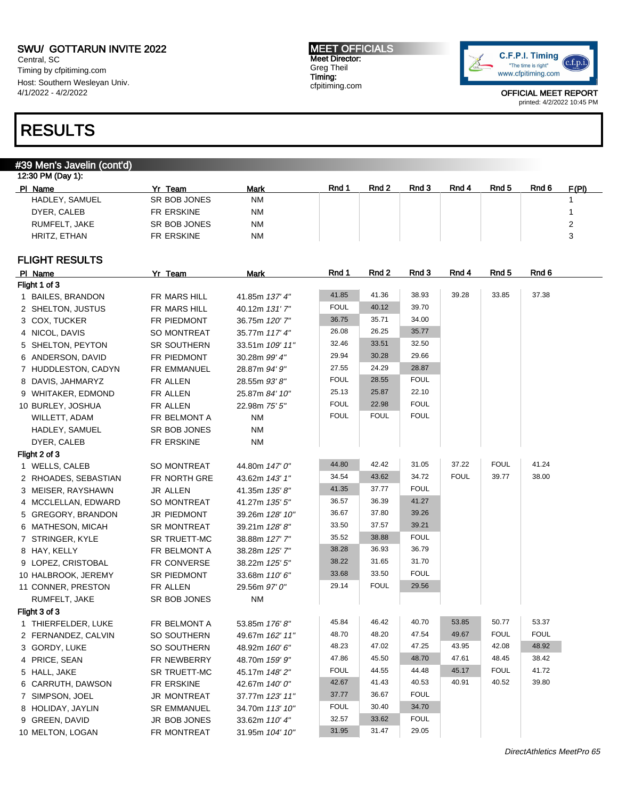Central, SC Timing by cfpitiming.com Host: Southern Wesleyan Univ. 4/1/2022 - 4/2/2022

### RESULTS

### #39 Men's Javelin (cont'd)

#### 12:30 PM (Day 1): Pl Name **Yr Team Mark Rnd 1 Rnd 2 Rnd 3 Rnd 4 Rnd 5** Rnd 6 F(PI) HADLEY, SAMUEL SR BOB JONES NM NADLEY, SAMUEL 1 DYER, CALEB FR ERSKINE NM NM 1 RUMFELT, JAKE SR BOB JONES NM 2 HRITZ, ETHAN FR ERSKINE NM NM STERES NAM STERIES AND THE STEAM STEAM STEAM STEAM STEAM STEAM STEAM STEAM STEAM

### FLIGHT RESULTS

| PI Name              | Yr Team             | <b>Mark</b>     | Rnd 1       | Rnd 2       | Rnd 3       | Rnd 4       | Rnd 5       | Rnd 6       |
|----------------------|---------------------|-----------------|-------------|-------------|-------------|-------------|-------------|-------------|
| Flight 1 of 3        |                     |                 |             |             |             |             |             |             |
| 1 BAILES, BRANDON    | FR MARS HILL        | 41.85m 137' 4"  | 41.85       | 41.36       | 38.93       | 39.28       | 33.85       | 37.38       |
| 2 SHELTON, JUSTUS    | FR MARS HILL        | 40.12m 131'7"   | <b>FOUL</b> | 40.12       | 39.70       |             |             |             |
| 3 COX, TUCKER        | FR PIEDMONT         | 36.75m 120'7"   | 36.75       | 35.71       | 34.00       |             |             |             |
| 4 NICOL, DAVIS       | <b>SO MONTREAT</b>  | 35.77m 117' 4"  | 26.08       | 26.25       | 35.77       |             |             |             |
| 5 SHELTON, PEYTON    | <b>SR SOUTHERN</b>  | 33.51m 109' 11" | 32.46       | 33.51       | 32.50       |             |             |             |
| 6 ANDERSON, DAVID    | FR PIEDMONT         | 30.28m 99' 4"   | 29.94       | 30.28       | 29.66       |             |             |             |
| 7 HUDDLESTON, CADYN  | FR EMMANUEL         | 28.87m 94' 9"   | 27.55       | 24.29       | 28.87       |             |             |             |
| 8 DAVIS, JAHMARYZ    | FR ALLEN            | 28.55m 93'8"    | <b>FOUL</b> | 28.55       | <b>FOUL</b> |             |             |             |
| 9 WHITAKER, EDMOND   | FR ALLEN            | 25.87m 84' 10"  | 25.13       | 25.87       | 22.10       |             |             |             |
| 10 BURLEY, JOSHUA    | FR ALLEN            | 22.98m 75' 5"   | <b>FOUL</b> | 22.98       | <b>FOUL</b> |             |             |             |
| WILLETT, ADAM        | FR BELMONT A        | ΝM              | <b>FOUL</b> | <b>FOUL</b> | <b>FOUL</b> |             |             |             |
| HADLEY, SAMUEL       | SR BOB JONES        | <b>NM</b>       |             |             |             |             |             |             |
| DYER, CALEB          | FR ERSKINE          | ΝM              |             |             |             |             |             |             |
| Flight 2 of 3        |                     |                 |             |             |             |             |             |             |
| 1 WELLS, CALEB       | SO MONTREAT         | 44.80m 147' 0"  | 44.80       | 42.42       | 31.05       | 37.22       | <b>FOUL</b> | 41.24       |
| 2 RHOADES, SEBASTIAN | FR NORTH GRE        | 43.62m 143' 1"  | 34.54       | 43.62       | 34.72       | <b>FOUL</b> | 39.77       | 38.00       |
| 3 MEISER, RAYSHAWN   | JR ALLEN            | 41.35m 135' 8"  | 41.35       | 37.77       | <b>FOUL</b> |             |             |             |
| 4 MCCLELLAN, EDWARD  | <b>SO MONTREAT</b>  | 41.27m 135' 5"  | 36.57       | 36.39       | 41.27       |             |             |             |
| 5 GREGORY, BRANDON   | JR PIEDMONT         | 39.26m 128' 10" | 36.67       | 37.80       | 39.26       |             |             |             |
| 6 MATHESON, MICAH    | SR MONTREAT         | 39.21m 128'8"   | 33.50       | 37.57       | 39.21       |             |             |             |
| 7 STRINGER, KYLE     | SR TRUETT-MC        | 38.88m 127' 7"  | 35.52       | 38.88       | <b>FOUL</b> |             |             |             |
| 8 HAY, KELLY         | FR BELMONT A        | 38.28m 125' 7"  | 38.28       | 36.93       | 36.79       |             |             |             |
| 9 LOPEZ, CRISTOBAL   | FR CONVERSE         | 38.22m 125' 5"  | 38.22       | 31.65       | 31.70       |             |             |             |
| 10 HALBROOK, JEREMY  | SR PIEDMONT         | 33.68m 110'6"   | 33.68       | 33.50       | <b>FOUL</b> |             |             |             |
| 11 CONNER, PRESTON   | FR ALLEN            | 29.56m 97' 0"   | 29.14       | <b>FOUL</b> | 29.56       |             |             |             |
| RUMFELT, JAKE        | SR BOB JONES        | <b>NM</b>       |             |             |             |             |             |             |
| Flight 3 of 3        |                     |                 |             |             |             |             |             |             |
| 1 THIERFELDER, LUKE  | FR BELMONT A        | 53.85m 176'8"   | 45.84       | 46.42       | 40.70       | 53.85       | 50.77       | 53.37       |
| 2 FERNANDEZ, CALVIN  | SO SOUTHERN         | 49.67m 162' 11" | 48.70       | 48.20       | 47.54       | 49.67       | <b>FOUL</b> | <b>FOUL</b> |
| 3 GORDY, LUKE        | SO SOUTHERN         | 48.92m 160' 6"  | 48.23       | 47.02       | 47.25       | 43.95       | 42.08       | 48.92       |
| 4 PRICE, SEAN        | FR NEWBERRY         | 48.70m 159' 9"  | 47.86       | 45.50       | 48.70       | 47.61       | 48.45       | 38.42       |
| 5 HALL, JAKE         | <b>SR TRUETT-MC</b> | 45.17m 148'2"   | <b>FOUL</b> | 44.55       | 44.48       | 45.17       | <b>FOUL</b> | 41.72       |
| 6 CARRUTH, DAWSON    | FR ERSKINE          | 42.67m 140' 0"  | 42.67       | 41.43       | 40.53       | 40.91       | 40.52       | 39.80       |
| 7 SIMPSON, JOEL      | JR MONTREAT         | 37.77m 123' 11" | 37.77       | 36.67       | <b>FOUL</b> |             |             |             |
| 8 HOLIDAY, JAYLIN    | <b>SR EMMANUEL</b>  | 34.70m 113' 10" | <b>FOUL</b> | 30.40       | 34.70       |             |             |             |
| 9 GREEN, DAVID       | JR BOB JONES        | 33.62m 110' 4"  | 32.57       | 33.62       | <b>FOUL</b> |             |             |             |
| 10 MELTON, LOGAN     | FR MONTREAT         | 31.95m 104' 10" | 31.95       | 31.47       | 29.05       |             |             |             |
|                      |                     |                 |             |             |             |             |             |             |

MEET OFFICIALS Meet Director: Greg Theil Timing: cfpitiming.com